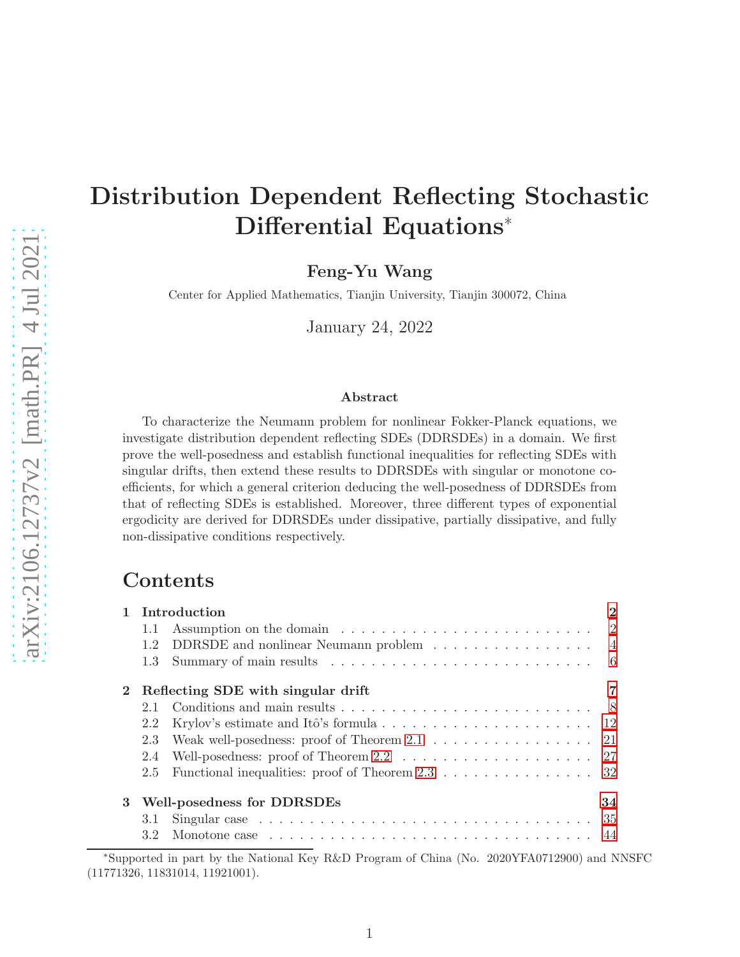# Distribution Dependent Reflecting Stochastic Differential Equations<sup>∗</sup>

Feng-Yu Wang

Center for Applied Mathematics, Tianjin University, Tianjin 300072, China

January 24, 2022

#### Abstract

To characterize the Neumann problem for nonlinear Fokker-Planck equations, we investigate distribution dependent reflecting SDEs (DDRSDEs) in a domain. We first prove the well-posedness and establish functional inequalities for reflecting SDEs with singular drifts, then extend these results to DDRSDEs with singular or monotone coefficients, for which a general criterion deducing the well-posedness of DDRSDEs from that of reflecting SDEs is established. Moreover, three different types of exponential ergodicity are derived for DDRSDEs under dissipative, partially dissipative, and fully non-dissipative conditions respectively.

# Contents

|   |                                         | Introduction                                                                           | $\mathbf 2$    |  |  |
|---|-----------------------------------------|----------------------------------------------------------------------------------------|----------------|--|--|
|   | 1.1                                     |                                                                                        | $\overline{2}$ |  |  |
|   | 1.2                                     | DDRSDE and nonlinear Neumann problem                                                   | $\overline{4}$ |  |  |
|   | 1.3 <sup>°</sup>                        |                                                                                        | -6             |  |  |
|   |                                         | Reflecting SDE with singular drift                                                     |                |  |  |
|   |                                         |                                                                                        |                |  |  |
|   | 2.2                                     |                                                                                        |                |  |  |
|   | 2.3                                     | Weak well-posedness: proof of Theorem $2.1 \ldots \ldots \ldots \ldots \ldots 21$      |                |  |  |
|   | 2.4                                     | Well-posedness: proof of Theorem $2.2 \ldots \ldots \ldots \ldots \ldots \ldots 27$    |                |  |  |
|   | 2.5                                     | Functional inequalities: proof of Theorem 2.3 $\dots \dots \dots \dots \dots \dots$ 32 |                |  |  |
| 3 | <b>Well-posedness for DDRSDEs</b><br>34 |                                                                                        |                |  |  |
|   | 3.1                                     |                                                                                        | -35            |  |  |
|   | 3.2                                     |                                                                                        |                |  |  |

<sup>∗</sup>Supported in part by the National Key R&D Program of China (No. 2020YFA0712900) and NNSFC (11771326, 11831014, 11921001).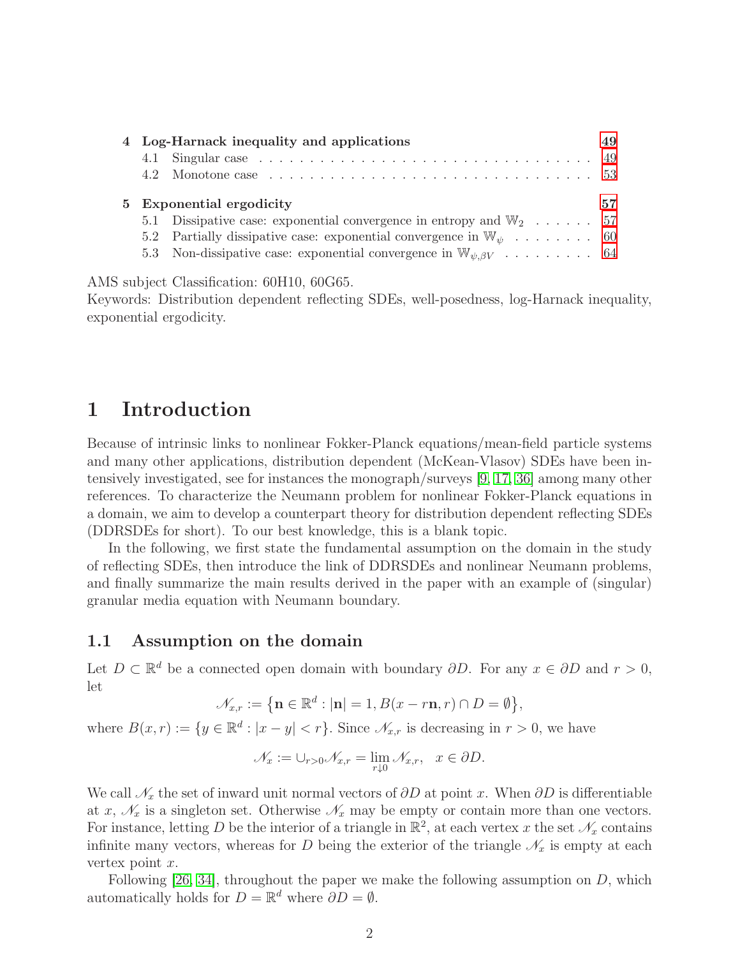|  | 4 Log-Harnack inequality and applications                                         |    |
|--|-----------------------------------------------------------------------------------|----|
|  |                                                                                   |    |
|  |                                                                                   |    |
|  |                                                                                   |    |
|  | 5 Exponential ergodicity                                                          | 57 |
|  | 5.1 Dissipative case: exponential convergence in entropy and $\mathbb{W}_2$ 57    |    |
|  | 5.2 Partially dissipative case: exponential convergence in $\mathbb{W}_{\psi}$ 60 |    |

AMS subject Classification: 60H10, 60G65.

Keywords: Distribution dependent reflecting SDEs, well-posedness, log-Harnack inequality, exponential ergodicity.

# <span id="page-1-0"></span>1 Introduction

Because of intrinsic links to nonlinear Fokker-Planck equations/mean-field particle systems and many other applications, distribution dependent (McKean-Vlasov) SDEs have been intensively investigated, see for instances the monograph/surveys [\[9,](#page-66-0) [17,](#page-67-0) [36\]](#page-68-0) among many other references. To characterize the Neumann problem for nonlinear Fokker-Planck equations in a domain, we aim to develop a counterpart theory for distribution dependent reflecting SDEs (DDRSDEs for short). To our best knowledge, this is a blank topic.

In the following, we first state the fundamental assumption on the domain in the study of reflecting SDEs, then introduce the link of DDRSDEs and nonlinear Neumann problems, and finally summarize the main results derived in the paper with an example of (singular) granular media equation with Neumann boundary.

#### <span id="page-1-1"></span>1.1 Assumption on the domain

Let  $D \subset \mathbb{R}^d$  be a connected open domain with boundary  $\partial D$ . For any  $x \in \partial D$  and  $r > 0$ , let

$$
\mathcal{N}_{x,r} := \left\{ \mathbf{n} \in \mathbb{R}^d : |\mathbf{n}| = 1, B(x - r\mathbf{n}, r) \cap D = \emptyset \right\},\
$$

where  $B(x,r) := \{y \in \mathbb{R}^d : |x - y| < r\}$ . Since  $\mathscr{N}_{x,r}$  is decreasing in  $r > 0$ , we have

$$
\mathscr{N}_x := \cup_{r>0} \mathscr{N}_{x,r} = \lim_{r \downarrow 0} \mathscr{N}_{x,r}, \quad x \in \partial D.
$$

We call  $\mathcal{N}_x$  the set of inward unit normal vectors of  $\partial D$  at point x. When  $\partial D$  is differentiable at x,  $\mathcal{N}_x$  is a singleton set. Otherwise  $\mathcal{N}_x$  may be empty or contain more than one vectors. For instance, letting D be the interior of a triangle in  $\mathbb{R}^2$ , at each vertex x the set  $\mathscr{N}_x$  contains infinite many vectors, whereas for D being the exterior of the triangle  $\mathcal{N}_x$  is empty at each vertex point  $x$ .

Following  $[26, 34]$  $[26, 34]$ , throughout the paper we make the following assumption on D, which automatically holds for  $D = \mathbb{R}^d$  where  $\partial D = \emptyset$ .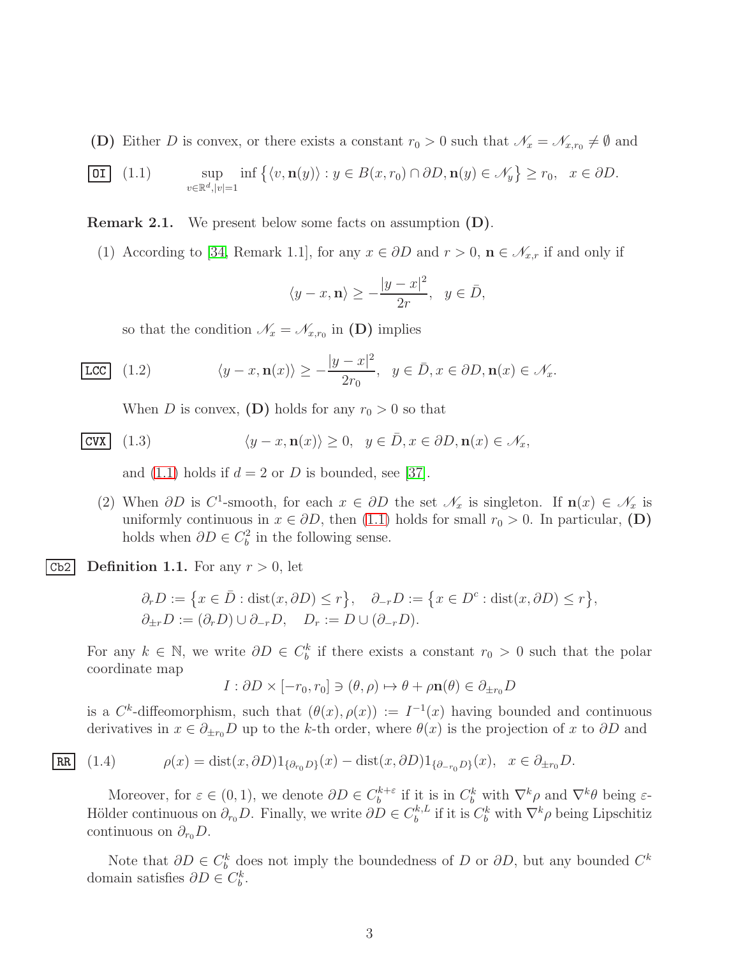(D) Either D is convex, or there exists a constant  $r_0 > 0$  such that  $\mathcal{N}_x = \mathcal{N}_{x,r_0} \neq \emptyset$  and

<span id="page-2-0"></span>
$$
\boxed{\text{OI}} \quad (1.1) \qquad \sup_{v \in \mathbb{R}^d, |v|=1} \inf \left\{ \langle v, \mathbf{n}(y) \rangle : y \in B(x, r_0) \cap \partial D, \mathbf{n}(y) \in \mathcal{N}_y \right\} \ge r_0, \quad x \in \partial D.
$$

Remark 2.1. We present below some facts on assumption (D).

(1) According to [\[34,](#page-68-1) Remark 1.1], for any  $x \in \partial D$  and  $r > 0$ ,  $\mathbf{n} \in \mathcal{N}_{x,r}$  if and only if

$$
\langle y - x, \mathbf{n} \rangle \ge -\frac{|y - x|^2}{2r}, \ \ y \in \bar{D},
$$

<span id="page-2-1"></span>so that the condition  $\mathcal{N}_x = \mathcal{N}_{x,r_0}$  in (D) implies

$$
\text{LCC} \quad (1.2) \qquad \langle y - x, \mathbf{n}(x) \rangle \ge -\frac{|y - x|^2}{2r_0}, \quad y \in \bar{D}, x \in \partial D, \mathbf{n}(x) \in \mathcal{N}_x.
$$

<span id="page-2-2"></span>When D is convex, (D) holds for any  $r_0 > 0$  so that

$$
|{\rm CVX}|\quad(1.3)\qquad\qquad\langle y-x, \mathbf{n}(x)\rangle\geq 0,\ \ y\in\bar{D}, x\in\partial D, \mathbf{n}(x)\in\mathcal{N}_x,
$$

and [\(1.1\)](#page-2-0) holds if  $d = 2$  or D is bounded, see [\[37\]](#page-68-2).

(2) When  $\partial D$  is C<sup>1</sup>-smooth, for each  $x \in \partial D$  the set  $\mathscr{N}_x$  is singleton. If  $\mathbf{n}(x) \in \mathscr{N}_x$  is uniformly continuous in  $x \in \partial D$ , then [\(1.1\)](#page-2-0) holds for small  $r_0 > 0$ . In particular, (D) holds when  $\partial D \in C_b^2$  in the following sense.

Cb2 Definition 1.1. For any  $r > 0$ , let

$$
\partial_r D := \{ x \in \overline{D} : \text{dist}(x, \partial D) \le r \}, \quad \partial_{-r} D := \{ x \in D^c : \text{dist}(x, \partial D) \le r \}, \partial_{\pm r} D := (\partial_r D) \cup \partial_{-r} D, \quad D_r := D \cup (\partial_{-r} D).
$$

For any  $k \in \mathbb{N}$ , we write  $\partial D \in C_b^k$  if there exists a constant  $r_0 > 0$  such that the polar coordinate map

$$
I: \partial D \times [-r_0, r_0] \ni (\theta, \rho) \mapsto \theta + \rho \mathbf{n}(\theta) \in \partial_{\pm r_0} D
$$

is a  $C^k$ -diffeomorphism, such that  $(\theta(x), \rho(x)) := I^{-1}(x)$  having bounded and continuous derivatives in  $x \in \partial_{\pm r_0}D$  up to the k-th order, where  $\theta(x)$  is the projection of x to  $\partial D$  and

$$
\underline{\mathbf{RR}} \quad (1.4) \qquad \rho(x) = \text{dist}(x, \partial D) \mathbf{1}_{\{\partial_{r_0} D\}}(x) - \text{dist}(x, \partial D) \mathbf{1}_{\{\partial_{-r_0} D\}}(x), \quad x \in \partial_{\pm r_0} D.
$$

Moreover, for  $\varepsilon \in (0,1)$ , we denote  $\partial D \in C_b^{k+\varepsilon}$  $b^{k+\varepsilon}$  if it is in  $C_b^k$  with  $\nabla^k \rho$  and  $\nabla^k \theta$  being  $\varepsilon$ -Hölder continuous on  $\partial_{r_0} D$ . Finally, we write  $\partial D \in C_b^{k,L}$  $b^{k,L}$  if it is  $C_b^k$  with  $\nabla^k \rho$  being Lipschitiz continuous on  $\partial_{r_0}D$ .

Note that  $\partial D \in C_b^k$  does not imply the boundedness of D or  $\partial D$ , but any bounded  $C^k$ domain satisfies  $\partial D \in C_b^k$ .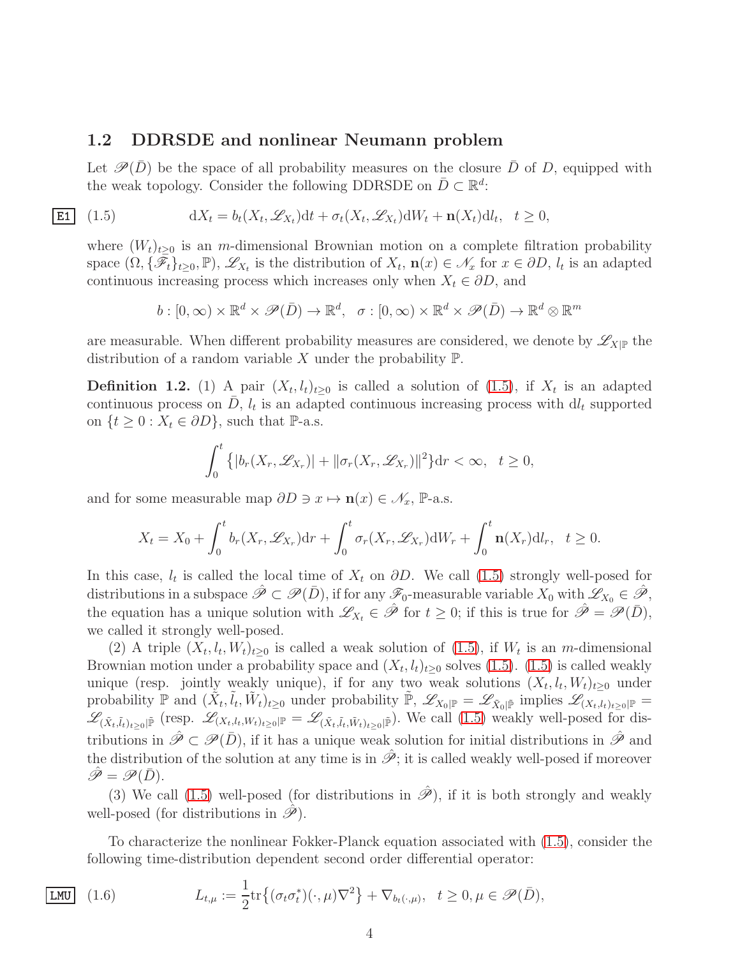#### <span id="page-3-0"></span>1.2 DDRSDE and nonlinear Neumann problem

Let  $\mathscr{P}(\bar{D})$  be the space of all probability measures on the closure  $\bar{D}$  of D, equipped with the weak topology. Consider the following DDRSDE on  $\bar{D} \subset \mathbb{R}^d$ :

 $|E1|$   $(1.5)$ 

<span id="page-3-1"></span>
$$
dX_t = b_t(X_t, \mathcal{L}_{X_t})dt + \sigma_t(X_t, \mathcal{L}_{X_t})dW_t + \mathbf{n}(X_t)dl_t, \quad t \ge 0,
$$

where  $(W_t)_{t>0}$  is an m-dimensional Brownian motion on a complete filtration probability space  $(\Omega, {\{\overline{\mathscr{F}}_t\}_{t\geq0}}, \mathbb{P}), \mathscr{L}_{X_t}$  is the distribution of  $X_t$ ,  $\mathbf{n}(x) \in \mathscr{N}_x$  for  $x \in \partial D$ ,  $l_t$  is an adapted continuous increasing process which increases only when  $X_t \in \partial D$ , and

$$
b: [0, \infty) \times \mathbb{R}^d \times \mathscr{P}(\bar{D}) \to \mathbb{R}^d, \quad \sigma: [0, \infty) \times \mathbb{R}^d \times \mathscr{P}(\bar{D}) \to \mathbb{R}^d \otimes \mathbb{R}^m
$$

are measurable. When different probability measures are considered, we denote by  $\mathscr{L}_{X|\mathbb{P}}$  the distribution of a random variable X under the probability  $\mathbb{P}$ .

**Definition 1.2.** (1) A pair  $(X_t, l_t)_{t\geq0}$  is called a solution of [\(1.5\)](#page-3-1), if  $X_t$  is an adapted continuous process on  $\overline{D}$ ,  $l_t$  is an adapted continuous increasing process with  $dl_t$  supported on  $\{t \geq 0 : X_t \in \partial D\}$ , such that P-a.s.

$$
\int_0^t \left\{ |b_r(X_r, \mathscr{L}_{X_r})| + ||\sigma_r(X_r, \mathscr{L}_{X_r})||^2 \right\} dr < \infty, \quad t \ge 0,
$$

and for some measurable map  $\partial D \ni x \mapsto \mathbf{n}(x) \in \mathscr{N}_x$ , P-a.s.

$$
X_t = X_0 + \int_0^t b_r(X_r, \mathcal{L}_{X_r}) dr + \int_0^t \sigma_r(X_r, \mathcal{L}_{X_r}) dW_r + \int_0^t \mathbf{n}(X_r) dl_r, \quad t \ge 0.
$$

In this case,  $l_t$  is called the local time of  $X_t$  on  $\partial D$ . We call [\(1.5\)](#page-3-1) strongly well-posed for distributions in a subspace  $\hat{\mathscr{P}} \subset \mathscr{P}(\bar{D})$ , if for any  $\mathscr{F}_0$ -measurable variable  $X_0$  with  $\mathscr{L}_{X_0} \in \hat{\mathscr{P}}$ , the equation has a unique solution with  $\mathscr{L}_{X_t} \in \hat{\mathscr{P}}$  for  $t \geq 0$ ; if this is true for  $\hat{\mathscr{P}} = \mathscr{P}(\bar{D})$ , we called it strongly well-posed.

(2) A triple  $(X_t, l_t, W_t)_{t\geq0}$  is called a weak solution of [\(1.5\)](#page-3-1), if  $W_t$  is an m-dimensional Brownian motion under a probability space and  $(X_t, l_t)_{t\geq0}$  solves  $(1.5)$ .  $(1.5)$  is called weakly unique (resp. jointly weakly unique), if for any two weak solutions  $(X_t, l_t, W_t)_{t\geq0}$  under probability  $\mathbb P$  and  $(\tilde{X}_t, \tilde{l}_t, \tilde{W}_t)_{t\geq 0}$  under probability  $\tilde{\mathbb P}$ ,  $\mathscr{L}_{X_0|\mathbb P} = \mathscr{L}_{\tilde{X}_0|\tilde{\mathbb P}}$  implies  $\mathscr{L}_{(X_t, l_t)_{t\geq 0}|\mathbb P} =$  $\mathscr{L}_{(\tilde{X}_t, \tilde{l}_t)_{t\geq 0}|\tilde{P}}$  (resp.  $\mathscr{L}_{(X_t, l_t, W_t)_{t\geq 0}|\tilde{P}} = \mathscr{L}_{(\tilde{X}_t, \tilde{l}_t, \tilde{W}_t)_{t\geq 0}|\tilde{P}}$ ). We call [\(1.5\)](#page-3-1) weakly well-posed for distributions in  $\hat{\mathscr{P}} \subset \mathscr{P}(\bar{D})$ , if it has a unique weak solution for initial distributions in  $\hat{\mathscr{P}}$  and the distribution of the solution at any time is in  $\hat{\mathscr{P}}$ ; it is called weakly well-posed if moreover  $\mathscr{P} = \mathscr{P}(\bar{D}).$ 

(3) We call [\(1.5\)](#page-3-1) well-posed (for distributions in  $\hat{\mathscr{P}}$ ), if it is both strongly and weakly well-posed (for distributions in  $\hat{\mathscr{P}}$ ).

To characterize the nonlinear Fokker-Planck equation associated with [\(1.5\)](#page-3-1), consider the following time-distribution dependent second order differential operator:

$$
\boxed{\text{LMU}} \quad (1.6) \qquad L_{t,\mu} := \frac{1}{2} \text{tr} \left\{ (\sigma_t \sigma_t^*)(\cdot, \mu) \nabla^2 \right\} + \nabla_{b_t(\cdot, \mu)}, \quad t \ge 0, \mu \in \mathcal{P}(\bar{D}),
$$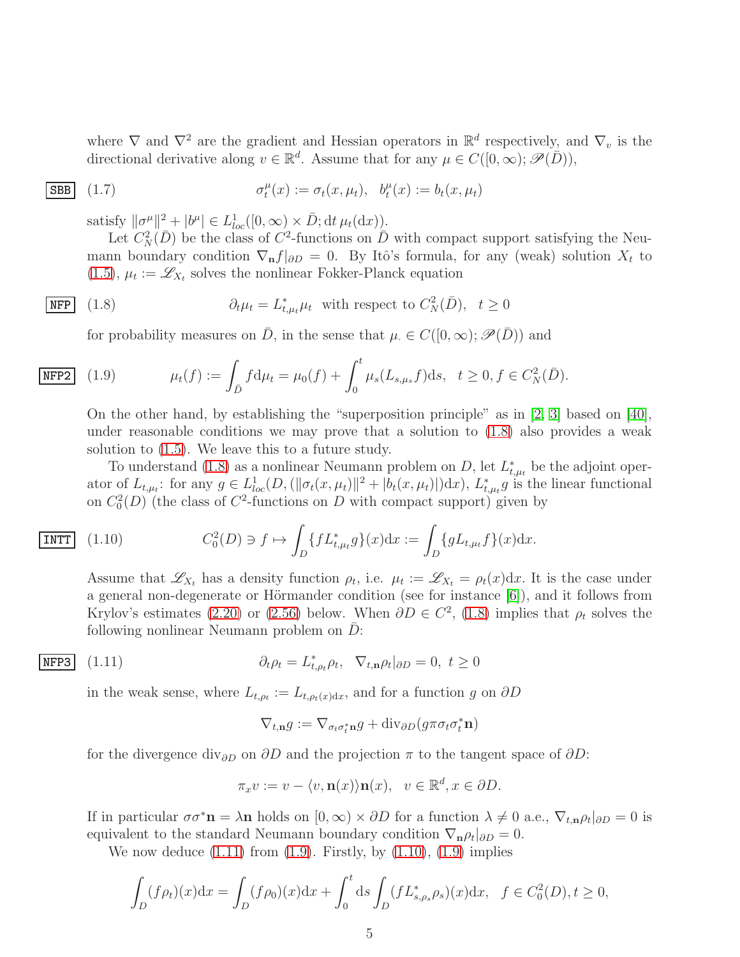where  $\nabla$  and  $\nabla^2$  are the gradient and Hessian operators in  $\mathbb{R}^d$  respectively, and  $\nabla_v$  is the directional derivative along  $v \in \mathbb{R}^d$ . Assume that for any  $\mu \in C([0,\infty); \mathscr{P}(\overline{D}))$ ,

$$
\text{SBB} \quad (1.7) \qquad \sigma_t^{\mu}(x) := \sigma_t(x, \mu_t), \quad b_t^{\mu}(x) := b_t(x, \mu_t)
$$

<span id="page-4-4"></span>satisfy  $\|\sigma^{\mu}\|^2 + |b^{\mu}| \in L_{loc}^1([0,\infty) \times \bar{D}; \mathrm{d}t \,\mu_t(\mathrm{d}x))$ .

Let  $C_N^2(\bar{D})$  be the class of  $C^2$ -functions on  $\bar{D}$  with compact support satisfying the Neumann boundary condition  $\nabla_{\bf n} f|_{\partial D} = 0$ . By Itô's formula, for any (weak) solution  $X_t$  to [\(1.5\)](#page-3-1),  $\mu_t := \mathcal{L}_{X_t}$  solves the nonlinear Fokker-Planck equation

$$
\overline{\text{NFP}} \quad (1.8) \quad \partial_t \mu_t = L_{t,\mu_t}^* \mu_t \quad \text{with respect to } C_N^2(\bar{D}), \quad t \ge 0
$$

<span id="page-4-2"></span><span id="page-4-0"></span>for probability measures on  $\overline{D}$ , in the sense that  $\mu \in C([0,\infty); \mathscr{P}(\overline{D}))$  and

$$
\boxed{\text{NFP2}} \quad (1.9) \quad \mu_t(f) := \int_{\bar{D}} f \, \mathrm{d}\mu_t = \mu_0(f) + \int_0^t \mu_s(L_{s,\mu_s}f) \, \mathrm{d}s, \quad t \ge 0, f \in C_N^2(\bar{D}).
$$

On the other hand, by establishing the "superposition principle" as in [\[2,](#page-66-1) [3\]](#page-66-2) based on [\[40\]](#page-68-3), under reasonable conditions we may prove that a solution to  $(1.8)$  also provides a weak solution to [\(1.5\)](#page-3-1). We leave this to a future study.

To understand [\(1.8\)](#page-4-0) as a nonlinear Neumann problem on D, let  $L_{t,\mu_t}^*$  be the adjoint operator of  $L_{t,\mu_t}$ : for any  $g \in L^1_{loc}(D, (||\sigma_t(x,\mu_t)||^2 + |b_t(x,\mu_t)||)dx)$ ,  $L^*_{t,\mu_t}g$  is the linear functional on  $C_0^2(D)$  (the class of  $C^2$ -functions on D with compact support) given by

$$
\text{INTT} \quad (1.10) \qquad \qquad C_0^2(D) \ni f \mapsto \int_D \{ f L_{t,\mu_t}^* g \}(x) \mathrm{d}x := \int_D \{ g L_{t,\mu_t} f \}(x) \mathrm{d}x.
$$

<span id="page-4-3"></span>Assume that  $\mathscr{L}_{X_t}$  has a density function  $\rho_t$ , i.e.  $\mu_t := \mathscr{L}_{X_t} = \rho_t(x) dx$ . It is the case under a general non-degenerate or Hörmander condition (see for instance  $[6]$ ), and it follows from Krylov's estimates [\(2.20\)](#page-11-2) or [\(2.56\)](#page-19-0) below. When  $\partial D \in C^2$ , [\(1.8\)](#page-4-0) implies that  $\rho_t$  solves the following nonlinear Neumann problem on  $\bar{D}$ :

$$
\overline{\text{NFP3}} \quad (1.11) \qquad \partial_t \rho_t = L_{t,\rho_t}^* \rho_t, \quad \nabla_{t,\mathbf{n}} \rho_t |_{\partial D} = 0, \ t \ge 0
$$

in the weak sense, where  $L_{t,\rho_t} := L_{t,\rho_t(x)dx}$ , and for a function g on  $\partial D$ 

<span id="page-4-1"></span>
$$
\nabla_{t,\mathbf{n}}g := \nabla_{\sigma_t \sigma_t^* \mathbf{n}}g + \text{div}_{\partial D}(g \pi \sigma_t \sigma_t^* \mathbf{n})
$$

for the divergence div<sub>∂D</sub> on  $\partial D$  and the projection  $\pi$  to the tangent space of  $\partial D$ :

$$
\pi_x v := v - \langle v, \mathbf{n}(x) \rangle \mathbf{n}(x), \quad v \in \mathbb{R}^d, x \in \partial D.
$$

If in particular  $\sigma \sigma^* \mathbf{n} = \lambda \mathbf{n}$  holds on  $[0, \infty) \times \partial D$  for a function  $\lambda \neq 0$  a.e.,  $\nabla_{t,\mathbf{n}} \rho_t |_{\partial D} = 0$  is equivalent to the standard Neumann boundary condition  $\nabla_{\mathbf{n}}\rho_t|_{\partial D}=0$ .

We now deduce  $(1.11)$  from  $(1.9)$ . Firstly, by  $(1.10)$ ,  $(1.9)$  implies

$$
\int_{D} (f \rho_t)(x) dx = \int_{D} (f \rho_0)(x) dx + \int_0^t ds \int_{D} (f L_{s, \rho_s}^* \rho_s)(x) dx, \ \ f \in C_0^2(D), t \ge 0,
$$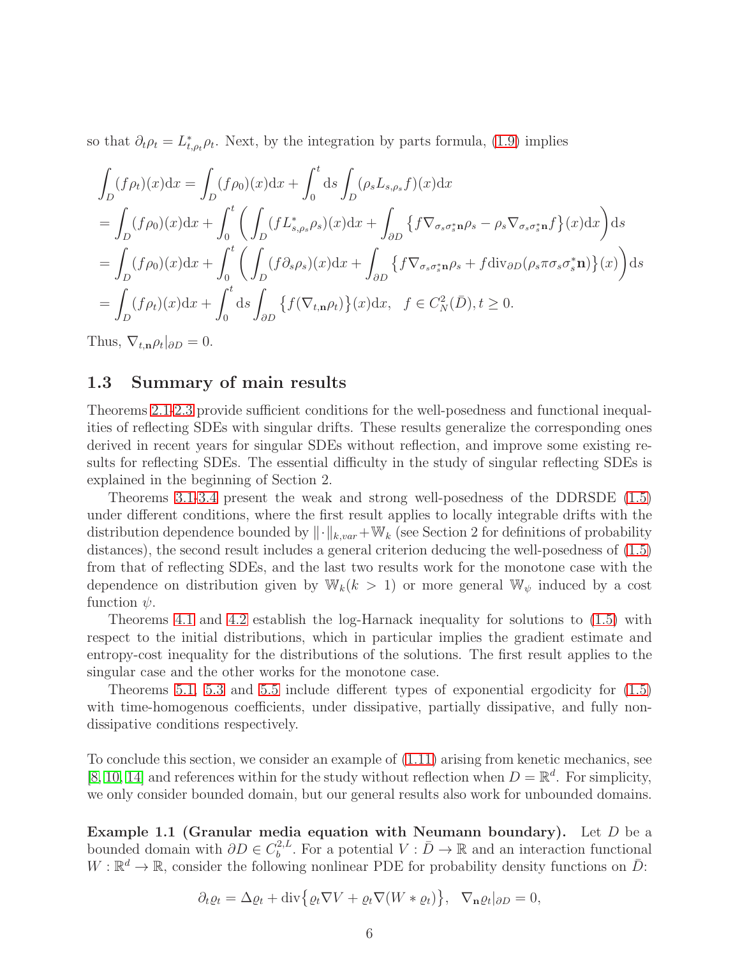so that  $\partial_t \rho_t = L_{t,\rho_t}^* \rho_t$ . Next, by the integration by parts formula, [\(1.9\)](#page-4-2) implies

$$
\int_{D} (f\rho_t)(x) dx = \int_{D} (f\rho_0)(x) dx + \int_{0}^{t} ds \int_{D} (\rho_s L_{s,\rho_s} f)(x) dx
$$
  
\n
$$
= \int_{D} (f\rho_0)(x) dx + \int_{0}^{t} \left( \int_{D} (f L_{s,\rho_s}^* \rho_s)(x) dx + \int_{\partial D} \{ f \nabla_{\sigma_s \sigma_s^* \mathbf{n}} \rho_s - \rho_s \nabla_{\sigma_s \sigma_s^* \mathbf{n}} f \}(x) dx \right) ds
$$
  
\n
$$
= \int_{D} (f\rho_0)(x) dx + \int_{0}^{t} \left( \int_{D} (f \partial_s \rho_s)(x) dx + \int_{\partial D} \{ f \nabla_{\sigma_s \sigma_s^* \mathbf{n}} \rho_s + f \operatorname{div}_{\partial D} (\rho_s \pi \sigma_s \sigma_s^* \mathbf{n}) \}(x) \right) ds
$$
  
\n
$$
= \int_{D} (f\rho_t)(x) dx + \int_{0}^{t} ds \int_{\partial D} \{ f(\nabla_{t,\mathbf{n}} \rho_t) \}(x) dx, \quad f \in C_N^2(\bar{D}), t \ge 0.
$$

<span id="page-5-0"></span>Thus,  $\nabla_{t,\mathbf{n}}\rho_t|_{\partial D}=0.$ 

#### 1.3 Summary of main results

Theorems [2.1-](#page-10-0)[2.3](#page-11-1) provide sufficient conditions for the well-posedness and functional inequalities of reflecting SDEs with singular drifts. These results generalize the corresponding ones derived in recent years for singular SDEs without reflection, and improve some existing results for reflecting SDEs. The essential difficulty in the study of singular reflecting SDEs is explained in the beginning of Section 2.

Theorems [3.1](#page-35-0)[-3.4](#page-47-0) present the weak and strong well-posedness of the DDRSDE [\(1.5\)](#page-3-1) under different conditions, where the first result applies to locally integrable drifts with the distribution dependence bounded by  $\lVert \cdot \rVert_{k, var} + \mathbb{W}_k$  (see Section 2 for definitions of probability distances), the second result includes a general criterion deducing the well-posedness of [\(1.5\)](#page-3-1) from that of reflecting SDEs, and the last two results work for the monotone case with the dependence on distribution given by  $\mathbb{W}_k(k > 1)$  or more general  $\mathbb{W}_{\psi}$  induced by a cost function  $\psi$ .

Theorems [4.1](#page-49-0) and [4.2](#page-52-1) establish the log-Harnack inequality for solutions to [\(1.5\)](#page-3-1) with respect to the initial distributions, which in particular implies the gradient estimate and entropy-cost inequality for the distributions of the solutions. The first result applies to the singular case and the other works for the monotone case.

Theorems [5.1,](#page-56-2) [5.3](#page-60-0) and [5.5](#page-65-0) include different types of exponential ergodicity for [\(1.5\)](#page-3-1) with time-homogenous coefficients, under dissipative, partially dissipative, and fully nondissipative conditions respectively.

To conclude this section, we consider an example of [\(1.11\)](#page-4-1) arising from kenetic mechanics, see [\[8,](#page-66-4) [10,](#page-66-5) [14\]](#page-67-2) and references within for the study without reflection when  $D = \mathbb{R}^d$ . For simplicity, we only consider bounded domain, but our general results also work for unbounded domains.

Example 1.1 (Granular media equation with Neumann boundary). Let  $D$  be a bounded domain with  $\partial D \in C_b^{2,L}$ <sup>2,*L*</sup>. For a potential  $V : \overline{D} \to \mathbb{R}$  and an interaction functional  $W: \mathbb{R}^d \to \mathbb{R}$ , consider the following nonlinear PDE for probability density functions on  $\bar{D}$ :

$$
\partial_t \varrho_t = \Delta \varrho_t + \text{div}\big\{\varrho_t \nabla V + \varrho_t \nabla (W * \varrho_t)\big\}, \quad \nabla_{\mathbf{n}} \varrho_t|_{\partial D} = 0,
$$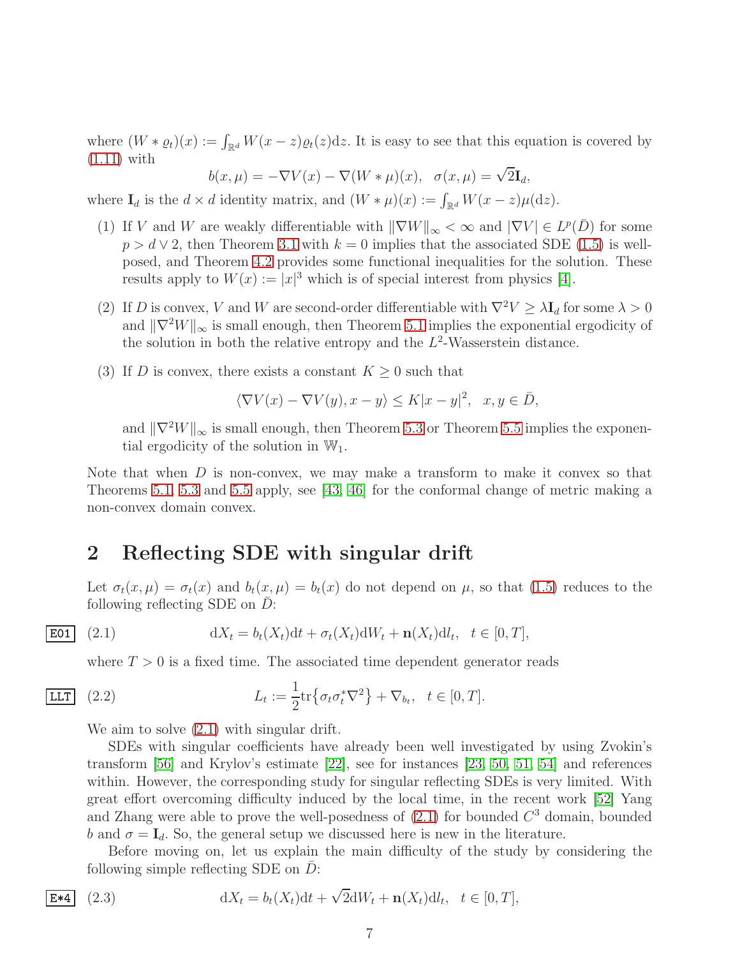where  $(W * \varrho_t)(x) := \int_{\mathbb{R}^d} W(x - z) \varrho_t(z) dz$ . It is easy to see that this equation is covered by [\(1.11\)](#page-4-1) with

 $b(x,\mu) = -\nabla V(x) - \nabla (W*\mu)(x), \ \sigma(x,\mu) = \sqrt{2}\mathbf{I}_d,$ 

where  $\mathbf{I}_d$  is the  $d \times d$  identity matrix, and  $(W * \mu)(x) := \int_{\mathbb{R}^d} W(x - z) \mu(\mathrm{d}z)$ .

- (1) If V and W are weakly differentiable with  $\|\nabla W\|_{\infty} < \infty$  and  $|\nabla V| \in L^p(\overline{D})$  for some  $p > d \vee 2$ , then Theorem [3.1](#page-35-0) with  $k = 0$  implies that the associated SDE [\(1.5\)](#page-3-1) is wellposed, and Theorem [4.2](#page-52-1) provides some functional inequalities for the solution. These results apply to  $W(x) := |x|^3$  which is of special interest from physics [\[4\]](#page-66-6).
- (2) If D is convex, V and W are second-order differentiable with  $\nabla^2 V \geq \lambda \mathbf{I}_d$  for some  $\lambda > 0$ and  $\|\nabla^2 W\|_{\infty}$  is small enough, then Theorem [5.1](#page-56-2) implies the exponential ergodicity of the solution in both the relative entropy and the  $L^2$ -Wasserstein distance.
- (3) If D is convex, there exists a constant  $K \geq 0$  such that

$$
\langle \nabla V(x) - \nabla V(y), x - y \rangle \le K|x - y|^2, \quad x, y \in \overline{D},
$$

and  $\|\nabla^2 W\|_{\infty}$  is small enough, then Theorem [5.3](#page-60-0) or Theorem [5.5](#page-65-0) implies the exponential ergodicity of the solution in  $\mathbb{W}_1$ .

Note that when  $D$  is non-convex, we may make a transform to make it convex so that Theorems [5.1,](#page-56-2) [5.3](#page-60-0) and [5.5](#page-65-0) apply, see [\[43,](#page-68-4) [46\]](#page-68-5) for the conformal change of metric making a non-convex domain convex.

## <span id="page-6-0"></span>2 Reflecting SDE with singular drift

Let  $\sigma_t(x,\mu) = \sigma_t(x)$  and  $b_t(x,\mu) = b_t(x)$  do not depend on  $\mu$ , so that [\(1.5\)](#page-3-1) reduces to the following reflecting SDE on  $\bar{D}$ :

$$
\text{E01} \quad (2.1) \qquad \qquad \mathrm{d}X_t = b_t(X_t) \mathrm{d}t + \sigma_t(X_t) \mathrm{d}W_t + \mathbf{n}(X_t) \mathrm{d}l_t, \quad t \in [0, T],
$$

<span id="page-6-1"></span>where  $T > 0$  is a fixed time. The associated time dependent generator reads

$$
\boxed{\text{LIT}} \quad (2.2) \qquad L_t := \frac{1}{2} \text{tr} \{ \sigma_t \sigma_t^* \nabla^2 \} + \nabla_{b_t}, \quad t \in [0, T].
$$

We aim to solve  $(2.1)$  with singular drift.

SDEs with singular coefficients have already been well investigated by using Zvokin's transform [\[56\]](#page-69-0) and Krylov's estimate [\[22\]](#page-67-3), see for instances [\[23,](#page-67-4) [50,](#page-69-1) [51,](#page-69-2) [54\]](#page-69-3) and references within. However, the corresponding study for singular reflecting SDEs is very limited. With great effort overcoming difficulty induced by the local time, in the recent work [\[52\]](#page-69-4) Yang and Zhang were able to prove the well-posedness of  $(2.1)$  for bounded  $C<sup>3</sup>$  domain, bounded b and  $\sigma = I_d$ . So, the general setup we discussed here is new in the literature.

<span id="page-6-2"></span>Before moving on, let us explain the main difficulty of the study by considering the following simple reflecting SDE on  $D$ :

$$
\boxed{\mathbf{E*4}} \quad (2.3) \qquad \qquad \mathrm{d}X_t = b_t(X_t) \mathrm{d}t + \sqrt{2} \mathrm{d}W_t + \mathbf{n}(X_t) \mathrm{d}l_t, \quad t \in [0, T],
$$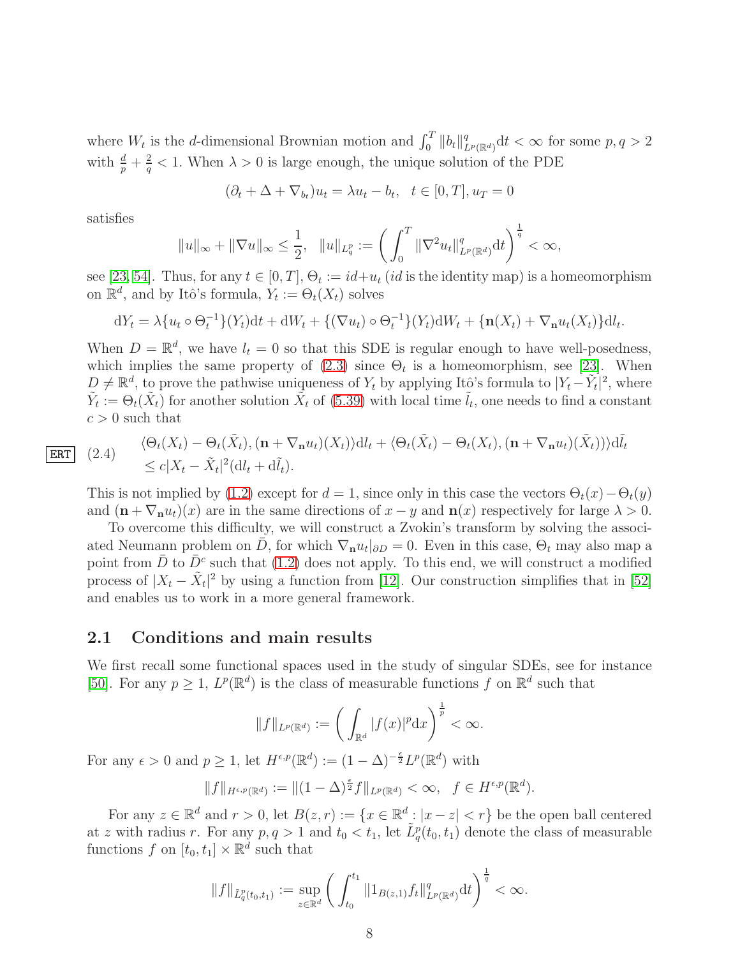where  $W_t$  is the d-dimensional Brownian motion and  $\int_0^T ||b_t||_1^q$  $_{L^p(\mathbb{R}^d)}^q dt < \infty$  for some  $p, q > 2$ with  $\frac{d}{p} + \frac{2}{q}$  $\frac{2}{q}$  < 1. When  $\lambda > 0$  is large enough, the unique solution of the PDE

$$
(\partial_t + \Delta + \nabla_{b_t})u_t = \lambda u_t - b_t, \quad t \in [0, T], u_T = 0
$$

satisfies

$$
||u||_{\infty} + ||\nabla u||_{\infty} \le \frac{1}{2}, \quad ||u||_{L_q^p} := \left(\int_0^T ||\nabla^2 u_t||_{L^p(\mathbb{R}^d)}^q dt\right)^{\frac{1}{q}} < \infty,
$$

see [\[23,](#page-67-4) [54\]](#page-69-3). Thus, for any  $t \in [0, T]$ ,  $\Theta_t := id + u_t$  (*id* is the identity map) is a homeomorphism on  $\mathbb{R}^d$ , and by Itô's formula,  $Y_t := \Theta_t(X_t)$  solves

$$
dY_t = \lambda \{ u_t \circ \Theta_t^{-1} \} (Y_t) dt + dW_t + \{ (\nabla u_t) \circ \Theta_t^{-1} \} (Y_t) dW_t + \{ \mathbf{n}(X_t) + \nabla_{\mathbf{n}} u_t(X_t) \} dt_t.
$$

When  $D = \mathbb{R}^d$ , we have  $l_t = 0$  so that this SDE is regular enough to have well-posedness, which implies the same property of  $(2.3)$  since  $\Theta_t$  is a homeomorphism, see [\[23\]](#page-67-4). When  $D \neq \mathbb{R}^d$ , to prove the pathwise uniqueness of  $Y_t$  by applying Itô's formula to  $|Y_t - \tilde{Y}_t|^2$ , where  $\tilde{Y}_t := \Theta_t(\tilde{X}_t)$  for another solution  $\tilde{X}_t$  of [\(5.39\)](#page-65-1) with local time  $\tilde{l}_t$ , one needs to find a constant  $c > 0$  such that

$$
\fbox{ERT}
$$

(2.4) 
$$
\langle \Theta_t(X_t) - \Theta_t(\tilde{X}_t), (\mathbf{n} + \nabla_{\mathbf{n}} u_t)(X_t) \rangle \mathrm{d}l_t + \langle \Theta_t(\tilde{X}_t) - \Theta_t(X_t), (\mathbf{n} + \nabla_{\mathbf{n}} u_t)(\tilde{X}_t) \rangle \rangle \mathrm{d}\tilde{l}_t
$$
  
 
$$
\leq c|X_t - \tilde{X}_t|^2 (\mathrm{d}l_t + \mathrm{d}\tilde{l}_t).
$$

This is not implied by [\(1.2\)](#page-2-1) except for  $d = 1$ , since only in this case the vectors  $\Theta_t(x) - \Theta_t(y)$ and  $(\mathbf{n} + \nabla_{\mathbf{n}} u_t)(x)$  are in the same directions of  $x - y$  and  $\mathbf{n}(x)$  respectively for large  $\lambda > 0$ .

To overcome this difficulty, we will construct a Zvokin's transform by solving the associated Neumann problem on  $\bar{D}$ , for which  $\nabla_{\mathbf{n}} u_t|_{\partial D} = 0$ . Even in this case,  $\Theta_t$  may also map a point from  $\bar{D}$  to  $\bar{D}^c$  such that [\(1.2\)](#page-2-1) does not apply. To this end, we will construct a modified process of  $|X_t - \tilde{X}_t|^2$  by using a function from [\[12\]](#page-67-5). Our construction simplifies that in [\[52\]](#page-69-4) and enables us to work in a more general framework.

#### <span id="page-7-0"></span>2.1 Conditions and main results

We first recall some functional spaces used in the study of singular SDEs, see for instance [\[50\]](#page-69-1). For any  $p \geq 1$ ,  $L^p(\mathbb{R}^d)$  is the class of measurable functions f on  $\mathbb{R}^d$  such that

$$
||f||_{L^p(\mathbb{R}^d)} := \left(\int_{\mathbb{R}^d} |f(x)|^p \mathrm{d}x\right)^{\frac{1}{p}} < \infty.
$$

For any  $\epsilon > 0$  and  $p \ge 1$ , let  $H^{\epsilon,p}(\mathbb{R}^d) := (1 - \Delta)^{-\frac{\epsilon}{2}} L^p(\mathbb{R}^d)$  with

$$
||f||_{H^{\epsilon,p}(\mathbb{R}^d)} := ||(1-\Delta)^{\frac{\epsilon}{2}}f||_{L^p(\mathbb{R}^d)} < \infty, \quad f \in H^{\epsilon,p}(\mathbb{R}^d).
$$

For any  $z \in \mathbb{R}^d$  and  $r > 0$ , let  $B(z, r) := \{x \in \mathbb{R}^d : |x - z| < r\}$  be the open ball centered at z with radius r. For any  $p, q > 1$  and  $t_0 < t_1$ , let  $\tilde{L}^p_q(t_0, t_1)$  denote the class of measurable functions  $f$  on  $[t_0, t_1] \times \mathbb{R}^d$  such that

$$
||f||_{\tilde{L}_q^p(t_0,t_1)} := \sup_{z \in \mathbb{R}^d} \left( \int_{t_0}^{t_1} ||1_{B(z,1)} f_t||_{L^p(\mathbb{R}^d)}^q dt \right)^{\frac{1}{q}} < \infty.
$$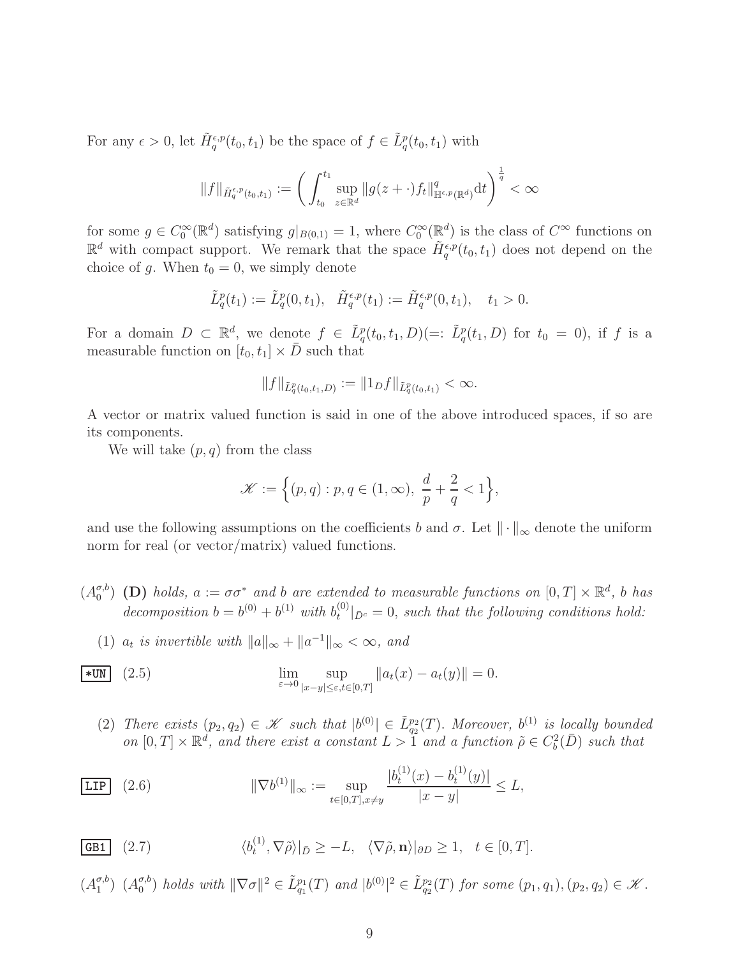For any  $\epsilon > 0$ , let  $\tilde{H}^{\epsilon, p}_{q}(t_0, t_1)$  be the space of  $f \in \tilde{L}^p_q(t_0, t_1)$  with

$$
||f||_{\tilde{H}_q^{\epsilon,p}(t_0,t_1)} := \left(\int_{t_0}^{t_1} \sup_{z \in \mathbb{R}^d} ||g(z + \cdot)f_t||_{\mathbb{H}^{\epsilon,p}(\mathbb{R}^d)}^q dt\right)^{\frac{1}{q}} < \infty
$$

for some  $g \in C_0^{\infty}(\mathbb{R}^d)$  satisfying  $g|_{B(0,1)} = 1$ , where  $C_0^{\infty}(\mathbb{R}^d)$  is the class of  $C^{\infty}$  functions on  $\mathbb{R}^d$  with compact support. We remark that the space  $\tilde{H}^{\epsilon,p}_{q}(t_0,t_1)$  does not depend on the choice of g. When  $t_0 = 0$ , we simply denote

$$
\tilde{L}_q^p(t_1) := \tilde{L}_q^p(0, t_1), \quad \tilde{H}_q^{\epsilon, p}(t_1) := \tilde{H}_q^{\epsilon, p}(0, t_1), \quad t_1 > 0.
$$

For a domain  $D \subset \mathbb{R}^d$ , we denote  $f \in \tilde{L}^p_q(t_0, t_1, D) (=: \tilde{L}^p_q(t_1, D)$  for  $t_0 = 0$ , if f is a measurable function on  $[t_0, t_1] \times \overline{D}$  such that

$$
||f||_{\tilde{L}_q^p(t_0,t_1,D)} := ||1_Df||_{\tilde{L}_q^p(t_0,t_1)} < \infty.
$$

A vector or matrix valued function is said in one of the above introduced spaces, if so are its components.

We will take  $(p, q)$  from the class

$$
\mathcal{K} := \Big\{ (p,q) : p, q \in (1,\infty), \ \frac{d}{p} + \frac{2}{q} < 1 \Big\},\
$$

and use the following assumptions on the coefficients b and  $\sigma$ . Let  $\|\cdot\|_{\infty}$  denote the uniform norm for real (or vector/matrix) valued functions.

- $(A_0^{\sigma,b}$  $\sigma_0^{(5)}$  (D) *holds*,  $a := \sigma \sigma^*$  *and b are extended to measurable functions on*  $[0, T] \times \mathbb{R}^d$ , *b has* decomposition  $b = b^{(0)} + b^{(1)}$  with  $b_t^{(0)}$  $t_0^{(0)}|_{\bar{D}^c} = 0$ , such that the following conditions hold:
	- (1)  $a_t$  is invertible with  $||a||_{\infty} + ||a^{-1}||_{\infty} < \infty$ , and

$$
\lim_{\varepsilon \to 0} \sup_{|x-y| \le \varepsilon, t \in [0,T]} \|a_t(x) - a_t(y)\| = 0.
$$

<span id="page-8-2"></span><span id="page-8-1"></span>(2) *There exists*  $(p_2, q_2) \in \mathcal{K}$  *such that*  $|b^{(0)}| \in \tilde{L}_{q_2}^{p_2}(T)$ . *Moreover,*  $b^{(1)}$  *is locally bounded* on  $[0, T] \times \mathbb{R}^d$ , and there exist a constant  $L > 1$  and a function  $\tilde{\rho} \in C_b^2(D)$  such that

$$
\boxed{\text{LIP}} \quad (2.6) \qquad \qquad \|\nabla b^{(1)}\|_{\infty} := \sup_{t \in [0,T], x \neq y} \frac{|b_t^{(1)}(x) - b_t^{(1)}(y)|}{|x - y|} \le L,
$$

<span id="page-8-0"></span>**GB1** (2.7) 
$$
\langle b_t^{(1)}, \nabla \tilde{\rho} \rangle |_{\bar{D}} \geq -L, \quad \langle \nabla \tilde{\rho}, \mathbf{n} \rangle |_{\partial D} \geq 1, \quad t \in [0, T].
$$

$$
(A_1^{\sigma,b})
$$
  $(A_0^{\sigma,b})$  holds with  $||\nabla \sigma||^2 \in \tilde{L}_{q_1}^{p_1}(T)$  and  $|b^{(0)}|^2 \in \tilde{L}_{q_2}^{p_2}(T)$  for some  $(p_1, q_1), (p_2, q_2) \in \mathcal{K}$ .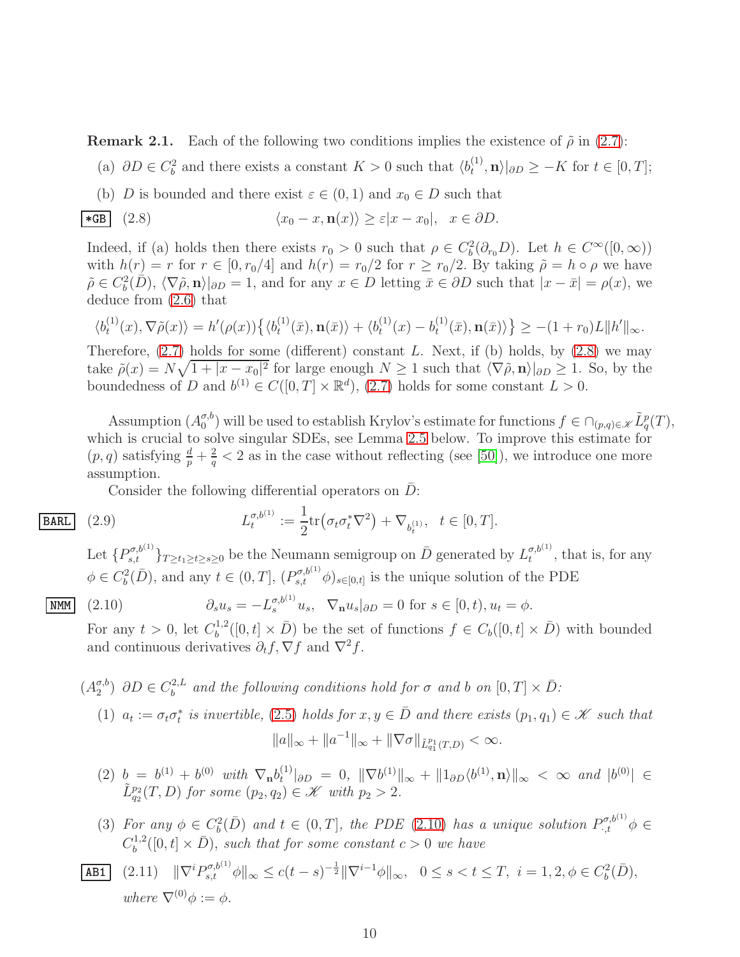**Remark 2.1.** Each of the following two conditions implies the existence of  $\tilde{\rho}$  in [\(2.7\)](#page-8-0):

- (a)  $\partial D \in C_b^2$  and there exists a constant  $K > 0$  such that  $\langle b_t^{(1)} \rangle$  $\langle t^{(1)} \rangle$ ,  $\mathbf{n}$  $\rangle$ | $\partial D \geq -K$  for  $t \in [0, T]$ ;
- <span id="page-9-0"></span>(b) D is bounded and there exist  $\varepsilon \in (0,1)$  and  $x_0 \in D$  such that

\***GB** (2.8) 
$$
\langle x_0 - x, \mathbf{n}(x) \rangle \ge \varepsilon |x - x_0|, \quad x \in \partial D.
$$

Indeed, if (a) holds then there exists  $r_0 > 0$  such that  $\rho \in C_b^2(\partial_{r_0}D)$ . Let  $h \in C^{\infty}([0, \infty))$ with  $h(r) = r$  for  $r \in [0, r_0/4]$  and  $h(r) = r_0/2$  for  $r \ge r_0/2$ . By taking  $\tilde{\rho} = h \circ \rho$  we have  $\tilde{\rho} \in C_b^2(D)$ ,  $\langle \nabla \tilde{\rho}, \mathbf{n} \rangle|_{\partial D} = 1$ , and for any  $x \in D$  letting  $\bar{x} \in \partial D$  such that  $|x - \bar{x}| = \rho(x)$ , we deduce from [\(2.6\)](#page-8-1) that

$$
\langle b_t^{(1)}(x), \nabla \tilde{\rho}(x) \rangle = h'(\rho(x)) \{ \langle b_t^{(1)}(\bar{x}), \mathbf{n}(\bar{x}) \rangle + \langle b_t^{(1)}(x) - b_t^{(1)}(\bar{x}), \mathbf{n}(\bar{x}) \rangle \} \ge -(1+r_0)L \|h'\|_{\infty}.
$$

Therefore,  $(2.7)$  holds for some (different) constant L. Next, if (b) holds, by  $(2.8)$  we may take  $\tilde{\rho}(x) = N\sqrt{1+|x-x_0|^2}$  for large enough  $N \ge 1$  such that  $\langle \nabla \tilde{\rho}, \mathbf{n} \rangle |_{\partial D} \ge 1$ . So, by the boundedness of D and  $b^{(1)} \in C([0, T] \times \mathbb{R}^d)$ , [\(2.7\)](#page-8-0) holds for some constant  $L > 0$ .

Assumption  $(A_0^{\sigma,b})$  $\sigma_0^{(b)}$  will be used to establish Krylov's estimate for functions  $f \in \bigcap_{(p,q)\in \mathscr{K}} \tilde{L}_q^p(T)$ , which is crucial to solve singular SDEs, see Lemma [2.5](#page-11-3) below. To improve this estimate for  $(p, q)$  satisfying  $\frac{d}{p} + \frac{2}{q}$  $\frac{2}{q}$  < 2 as in the case without reflecting (see [\[50\]](#page-69-1)), we introduce one more assumption.

 $\text{tr}(\sigma_t \sigma_t^* \nabla^2) + \nabla_{b_t^{(1)}}, \ \ t \in [0, T].$ 

Consider the following differential operators on  $D$ :  $\sigma, b^{(1)}$ 

<span id="page-9-1"></span> $\frac{\sigma, b^{(1)}}{t} :=$ 

$$
\boxed{\text{BARL}} \quad (2.9) \qquad L
$$

Let  $\{P_{s,t}^{\sigma,b^{(1)}}\}_{T\geq t_1\geq t\geq s\geq 0}$  be the Neumann semigroup on  $\bar{D}$  generated by  $L_t^{\sigma,b^{(1)}}$  $t^{\sigma,\sigma^{(1)}}$ , that is, for any  $\phi \in C_b^2(\overline{D})$ , and any  $t \in (0,T]$ ,  $(P_{s,t}^{\sigma,b^{(1)}}\phi)_{s \in [0,t]}$  is the unique solution of the PDE

$$
\underline{\text{NMM}} \quad (2.10) \qquad \qquad \partial_s u_s = -L_s^{\sigma, b^{(1)}} u_s, \quad \nabla_\mathbf{n} u_s|_{\partial D} = 0 \text{ for } s \in [0, t), u_t = \phi.
$$

1 2

For any  $t > 0$ , let  $C_b^{1,2}$  $b^{1,2}([0,t] \times \bar{D})$  be the set of functions  $f \in C_b([0,t] \times \bar{D})$  with bounded and continuous derivatives  $\partial_t f$ ,  $\nabla f$  and  $\nabla^2 f$ .

$$
(A_2^{\sigma,b}) \ \partial D \in C_b^{2,L} \ \text{and the following conditions hold for } \sigma \ \text{and} \ b \text{ on } [0,T] \times \bar{D}:
$$
\n
$$
(1) \ \ a_t := \sigma_t \sigma_t^* \ \text{is invertible}, \ (2.5) \ \text{holds for } x, y \in \bar{D} \ \text{and there exists } (p_1, q_1) \in \mathcal{K} \ \text{such that}
$$
\n
$$
\|a\|_{\infty} + \|a^{-1}\|_{\infty} + \|\nabla \sigma\|_{\tilde{L}_{q_1}^{p_1}(T,D)} < \infty.
$$

- (2)  $b = b^{(1)} + b^{(0)}$  *with*  $\nabla_{\bf n} b_t^{(1)}$  $\|f^{(1)}(bD) = 0, \| \nabla b^{(1)} \|_{\infty} + \| 1_{\partial D} \langle b^{(1)}, \mathbf{n} \rangle \|_{\infty} < \infty$  *and*  $|b^{(0)}| \in$  $\tilde{L}_{q_2}^{p_2}(T,D)$  *for some*  $(p_2, q_2) \in \mathcal{K}$  *with*  $p_2 > 2$ *.*
- <span id="page-9-2"></span>(3) For any  $\phi \in C_b^2(\overline{D})$  and  $t \in (0,T]$ , the PDE [\(2.10\)](#page-9-1) has a unique solution  $P_{\cdot,t}^{\sigma,b^{(1)}}\phi \in$  $C_b^{1,2}$  $b^{1,2}([0,t] \times \bar{D})$ , such that for some constant  $c > 0$  we have

**AB1** (2.11) 
$$
\|\nabla^i P_{s,t}^{\sigma, b^{(1)}} \phi\|_{\infty} \le c(t-s)^{-\frac{1}{2}} \|\nabla^{i-1} \phi\|_{\infty}, \quad 0 \le s < t \le T, \quad i = 1, 2, \phi \in C_b^2(\bar{D}),
$$
  
where  $\nabla^{(0)} \phi := \phi$ .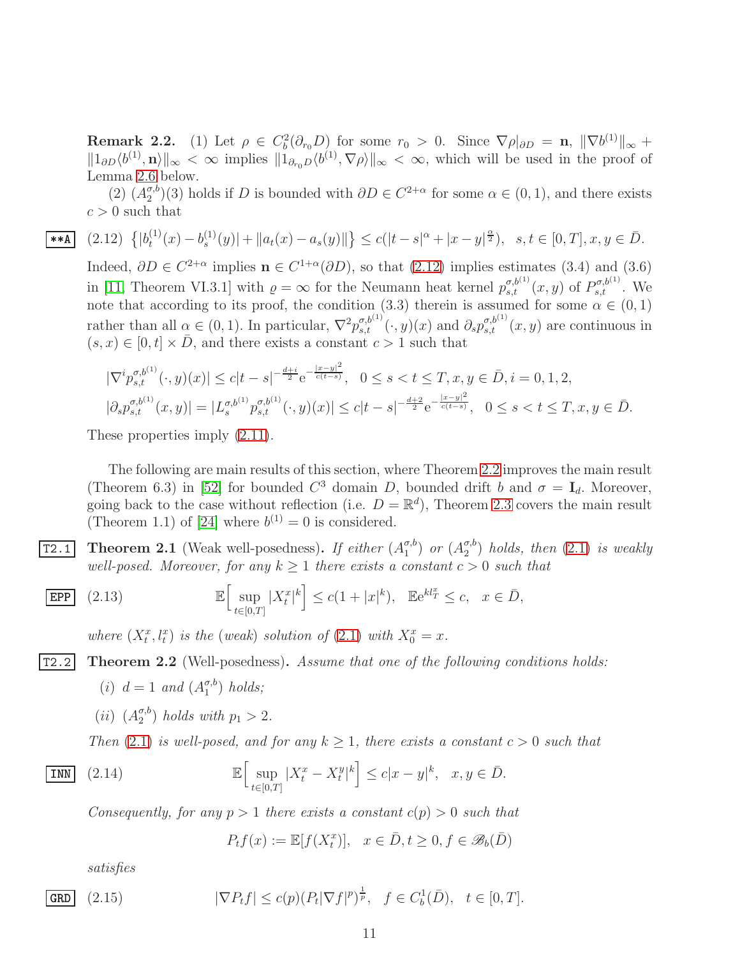**Remark 2.2.** (1) Let  $\rho \in C_b^2(\partial_{r_0}D)$  for some  $r_0 > 0$ . Since  $\nabla \rho|_{\partial D} = \mathbf{n}, \|\nabla b^{(1)}\|_{\infty} +$  $||1_{\partial D}\langle b^{(1)}, \mathbf{n}\rangle||_{\infty} < \infty$  implies  $||1_{\partial_{r_0}D}\langle b^{(1)}, \nabla \rho \rangle||_{\infty} < \infty$ , which will be used in the proof of Lemma [2.6](#page-14-0) below.

 $(2)$   $(A_2^{\sigma,b}$  $\binom{\sigma, b}{2}(3)$  holds if D is bounded with  $\partial D \in C^{2+\alpha}$  for some  $\alpha \in (0, 1)$ , and there exists  $c > 0$  such that

$$
\left[ (2.12) \ \left\{ |b_t^{(1)}(x) - b_s^{(1)}(y)| + \|a_t(x) - a_s(y)\| \right\} \le c(|t - s|^\alpha + |x - y|^\frac{\alpha}{2}), \ \ s, t \in [0, T], x, y \in \overline{D}.
$$

<span id="page-10-2"></span>Indeed,  $\partial D \in C^{2+\alpha}$  implies  $\mathbf{n} \in C^{1+\alpha}(\partial D)$ , so that  $(2.12)$  implies estimates  $(3.4)$  and  $(3.6)$ in [\[11,](#page-66-7) Theorem VI.3.1] with  $\rho = \infty$  for the Neumann heat kernel  $p_{s,t}^{\sigma,b^{(1)}}(x,y)$  of  $P_{s,t}^{\sigma,b^{(1)}}$ . We note that according to its proof, the condition (3.3) therein is assumed for some  $\alpha \in (0,1)$ rather than all  $\alpha \in (0,1)$ . In particular,  $\nabla^2 p_{s,t}^{\sigma,b^{(1)}}(\cdot,y)(x)$  and  $\partial_s p_{s,t}^{\sigma,b^{(1)}}(x,y)$  are continuous in  $(s, x) \in [0, t] \times \overline{D}$ , and there exists a constant  $c > 1$  such that

$$
\begin{aligned} |\nabla^i p_{s,t}^{\sigma,b^{(1)}}(\cdot, y)(x)| &\le c|t-s|^{-\frac{d+i}{2}} e^{-\frac{|x-y|^2}{c(t-s)}}, & 0 \le s < t \le T, x, y \in \bar{D}, i = 0, 1, 2, \\ |\partial_s p_{s,t}^{\sigma,b^{(1)}}(x, y)| &= |L_s^{\sigma,b^{(1)}} p_{s,t}^{\sigma,b^{(1)}}(\cdot, y)(x)| \le c|t-s|^{-\frac{d+2}{2}} e^{-\frac{|x-y|^2}{c(t-s)}}, & 0 \le s < t \le T, x, y \in \bar{D}. \end{aligned}
$$

These properties imply  $(2.11)$ .

 $**A$ 

The following are main results of this section, where Theorem [2.2](#page-10-1) improves the main result (Theorem 6.3) in [\[52\]](#page-69-4) for bounded  $C^3$  domain D, bounded drift b and  $\sigma = I_d$ . Moreover, going back to the case without reflection (i.e.  $D = \mathbb{R}^d$ ), Theorem [2.3](#page-11-1) covers the main result (Theorem 1.1) of [\[24\]](#page-67-6) where  $b^{(1)} = 0$  is considered.

<span id="page-10-0"></span>**T2.1** Theorem 2.1 (Weak well-posedness). If either  $(A_1^{\sigma,b})$  $\binom{\sigma,b}{1}$  or  $(A_2^{\sigma,b})$  $\binom{\sigma, b}{2}$  *holds, then*  $(2.1)$  *is weakly well-posed. Moreover, for any*  $k > 1$  *there exists a constant*  $c > 0$  *such that* 

$$
\boxed{\text{EPP}} \quad (2.13) \qquad \mathbb{E} \Big[ \sup_{t \in [0,T]} |X_t^x|^k \Big] \le c(1+|x|^k), \quad \mathbb{E} e^{kl_T^x} \le c, \quad x \in \bar{D},
$$

<span id="page-10-3"></span><span id="page-10-1"></span>*where*  $(X_t^x, l_t^x)$  *is the* (*weak*) *solution of* [\(2.1\)](#page-6-1) *with*  $X_0^x = x$ *.* 

- T2.2 Theorem 2.2 (Well-posedness). *Assume that one of the following conditions holds:*
	- (*i*)  $d = 1$  *and*  $(A_1^{\sigma,b})$  $\binom{\sigma, b}{1}$  *holds*;
	- $(ii)$   $(A_2^{\sigma,b}$  $\binom{\sigma, b}{2}$  *holds with*  $p_1 > 2$ *.*

*Then* [\(2.1\)](#page-6-1) *is well-posed, and for any*  $k \geq 1$ *, there exists a constant*  $c > 0$  *such that* 

$$
\overline{\text{INN}} \quad (2.14) \quad \mathbb{E} \Big[ \sup_{t \in [0,T]} |X_t^x - X_t^y|^k \Big] \le c |x - y|^k, \quad x, y \in \overline{D}.
$$

*Consequently, for any*  $p > 1$  *there exists a constant*  $c(p) > 0$  *such that* 

<span id="page-10-5"></span><span id="page-10-4"></span>
$$
P_t f(x) := \mathbb{E}[f(X_t^x)], \quad x \in \bar{D}, t \ge 0, f \in \mathscr{B}_b(\bar{D})
$$

*satisfies*

$$
\boxed{\text{GRD}} \quad (2.15) \qquad |\nabla P_t f| \le c(p) (P_t |\nabla f|^p)^{\frac{1}{p}}, \quad f \in C_b^1(\bar{D}), \quad t \in [0, T].
$$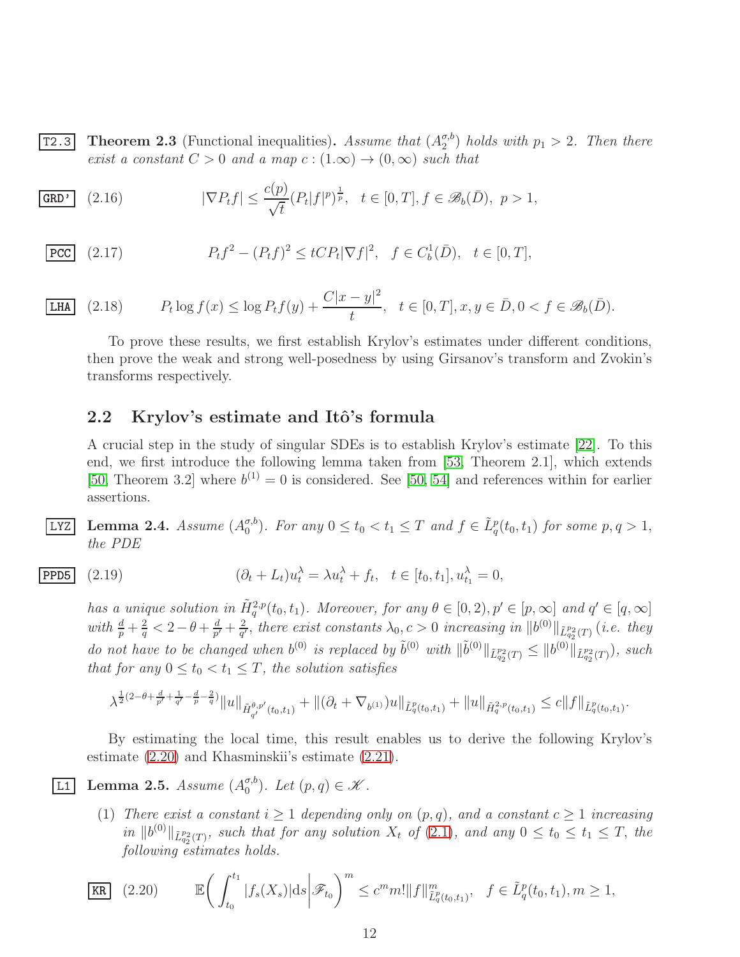<span id="page-11-1"></span>**T2.3** Theorem 2.3 (Functional inequalities). Assume that  $(A_2^{\sigma,b})$  $\binom{\sigma, b}{2}$  *holds with*  $p_1 > 2$ *. Then there exist a constant*  $C > 0$  *and a map*  $c : (1, \infty) \rightarrow (0, \infty)$  *such that* 

<span id="page-11-6"></span>
$$
\overline{\text{GRD'} } \quad (2.16) \qquad |\nabla P_t f| \le \frac{c(p)}{\sqrt{t}} (P_t |f|^p)^{\frac{1}{p}}, \quad t \in [0, T], f \in \mathscr{B}_b(\bar{D}), \quad p > 1,
$$

$$
\overline{\text{PCC}} \quad (2.17) \quad P_t f^2 - (P_t f)^2 \le t C P_t |\nabla f|^2, \quad f \in C_b^1(\bar{D}), \quad t \in [0, T],
$$

 $|LHA|$   $(2.18)$  $\log f(x) \leq \log P_t f(y) + \frac{C|x-y|^2}{t}$  $\frac{y - y}{t}, \quad t \in [0, T], x, y \in \bar{D}, 0 < f \in \mathscr{B}_b(\bar{D}).$ 

<span id="page-11-8"></span><span id="page-11-7"></span>To prove these results, we first establish Krylov's estimates under different conditions, then prove the weak and strong well-posedness by using Girsanov's transform and Zvokin's transforms respectively.

#### <span id="page-11-0"></span>2.2 Krylov's estimate and Itô's formula

A crucial step in the study of singular SDEs is to establish Krylov's estimate [\[22\]](#page-67-3). To this end, we first introduce the following lemma taken from [\[53,](#page-69-5) Theorem 2.1], which extends [\[50,](#page-69-1) Theorem 3.2] where  $b^{(1)} = 0$  is considered. See [\[50,](#page-69-1) [54\]](#page-69-3) and references within for earlier assertions.

<span id="page-11-4"></span> $LYZ$  Lemma 2.4. *Assume*  $(A_0^{\sigma,b})$  $\sigma_0^{(b)}$ . For any  $0 \le t_0 < t_1 \le T$  and  $f \in \tilde{L}^p_q(t_0, t_1)$  for some  $p, q > 1$ , *the PDE*

$$
\boxed{\text{PPD5}} \quad (2.19) \qquad \qquad (\partial_t + L_t)u_t^{\lambda} = \lambda u_t^{\lambda} + f_t, \quad t \in [t_0, t_1], u_{t_1}^{\lambda} = 0,
$$

<span id="page-11-5"></span>*has a unique solution in*  $\tilde{H}_q^{2,p}(t_0,t_1)$ *. Moreover, for any*  $\theta \in [0,2)$ ,  $p' \in [p,\infty]$  *and*  $q' \in [q,\infty]$ *with*  $\frac{d}{p} + \frac{2}{q}$  $\frac{2}{q}$  < 2 –  $\theta$  +  $\frac{d}{p'}$  $\frac{d}{p'} + \frac{2}{q'}$  $\frac{2}{q'}$ , there exist constants  $\lambda_0$ ,  $c > 0$  increasing in  $\|b^{(0)}\|_{\tilde{L}_{q_2}^{p_2}(T)}$  (*i.e. they do not have to be changed when*  $b^{(0)}$  *is replaced by*  $\tilde{b}^{(0)}$  *with*  $\|\tilde{b}^{(0)}\|_{\tilde{L}_{q_2}^{p_2}(T)} \leq \|b^{(0)}\|_{\tilde{L}_{q_2}^{p_2}(T)}$ , such *that for any*  $0 \le t_0 < t_1 \le T$ *, the solution satisfies* 

$$
\lambda^{\frac{1}{2}(2-\theta+\frac{d}{p'}+\frac{1}{q'}-\frac{d}{p}-\frac{2}{q})}\|u\|_{\tilde{H}_{q'}^{\theta,p'}(t_0,t_1)}+\|(\partial_t+\nabla_{b^{(1)}})u\|_{\tilde{L}_q^p(t_0,t_1)}+\|u\|_{\tilde{H}_q^{2,p}(t_0,t_1)}\leq c\|f\|_{\tilde{L}_q^p(t_0,t_1)}.
$$

By estimating the local time, this result enables us to derive the following Krylov's estimate [\(2.20\)](#page-11-2) and Khasminskii's estimate [\(2.21\)](#page-12-0).

<span id="page-11-3"></span> $\overline{\text{L1}}$  Lemma 2.5. *Assume*  $(A_0^{\sigma,b})$  $_{0}^{\sigma,b}$ ). Let  $(p,q) \in \mathscr{K}$ .

> (1) *There exist a constant*  $i \geq 1$  *depending only on*  $(p, q)$ *, and a constant*  $c \geq 1$  *increasing*  $\|h^{(0)}\|_{\tilde{L}_{q_2}^{p_2}(T)}$ , such that for any solution  $X_t$  of [\(2.1\)](#page-6-1), and any  $0 \le t_0 \le t_1 \le T$ , the *following estimates holds.*

<span id="page-11-2"></span>
$$
\boxed{\text{KR}} \quad (2.20) \qquad \mathbb{E} \bigg( \int_{t_0}^{t_1} |f_s(X_s)| \, ds \bigg| \mathcal{F}_{t_0} \bigg)^m \leq c^m m! \|f\|_{\tilde{L}_q^p(t_0, t_1)}^m, \quad f \in \tilde{L}_q^p(t_0, t_1), m \geq 1,
$$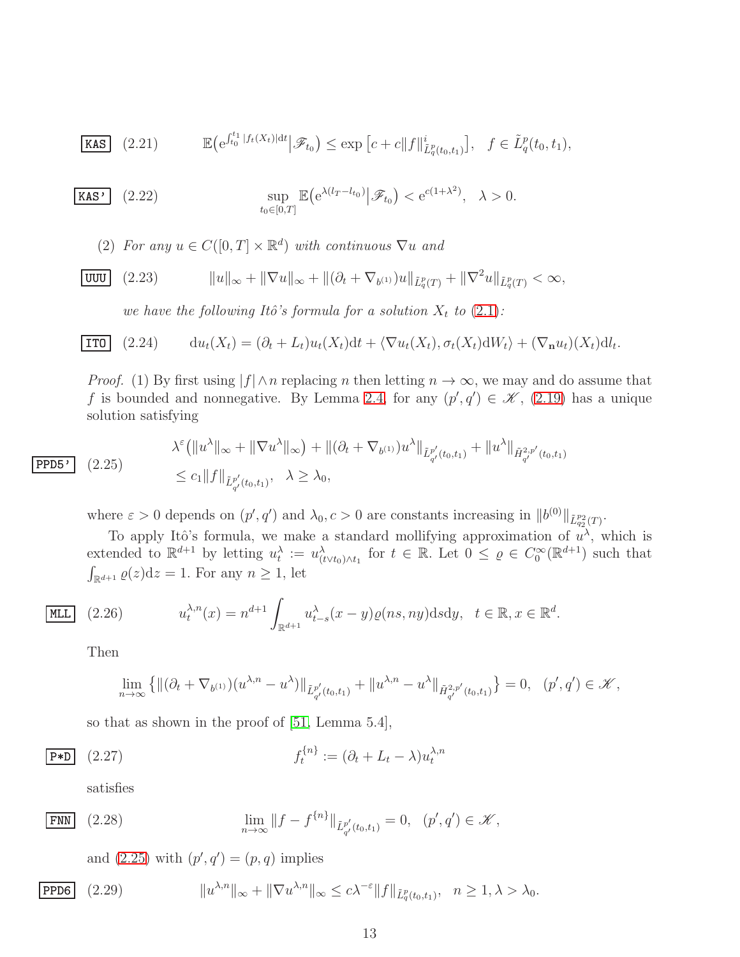<span id="page-12-0"></span>**KAS** (2.21) 
$$
\mathbb{E} (e^{\int_{t_0}^{t_1} |f_t(X_t)|dt} | \mathscr{F}_{t_0}) \leq \exp [c+c||f||_{\tilde{L}_q^p(t_0,t_1)}^i], \quad f \in \tilde{L}_q^p(t_0,t_1),
$$

$$
\text{KAS'} \quad (2.22) \qquad \qquad \sup_{t_0 \in [0,T]} \mathbb{E} \big( e^{\lambda (l_T - l_{t_0})} \big| \mathscr{F}_{t_0} \big) < e^{c(1 + \lambda^2)}, \quad \lambda > 0.
$$

<span id="page-12-4"></span>(2) *For any*  $u \in C([0, T] \times \mathbb{R}^d)$  *with continuous*  $\nabla u$  *and* 

$$
\boxed{\text{UUU}} \quad (2.23) \qquad \|u\|_{\infty} + \|\nabla u\|_{\infty} + \|(\partial_t + \nabla_{b^{(1)}})u\|_{\tilde{L}_q^p(T)} + \|\nabla^2 u\|_{\tilde{L}_q^p(T)} < \infty,
$$

<span id="page-12-6"></span><span id="page-12-5"></span>*we have the following Itô's formula for a solution*  $X_t$  *to*  $(2.1)$ *:* 

$$
\boxed{\text{IT0}} \quad (2.24) \qquad du_t(X_t) = (\partial_t + L_t)u_t(X_t)dt + \langle \nabla u_t(X_t), \sigma_t(X_t) dW_t \rangle + (\nabla_{\mathbf{n}} u_t)(X_t) dV_t.
$$

*Proof.* (1) By first using  $|f| \wedge n$  replacing n then letting  $n \to \infty$ , we may and do assume that f is bounded and nonnegative. By Lemma [2.4,](#page-11-4) for any  $(p', q') \in \mathcal{K}$ , [\(2.19\)](#page-11-5) has a unique solution satisfying

<span id="page-12-1"></span>
$$
\lambda^{\varepsilon}(\|u^{\lambda}\|_{\infty} + \|\nabla u^{\lambda}\|_{\infty}) + \|(\partial_t + \nabla_{b^{(1)}})u^{\lambda}\|_{\tilde{L}^{p'}_{q'}(t_0, t_1)} + \|u^{\lambda}\|_{\tilde{H}^{2, p'}_{q'}(t_0, t_1)}
$$
\n
$$
\leq c_1 \|f\|_{\tilde{L}^{p'}_{q'}(t_0, t_1)}, \quad \lambda \geq \lambda_0,
$$

where  $\varepsilon > 0$  depends on  $(p', q')$  and  $\lambda_0, c > 0$  are constants increasing in  $||b^{(0)}||_{\tilde{L}_{q_2}^{p_2}(T)}$ .

To apply Itô's formula, we make a standard mollifying approximation of  $u^{\lambda}$ , which is extended to  $\mathbb{R}^{d+1}$  by letting  $u_t^{\lambda} := u_{(t \vee t_0) \wedge t_1}^{\lambda}$  for  $t \in \mathbb{R}$ . Let  $0 \leq \varrho \in C_0^{\infty}(\mathbb{R}^{d+1})$  such that  $\int_{\mathbb{R}^{d+1}} \varrho(z) dz = 1$ . For any  $n \geq 1$ , let

$$
\boxed{\text{MLL}} \quad (2.26) \qquad u_t^{\lambda,n}(x) = n^{d+1} \int_{\mathbb{R}^{d+1}} u_{t-s}^{\lambda}(x-y) \varrho(ns, ny) \, \text{d} s \, \text{d} y, \quad t \in \mathbb{R}, x \in \mathbb{R}^d.
$$

Then

 $|$  PPD5 $'$ 

<span id="page-12-2"></span>
$$
\lim_{n \to \infty} \left\{ \| (\partial_t + \nabla_{b^{(1)}})(u^{\lambda, n} - u^{\lambda}) \|_{\tilde{L}^{p'}_{q'}(t_0, t_1)} + \| u^{\lambda, n} - u^{\lambda} \|_{\tilde{H}^{2, p'}_{q'}(t_0, t_1)} \right\} = 0, \quad (p', q') \in \mathcal{K},
$$

so that as shown in the proof of [\[51,](#page-69-2) Lemma 5.4],

$$
\overline{\mathbf{P}^{\ast} \mathbf{D}} \quad (2.27) \qquad f_t^{\{n\}} := (\partial_t + L_t - \lambda) u_t^{\lambda, n}
$$

satisfies

$$
\lim_{n \to \infty} \|f - f^{\{n\}}\|_{\tilde{L}^{p'}_{q'}(t_0, t_1)} = 0, \quad (p', q') \in \mathcal{K},
$$

<span id="page-12-3"></span>and  $(2.25)$  with  $(p', q') = (p, q)$  implies

$$
\boxed{\text{PPD6}} \quad (2.29) \qquad \qquad ||u^{\lambda,n}||_{\infty} + ||\nabla u^{\lambda,n}||_{\infty} \le c\lambda^{-\varepsilon} ||f||_{\tilde{L}_q^p(t_0,t_1)}, \quad n \ge 1, \lambda > \lambda_0.
$$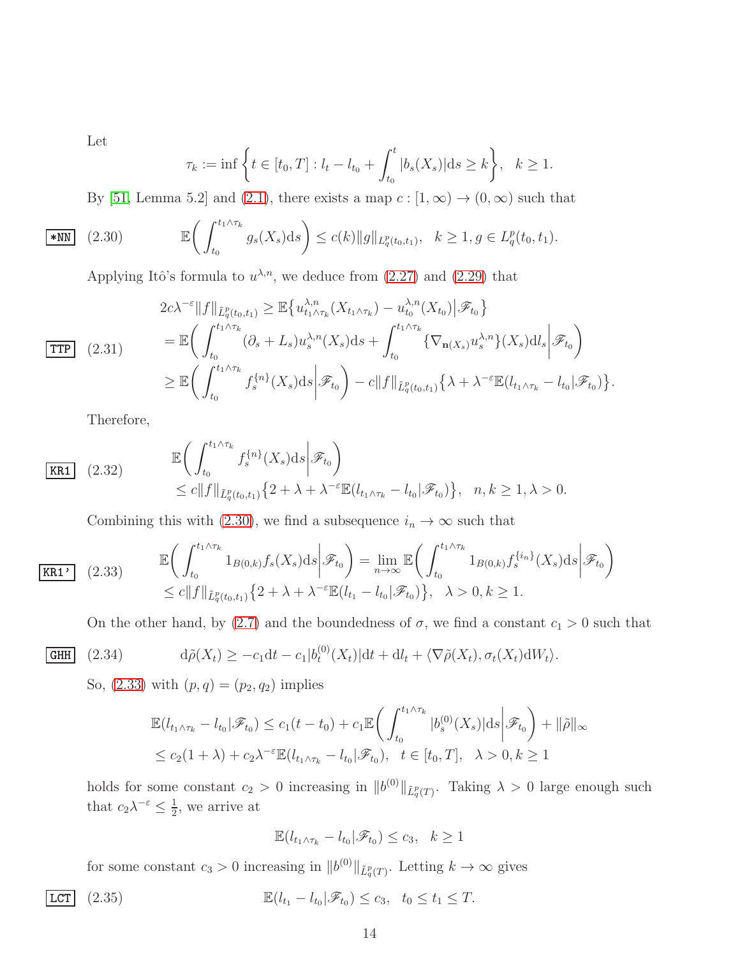Let

<span id="page-13-0"></span>
$$
\tau_k := \inf \left\{ t \in [t_0, T] : l_t - l_{t_0} + \int_{t_0}^t |b_s(X_s)| \, ds \ge k \right\}, \quad k \ge 1.
$$

By [\[51,](#page-69-2) Lemma 5.2] and [\(2.1\)](#page-6-1), there exists a map  $c : [1, \infty) \to (0, \infty)$  such that

$$
\boxed{\text{*NN}} \quad (2.30) \qquad \mathbb{E}\bigg(\int_{t_0}^{t_1 \wedge \tau_k} g_s(X_s) \mathrm{d}s\bigg) \le c(k) \|g\|_{L_q^p(t_0, t_1)}, \quad k \ge 1, g \in L_q^p(t_0, t_1).
$$

Applying Itô's formula to  $u^{\lambda,n}$ , we deduce from  $(2.27)$  and  $(2.29)$  that

$$
2c\lambda^{-\varepsilon}||f||_{\tilde{L}_{q}^{p}(t_{0},t_{1})} \geq \mathbb{E}\left\{u_{t_{1}\wedge\tau_{k}}^{\lambda,n}(X_{t_{1}\wedge\tau_{k}})-u_{t_{0}}^{\lambda,n}(X_{t_{0}})||\mathcal{F}_{t_{0}}\right\}
$$
  
\n
$$
= \mathbb{E}\left(\int_{t_{0}}^{t_{1}\wedge\tau_{k}}(\partial_{s}+L_{s})u_{s}^{\lambda,n}(X_{s})ds+\int_{t_{0}}^{t_{1}\wedge\tau_{k}}\left\{\nabla_{\mathbf{n}(X_{s})}u_{s}^{\lambda,n}\right\}(X_{s})d l_{s}|\mathcal{F}_{t_{0}}\right)
$$
  
\n
$$
\geq \mathbb{E}\left(\int_{t_{0}}^{t_{1}\wedge\tau_{k}}f_{s}^{\{n\}}(X_{s})ds\bigg|\mathcal{F}_{t_{0}}\right)-c||f||_{\tilde{L}_{q}^{p}(t_{0},t_{1})}\left\{\lambda+\lambda^{-\varepsilon}\mathbb{E}(l_{t_{1}\wedge\tau_{k}}-l_{t_{0}}|\mathcal{F}_{t_{0}})\right\}.
$$

Therefore,

$$
\begin{aligned}\n\mathbb{E} & \left( \int_{t_0}^{t_1 \wedge \tau_k} f_s^{\{n\}}(X_s) \, ds \middle| \mathcal{F}_{t_0} \right) \\
&\leq c \| f \|_{\tilde{L}_q^p(t_0, t_1)} \{ 2 + \lambda + \lambda^{-\varepsilon} \mathbb{E}(l_{t_1 \wedge \tau_k} - l_{t_0} | \mathcal{F}_{t_0}) \}, \quad n, k \geq 1, \lambda > 0.\n\end{aligned}
$$

Combining this with [\(2.30\)](#page-13-0), we find a subsequence  $i_n \to \infty$  such that

$$
\begin{array}{ll}\n\mathbb{E}\left(\int_{t_0}^{t_1 \wedge \tau_k} 1_{B(0,k)} f_s(X_s) \, ds \bigg| \mathcal{F}_{t_0}\right) = \lim_{n \to \infty} \mathbb{E}\left(\int_{t_0}^{t_1 \wedge \tau_k} 1_{B(0,k)} f_s^{\{i_n\}}(X_s) \, ds \bigg| \mathcal{F}_{t_0}\right) \\
\leq c \|f\|_{\tilde{L}_q^p(t_0,t_1)} \{2 + \lambda + \lambda^{-\varepsilon} \mathbb{E}(l_{t_1} - l_{t_0} | \mathcal{F}_{t_0})\}, \quad \lambda > 0, k \ge 1.\n\end{array}
$$

<span id="page-13-1"></span>On the other hand, by [\(2.7\)](#page-8-0) and the boundedness of  $\sigma$ , we find a constant  $c_1 > 0$  such that

$$
\boxed{\text{GHH}} \quad (2.34)
$$

<span id="page-13-2"></span>
$$
d\tilde{\rho}(X_t) \ge -c_1 dt - c_1 |b_t^{(0)}(X_t)| dt + dl_t + \langle \nabla \tilde{\rho}(X_t), \sigma_t(X_t) dW_t \rangle.
$$

So,  $(2.33)$  with  $(p, q) = (p_2, q_2)$  implies

$$
\mathbb{E}(l_{t_1 \wedge \tau_k} - l_{t_0} | \mathscr{F}_{t_0}) \le c_1(t - t_0) + c_1 \mathbb{E}\left(\int_{t_0}^{t_1 \wedge \tau_k} |b_s^{(0)}(X_s)| ds \middle| \mathscr{F}_{t_0}\right) + ||\tilde{\rho}||_{\infty}
$$
  

$$
\le c_2(1 + \lambda) + c_2 \lambda^{-\varepsilon} \mathbb{E}(l_{t_1 \wedge \tau_k} - l_{t_0} | \mathscr{F}_{t_0}), \quad t \in [t_0, T], \quad \lambda > 0, k \ge 1
$$

holds for some constant  $c_2 > 0$  increasing in  $||b^{(0)}||_{\tilde{L}^p_q(T)}$ . Taking  $\lambda > 0$  large enough such that  $c_2 \lambda^{-\varepsilon} \leq \frac{1}{2}$  $\frac{1}{2}$ , we arrive at

$$
\mathbb{E}(l_{t_1 \wedge \tau_k} - l_{t_0} | \mathscr{F}_{t_0}) \le c_3, \quad k \ge 1
$$

for some constant  $c_3 > 0$  increasing in  $||b^{(0)}||_{\tilde{L}^p_q(T)}$ . Letting  $k \to \infty$  gives

$$
\boxed{\text{LCT}} \quad (2.35) \quad \mathbb{E}(l_{t_1} - l_{t_0} | \mathscr{F}_{t_0}) \le c_3, \quad t_0 \le t_1 \le T.
$$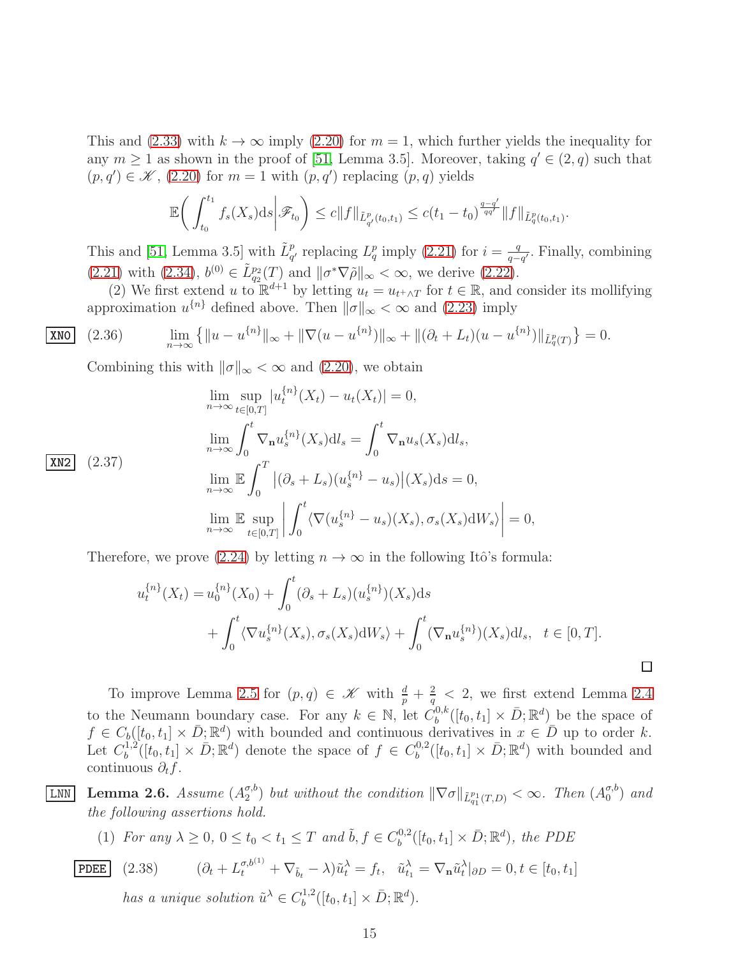This and [\(2.33\)](#page-13-1) with  $k \to \infty$  imply [\(2.20\)](#page-11-2) for  $m = 1$ , which further yields the inequality for any  $m \ge 1$  as shown in the proof of [\[51,](#page-69-2) Lemma 3.5]. Moreover, taking  $q' \in (2, q)$  such that  $(p, q') \in \mathcal{K}$ , [\(2.20\)](#page-11-2) for  $m = 1$  with  $(p, q')$  replacing  $(p, q)$  yields

$$
\mathbb{E}\bigg(\int_{t_0}^{t_1} f_s(X_s)ds\bigg|\mathscr{F}_{t_0}\bigg) \leq c\|f\|_{\tilde{L}^p_{q'}(t_0,t_1)} \leq c(t_1-t_0)^{\frac{q-q'}{qq'}}\|f\|_{\tilde{L}^p_q(t_0,t_1)}
$$

.

This and [\[51,](#page-69-2) Lemma 3.5] with  $\tilde{L}_{q'}^p$  replacing  $L_q^p$  imply [\(2.21\)](#page-12-0) for  $i = \frac{q}{q-1}$  $\frac{q}{q-q'}$ . Finally, combining  $(2.21)$  with  $(2.34)$ ,  $b^{(0)} \in \tilde{L}_{q_2}^{p_2}(T)$  and  $\|\sigma^*\nabla\tilde{\rho}\|_{\infty} < \infty$ , we derive  $(2.22)$ .

(2) We first extend u to  $\mathbb{R}^{d+1}$  by letting  $u_t = u_{t+\wedge T}$  for  $t \in \mathbb{R}$ , and consider its mollifying approximation  $u^{\{n\}}$  defined above. Then  $\|\sigma\|_{\infty} < \infty$  and [\(2.23\)](#page-12-5) imply

2.36) 
$$
\lim_{n \to \infty} \left\{ \|u - u^{\{n\}}\|_{\infty} + \|\nabla(u - u^{\{n\}})\|_{\infty} + \|(\partial_t + L_t)(u - u^{\{n\}})\|_{\tilde{L}_q^p(T)} \right\} = 0.
$$

Combining this with  $\|\sigma\|_{\infty} < \infty$  and [\(2.20\)](#page-11-2), we obtain

$$
\lim_{n \to \infty} \sup_{t \in [0,T]} |u_t^{\{n\}}(X_t) - u_t(X_t)| = 0,
$$
\n
$$
\lim_{n \to \infty} \int_0^t \nabla_n u_s^{\{n\}}(X_s) \mathrm{d}l_s = \int_0^t \nabla_n u_s(X_s) \mathrm{d}l_s,
$$
\n
$$
\lim_{n \to \infty} \mathbb{E} \int_0^T |(\partial_s + L_s)(u_s^{\{n\}} - u_s)|(X_s) \mathrm{d}s = 0,
$$
\n
$$
\lim_{n \to \infty} \mathbb{E} \sup_{t \in [0,T]} \left| \int_0^t \langle \nabla (u_s^{\{n\}} - u_s)(X_s), \sigma_s(X_s) \mathrm{d}W_s \rangle \right| = 0,
$$

Therefore, we prove [\(2.24\)](#page-12-6) by letting  $n \to \infty$  in the following Itô's formula:

$$
u_t^{\{n\}}(X_t) = u_0^{\{n\}}(X_0) + \int_0^t (\partial_s + L_s)(u_s^{\{n\}})(X_s) ds
$$
  
+ 
$$
\int_0^t \langle \nabla u_s^{\{n\}}(X_s), \sigma_s(X_s) dW_s \rangle + \int_0^t (\nabla_n u_s^{\{n\}})(X_s) dI_s, \quad t \in [0, T].
$$

To improve Lemma [2.5](#page-11-3) for  $(p, q) \in \mathcal{K}$  with  $\frac{d}{p} + \frac{2}{q}$  $\frac{2}{q}$  < 2, we first extend Lemma [2.4](#page-11-4) to the Neumann boundary case. For any  $k \in \mathbb{N}$ , let  $C_b^{0,k}$  $\bar{b}^{0,k}([t_0, t_1] \times \bar{D}; \mathbb{R}^d)$  be the space of  $f \in C_b([t_0, t_1] \times \bar{D}; \mathbb{R}^d)$  with bounded and continuous derivatives in  $x \in \bar{D}$  up to order k. Let  $C_h^{1,2}$  $b^{1,2}([t_0, t_1] \times \bar{D}; \mathbb{R}^d)$  denote the space of  $f \in C_b^{0,2}$  $b^{0,2}([t_0, t_1] \times \bar{D}; \mathbb{R}^d)$  with bounded and continuous  $\partial_t f$ .

<span id="page-14-0"></span> $\overline{\text{LNN}}$  Lemma 2.6. *Assume*  $(A_2^{\sigma,b})$  $\binom{\sigma, b}{2}$  but without the condition  $\|\nabla \sigma\|_{\tilde{L}_{q_1}^{p_1}(T,D)} < \infty$ . Then  $(A_0^{\sigma, b})$  $\binom{\sigma, b}{0}$  and *the following assertions hold.*

(1) For any 
$$
\lambda \geq 0
$$
,  $0 \leq t_0 < t_1 \leq T$  and  $\tilde{b}$ ,  $f \in C_b^{0,2}([t_0, t_1] \times \bar{D}; \mathbb{R}^d)$ , the PDE

PDEE (2.38) 
$$
(\partial_t + L_t^{\sigma, b^{(1)}} + \nabla_{\tilde{b}_t} - \lambda) \tilde{u}_t^{\lambda} = f_t, \quad \tilde{u}_{t_1}^{\lambda} = \nabla_{\mathbf{n}} \tilde{u}_t^{\lambda} |_{\partial D} = 0, t \in [t_0, t_1]
$$

<span id="page-14-1"></span>*has a unique solution*  $\tilde{u}^{\lambda} \in C_b^{1,2}$  $b^{1,2}([t_0, t_1] \times \bar{D}; \mathbb{R}^d).$ 

 $|$  XNO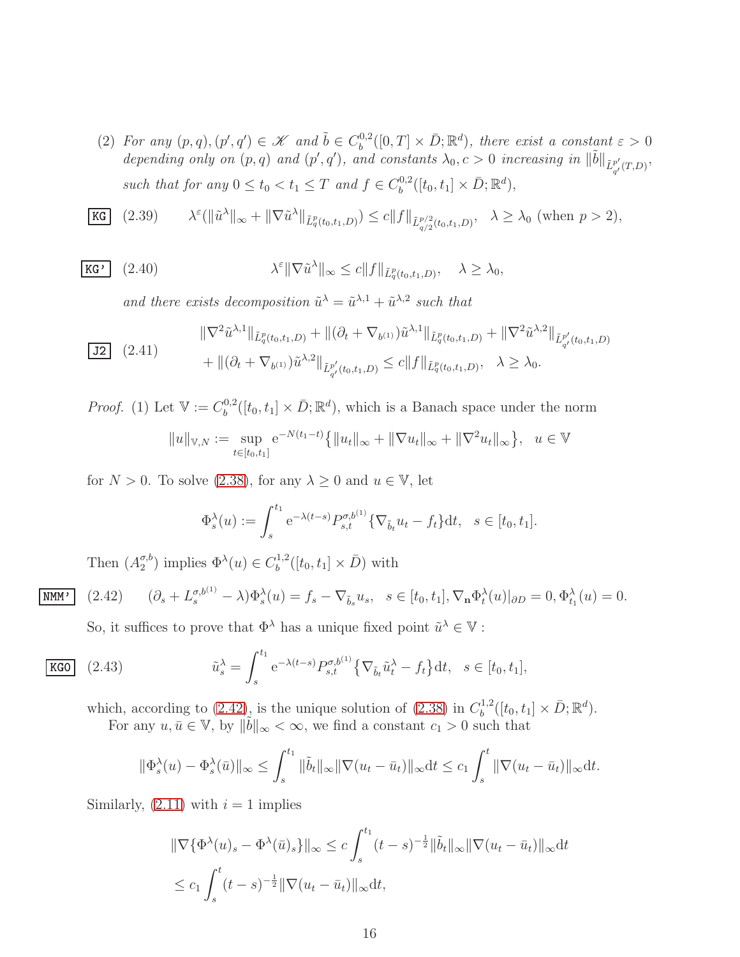(2) For any  $(p, q), (p', q') \in \mathcal{K}$  and  $\tilde{b} \in C_b^{0,2}$  $\bar{b}^{0,2}([0,T] \times \bar{D}; \mathbb{R}^d)$ , there exist a constant  $\varepsilon > 0$ depending only on  $(p, q)$  and  $(p', q')$ , and constants  $\lambda_0, c > 0$  increasing in  $\|\tilde{b}\|_{\tilde{L}^{p'}_{q'}(T,D)},$ *such that for any*  $0 \le t_0 < t_1 \le T$  *and*  $f \in C_b^{0,2}$  $b^{0,2}([t_0, t_1] \times \bar{D}; \mathbb{R}^d),$ 

<span id="page-15-1"></span>
$$
\text{KG} \quad (2.39) \qquad \lambda^{\varepsilon}(\|\tilde{u}^{\lambda}\|_{\infty} + \|\nabla \tilde{u}^{\lambda}\|_{\tilde{L}^p_q(t_0, t_1, D)}) \le c \|f\|_{\tilde{L}^{p/2}_{q/2}(t_0, t_1, D)}, \quad \lambda \ge \lambda_0 \text{ (when } p > 2),
$$

$$
\overline{\textbf{KG'}} \quad (2.40) \qquad \lambda^{\varepsilon} \|\nabla \tilde{u}^{\lambda}\|_{\infty} \le c \|f\|_{\tilde{L}_q^p(t_0, t_1, D)}, \quad \lambda \ge \lambda_0,
$$

<span id="page-15-3"></span>and there exists decomposition  $\tilde{u}^{\lambda} = \tilde{u}^{\lambda,1} + \tilde{u}^{\lambda,2}$  such that

<span id="page-15-2"></span>
$$
\frac{\|\nabla^2 \tilde{u}^{\lambda,1}\|_{\tilde{L}_q^p(t_0,t_1,D)} + \|(\partial_t + \nabla_{b^{(1)}})\tilde{u}^{\lambda,1}\|_{\tilde{L}_q^p(t_0,t_1,D)} + \|\nabla^2 \tilde{u}^{\lambda,2}\|_{\tilde{L}_{q'}^{p'}(t_0,t_1,D)} + \|(\partial_t + \nabla_{b^{(1)}})\tilde{u}^{\lambda,2}\|_{\tilde{L}_{q'}^{p'}(t_0,t_1,D)} \le c \|f\|_{\tilde{L}_q^p(t_0,t_1,D)}, \quad \lambda \ge \lambda_0.
$$

*Proof.* (1) Let  $V := C_b^{0,2}$  $b^{0,2}([t_0, t_1] \times \bar{D}; \mathbb{R}^d)$ , which is a Banach space under the norm  $||u||_{\mathbb{V},N} := \sup_{t \in [t_0,t_1]}$  $e^{-N(t_1-t)}\{|u_t\|_{\infty} + \|\nabla u_t\|_{\infty} + \|\nabla^2 u_t\|_{\infty}\}, u \in \mathbb{V}$ 

for  $N > 0$ . To solve [\(2.38\)](#page-14-1), for any  $\lambda \geq 0$  and  $u \in V$ , let

$$
\Phi_s^{\lambda}(u) := \int_s^{t_1} e^{-\lambda(t-s)} P_{s,t}^{\sigma, b^{(1)}} \{ \nabla_{\tilde{b}_t} u_t - f_t \} dt, \quad s \in [t_0, t_1].
$$

Then  $(A_2^{\sigma,b}$  $\binom{\sigma, b}{2}$  implies  $\Phi^{\lambda}(u) \in C_b^{1,2}$  $b^{1,2}([t_0, t_1] \times \bar{D})$  with

$$
\boxed{\text{NMM}'} \quad (2.42) \qquad (\partial_s + L_s^{\sigma, b^{(1)}} - \lambda) \Phi_s^{\lambda}(u) = f_s - \nabla_{\tilde{b}_s} u_s, \quad s \in [t_0, t_1], \nabla_\mathbf{n} \Phi_t^{\lambda}(u)|_{\partial D} = 0, \Phi_{t_1}^{\lambda}(u) = 0.
$$

<span id="page-15-0"></span>So, it suffices to prove that  $\Phi^{\lambda}$  has a unique fixed point  $\tilde{u}^{\lambda} \in \mathbb{V}$ :

$$
\text{KGO} \quad (2.43) \qquad \qquad \tilde{u}_s^{\lambda} = \int_s^{t_1} e^{-\lambda(t-s)} P_{s,t}^{\sigma, b^{(1)}} \{ \nabla_{\tilde{b}_t} \tilde{u}_t^{\lambda} - f_t \} \mathrm{d}t, \quad s \in [t_0, t_1],
$$

which, according to [\(2.42\)](#page-15-0), is the unique solution of [\(2.38\)](#page-14-1) in  $C_b^{1,2}$  $\bar{D}^{1,2}_{b}([t_0,t_1] \times \bar{D}; \mathbb{R}^d).$ 

For any  $u, \bar{u} \in \mathbb{V}$ , by  $\|\tilde{b}\|_{\infty} < \infty$ , we find a constant  $c_1 > 0$  such that

$$
\|\Phi_s^{\lambda}(u)-\Phi_s^{\lambda}(\bar{u})\|_{\infty} \leq \int_s^{t_1} \|\tilde{b}_t\|_{\infty} \|\nabla(u_t-\bar{u}_t)\|_{\infty} dt \leq c_1 \int_s^t \|\nabla(u_t-\bar{u}_t)\|_{\infty} dt.
$$

Similarly,  $(2.11)$  with  $i = 1$  implies

$$
\|\nabla \{\Phi^{\lambda}(u)_{s} - \Phi^{\lambda}(\bar{u})_{s}\}\|_{\infty} \leq c \int_{s}^{t_{1}} (t - s)^{-\frac{1}{2}} \|\tilde{b}_{t}\|_{\infty} \|\nabla (u_{t} - \bar{u}_{t})\|_{\infty} dt
$$
  

$$
\leq c_{1} \int_{s}^{t} (t - s)^{-\frac{1}{2}} \|\nabla (u_{t} - \bar{u}_{t})\|_{\infty} dt,
$$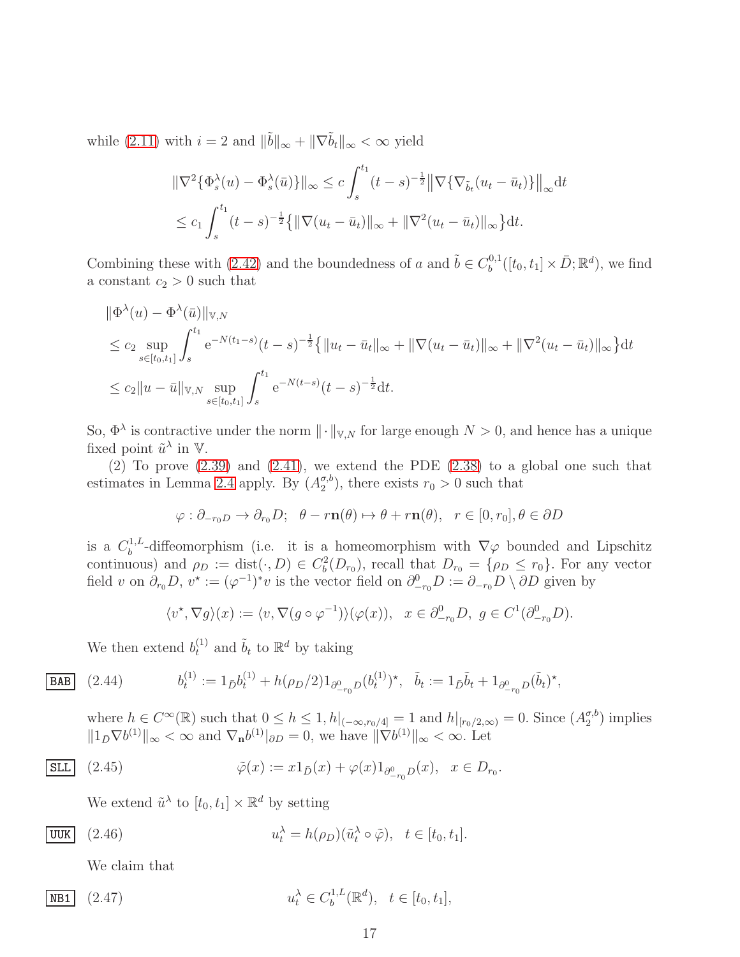while [\(2.11\)](#page-9-2) with  $i = 2$  and  $\|\tilde{b}\|_{\infty} + \|\nabla \tilde{b}_t\|_{\infty} < \infty$  yield

$$
\|\nabla^2 \{\Phi_s^{\lambda}(u) - \Phi_s^{\lambda}(\bar{u})\}\|_{\infty} \le c \int_s^{t_1} (t - s)^{-\frac{1}{2}} \|\nabla \{\nabla_{\tilde{b}_t}(u_t - \bar{u}_t)\}\|_{\infty} dt
$$
  

$$
\le c_1 \int_s^{t_1} (t - s)^{-\frac{1}{2}} \{ \|\nabla(u_t - \bar{u}_t)\|_{\infty} + \|\nabla^2(u_t - \bar{u}_t)\|_{\infty} \} dt.
$$

Combining these with [\(2.42\)](#page-15-0) and the boundedness of a and  $\tilde{b} \in C_b^{0,1}$  $b^{0,1}([t_0, t_1] \times \bar{D}; \mathbb{R}^d)$ , we find a constant  $c_2 > 0$  such that

$$
\|\Phi^{\lambda}(u) - \Phi^{\lambda}(\bar{u})\|_{\mathbb{V},N} \n\leq c_2 \sup_{s \in [t_0,t_1]} \int_s^{t_1} e^{-N(t_1-s)}(t-s)^{-\frac{1}{2}} \{ \|u_t - \bar{u}_t\|_{\infty} + \|\nabla(u_t - \bar{u}_t)\|_{\infty} + \|\nabla^2(u_t - \bar{u}_t)\|_{\infty} \} dt \n\leq c_2 \|u - \bar{u}\|_{\mathbb{V},N} \sup_{s \in [t_0,t_1]} \int_s^{t_1} e^{-N(t-s)}(t-s)^{-\frac{1}{2}} dt.
$$

So,  $\Phi^{\lambda}$  is contractive under the norm  $\|\cdot\|_{\mathbb{V},N}$  for large enough  $N > 0$ , and hence has a unique fixed point  $\tilde{u}^{\lambda}$  in  $\mathbb{V}$ .

 $(2)$  To prove  $(2.39)$  and  $(2.41)$ , we extend the PDE  $(2.38)$  to a global one such that estimates in Lemma [2.4](#page-11-4) apply. By  $(A_2^{\sigma, b})$  $\binom{\sigma, b}{2}$ , there exists  $r_0 > 0$  such that

$$
\varphi : \partial_{-r_0D} \to \partial_{r_0}D; \quad \theta - r\mathbf{n}(\theta) \mapsto \theta + r\mathbf{n}(\theta), \quad r \in [0, r_0], \theta \in \partial D
$$

is a  $C_b^{1,L}$ <sup>1,*b*</sup>-diffeomorphism (i.e. it is a homeomorphism with  $\nabla \varphi$  bounded and Lipschitz continuous) and  $\rho_D := \text{dist}(\cdot, D) \in C_b^2(D_{r_0})$ , recall that  $D_{r_0} = {\rho_D \leq r_0}$ . For any vector field v on  $\partial_{r_0}D$ ,  $v^* := (\varphi^{-1})^*v$  is the vector field on  $\partial_{-r_0}^0 D := \partial_{-r_0}D \setminus \partial D$  given by

<span id="page-16-0"></span>
$$
\langle v^*, \nabla g \rangle(x) := \langle v, \nabla (g \circ \varphi^{-1}) \rangle(\varphi(x)), \quad x \in \partial^0_{-r_0} D, \ g \in C^1(\partial^0_{-r_0} D).
$$

We then extend  $b_t^{(1)}$  and  $\tilde{b}_t$  to  $\mathbb{R}^d$  by taking

**BAB** (2.44) 
$$
b_t^{(1)} := 1_{\bar{D}} b_t^{(1)} + h(\rho_D/2) 1_{\partial_{-\rho_D}^0} (b_t^{(1)})^\star, \quad \tilde{b}_t := 1_{\bar{D}} \tilde{b}_t + 1_{\partial_{-\rho_D}^0} (b_t^{(1)})^\star,
$$

where  $h \in C^{\infty}(\mathbb{R})$  such that  $0 \leq h \leq 1$ ,  $h|_{(-\infty, r_0/4]} = 1$  and  $h|_{[r_0/2,\infty)} = 0$ . Since  $(A_2^{\sigma,b})$  $_2^{\sigma, \sigma}$ ) implies  $||1_{\bar{D}}\nabla b^{(1)}||_{\infty} < \infty$  and  $\nabla_{\mathbf{n}}b^{(1)}|_{\partial D} = 0$ , we have  $||\nabla b^{(1)}||_{\infty} < \infty$ . Let

$$
\underline{\text{SLL}} \quad (2.45) \qquad \qquad \tilde{\varphi}(x) := x 1_{\bar{D}}(x) + \varphi(x) 1_{\partial_{-r_0}^0 D}(x), \quad x \in D_{r_0}.
$$

<span id="page-16-3"></span><span id="page-16-2"></span>We extend  $\tilde{u}^{\lambda}$  to  $[t_0, t_1] \times \mathbb{R}^d$  by setting

$$
\overline{\text{UUK}} \quad (2.46) \qquad \qquad u_t^{\lambda} = h(\rho_D)(\tilde{u}_t^{\lambda} \circ \tilde{\varphi}), \quad t \in [t_0, t_1].
$$

<span id="page-16-1"></span>We claim that

$$
\boxed{\text{NBI}} \quad (2.47) \qquad \qquad u_t^{\lambda} \in C_b^{1,L}(\mathbb{R}^d), \quad t \in [t_0, t_1],
$$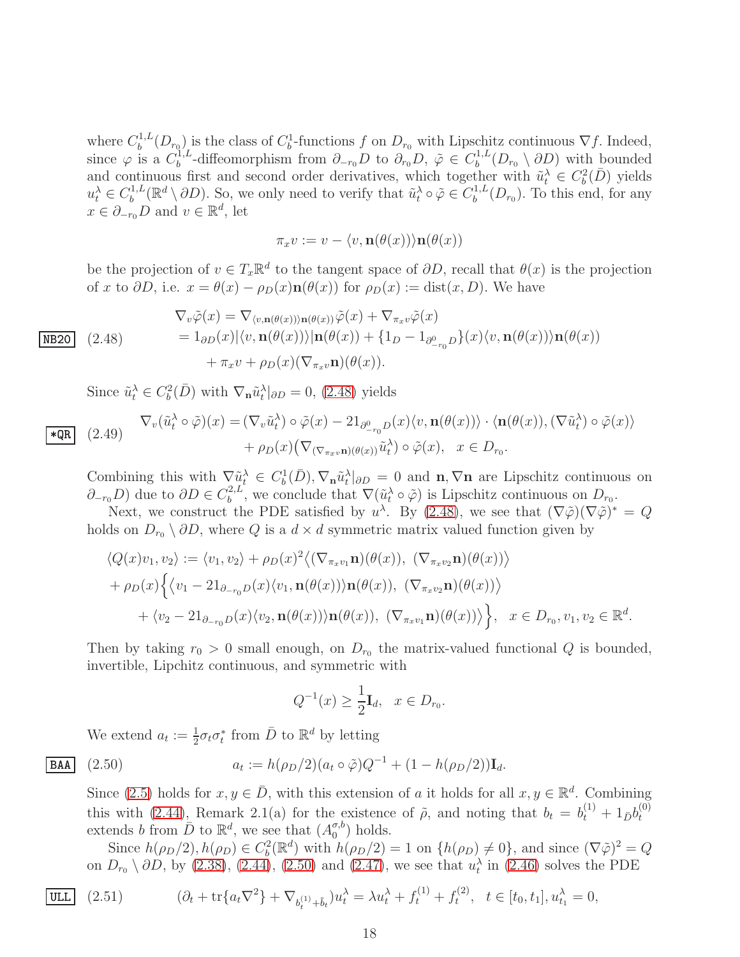where  $C_b^{1,L}$  $b^{1,L}(D_{r_0})$  is the class of  $C_b^1$ -functions f on  $D_{r_0}$  with Lipschitz continuous  $\nabla f$ . Indeed, since  $\varphi$  is a  $C_b^{1,L}$  $\partial_{b}^{1,L}$ -diffeomorphism from  $\partial_{-r_0}D$  to  $\partial_{r_0}D$ ,  $\tilde{\varphi} \in C_b^{1,L}$  $b^{(1,L)}(D_{r_0} \setminus \partial D)$  with bounded and continuous first and second order derivatives, which together with  $\tilde{u}_t^{\lambda} \in C_b^2(D)$  yields  $u_t^{\lambda} \in C_b^{1,L}$  $\hat{u}_b^{1,L}(\mathbb{R}^d \setminus \partial D)$ . So, we only need to verify that  $\tilde{u}_t^{\lambda} \circ \tilde{\varphi} \in C_b^{1,L}$  $b^{(1,L)}(D_{r_0})$ . To this end, for any  $x \in \partial_{-r_0}D$  and  $v \in \mathbb{R}^d$ , let

$$
\pi_x v := v - \langle v, \mathbf{n}(\theta(x)) \rangle \mathbf{n}(\theta(x))
$$

be the projection of  $v \in T_x \mathbb{R}^d$  to the tangent space of  $\partial D$ , recall that  $\theta(x)$  is the projection of x to  $\partial D$ , i.e.  $x = \theta(x) - \rho_D(x)\mathbf{n}(\theta(x))$  for  $\rho_D(x) := \text{dist}(x, D)$ . We have

<span id="page-17-0"></span>
$$
\nabla_v \tilde{\varphi}(x) = \nabla_{\langle v, \mathbf{n}(\theta(x)) \rangle \mathbf{n}(\theta(x))} \tilde{\varphi}(x) + \nabla_{\pi_x v} \tilde{\varphi}(x)
$$
\n
$$
= 1_{\partial D}(x) |\langle v, \mathbf{n}(\theta(x)) \rangle| \mathbf{n}(\theta(x)) + \{1_D - 1_{\partial_{-\tau_0}^0 D}\}(x) \langle v, \mathbf{n}(\theta(x)) \rangle \mathbf{n}(\theta(x))
$$
\n
$$
+ \pi_x v + \rho_D(x) (\nabla_{\pi_x v} \mathbf{n})(\theta(x)).
$$

Since  $\tilde{u}_t^{\lambda} \in C_b^2(\bar{D})$  with  $\nabla_{\mathbf{n}} \tilde{u}_t^{\lambda}|_{\partial D} = 0$ , [\(2.48\)](#page-17-0) yields

$$
\overline{\text{LQR}} \quad (2.49) \qquad \nabla_v(\tilde{u}_t^{\lambda} \circ \tilde{\varphi})(x) = (\nabla_v \tilde{u}_t^{\lambda}) \circ \tilde{\varphi}(x) - 21_{\partial_{-\tau_0}^0 D}(x) \langle v, \mathbf{n}(\theta(x)) \rangle \cdot \langle \mathbf{n}(\theta(x)), (\nabla \tilde{u}_t^{\lambda}) \circ \tilde{\varphi}(x) \rangle
$$
\n
$$
+ \rho_D(x) \big( \nabla_{(\nabla_{\pi_x v} \mathbf{n})(\theta(x))} \tilde{u}_t^{\lambda} \big) \circ \tilde{\varphi}(x), \quad x \in D_{r_0}.
$$

Combining this with  $\nabla \tilde{u}_t^{\lambda} \in C_b^1(\bar{D}), \nabla_{\mathbf{n}} \tilde{u}_t^{\lambda}|_{\partial D} = 0$  and  $\mathbf{n}, \nabla \mathbf{n}$  are Lipschitz continuous on  $\partial_{-r_0}D$  due to  $\partial D \in C_b^{2,L}$ <sup>2,*L*</sup>, we conclude that  $\nabla(\tilde{u}_t^{\lambda} \circ \tilde{\varphi})$  is Lipschitz continuous on  $D_{r_0}$ .

Next, we construct the PDE satisfied by  $u^{\lambda}$ . By [\(2.48\)](#page-17-0), we see that  $(\nabla \tilde{\varphi})(\nabla \tilde{\varphi})^* = Q$ holds on  $D_{r_0} \setminus \partial D$ , where Q is a  $d \times d$  symmetric matrix valued function given by

$$
\langle Q(x)v_1, v_2 \rangle := \langle v_1, v_2 \rangle + \rho_D(x)^2 \langle (\nabla_{\pi_x v_1} \mathbf{n}) (\theta(x)), (\nabla_{\pi_x v_2} \mathbf{n}) (\theta(x)) \rangle + \rho_D(x) \Big\{ \langle v_1 - 21_{\partial_{-\tau_0}D}(x) \langle v_1, \mathbf{n}(\theta(x)) \rangle \mathbf{n}(\theta(x)), (\nabla_{\pi_x v_2} \mathbf{n}) (\theta(x)) \rangle + \langle v_2 - 21_{\partial_{-\tau_0}D}(x) \langle v_2, \mathbf{n}(\theta(x)) \rangle \mathbf{n}(\theta(x)), (\nabla_{\pi_x v_1} \mathbf{n}) (\theta(x)) \rangle \Big\}, \quad x \in D_{r_0}, v_1, v_2 \in \mathbb{R}^d.
$$

Then by taking  $r_0 > 0$  small enough, on  $D_{r_0}$  the matrix-valued functional Q is bounded, invertible, Lipchitz continuous, and symmetric with

<span id="page-17-1"></span>
$$
Q^{-1}(x) \ge \frac{1}{2} \mathbf{I}_d, \ \ x \in D_{r_0}.
$$

We extend  $a_t := \frac{1}{2} \sigma_t \sigma_t^*$  from  $\overline{D}$  to  $\mathbb{R}^d$  by letting

**BAA** (2.50) 
$$
a_t := h(\rho_D/2)(a_t \circ \tilde{\varphi})Q^{-1} + (1 - h(\rho_D/2))\mathbf{I}_d.
$$

Since [\(2.5\)](#page-8-2) holds for  $x, y \in \overline{D}$ , with this extension of a it holds for all  $x, y \in \mathbb{R}^d$ . Combining this with [\(2.44\)](#page-16-0), Remark 2.1(a) for the existence of  $\tilde{\rho}$ , and noting that  $b_t = b_t^{(1)} + 1_{\bar{D}}b_t^{(0)}$ t extends b from  $\bar{D}$  to  $\mathbb{R}^d$ , we see that  $(A_0^{\sigma,b})$  $\binom{\sigma, b}{0}$  holds.

<span id="page-17-2"></span>Since  $h(\rho_D/2), h(\rho_D) \in C_b^2(\mathbb{R}^d)$  with  $h(\rho_D/2) = 1$  on  $\{h(\rho_D) \neq 0\}$ , and since  $(\nabla \tilde{\varphi})^2 = Q$ on  $D_{r_0} \setminus \partial D$ , by [\(2.38\)](#page-14-1), [\(2.44\)](#page-16-0), [\(2.50\)](#page-17-1) and [\(2.47\)](#page-16-1), we see that  $u_t^{\lambda}$  in [\(2.46\)](#page-16-2) solves the PDE

$$
\boxed{\text{ULL}} \quad (2.51) \qquad \qquad (\partial_t + \text{tr}\{a_t \nabla^2\} + \nabla_{b_t^{(1)} + \tilde{b}_t}) u_t^{\lambda} = \lambda u_t^{\lambda} + f_t^{(1)} + f_t^{(2)}, \quad t \in [t_0, t_1], u_{t_1}^{\lambda} = 0,
$$

18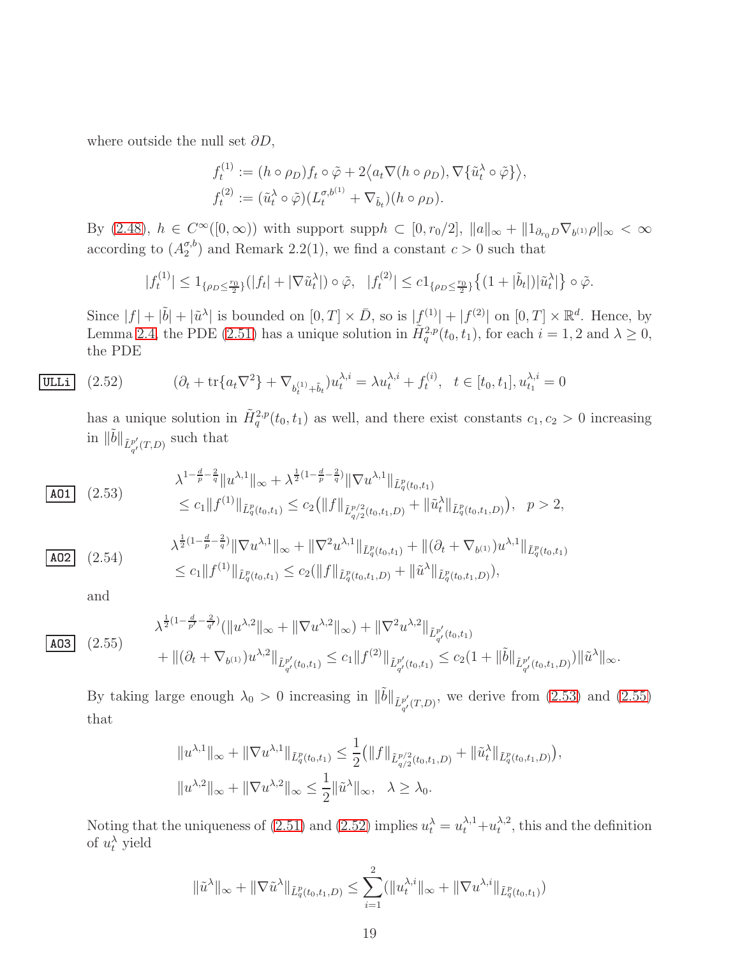where outside the null set  $\partial D$ ,

$$
f_t^{(1)} := (h \circ \rho_D) f_t \circ \tilde{\varphi} + 2 \langle a_t \nabla (h \circ \rho_D), \nabla \{ \tilde{u}_t^{\lambda} \circ \tilde{\varphi} \} \rangle,
$$
  

$$
f_t^{(2)} := (\tilde{u}_t^{\lambda} \circ \tilde{\varphi}) (L_t^{\sigma, b^{(1)}} + \nabla_{\tilde{b}_t}) (h \circ \rho_D).
$$

By [\(2.48\)](#page-17-0),  $h \in C^{\infty}([0,\infty))$  with support supp $h \subset [0,r_0/2]$ ,  $||a||_{\infty} + ||1_{\partial_{r_0}D} \nabla_{b^{(1)}}\rho||_{\infty} < \infty$ according to  $(A_2^{\sigma,b}$  $\binom{\sigma, o}{2}$  and Remark 2.2(1), we find a constant  $c > 0$  such that

$$
|f_t^{(1)}| \le 1_{\{\rho_D \le \frac{r_0}{2}\}}(|f_t| + |\nabla \tilde{u}_t^{\lambda}|) \circ \tilde{\varphi}, \ |f_t^{(2)}| \le c_1_{\{\rho_D \le \frac{r_0}{2}\}}\{(1+|\tilde{b}_t|)|\tilde{u}_t^{\lambda}|\} \circ \tilde{\varphi}.
$$

Since  $|f| + |\tilde{b}| + |\tilde{u}^{\lambda}|$  is bounded on  $[0, T] \times \bar{D}$ , so is  $|\underline{f}^{(1)}| + |f^{(2)}|$  on  $[0, T] \times \mathbb{R}^d$ . Hence, by Lemma [2.4,](#page-11-4) the PDE [\(2.51\)](#page-17-2) has a unique solution in  $\tilde{H}_{q}^{2,p}(t_0,t_1)$ , for each  $i = 1, 2$  and  $\lambda \geq 0$ , the PDE

$$
\overline{\text{ULLi}} \quad (2.52) \qquad (\partial_t + \text{tr}\{a_t \nabla^2\} + \nabla_{b_t^{(1)} + \tilde{b}_t} u_t^{\lambda, i} = \lambda u_t^{\lambda, i} + f_t^{(i)}, \quad t \in [t_0, t_1], u_{t_1}^{\lambda, i} = 0
$$

<span id="page-18-2"></span>has a unique solution in  $\tilde{H}^{2,p}_{q}(t_0,t_1)$  as well, and there exist constants  $c_1, c_2 > 0$  increasing in  $\|\tilde{b}\|_{\tilde{L}^{p'}_{q'}(T,D)}$  such that

<span id="page-18-0"></span>
$$
\lambda^{1-\frac{d}{p}-\frac{2}{q}}\|u^{\lambda,1}\|_{\infty} + \lambda^{\frac{1}{2}(1-\frac{d}{p}-\frac{2}{q})}\|\nabla u^{\lambda,1}\|_{\tilde{L}_q^p(t_0,t_1)}
$$
\n
$$
\leq c_1 \|f^{(1)}\|_{\tilde{L}_q^p(t_0,t_1)} \leq c_2 \left(\|f\|_{\tilde{L}_q^{p/2}(t_0,t_1,D)} + \|\tilde{u}_t^{\lambda}\|_{\tilde{L}_q^p(t_0,t_1,D)}\right), \quad p > 2,
$$
\n
$$
\lambda^{\frac{1}{2}(1-\frac{d}{p}-\frac{2}{q})}\|\nabla u^{\lambda,1}\|_{\infty} + \|\nabla^2 u^{\lambda,1}\|_{\tilde{L}_q^p(t_0,t_1)} + \|(\partial_t + \nabla_{b^{(1)}})u^{\lambda,1}\|_{\tilde{L}_q^p(t_0,t_1)}
$$

$$
\lambda^{\frac{1}{2}(1-\frac{1}{p}-\frac{1}{q})} \|\nabla u^{\lambda,1}\|_{\infty} + \|\nabla^2 u^{\lambda,1}\|_{\tilde{L}^p_q(t_0,t_1)} + \|(\partial_t + \nabla_{b^{(1)}})u^{\lambda,1}\|_{\tilde{L}^p_q(t_0,t_1)} \leq c_1 \|f^{(1)}\|_{\tilde{L}^p_q(t_0,t_1)} \leq c_2 (\|f\|_{\tilde{L}^p_q(t_0,t_1,D)} + \|\tilde{u}^{\lambda}\|_{\tilde{L}^p_q(t_0,t_1,D)}),
$$

and

<span id="page-18-1"></span> $|$  AO3  $|$   $(2.55)$ 

$$
\lambda^{\frac{1}{2}(1-\frac{d}{p'}-\frac{2}{q'})}(\|u^{\lambda,2}\|_{\infty}+\|\nabla u^{\lambda,2}\|_{\infty})+\|\nabla^2 u^{\lambda,2}\|_{\tilde{L}^{p'}_{q'}(t_0,t_1)}+\|(\partial_t+\nabla_{b^{(1)}})u^{\lambda,2}\|_{\tilde{L}^{p'}_{q'}(t_0,t_1)}\leq c_1\|f^{(2)}\|_{\tilde{L}^{p'}_{q'}(t_0,t_1)}\leq c_2(1+\|\tilde{b}\|_{\tilde{L}^{p'}_{q'}(t_0,t_1,D)})\|\tilde{u}^{\lambda}\|_{\infty}.
$$

By taking large enough  $\lambda_0 > 0$  increasing in  $\|\tilde{b}\|_{\tilde{L}_{q'}^{p'}(T,D)}$ , we derive from [\(2.53\)](#page-18-0) and [\(2.55\)](#page-18-1) that

$$
||u^{\lambda,1}||_{\infty} + ||\nabla u^{\lambda,1}||_{\tilde{L}_q^p(t_0,t_1)} \le \frac{1}{2} (||f||_{\tilde{L}_{q/2}^{p/2}(t_0,t_1,D)} + ||\tilde{u}_t^{\lambda}||_{\tilde{L}_q^p(t_0,t_1,D)}),
$$
  

$$
||u^{\lambda,2}||_{\infty} + ||\nabla u^{\lambda,2}||_{\infty} \le \frac{1}{2} ||\tilde{u}^{\lambda}||_{\infty}, \quad \lambda \ge \lambda_0.
$$

Noting that the uniqueness of [\(2.51\)](#page-17-2) and [\(2.52\)](#page-18-2) implies  $u_t^{\lambda} = u_t^{\lambda,1} + u_t^{\lambda,2}$  $t^{\lambda,2}$ , this and the definition of  $u_t^{\lambda}$  yield

$$
\|\tilde{u}^{\lambda}\|_{\infty} + \|\nabla \tilde{u}^{\lambda}\|_{\tilde{L}_{q}^{p}(t_0,t_1,D)} \leq \sum_{i=1}^{2} (\|u_t^{\lambda,i}\|_{\infty} + \|\nabla u^{\lambda,i}\|_{\tilde{L}_{q}^{p}(t_0,t_1)})
$$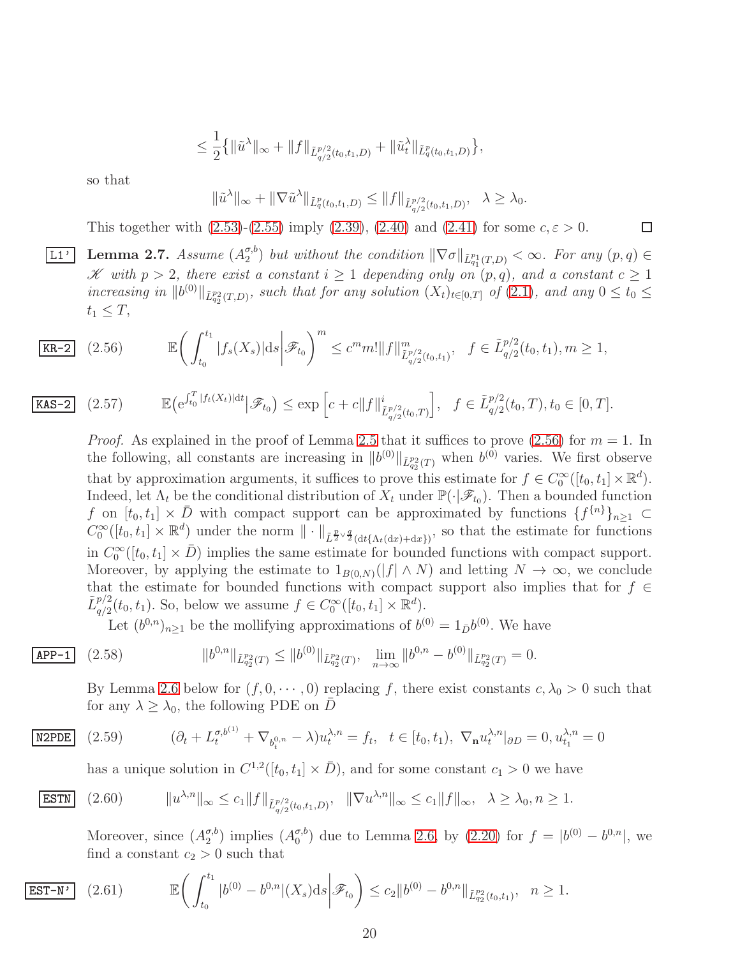$$
\leq \frac{1}{2} \{ \|\tilde{u}^{\lambda}\|_{\infty} + \|f\|_{\tilde{L}_{q/2}^{p/2}(t_0,t_1,D)} + \|\tilde{u}_t^{\lambda}\|_{\tilde{L}_q^p(t_0,t_1,D)} \},
$$

so that

$$
\|\tilde{u}^{\lambda}\|_{\infty} + \|\nabla \tilde{u}^{\lambda}\|_{\tilde{L}_q^p(t_0,t_1,D)} \le \|f\|_{\tilde{L}_{q/2}^{p/2}(t_0,t_1,D)}, \quad \lambda \ge \lambda_0.
$$

□

<span id="page-19-5"></span>This together with  $(2.53)-(2.55)$  $(2.53)-(2.55)$  imply  $(2.39)$ ,  $(2.40)$  and  $(2.41)$  for some  $c, \varepsilon > 0$ .

 $\overline{\text{L1'}\ }$  Lemma 2.7. *Assume*  $(A_2^{\sigma,b})$  $\binom{\sigma, o}{2}$  but without the condition  $\|\nabla \sigma\|_{\tilde{L}_{q_1}^{p_1}(T,D)} < \infty$ . For any  $(p, q) \in$ K with  $p > 2$ , there exist a constant  $i \geq 1$  depending only on  $(p, q)$ , and a constant  $c \geq 1$ *increasing in* kb (0)kL˜ p2 q2 (T,D) *, such that for any solution* (Xt)t∈[0,T] *of* [\(2.1\)](#page-6-1)*, and any* 0 ≤ t<sup>0</sup> ≤  $t_1 \leq T$ ,

$$
\boxed{\text{KR-2}} \quad (2.56) \quad \mathbb{E}\bigg(\int_{t_0}^{t_1} |f_s(X_s)| \, ds \bigg|\mathscr{F}_{t_0}\bigg)^m \le c^m m! \|f\|_{\tilde{L}^{p/2}_{q/2}(t_0,t_1)}^m, \quad f \in \tilde{L}^{p/2}_{q/2}(t_0,t_1), m \ge 1,
$$

$$
\text{KAS-2} \quad (2.57) \qquad \mathbb{E}\big(e^{\int_{t_0}^T |f_t(X_t)|dt} \big|\mathscr{F}_{t_0}\big) \le \exp\Big[c + c \|f\|_{\tilde{L}_{q/2}^{p/2}(t_0,T)}^i\Big], \quad f \in \tilde{L}_{q/2}^{p/2}(t_0,T), t_0 \in [0,T].
$$

<span id="page-19-6"></span><span id="page-19-0"></span>*Proof.* As explained in the proof of Lemma [2.5](#page-11-3) that it suffices to prove  $(2.56)$  for  $m = 1$ . In the following, all constants are increasing in  $||b^{(0)}||_{\tilde{L}_{q_2}^{p_2}(T)}$  when  $b^{(0)}$  varies. We first observe that by approximation arguments, it suffices to prove this estimate for  $f \in C_0^{\infty}([t_0, t_1] \times \mathbb{R}^d)$ . Indeed, let  $\Lambda_t$  be the conditional distribution of  $X_t$  under  $\mathbb{P}(\cdot|\mathscr{F}_{t_0})$ . Then a bounded function f on  $[t_0, t_1] \times \overline{D}$  with compact support can be approximated by functions  $\{f^{\{n\}}\}_{n\geq 1}$  $C_0^{\infty}([t_0, t_1] \times \mathbb{R}^d)$  under the norm  $\|\cdot\|_{\tilde{L}^{\frac{p}{2}\vee\frac{q}{2}}(\mathrm{d}t\{\Lambda_t(\mathrm{d}x)+\mathrm{d}x\})}$ , so that the estimate for functions in  $C_0^{\infty}([t_0, t_1] \times \bar{D})$  implies the same estimate for bounded functions with compact support. Moreover, by applying the estimate to  $1_{B(0,N)}(|f| \wedge N)$  and letting  $N \to \infty$ , we conclude that the estimate for bounded functions with compact support also implies that for  $f \in$  $\tilde{L}_{\alpha/2}^{p/2}$  $q_2^{p/2}(t_0, t_1)$ . So, below we assume  $f \in C_0^{\infty}([t_0, t_1] \times \mathbb{R}^d)$ .

<span id="page-19-4"></span>Let  $(b^{0,n})_{n\geq 1}$  be the mollifying approximations of  $b^{(0)} = 1_{\bar{D}}b^{(0)}$ . We have

$$
APP-1 \quad (2
$$

$$
\overline{\text{APP-1}} \quad (2.58) \qquad \qquad \|b^{0,n}\|_{\tilde{L}_{q_2}^{p_2}(T)} \le \|b^{(0)}\|_{\tilde{L}_{q_2}^{p_2}(T)}, \quad \lim_{n \to \infty} \|b^{0,n} - b^{(0)}\|_{\tilde{L}_{q_2}^{p_2}(T)} = 0.
$$

By Lemma [2.6](#page-14-0) below for  $(f, 0, \dots, 0)$  replacing f, there exist constants  $c, \lambda_0 > 0$  such that for any  $\lambda \geq \lambda_0$ , the following PDE on  $\overline{D}$ 

$$
\overline{\text{N2PDE}} \quad (2.59) \qquad (\partial_t + L_t^{\sigma, b^{(1)}} + \nabla_{b_t^{0,n}} - \lambda) u_t^{\lambda, n} = f_t, \quad t \in [t_0, t_1), \ \nabla_n u_t^{\lambda, n}|_{\partial D} = 0, u_{t_1}^{\lambda, n} = 0
$$

<span id="page-19-1"></span>has a unique solution in  $C^{1,2}([t_0, t_1] \times \overline{D})$ , and for some constant  $c_1 > 0$  we have

$$
\text{ESTN} \quad (2.60) \qquad \|u^{\lambda,n}\|_{\infty} \le c_1 \|f\|_{\tilde{L}_{q/2}^{p/2}(t_0,t_1,D)}, \ \ \|\nabla u^{\lambda,n}\|_{\infty} \le c_1 \|f\|_{\infty}, \ \ \lambda \ge \lambda_0, n \ge 1.
$$

<span id="page-19-3"></span><span id="page-19-2"></span>Moreover, since  $(A_2^{\sigma,b})$  $_2^{\sigma,b}$ ) implies  $(A_0^{\sigma,b}$  $_{0}^{\sigma,b}$  due to Lemma [2.6,](#page-14-0) by [\(2.20\)](#page-11-2) for  $f = |b^{(0)} - b^{0,n}|$ , we find a constant  $c_2 > 0$  such that

$$
\boxed{\text{EST-N'}} \quad (2.61) \qquad \mathbb{E}\bigg(\int_{t_0}^{t_1} |b^{(0)} - b^{0,n}|(X_s)ds \bigg|\mathscr{F}_{t_0}\bigg) \le c_2 \|b^{(0)} - b^{0,n}\|_{\tilde{L}_{q_2}^{p_2}(t_0,t_1)}, \quad n \ge 1.
$$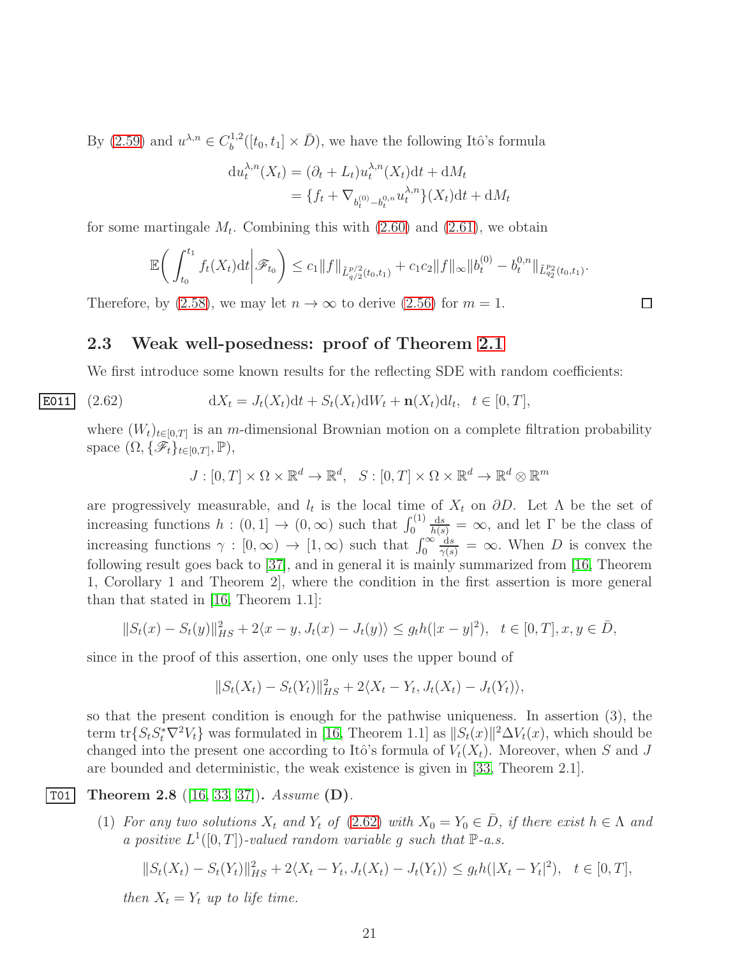By  $(2.59)$  and  $u^{\lambda,n} \in C_b^{1,2}$  $b^{1,2}([t_0, t_1] \times \bar{D})$ , we have the following Itô's formula

$$
du_t^{\lambda,n}(X_t) = (\partial_t + L_t)u_t^{\lambda,n}(X_t)dt + dM_t
$$
  
=  $\{f_t + \nabla_{b_t^{(0)} - b_t^{0,n}} u_t^{\lambda,n}\}(X_t)dt + dM_t$ 

for some martingale  $M_t$ . Combining this with  $(2.60)$  and  $(2.61)$ , we obtain

$$
\mathbb{E}\bigg(\int_{t_0}^{t_1} f_t(X_t)dt \bigg|\mathscr{F}_{t_0}\bigg) \leq c_1 \|f\|_{\tilde{L}_{q/2}^{p/2}(t_0,t_1)} + c_1 c_2 \|f\|_{\infty} \|b_t^{(0)} - b_t^{0,n}\|_{\tilde{L}_{q/2}^{p/2}(t_0,t_1)}.
$$

Therefore, by [\(2.58\)](#page-19-4), we may let  $n \to \infty$  to derive [\(2.56\)](#page-19-0) for  $m = 1$ .

#### <span id="page-20-0"></span>2.3 Weak well-posedness: proof of Theorem [2.1](#page-10-0)

We first introduce some known results for the reflecting SDE with random coefficients:

$$
\text{E011} \quad (2.62) \qquad \qquad \mathrm{d}X_t = J_t(X_t)\mathrm{d}t + S_t(X_t)\mathrm{d}W_t + \mathbf{n}(X_t)\mathrm{d}l_t, \quad t \in [0, T],
$$

where  $(W_t)_{t\in[0,T]}$  is an m-dimensional Brownian motion on a complete filtration probability space  $(\Omega, \{\mathscr{F}_t\}_{t\in[0,T]}, \mathbb{P}),$ 

<span id="page-20-1"></span>
$$
J:[0,T]\times\Omega\times\mathbb{R}^d\to\mathbb{R}^d, \quad S:[0,T]\times\Omega\times\mathbb{R}^d\to\mathbb{R}^d\otimes\mathbb{R}^m
$$

are progressively measurable, and  $l_t$  is the local time of  $X_t$  on  $\partial D$ . Let  $\Lambda$  be the set of increasing functions  $h : (0,1] \to (0,\infty)$  such that  $\int_0^{(1)}$  $\frac{ds}{h(s)} = \infty$ , and let Γ be the class of increasing functions  $\gamma : [0, \infty) \to [1, \infty)$  such that  $\int_0^\infty$  $\frac{ds}{\gamma(s)} = \infty$ . When D is convex the following result goes back to [\[37\]](#page-68-2), and in general it is mainly summarized from [\[16,](#page-67-7) Theorem 1, Corollary 1 and Theorem 2], where the condition in the first assertion is more general than that stated in [\[16,](#page-67-7) Theorem 1.1]:

$$
||S_t(x) - S_t(y)||_{HS}^2 + 2\langle x - y, J_t(x) - J_t(y) \rangle \le g_t h(|x - y|^2), \quad t \in [0, T], x, y \in \overline{D},
$$

since in the proof of this assertion, one only uses the upper bound of

$$
||S_t(X_t) - S_t(Y_t)||_{HS}^2 + 2\langle X_t - Y_t, J_t(X_t) - J_t(Y_t)\rangle,
$$

so that the present condition is enough for the pathwise uniqueness. In assertion (3), the term  $\text{tr}\{S_t S_t^* \nabla^2 V_t\}$  was formulated in [\[16,](#page-67-7) Theorem 1.1] as  $||S_t(x)||^2 \Delta V_t(x)$ , which should be changed into the present one according to Itô's formula of  $V_t(X_t)$ . Moreover, when S and J are bounded and deterministic, the weak existence is given in [\[33,](#page-68-6) Theorem 2.1].

#### $|TO1|$  Theorem 2.8 ([\[16,](#page-67-7) [33,](#page-68-6) [37\]](#page-68-2)). *Assume* (D).

<span id="page-20-2"></span>(1) *For any two solutions*  $X_t$  *and*  $Y_t$  *of* [\(2.62\)](#page-20-1) *with*  $X_0 = Y_0 \in \overline{D}$ *, if there exist*  $h \in \Lambda$  *and a positive*  $L^1([0,T])$ -valued random variable g such that  $\mathbb{P}\text{-}a.s.$ 

$$
||S_t(X_t) - S_t(Y_t)||_{HS}^2 + 2\langle X_t - Y_t, J_t(X_t) - J_t(Y_t)\rangle \le g_t h(|X_t - Y_t|^2), \quad t \in [0, T],
$$

*then*  $X_t = Y_t$  *up to life time.* 

□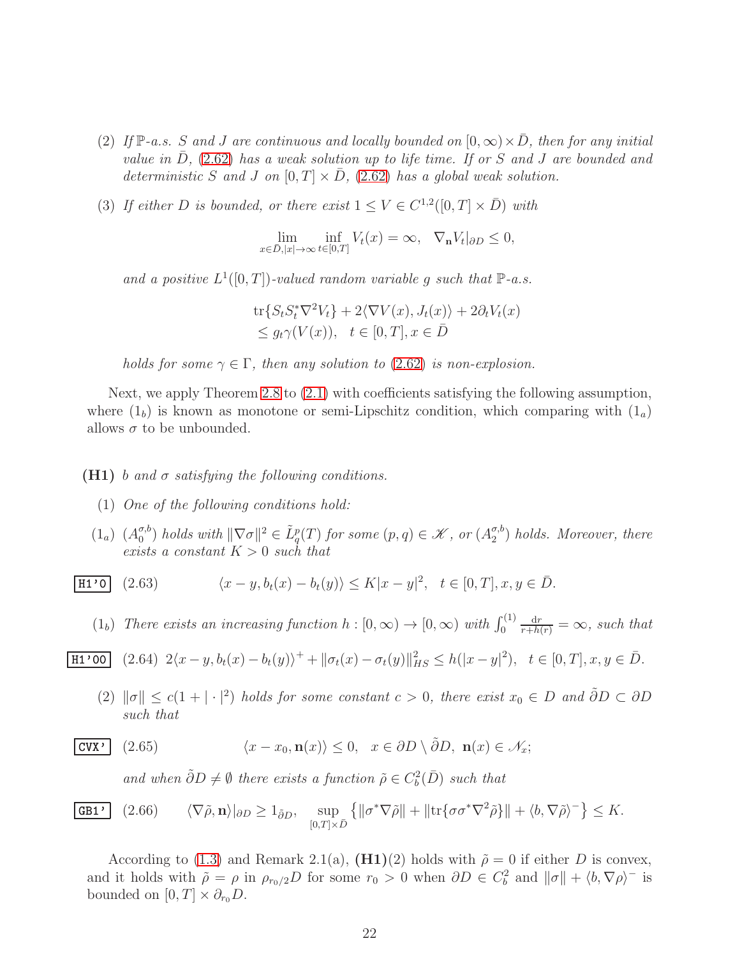- (2) If  $\mathbb{P}\text{-}a.s.$  S and J are continuous and locally bounded on  $[0,\infty)\times\overline{D}$ , then for any initial *value in*  $\overline{D}$ , [\(2.62\)](#page-20-1) *has a weak solution up to life time. If or* S and J are bounded and *deterministic* S and J on  $[0, T] \times D$ ,  $(2.62)$  has a global weak solution.
- (3) If either D is bounded, or there exist  $1 \le V \in C^{1,2}([0,T] \times \overline{D})$  with

$$
\lim_{x \in \bar{D}, |x| \to \infty} \inf_{t \in [0,T]} V_t(x) = \infty, \quad \nabla_n V_t|_{\partial D} \le 0,
$$

and a positive  $L^1([0,T])$ -valued random variable g such that  $\mathbb{P}\text{-}a.s.$ 

$$
\operatorname{tr}\{S_t S_t^* \nabla^2 V_t\} + 2 \langle \nabla V(x), J_t(x) \rangle + 2 \partial_t V_t(x) \leq g_t \gamma(V(x)), \quad t \in [0, T], x \in \overline{D}
$$

*holds for some*  $\gamma \in \Gamma$ , *then any solution to* [\(2.62\)](#page-20-1) *is non-explosion.* 

Next, we apply Theorem [2.8](#page-20-2) to [\(2.1\)](#page-6-1) with coefficients satisfying the following assumption, where  $(1<sub>b</sub>)$  is known as monotone or semi-Lipschitz condition, which comparing with  $(1<sub>a</sub>)$ allows  $\sigma$  to be unbounded.

#### (H1) b *and* σ *satisfying the following conditions.*

- (1) *One of the following conditions hold:*
- $(1_a)$   $(A_0^{\sigma,b}$  $\binom{\sigma, b}{0}$  holds with  $\|\nabla \sigma\|^2 \in \tilde{L}_q^p(T)$  for some  $(p, q) \in \mathscr{K}$ , or  $(A_2^{\sigma, b})$  $_2^{\sigma,b}$ ) *holds. Moreover, there exists a constant* K > 0 *such that*

H1'0 (2.63) 
$$
\langle x - y, b_t(x) - b_t(y) \rangle \le K |x - y|^2, \quad t \in [0, T], x, y \in \overline{D}.
$$

<span id="page-21-0"></span>(1<sub>b</sub>) *There exists an increasing function*  $h : [0, \infty) \to [0, \infty)$  *with*  $\int_0^{(1)}$  $\frac{dr}{r+h(r)} = \infty$ *, such that* 

$$
\underline{\text{H1'00}} \quad (2.64) \ 2\langle x - y, b_t(x) - b_t(y) \rangle^+ + \|\sigma_t(x) - \sigma_t(y)\|_{HS}^2 \le h(|x - y|^2), \ \ t \in [0, T], x, y \in \bar{D}.
$$

<span id="page-21-1"></span>(2)  $\|\sigma\| \leq c(1 + |\cdot|^2)$  *holds for some constant*  $c > 0$ *, there exist*  $x_0 \in D$  *and*  $\tilde{\partial}D \subset \partial D$ *such that*

$$
\boxed{\text{CVX'} \quad (2.65) \qquad \qquad } \langle x - x_0, \mathbf{n}(x) \rangle \le 0, \quad x \in \partial D \setminus \tilde{\partial} D, \ \mathbf{n}(x) \in \mathcal{N}_x;
$$

and when  $\tilde{\partial}D \neq \emptyset$  there exists a function  $\tilde{\rho} \in C_b^2(\overline{D})$  such that

**GB1' (2.66)** 
$$
\langle \nabla \tilde{\rho}, \mathbf{n} \rangle|_{\partial D} \ge 1_{\tilde{\partial}D}, \quad \sup_{[0,T] \times \bar{D}} \left\{ \|\sigma^* \nabla \tilde{\rho}\| + \|\text{tr}\{\sigma \sigma^* \nabla^2 \tilde{\rho}\}\| + \langle b, \nabla \tilde{\rho} \rangle^- \right\} \le K.
$$

According to [\(1.3\)](#page-2-2) and Remark 2.1(a),  $(H1)(2)$  holds with  $\tilde{\rho} = 0$  if either D is convex, and it holds with  $\tilde{\rho} = \rho$  in  $\rho_{r_0/2}D$  for some  $r_0 > 0$  when  $\partial D \in C_b^2$  and  $\|\sigma\| + \langle b, \nabla \rho \rangle$  is bounded on  $[0, T] \times \partial_{r_0} D$ .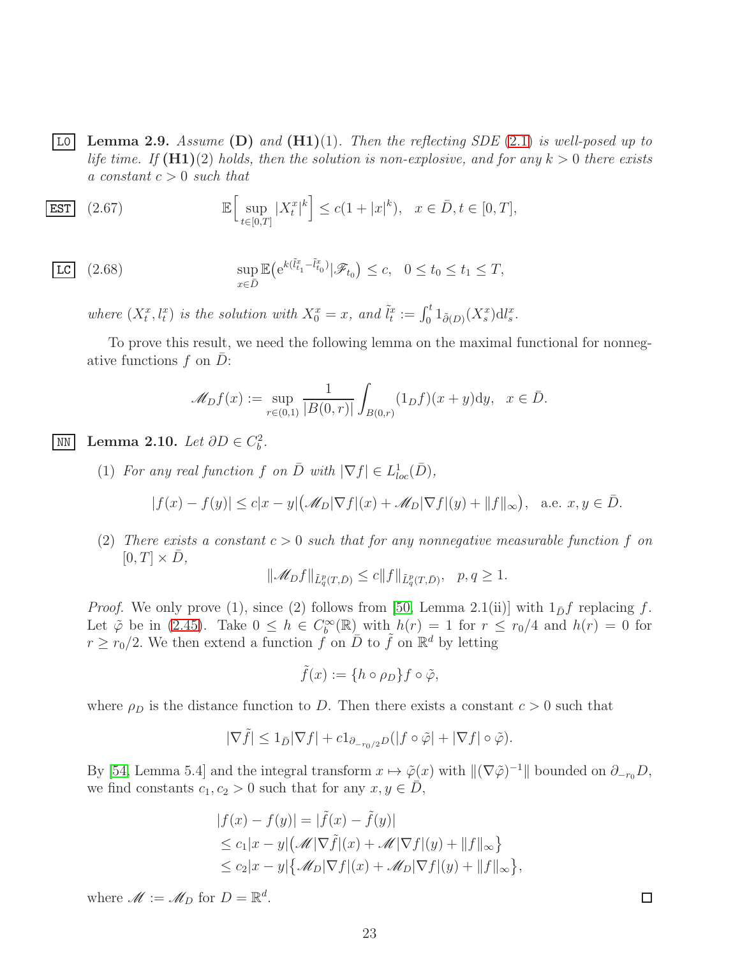<span id="page-22-0"></span>L0 Lemma 2.9. *Assume* (D) *and* (H1)(1)*. Then the reflecting SDE* [\(2.1\)](#page-6-1) *is well-posed up to life time. If*  $(H1)(2)$  *holds, then the solution is non-explosive, and for any*  $k > 0$  *there exists a constant* c > 0 *such that*

<span id="page-22-3"></span>
$$
\overline{\text{EST}} \quad (2.67) \quad \mathbb{E} \Big[ \sup_{t \in [0,T]} |X_t^x|^k \Big] \le c(1+|x|^k), \quad x \in \bar{D}, t \in [0,T],
$$

$$
\underline{\text{LC}} \quad (2.68) \qquad \qquad \sup_{x \in \bar{D}} \mathbb{E} \big( e^{k(\tilde{l}_{t_1}^x - \tilde{l}_{t_0}^x)} | \mathscr{F}_{t_0} \big) \le c, \quad 0 \le t_0 \le t_1 \le T,
$$

where  $(X_t^x, l_t^x)$  is the solution with  $X_0^x = x$ , and  $\tilde{l}_t^x := \int_0^t 1_{\tilde{\partial}(D)} (X_s^x) \mathrm{d}l_s^x$ .

To prove this result, we need the following lemma on the maximal functional for nonnegative functions  $f$  on  $D$ :

<span id="page-22-2"></span>
$$
\mathscr{M}_D f(x) := \sup_{r \in (0,1)} \frac{1}{|B(0,r)|} \int_{B(0,r)} (1_D f)(x+y) dy, \ \ x \in \bar{D}.
$$

<span id="page-22-1"></span><u>MN</u> Lemma 2.10. *Let*  $\partial D \in C_b^2$ .

(1) For any real function f on  $\overline{D}$  with  $|\nabla f| \in L^1_{loc}(\overline{D}),$ 

$$
|f(x) - f(y)| \le c|x - y| \left(\mathcal{M}_D |\nabla f|(x) + \mathcal{M}_D |\nabla f|(y) + ||f||_{\infty}\right), \text{ a.e. } x, y \in \overline{D}.
$$

(2) There exists a constant  $c > 0$  such that for any nonnegative measurable function f on  $[0, T] \times \overline{D}$ ,

$$
\|\mathscr{M}_Df\|_{\tilde{L}^p_q(T,\bar{D})}\leq c\|f\|_{\tilde{L}^p_q(T,\bar{D})},\quad p,q\geq 1.
$$

*Proof.* We only prove (1), since (2) follows from [\[50,](#page-69-1) Lemma 2.1(ii)] with  $1_{\bar{D}}f$  replacing f. Let  $\tilde{\varphi}$  be in [\(2.45\)](#page-16-3). Take  $0 \leq h \in C_b^{\infty}(\mathbb{R})$  with  $h(r) = 1$  for  $r \leq r_0/4$  and  $h(r) = 0$  for  $r \ge r_0/2$ . We then extend a function  $\tilde{f}$  on  $\overline{D}$  to  $\tilde{f}$  on  $\mathbb{R}^d$  by letting

$$
\tilde{f}(x) := \{ h \circ \rho_D \} f \circ \tilde{\varphi},
$$

where  $\rho_D$  is the distance function to D. Then there exists a constant  $c > 0$  such that

$$
|\nabla \tilde{f}| \leq 1_{\bar{D}} |\nabla f| + c 1_{\partial_{-r_0/2}D} (|f \circ \tilde{\varphi}| + |\nabla f| \circ \tilde{\varphi}).
$$

By [\[54,](#page-69-3) Lemma 5.4] and the integral transform  $x \mapsto \tilde{\varphi}(x)$  with  $\|(\nabla \tilde{\varphi})^{-1}\|$  bounded on  $\partial_{-r_0}D$ , we find constants  $c_1, c_2 > 0$  such that for any  $x, y \in D$ ,

$$
|f(x) - f(y)| = |\tilde{f}(x) - \tilde{f}(y)|
$$
  
\n
$$
\leq c_1 |x - y| (\mathcal{M}|\nabla \tilde{f}|(x) + \mathcal{M}|\nabla f|(y) + ||f||_{\infty})
$$
  
\n
$$
\leq c_2 |x - y| \{ \mathcal{M}_D|\nabla f|(x) + \mathcal{M}_D|\nabla f|(y) + ||f||_{\infty} \},
$$

where  $\mathscr{M} := \mathscr{M}_D$  for  $D = \mathbb{R}^d$ .

 $\Box$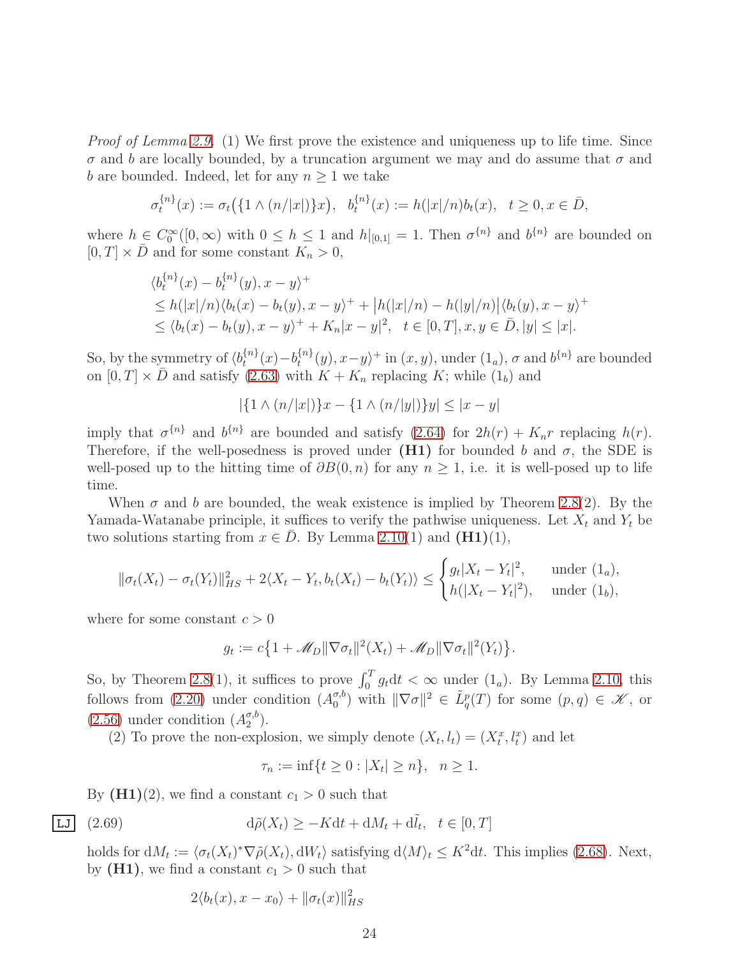*Proof of Lemma [2.9.](#page-22-0)* (1) We first prove the existence and uniqueness up to life time. Since  $\sigma$  and b are locally bounded, by a truncation argument we may and do assume that  $\sigma$  and b are bounded. Indeed, let for any  $n \geq 1$  we take

$$
\sigma_t^{\{n\}}(x) := \sigma_t(\{1 \wedge (n/|x|)\}x), \ \ b_t^{\{n\}}(x) := h(|x|/n)b_t(x), \ \ t \ge 0, x \in \bar{D},
$$

where  $h \in C_0^{\infty}([0,\infty)$  with  $0 \leq h \leq 1$  and  $h|_{[0,1]} = 1$ . Then  $\sigma^{\{n\}}$  and  $b^{\{n\}}$  are bounded on  $[0, T] \times \overline{D}$  and for some constant  $K_n > 0$ ,

$$
\langle b_t^{\{n\}}(x) - b_t^{\{n\}}(y), x - y \rangle^+ \leq h(|x|/n) \langle b_t(x) - b_t(y), x - y \rangle^+ + |h(|x|/n) - h(|y|/n) | \langle b_t(y), x - y \rangle^+ \leq \langle b_t(x) - b_t(y), x - y \rangle^+ + K_n |x - y|^2, \quad t \in [0, T], x, y \in \bar{D}, |y| \leq |x|.
$$

So, by the symmetry of  $\langle b_t^{\{n\}} \rangle$  $t_t^{\{n\}}(x) - b_t^{\{n\}}$  $\{u^{n}\}(y), x-y\rangle^+$  in  $(x, y)$ , under  $(1_a), \sigma$  and  $b^{\{n\}}$  are bounded on  $[0, T] \times \overline{D}$  and satisfy [\(2.63\)](#page-21-0) with  $K + K_n$  replacing K; while (1<sub>b</sub>) and

$$
|\{1 \wedge (n/|x|)\}x - \{1 \wedge (n/|y|)\}y| \le |x - y|
$$

imply that  $\sigma^{\{n\}}$  and  $b^{\{n\}}$  are bounded and satisfy  $(2.64)$  for  $2h(r) + K_n r$  replacing  $h(r)$ . Therefore, if the well-posedness is proved under (H1) for bounded b and  $\sigma$ , the SDE is well-posed up to the hitting time of  $\partial B(0, n)$  for any  $n > 1$ , i.e. it is well-posed up to life time.

When  $\sigma$  and b are bounded, the weak existence is implied by Theorem [2.8\(](#page-20-2)2). By the Yamada-Watanabe principle, it suffices to verify the pathwise uniqueness. Let  $X_t$  and  $Y_t$  be two solutions starting from  $x \in \overline{D}$ . By Lemma [2.10\(](#page-22-1)1) and (H1)(1),

$$
\|\sigma_t(X_t) - \sigma_t(Y_t)\|_{HS}^2 + 2\langle X_t - Y_t, b_t(X_t) - b_t(Y_t)\rangle \le \begin{cases} g_t |X_t - Y_t|^2, & \text{under } (1_a), \\ h(|X_t - Y_t|^2), & \text{under } (1_b), \end{cases}
$$

where for some constant  $c > 0$ 

 $g_t := c \{ 1 + \mathcal{M}_D || \nabla \sigma_t ||^2(X_t) + \mathcal{M}_D || \nabla \sigma_t ||^2(Y_t) \}.$ 

So, by Theorem [2.8\(](#page-20-2)1), it suffices to prove  $\int_0^T g_t dt < \infty$  under  $(1_a)$ . By Lemma [2.10,](#page-22-1) this follows from [\(2.20\)](#page-11-2) under condition  $(A_0^{\sigma,b})$  $\binom{\sigma, b}{0}$  with  $\|\nabla \sigma\|^2 \in \tilde{L}^p_q(T)$  for some  $(p, q) \in \mathscr{K}$ , or  $(2.56)$  under condition  $(A_2^{\sigma,b})$  $\binom{\sigma, o}{2}$ .

(2) To prove the non-explosion, we simply denote  $(X_t, l_t) = (X_t^x, l_t^x)$  and let

$$
\tau_n := \inf\{t \ge 0 : |X_t| \ge n\}, \ \ n \ge 1.
$$

By  $(H1)(2)$ , we find a constant  $c_1 > 0$  such that

$$
\overline{\text{LJ}} \quad (2.69) \qquad \qquad d\tilde{\rho}(X_t) \ge -Kdt + dM_t + d\tilde{l}_t, \quad t \in [0, T]
$$

holds for  $dM_t := \langle \sigma_t(X_t)^* \nabla \tilde{\rho}(X_t), dW_t \rangle$  satisfying  $d\langle M \rangle_t \leq K^2 dt$ . This implies [\(2.68\)](#page-22-2). Next, by  $(H1)$ , we find a constant  $c_1 > 0$  such that

$$
2\langle b_t(x), x - x_0 \rangle + ||\sigma_t(x)||_{HS}^2
$$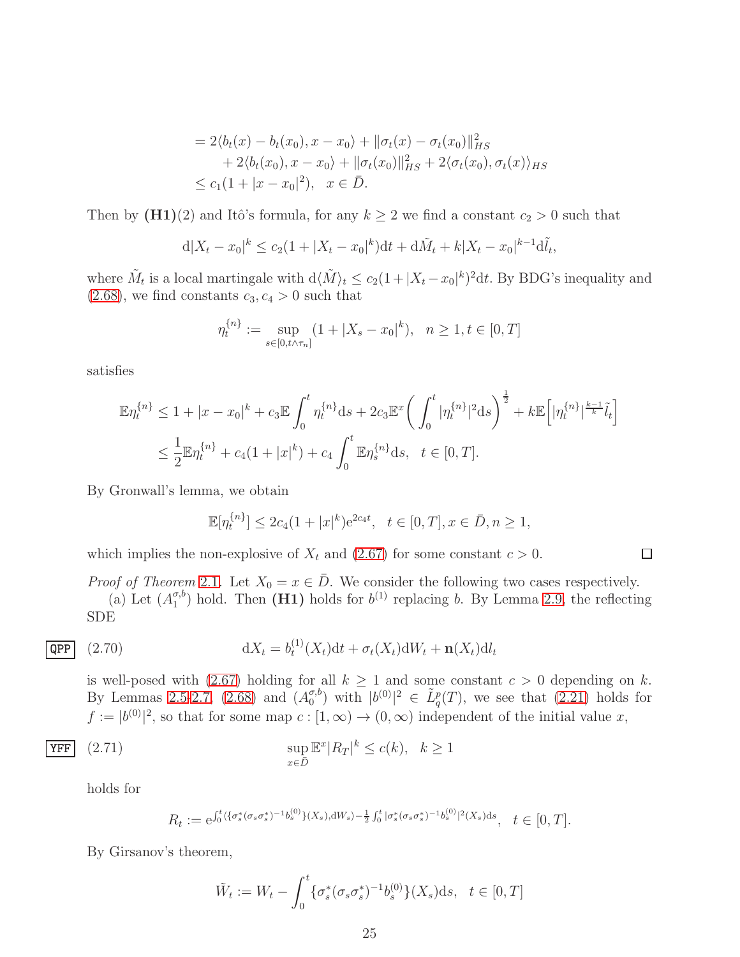$$
= 2\langle b_t(x) - b_t(x_0), x - x_0 \rangle + ||\sigma_t(x) - \sigma_t(x_0)||_{HS}^2 + 2\langle b_t(x_0), x - x_0 \rangle + ||\sigma_t(x_0)||_{HS}^2 + 2\langle \sigma_t(x_0), \sigma_t(x) \rangle_{HS} \le c_1(1 + |x - x_0|^2), \quad x \in \overline{D}.
$$

Then by  $(H1)(2)$  and Itô's formula, for any  $k \geq 2$  we find a constant  $c_2 > 0$  such that

$$
d|X_t - x_0|^k \le c_2(1 + |X_t - x_0|^k)dt + d\tilde{M}_t + k|X_t - x_0|^{k-1}d\tilde{t}_t,
$$

where  $\tilde{M}_t$  is a local martingale with  $d\langle \tilde{M}\rangle_t \leq c_2(1+|X_t-x_0|^k)^2dt$ . By BDG's inequality and  $(2.68)$ , we find constants  $c_3, c_4 > 0$  such that

$$
\eta_t^{\{n\}} := \sup_{s \in [0, t \wedge \tau_n]} (1 + |X_s - x_0|^k), \quad n \ge 1, t \in [0, T]
$$

satisfies

$$
\mathbb{E}\eta_t^{\{n\}} \le 1 + |x - x_0|^k + c_3 \mathbb{E} \int_0^t \eta_t^{\{n\}} ds + 2c_3 \mathbb{E}^x \bigg( \int_0^t |\eta_t^{\{n\}}|^2 ds \bigg)^{\frac{1}{2}} + k \mathbb{E} \big[ |\eta_t^{\{n\}}|^{\frac{k-1}{k}} \tilde{l}_t \big]
$$
  

$$
\le \frac{1}{2} \mathbb{E}\eta_t^{\{n\}} + c_4 (1 + |x|^k) + c_4 \int_0^t \mathbb{E}\eta_s^{\{n\}} ds, \quad t \in [0, T].
$$

By Gronwall's lemma, we obtain

<span id="page-24-0"></span>
$$
\mathbb{E}[\eta_t^{\{n\}}] \le 2c_4(1+|x|^k)e^{2c_4t}, \quad t \in [0,T], x \in \bar{D}, n \ge 1,
$$

 $\Box$ 

which implies the non-explosive of  $X_t$  and [\(2.67\)](#page-22-3) for some constant  $c > 0$ .

*Proof of Theorem* [2](#page-10-0).1. Let  $X_0 = x \in \overline{D}$ . We consider the following two cases respectively.

(a) Let  $(A_1^{\sigma,b})$  $\binom{\sigma, b}{1}$  hold. Then (H1) holds for  $b^{(1)}$  replacing b. By Lemma [2.9,](#page-22-0) the reflecting SDE

$$
\overline{\text{QPP}} \quad (2.70) \qquad \qquad \mathrm{d}X_t = b_t^{(1)}(X_t) \mathrm{d}t + \sigma_t(X_t) \mathrm{d}W_t + \mathbf{n}(X_t) \mathrm{d}l_t
$$

is well-posed with [\(2.67\)](#page-22-3) holding for all  $k \ge 1$  and some constant  $c > 0$  depending on k. By Lemmas [2.5-](#page-11-3)[2.7,](#page-19-5) [\(2.68\)](#page-22-2) and  $(A_0^{\sigma, b})$  $\binom{\sigma, b}{0}$  with  $|b^{(0)}|^2 \in \tilde{L}_q^p(T)$ , we see that  $(2.21)$  holds for  $f := |b^{(0)}|^2$ , so that for some map  $c : [1, \infty) \to (0, \infty)$  independent of the initial value x,

$$
\Pr_{x \in \bar{D}} \quad (2.71)
$$
\n
$$
\sup_{x \in \bar{D}} \mathbb{E}^x |R_T|^k \le c(k), \quad k \ge 1
$$

holds for

<span id="page-24-1"></span>
$$
R_t := e^{\int_0^t \langle \{\sigma_s^*(\sigma_s \sigma_s^*)^{-1} b_s^{(0)}\} (X_s), \mathrm{d}W_s \rangle - \frac{1}{2} \int_0^t |\sigma_s^*(\sigma_s \sigma_s^*)^{-1} b_s^{(0)}|^2 (X_s) \mathrm{d}s}, \quad t \in [0, T].
$$

By Girsanov's theorem,

$$
\tilde{W}_t := W_t - \int_0^t \{ \sigma_s^*(\sigma_s \sigma_s^*)^{-1} b_s^{(0)} \} (X_s) \, \mathrm{d}s, \quad t \in [0, T]
$$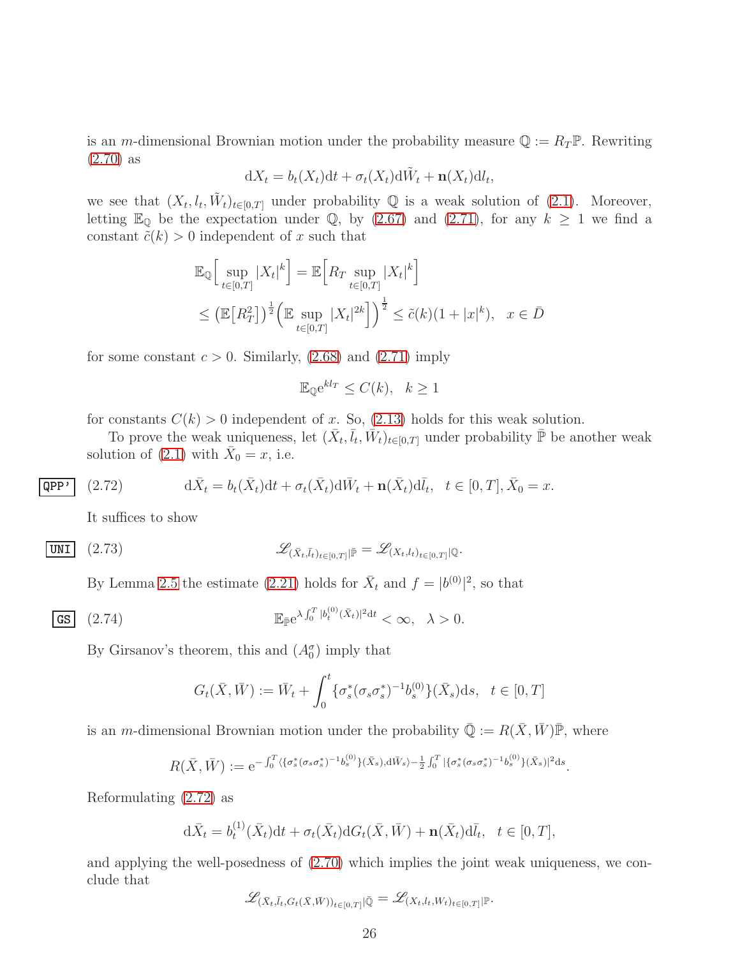is an m-dimensional Brownian motion under the probability measure  $\mathbb{Q} := R_T \mathbb{P}$ . Rewriting [\(2.70\)](#page-24-0) as

$$
dX_t = b_t(X_t)dt + \sigma_t(X_t)d\tilde{W}_t + \mathbf{n}(X_t)dl_t,
$$

we see that  $(X_t, l_t, \tilde{W}_t)_{t \in [0,T]}$  under probability Q is a weak solution of [\(2.1\)](#page-6-1). Moreover, letting  $\mathbb{E}_{\mathbb{Q}}$  be the expectation under  $\mathbb{Q}$ , by [\(2.67\)](#page-22-3) and [\(2.71\)](#page-24-1), for any  $k \geq 1$  we find a constant  $\tilde{c}(k) > 0$  independent of x such that

$$
\mathbb{E}_{\mathbb{Q}}\Big[\sup_{t\in[0,T]}|X_t|^k\Big] = \mathbb{E}\Big[R_T \sup_{t\in[0,T]}|X_t|^k\Big] \leq (\mathbb{E}\big[R_T^2\big])^{\frac{1}{2}} \Big(\mathbb{E}\sup_{t\in[0,T]}|X_t|^{2k}\Big]\Big)^{\frac{1}{2}} \leq \tilde{c}(k)(1+|x|^k), \ \ x\in\bar{D}
$$

for some constant  $c > 0$ . Similarly, [\(2.68\)](#page-22-2) and [\(2.71\)](#page-24-1) imply

$$
\mathbb{E}_{\mathbb{Q}}e^{kl_T} \le C(k), \quad k \ge 1
$$

for constants  $C(k) > 0$  independent of x. So, [\(2.13\)](#page-10-3) holds for this weak solution.

To prove the weak uniqueness, let  $(\bar{X}_t, \bar{l}_t, \bar{W}_t)_{t \in [0,T]}$  under probability  $\bar{\mathbb{P}}$  be another weak solution of [\(2.1\)](#page-6-1) with  $\bar{X}_0 = x$ , i.e.

(2.72) 
$$
\mathrm{d}\bar{X}_t = b_t(\bar{X}_t)\mathrm{d}t + \sigma_t(\bar{X}_t)\mathrm{d}\bar{W}_t + \mathbf{n}(\bar{X}_t)\mathrm{d}\bar{l}_t, \quad t \in [0, T], \bar{X}_0 = x.
$$

<span id="page-25-0"></span>It suffices to show

 $QPP'$ 

$$
\text{UNI} \quad (2.73) \qquad \qquad \mathscr{L}_{(\bar{X}_t, \bar{l}_t)_{t \in [0,T]} | \bar{\mathbb{P}}} = \mathscr{L}_{(X_t, l_t)_{t \in [0,T]} | \mathbb{Q}}.
$$

By Lemma [2.5](#page-11-3) the estimate [\(2.21\)](#page-12-0) holds for  $\bar{X}_t$  and  $f = |b^{(0)}|^2$ , so that

$$
\mathbf{GS} \quad (2.74) \qquad \mathbb{E}_{\bar{\mathbb{P}}} e^{\lambda \int_0^T |b_t^{(0)}(\bar{X}_t)|^2 dt} < \infty, \quad \lambda > 0.
$$

By Girsanov's theorem, this and  $(A_0^{\sigma})$  imply that

<span id="page-25-2"></span><span id="page-25-1"></span>
$$
G_t(\bar{X}, \bar{W}) := \bar{W}_t + \int_0^t {\{\sigma_s^*(\sigma_s \sigma_s^*)^{-1} b_s^{(0)}\}} (\bar{X}_s) ds, \quad t \in [0, T]
$$

is an m-dimensional Brownian motion under the probability  $\overline{Q} := R(\overline{X}, \overline{W})\overline{P}$ , where

$$
R(\bar{X}, \bar{W}) := e^{-\int_0^T \langle \{\sigma_s^*(\sigma_s \sigma_s^*)^{-1} b_s^{(0)}\}(\bar{X}_s), d\bar{W}_s \rangle - \frac{1}{2} \int_0^T |\{\sigma_s^*(\sigma_s \sigma_s^*)^{-1} b_s^{(0)}\}(\bar{X}_s)|^2 ds}.
$$

Reformulating [\(2.72\)](#page-25-0) as

$$
\mathrm{d}\bar{X}_t = b_t^{(1)}(\bar{X}_t)\mathrm{d}t + \sigma_t(\bar{X}_t)\mathrm{d}G_t(\bar{X}, \bar{W}) + \mathbf{n}(\bar{X}_t)\mathrm{d}\bar{l}_t, \quad t \in [0, T],
$$

and applying the well-posedness of [\(2.70\)](#page-24-0) which implies the joint weak uniqueness, we conclude that

$$
\mathscr{L}_{(\bar{X}_t,\bar{l}_t,G_t(\bar{X},\bar{W}))_{t\in[0,T]}|{\bar{\mathbb{Q}}}}=\mathscr{L}_{(X_t,l_t,W_t)_{t\in[0,T]}|\mathbb{P}}.
$$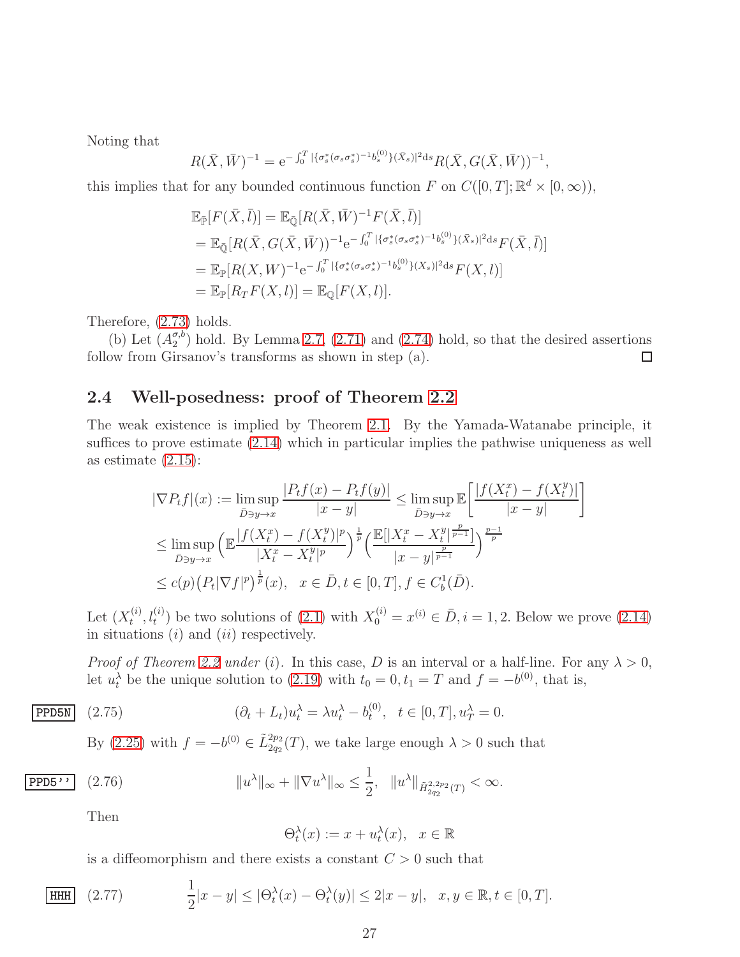Noting that

$$
R(\bar{X}, \bar{W})^{-1} = e^{-\int_0^T |\{\sigma_s^*(\sigma_s \sigma_s^*)^{-1} b_s^{(0)}\}(\bar{X}_s)|^2 ds} R(\bar{X}, G(\bar{X}, \bar{W}))^{-1},
$$

this implies that for any bounded continuous function F on  $C([0,T]; \mathbb{R}^d \times [0,\infty))$ ,

$$
\mathbb{E}_{\bar{\mathbb{P}}}[F(\bar{X},\bar{l})] = \mathbb{E}_{\bar{\mathbb{Q}}}[R(\bar{X},\bar{W})^{-1}F(\bar{X},\bar{l})] \n= \mathbb{E}_{\bar{\mathbb{Q}}}[R(\bar{X},G(\bar{X},\bar{W}))^{-1}e^{-\int_0^T |\{\sigma_s^*(\sigma_s\sigma_s^*)^{-1}b_s^{(0)}\}(\bar{X}_s)|^2ds}F(\bar{X},\bar{l})] \n= \mathbb{E}_{\mathbb{P}}[R(X,W)^{-1}e^{-\int_0^T |\{\sigma_s^*(\sigma_s\sigma_s^*)^{-1}b_s^{(0)}\}(X_s)|^2ds}F(X,l)] \n= \mathbb{E}_{\mathbb{P}}[R_TF(X,l)] = \mathbb{E}_{\mathbb{Q}}[F(X,l)].
$$

Therefore, [\(2.73\)](#page-25-1) holds.

(b) Let  $(A_2^{\sigma,b})$  $\binom{\sigma, o}{2}$  hold. By Lemma [2.7,](#page-19-5) [\(2.71\)](#page-24-1) and [\(2.74\)](#page-25-2) hold, so that the desired assertions follow from Girsanov's transforms as shown in step (a).  $\Box$ 

#### <span id="page-26-0"></span>2.4 Well-posedness: proof of Theorem [2.2](#page-10-1)

The weak existence is implied by Theorem [2.1.](#page-10-0) By the Yamada-Watanabe principle, it suffices to prove estimate [\(2.14\)](#page-10-4) which in particular implies the pathwise uniqueness as well as estimate  $(2.15)$ :

$$
|\nabla P_t f|(x) := \limsup_{\bar{D} \ni y \to x} \frac{|P_t f(x) - P_t f(y)|}{|x - y|} \le \limsup_{\bar{D} \ni y \to x} \mathbb{E} \left[ \frac{|f(X_t^x) - f(X_t^y)|}{|x - y|} \right]
$$
  

$$
\le \limsup_{\bar{D} \ni y \to x} \left( \mathbb{E} \frac{|f(X_t^x) - f(X_t^y)|^p}{|X_t^x - X_t^y|^p} \right)^{\frac{1}{p}} \left( \frac{\mathbb{E} [|X_t^x - X_t^y|_{\frac{p}{p-1}}}{|x - y|^{\frac{p}{p-1}}}] \right)^{\frac{p-1}{p}}
$$
  

$$
\le c(p) \left( P_t |\nabla f|^p \right)^{\frac{1}{p}}(x), \quad x \in \bar{D}, t \in [0, T], f \in C_b^1(\bar{D}).
$$

Let  $(X_t^{(i)}$  $(t^{(i)}_t, l_t^{(i)})$  be two solutions of [\(2.1\)](#page-6-1) with  $X_0^{(i)} = x^{(i)} \in \bar{D}, i = 1, 2$ . Below we prove [\(2.14\)](#page-10-4) in situations  $(i)$  and  $(ii)$  respectively.

*Proof of Theorem [2.2](#page-10-1) under* (i). In this case, D is an interval or a half-line. For any  $\lambda > 0$ , let  $u_t^{\lambda}$  be the unique solution to [\(2.19\)](#page-11-5) with  $t_0 = 0, t_1 = T$  and  $f = -b^{(0)}$ , that is,

$$
\text{PPDSN} \quad (2.75) \qquad \qquad (\partial_t + L_t)u_t^{\lambda} = \lambda u_t^{\lambda} - b_t^{(0)}, \quad t \in [0, T], u_T^{\lambda} = 0.
$$

By [\(2.25\)](#page-12-1) with  $f = -b^{(0)} \in \tilde{L}_{2q_2}^{2p_2}(T)$ , we take large enough  $\lambda > 0$  such that

$$
\overline{\text{PPD5''}} \quad (2.76) \qquad \|u^{\lambda}\|_{\infty} + \|\nabla u^{\lambda}\|_{\infty} \le \frac{1}{2}, \quad \|u^{\lambda}\|_{\tilde{H}_{2q_2}^{2,2p_2}(T)} < \infty.
$$

Then

<span id="page-26-1"></span>
$$
\Theta_t^{\lambda}(x) := x + u_t^{\lambda}(x), \quad x \in \mathbb{R}
$$

<span id="page-26-2"></span>is a diffeomorphism and there exists a constant  $C > 0$  such that

[**HHH**] (2.77) 
$$
\frac{1}{2}|x - y| \leq |\Theta_t^{\lambda}(x) - \Theta_t^{\lambda}(y)| \leq 2|x - y|, \quad x, y \in \mathbb{R}, t \in [0, T].
$$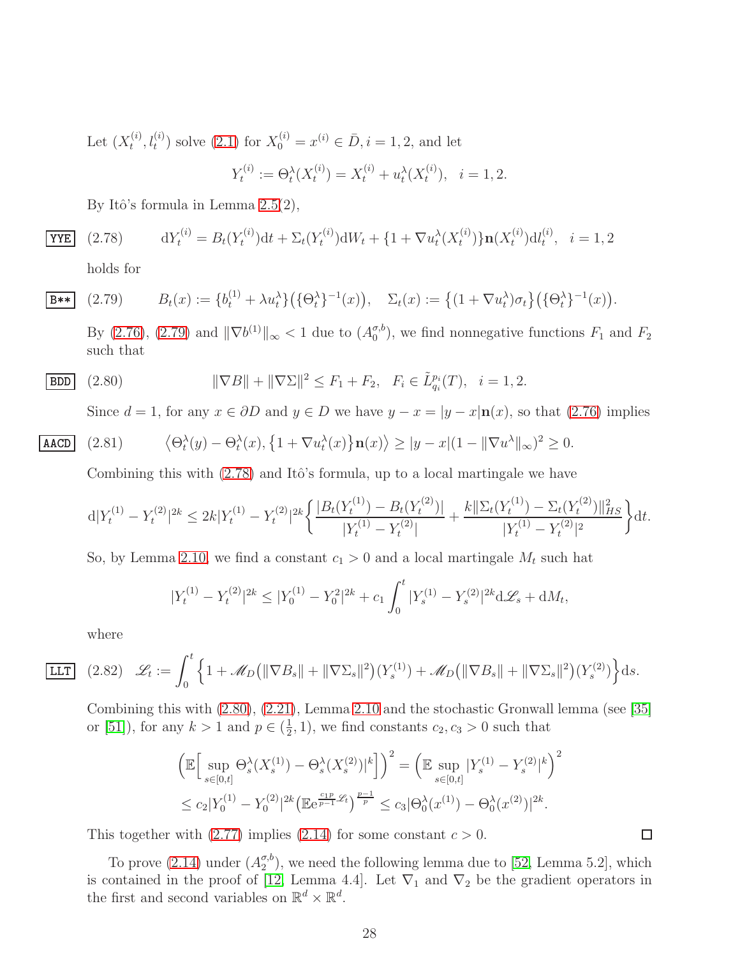Let  $(X_t^{(i)}$  $(t_i^{(i)}, l_t^{(i)})$  solve  $(2.1)$  for  $X_0^{(i)} = x^{(i)} \in \overline{D}, i = 1, 2$ , and let

$$
Y_t^{(i)} := \Theta_t^{\lambda}(X_t^{(i)}) = X_t^{(i)} + u_t^{\lambda}(X_t^{(i)}), \quad i = 1, 2.
$$

By Itô's formula in Lemma  $2.5(2)$ ,

<span id="page-27-1"></span>(2.78) 
$$
dY_t^{(i)} = B_t(Y_t^{(i)})dt + \Sigma_t(Y_t^{(i)})dW_t + \{1 + \nabla u_t^{\lambda}(X_t^{(i)})\}n(X_t^{(i)})dt_t^{(i)}, \quad i = 1, 2
$$

<span id="page-27-0"></span>holds for

$$
\overline{\mathbf{B**}} \quad (2.79) \qquad B_t(x) := \{b_t^{(1)} + \lambda u_t^{\lambda}\} \big( \{\Theta_t^{\lambda}\}^{-1}(x) \big), \quad \Sigma_t(x) := \left\{ (1 + \nabla u_t^{\lambda}) \sigma_t \right\} \big( \{\Theta_t^{\lambda}\}^{-1}(x) \big).
$$

By [\(2.76\)](#page-26-1), [\(2.79\)](#page-27-0) and  $\|\nabla b^{(1)}\|_{\infty} < 1$  due to  $(A_0^{\sigma, b})$  $\binom{\sigma, \sigma}{0}$ , we find nonnegative functions  $F_1$  and  $F_2$ such that

$$
\boxed{\text{BDD}} \quad (2.80) \qquad \qquad \|\nabla B\| + \|\nabla \Sigma\|^2 \le F_1 + F_2, \quad F_i \in \tilde{L}_{q_i}^{p_i}(T), \quad i = 1, 2.
$$

<span id="page-27-2"></span>Since  $d = 1$ , for any  $x \in \partial D$  and  $y \in D$  we have  $y - x = |y - x| \mathbf{n}(x)$ , so that [\(2.76\)](#page-26-1) implies

$$
\text{AACD} \quad (2.81) \qquad \left\langle \Theta_t^{\lambda}(y) - \Theta_t^{\lambda}(x), \left\{ 1 + \nabla u_t^{\lambda}(x) \right\} \mathbf{n}(x) \right\rangle \ge |y - x| (1 - \|\nabla u^{\lambda}\|_{\infty})^2 \ge 0.
$$

Combining this with  $(2.78)$  and Itô's formula, up to a local martingale we have

$$
d|Y_t^{(1)} - Y_t^{(2)}|^{2k} \le 2k|Y_t^{(1)} - Y_t^{(2)}|^{2k} \left\{ \frac{|B_t(Y_t^{(1)}) - B_t(Y_t^{(2)})|}{|Y_t^{(1)} - Y_t^{(2)}|} + \frac{k||\Sigma_t(Y_t^{(1)}) - \Sigma_t(Y_t^{(2)})||_{HS}^2}{|Y_t^{(1)} - Y_t^{(2)}|^2} \right\} dt.
$$

So, by Lemma [2.10,](#page-22-1) we find a constant  $c_1 > 0$  and a local martingale  $M_t$  such hat

$$
|Y_t^{(1)} - Y_t^{(2)}|^{2k} \le |Y_0^{(1)} - Y_0^{2}|^{2k} + c_1 \int_0^t |Y_s^{(1)} - Y_s^{(2)}|^{2k} d\mathcal{L}_s + dM_t,
$$

<span id="page-27-3"></span>where

$$
\boxed{\text{LLT}} \quad (2.82) \quad \mathscr{L}_t := \int_0^t \left\{ 1 + \mathscr{M}_D \left( \|\nabla B_s\| + \|\nabla \Sigma_s\|^2 \right) (Y_s^{(1)}) + \mathscr{M}_D \left( \|\nabla B_s\| + \|\nabla \Sigma_s\|^2 \right) (Y_s^{(2)}) \right\} \mathrm{d}s.
$$

Combining this with [\(2.80\)](#page-27-2), [\(2.21\)](#page-12-0), Lemma [2.10](#page-22-1) and the stochastic Gronwall lemma (see [35] or [\[51\]](#page-69-2)), for any  $k > 1$  and  $p \in (\frac{1}{2})$  $(\frac{1}{2}, 1)$ , we find constants  $c_2, c_3 > 0$  such that

$$
\left(\mathbb{E}\Big[\sup_{s\in[0,t]} \Theta_s^{\lambda}(X_s^{(1)}) - \Theta_s^{\lambda}(X_s^{(2)})\Big|^k\Big]\right)^2 = \left(\mathbb{E}\sup_{s\in[0,t]} |Y_s^{(1)} - Y_s^{(2)}|^k\right)^2
$$
  

$$
\leq c_2|Y_0^{(1)} - Y_0^{(2)}|^{2k}\left(\mathbb{E}e^{\frac{c_1p}{p-1}\mathcal{L}_t}\right)^{\frac{p-1}{p}} \leq c_3|\Theta_0^{\lambda}(x^{(1)}) - \Theta_0^{\lambda}(x^{(2)})|^{2k}.
$$

This together with  $(2.77)$  implies  $(2.14)$  for some constant  $c > 0$ .

To prove  $(2.14)$  under  $(A_2^{\sigma,b})$  $\binom{\sigma, \sigma}{2}$ , we need the following lemma due to [\[52,](#page-69-4) Lemma 5.2], which is contained in the proof of [\[12,](#page-67-5) Lemma 4.4]. Let  $\nabla_1$  and  $\nabla_2$  be the gradient operators in the first and second variables on  $\mathbb{R}^d \times \mathbb{R}^d$ .

 $\Box$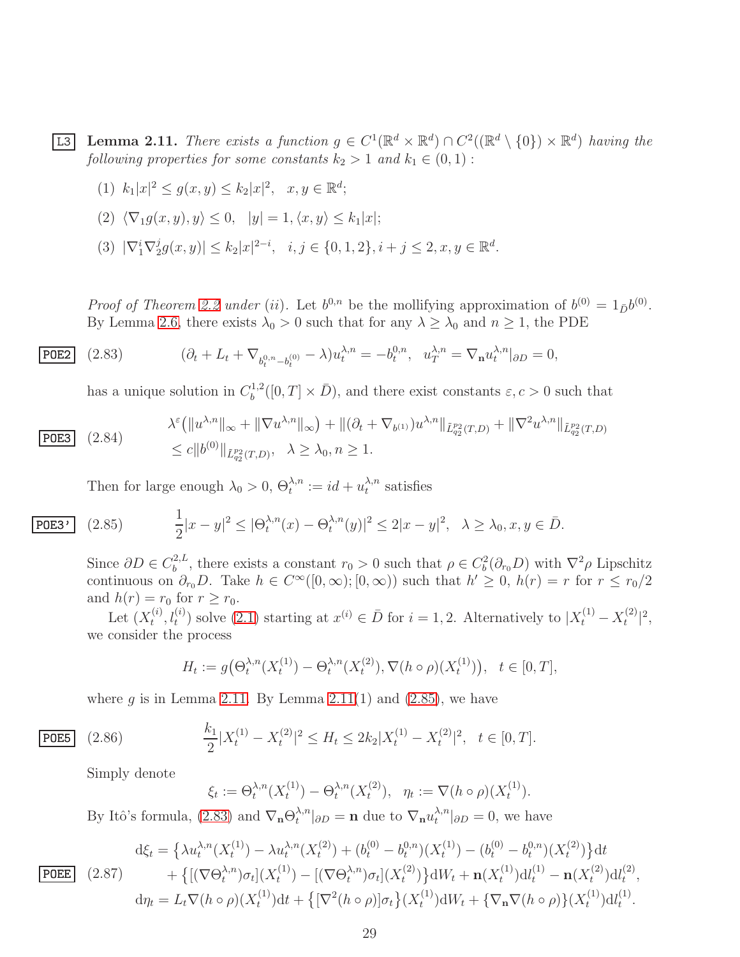<span id="page-28-0"></span>**L3** Lemma 2.11. *There exists a function*  $g \in C^1(\mathbb{R}^d \times \mathbb{R}^d) \cap C^2((\mathbb{R}^d \setminus \{0\}) \times \mathbb{R}^d)$  *having the following properties for some constants*  $k_2 > 1$  *and*  $k_1 \in (0, 1)$ :

(1)  $k_1|x|^2 \le g(x, y) \le k_2|x|^2, \quad x, y \in \mathbb{R}^d;$ 

(2) 
$$
\langle \nabla_1 g(x, y), y \rangle \leq 0, \quad |y| = 1, \langle x, y \rangle \leq k_1 |x|;
$$

(3)  $|\nabla_1^i \nabla_2^j$  $|2g(x,y)| \leq k_2 |x|^{2-i}, \quad i,j \in \{0,1,2\}, i+j \leq 2, x,y \in \mathbb{R}^d.$ 

*Proof of Theorem [2.2](#page-10-1) under* (*ii*). Let  $b^{0,n}$  be the mollifying approximation of  $b^{(0)} = 1_{\bar{D}}b^{(0)}$ . By Lemma [2.6,](#page-14-0) there exists  $\lambda_0 > 0$  such that for any  $\lambda \geq \lambda_0$  and  $n \geq 1$ , the PDE

$$
\overline{\text{POE2}} \quad (2.83) \qquad (\partial_t + L_t + \nabla_{b_t^{0,n} - b_t^{(0)}} - \lambda) u_t^{\lambda, n} = -b_t^{0,n}, \ \ u_T^{\lambda, n} = \nabla_n u_t^{\lambda, n}|_{\partial D} = 0,
$$

<span id="page-28-2"></span>has a unique solution in  $C_b^{1,2}$  $b^{1,2}([0,T] \times \bar{D})$ , and there exist constants  $\varepsilon, c > 0$  such that

<span id="page-28-3"></span>
$$
(2.84) \qquad \lambda^{\varepsilon} \left( \|u^{\lambda,n}\|_{\infty} + \|\nabla u^{\lambda,n}\|_{\infty} \right) + \|(\partial_t + \nabla_{b^{(1)}})u^{\lambda,n}\|_{\tilde{L}_{q_2}^{p_2}(T,D)} + \|\nabla^2 u^{\lambda,n}\|_{\tilde{L}_{q_2}^{p_2}(T,D)} \leq c \|b^{(0)}\|_{\tilde{L}_{q_2}^{p_2}(T,D)}, \quad \lambda \geq \lambda_0, n \geq 1.
$$

<span id="page-28-1"></span>Then for large enough  $\lambda_0 > 0$ ,  $\Theta_t^{\lambda,n} := id + u_t^{\lambda,n}$  $\lambda_t^{A,n}$  satisfies

$$
\fbox{P0E3'}
$$

 $POE3$ 

$$
\overline{\text{POE3'}} \quad (2.85) \qquad \frac{1}{2}|x-y|^2 \leq |\Theta_t^{\lambda,n}(x) - \Theta_t^{\lambda,n}(y)|^2 \leq 2|x-y|^2, \quad \lambda \geq \lambda_0, x, y \in \overline{D}.
$$

Since  $\partial D \in C_b^{2, L}$ <sup>2,*L*</sup>, there exists a constant  $r_0 > 0$  such that  $\rho \in C_b^2(\partial_{r_0}D)$  with  $\nabla^2 \rho$  Lipschitz continuous on  $\partial_{r_0}D$ . Take  $h \in C^{\infty}([0,\infty);[0,\infty))$  such that  $h' \geq 0$ ,  $h(r) = r$  for  $r \leq r_0/2$ and  $h(r) = r_0$  for  $r \geq r_0$ .

Let  $(X_t^{(i)}$  $(t_i^{(i)}, l_t^{(i)})$  solve  $(2.1)$  starting at  $x^{(i)} \in \overline{D}$  for  $i = 1, 2$ . Alternatively to  $|X_t^{(1)} - X_t^{(2)}|$  $\binom{2}{t}$   $\binom{2}{t}$ we consider the process

$$
H_t := g\big(\Theta_t^{\lambda,n}(X_t^{(1)}) - \Theta_t^{\lambda,n}(X_t^{(2)}), \nabla(h \circ \rho)(X_t^{(1)})\big), \quad t \in [0, T],
$$

where q is in Lemma [2.11.](#page-28-0) By Lemma [2.11\(](#page-28-0)1) and  $(2.85)$ , we have

$$
\text{PDE5} \quad (2.86) \qquad \frac{k_1}{2} |X_t^{(1)} - X_t^{(2)}|^2 \le H_t \le 2k_2 |X_t^{(1)} - X_t^{(2)}|^2, \quad t \in [0, T].
$$

Simply denote

<span id="page-28-4"></span>
$$
\xi_t := \Theta_t^{\lambda,n}(X_t^{(1)}) - \Theta_t^{\lambda,n}(X_t^{(2)}), \ \ \eta_t := \nabla(h \circ \rho)(X_t^{(1)}).
$$

By Itô's formula, [\(2.83\)](#page-28-2) and  $\nabla_{\mathbf{n}} \Theta_t^{\lambda,n}$  $\mathcal{L}^{\lambda,n}_{t}|_{\partial D} = \mathbf{n}$  due to  $\nabla_{\mathbf{n}} u_t^{\lambda,n}$  $t^{\lambda,n}_{t}|_{\partial D}=0$ , we have

<span id="page-28-5"></span>
$$
\frac{d\xi_t}{\text{POEE}} \quad (2.87) \quad \frac{d\xi_t}{dt} = \left\{ \lambda u_t^{\lambda,n}(X_t^{(1)}) - \lambda u_t^{\lambda,n}(X_t^{(2)}) + (b_t^{(0)} - b_t^{0,n})(X_t^{(1)}) - (b_t^{(0)} - b_t^{0,n})(X_t^{(2)}) \right\} dt + \left\{ \left[ (\nabla \Theta_t^{\lambda,n}) \sigma_t \right] (X_t^{(1)}) - \left[ (\nabla \Theta_t^{\lambda,n}) \sigma_t \right] (X_t^{(2)}) \right\} dW_t + \mathbf{n}(X_t^{(1)}) dl_t^{(1)} - \mathbf{n}(X_t^{(2)}) dl_t^{(2)},
$$
\n
$$
d\eta_t = L_t \nabla (h \circ \rho)(X_t^{(1)}) dt + \left\{ \left[ \nabla^2 (h \circ \rho) \right] \sigma_t \right\} (X_t^{(1)}) dW_t + \left\{ \nabla_\mathbf{n} \nabla (h \circ \rho) \right\} (X_t^{(1)}) dl_t^{(1)}.
$$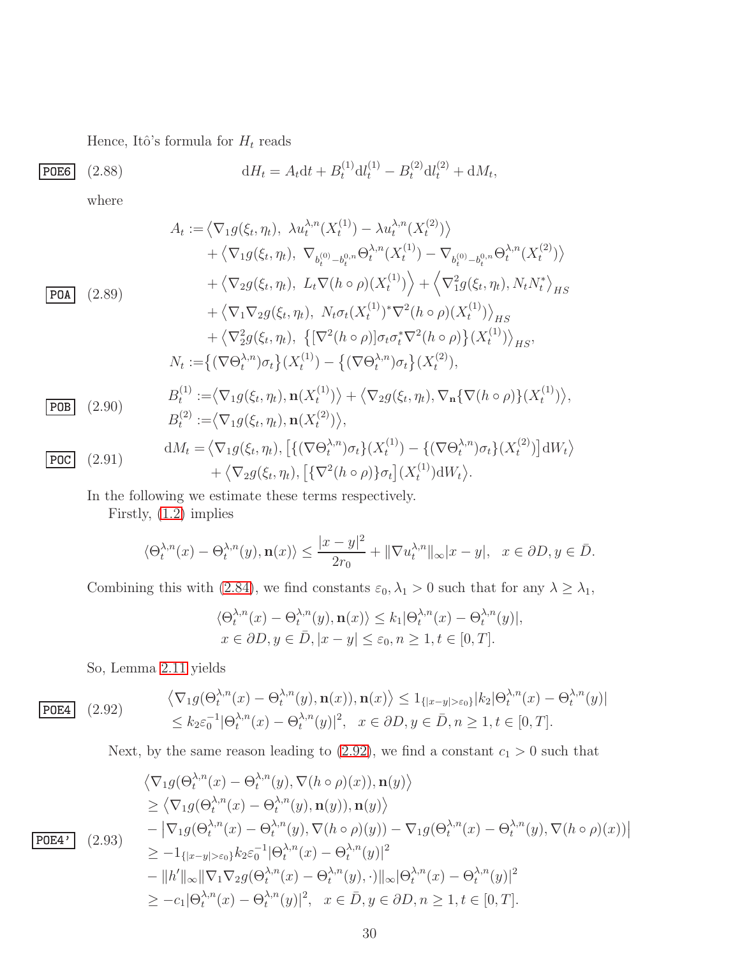<span id="page-29-3"></span>Hence, Itô's formula for  ${\cal H}_t$  reads

| <b>P0E6</b> | $(2.88)$ | $dH_t = A_t dt + B_t^{(1)} dt_t^{(1)} - B_t^{(2)} dt_t^{(2)} + dM_t,$ |
|-------------|----------|-----------------------------------------------------------------------|
|-------------|----------|-----------------------------------------------------------------------|

where

<span id="page-29-1"></span>
$$
A_{t} := \langle \nabla_{1}g(\xi_{t}, \eta_{t}), \ \lambda u_{t}^{\lambda, n}(X_{t}^{(1)}) - \lambda u_{t}^{\lambda, n}(X_{t}^{(2)}) \rangle
$$
  
+  $\langle \nabla_{1}g(\xi_{t}, \eta_{t}), \ \nabla_{b_{t}^{(0)} - b_{t}^{0,n}} \Theta_{t}^{\lambda, n}(X_{t}^{(1)}) - \nabla_{b_{t}^{(0)} - b_{t}^{0,n}} \Theta_{t}^{\lambda, n}(X_{t}^{(2)}) \rangle$   
+  $\langle \nabla_{2}g(\xi_{t}, \eta_{t}), \ L_{t} \nabla (h \circ \rho)(X_{t}^{(1)}) \rangle + \langle \nabla_{1}^{2}g(\xi_{t}, \eta_{t}), N_{t}N_{t}^{*} \rangle_{HS}$   
+  $\langle \nabla_{1} \nabla_{2}g(\xi_{t}, \eta_{t}), \ N_{t} \sigma_{t}(X_{t}^{(1)})^{*} \nabla^{2}(h \circ \rho)(X_{t}^{(1)}) \rangle_{HS}$   
+  $\langle \nabla_{2}^{2}g(\xi_{t}, \eta_{t}), \{ [\nabla^{2}(h \circ \rho)] \sigma_{t} \sigma_{t}^{*} \nabla^{2}(h \circ \rho) \} (X_{t}^{(1)}) \rangle_{HS},$   
 $N_{t} := \{ (\nabla \Theta_{t}^{\lambda, n}) \sigma_{t} \} (X_{t}^{(1)}) - \{ (\nabla \Theta_{t}^{\lambda, n}) \sigma_{t} \} (X_{t}^{(2)}),$   
 $B_{t}^{(1)} := \langle \nabla_{1}g(\xi_{t}, \eta_{t}), \mathbf{n}(X_{t}^{(1)}) \rangle + \langle \nabla_{2}g(\xi_{t}, \eta_{t}), \nabla_{\mathbf{n}} \{ \nabla (h \circ \rho) \} (X_{t}^{(1)}) \rangle,$   
 $B_{t}^{(2)} := \langle \nabla_{1}g(\xi_{t}, \eta_{t}), \mathbf{n}(X_{t}^{(2)}) \rangle,$   
 $\Theta_{t}^{(2)} := \langle \nabla_{1}g(\xi_{t}, \eta_{t}), \mathbf{n}(X_{t}^{(2)}) \rangle,$   
 $\Theta_{t}^{(1)} := \langle \nabla_{1}g(\xi_{t},$ 

 $+\langle \nabla_2 g(\xi_t, \eta_t), [\{\nabla^2(h \circ \rho)\}\sigma_t](X_t^{(1)})$ 

In the following we estimate these terms respectively.

Firstly, [\(1.2\)](#page-2-1) implies

$$
\langle \Theta_t^{\lambda,n}(x) - \Theta_t^{\lambda,n}(y), \mathbf{n}(x) \rangle \le \frac{|x - y|^2}{2r_0} + \|\nabla u_t^{\lambda,n}\|_{\infty} |x - y|, \quad x \in \partial D, y \in \bar{D}.
$$

 $(t^{(1)})\mathrm{d}W_t\rangle.$ 

Combining this with [\(2.84\)](#page-28-3), we find constants  $\varepsilon_0, \lambda_1 > 0$  such that for any  $\lambda \geq \lambda_1$ ,

$$
\langle \Theta_t^{\lambda,n}(x) - \Theta_t^{\lambda,n}(y), \mathbf{n}(x) \rangle \le k_1 |\Theta_t^{\lambda,n}(x) - \Theta_t^{\lambda,n}(y)|,
$$
  

$$
x \in \partial D, y \in \overline{D}, |x - y| \le \varepsilon_0, n \ge 1, t \in [0, T].
$$

<span id="page-29-0"></span>So, Lemma [2.11](#page-28-0) yields

| $\langle \nabla_1 g(\Theta_t^{\lambda,n}(x) - \Theta_t^{\lambda,n}(y), \mathbf{n}(x)), \mathbf{n}(x) \rangle \leq 1_{\{ x-y  > \varepsilon_0\}}  k_2  \Theta_t^{\lambda,n}(x) - \Theta_t^{\lambda,n}(y) $ |
|-----------------------------------------------------------------------------------------------------------------------------------------------------------------------------------------------------------|
| $\leq k_2 \varepsilon_0^{-1}  \Theta_t^{\lambda,n}(x) - \Theta_t^{\lambda,n}(y) ^2, \quad x \in \partial D, y \in \bar{D}, n \geq 1, t \in [0, T].$                                                       |

Next, by the same reason leading to  $(2.92)$ , we find a constant  $c_1 > 0$  such that

$$
\langle \nabla_1 g(\Theta_t^{\lambda,n}(x) - \Theta_t^{\lambda,n}(y), \nabla(h \circ \rho)(x)), \mathbf{n}(y) \rangle
$$
  
\n
$$
\geq \langle \nabla_1 g(\Theta_t^{\lambda,n}(x) - \Theta_t^{\lambda,n}(y), \mathbf{n}(y)), \mathbf{n}(y) \rangle
$$
  
\n
$$
- |\nabla_1 g(\Theta_t^{\lambda,n}(x) - \Theta_t^{\lambda,n}(y), \nabla(h \circ \rho)(y)) - \nabla_1 g(\Theta_t^{\lambda,n}(x) - \Theta_t^{\lambda,n}(y), \nabla(h \circ \rho)(x))|
$$
  
\n
$$
\geq -1_{\{|x-y| > \varepsilon_0\}} k_2 \varepsilon_0^{-1} |\Theta_t^{\lambda,n}(x) - \Theta_t^{\lambda,n}(y)|^2
$$
  
\n
$$
- ||h'||_{\infty} ||\nabla_1 \nabla_2 g(\Theta_t^{\lambda,n}(x) - \Theta_t^{\lambda,n}(y), \cdot)||_{\infty} |\Theta_t^{\lambda,n}(x) - \Theta_t^{\lambda,n}(y)|^2
$$
  
\n
$$
\geq -c_1 |\Theta_t^{\lambda,n}(x) - \Theta_t^{\lambda,n}(y)|^2, \quad x \in \bar{D}, y \in \partial D, n \geq 1, t \in [0, T].
$$

<span id="page-29-2"></span> $P$ OE4' (2.93)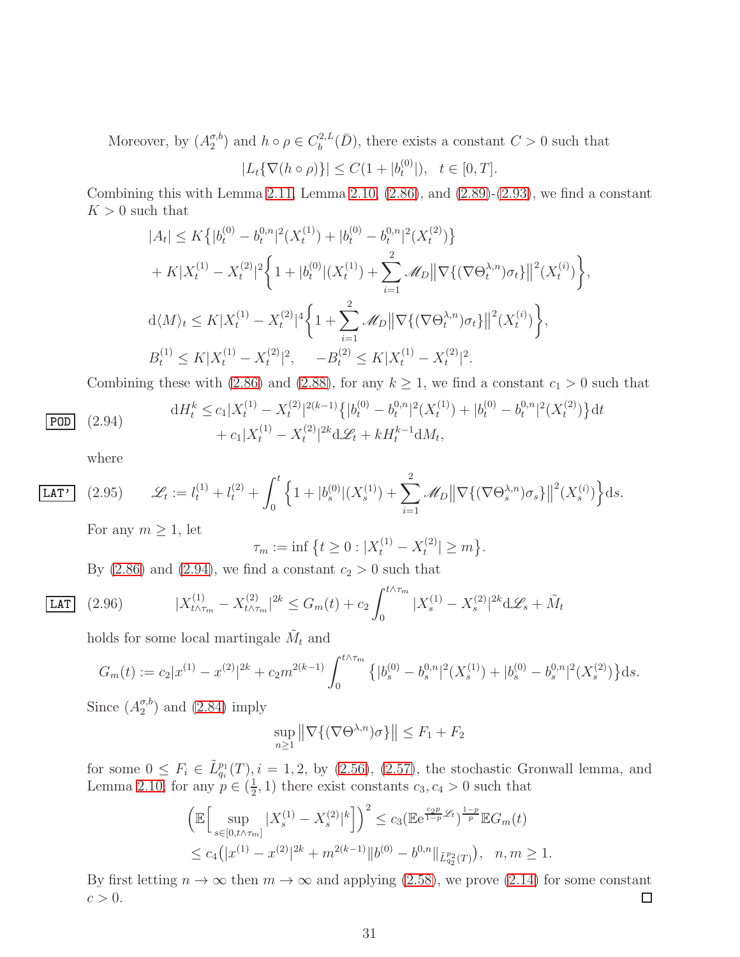Moreover, by  $(A_2^{\sigma,b}$  $\binom{\sigma,b}{2}$  and  $h \circ \rho \in C_b^{2,L}$  $b_b^{2,L}(\bar{D})$ , there exists a constant  $C > 0$  such that

$$
|L_t\{\nabla(h\circ\rho)\}| \le C(1+|b_t^{(0)}|), \quad t \in [0,T].
$$

Combining this with Lemma [2.11,](#page-28-0) Lemma [2.10,](#page-22-1)  $(2.86)$ , and  $(2.89)-(2.93)$  $(2.89)-(2.93)$ , we find a constant  $K > 0$  such that

$$
|A_t| \le K \{ |b_t^{(0)} - b_t^{0,n}|^2 (X_t^{(1)}) + |b_t^{(0)} - b_t^{0,n}|^2 (X_t^{(2)}) \}
$$
  
+  $K |X_t^{(1)} - X_t^{(2)}|^2 \Big\{ 1 + |b_t^{(0)}|(X_t^{(1)}) + \sum_{i=1}^2 \mathscr{M}_D ||\nabla \{ (\nabla \Theta_t^{\lambda,n}) \sigma_t \}||^2 (X_t^{(i)}) \Big\},$   
 $d \langle M \rangle_t \le K |X_t^{(1)} - X_t^{(2)}|^4 \Big\{ 1 + \sum_{i=1}^2 \mathscr{M}_D ||\nabla \{ (\nabla \Theta_t^{\lambda,n}) \sigma_t \}||^2 (X_t^{(i)}) \Big\},$   
 $B_t^{(1)} \le K |X_t^{(1)} - X_t^{(2)}|^2, \quad -B_t^{(2)} \le K |X_t^{(1)} - X_t^{(2)}|^2.$ 

<span id="page-30-0"></span>Combining these with [\(2.86\)](#page-28-4) and [\(2.88\)](#page-29-3), for any  $k \ge 1$ , we find a constant  $c_1 > 0$  such that

 $dH_t^k \leq c_1 |X_t^{(1)} - X_t^{(2)}$  $|t^{(2)}|^{2(k-1)}\left\{|b_t^{(0)}-b_t^{0,n}\right\}|$  $\binom{0,n}{t}^2(X_t^{(1)})$  $b_t^{(1)}$  +  $|b_t^{(0)} - b_t^{0,n}$  $\binom{0,n}{t}^2(X_t^{(2)})$  $\{e^{(2)}\}\}dt$  $+ c_1 |X_t^{(1)} - X_t^{(2)}|$  $t^{(2)}$ |<sup>2k</sup> $d\mathcal{L}_t + kH_t^{k-1}dM_t$ ,

<span id="page-30-2"></span>where

 $|$  POD  $|$   $(2.94)$ 

**LAT'** (2.95) 
$$
\mathscr{L}_t := l_t^{(1)} + l_t^{(2)} + \int_0^t \left\{ 1 + |b_s^{(0)}|(X_s^{(1)}) + \sum_{i=1}^2 \mathscr{M}_D \|\nabla \{ (\nabla \Theta_s^{\lambda, n}) \sigma_s \} \|^2 (X_s^{(i)}) \right\} \mathrm{d}s.
$$

For any  $m \geq 1$ , let

$$
\tau_m := \inf \left\{ t \ge 0 : |X_t^{(1)} - X_t^{(2)}| \ge m \right\}.
$$

By  $(2.86)$  and  $(2.94)$ , we find a constant  $c_2 > 0$  such that

$$
(2.96) \t\t |X_{t \wedge \tau_m}^{(1)} - X_{t \wedge \tau_m}^{(2)}|^{2k} \le G_m(t) + c_2 \int_0^{t \wedge \tau_m} |X_s^{(1)} - X_s^{(2)}|^{2k} d\mathcal{L}_s + \tilde{M}_t
$$

<span id="page-30-1"></span>holds for some local martingale  $\tilde{M}_t$  and

$$
G_m(t) := c_2 |x^{(1)} - x^{(2)}|^{2k} + c_2 m^{2(k-1)} \int_0^{t \wedge \tau_m} \left\{ |b_s^{(0)} - b_s^{0,n}|^2 (X_s^{(1)}) + |b_s^{(0)} - b_s^{0,n}|^2 (X_s^{(2)}) \right\} ds.
$$

Since  $(A_2^{\sigma,b}$  $_2^{\sigma, \sigma}$  and  $(2.84)$  imply

$$
\sup_{n\geq 1} \left\| \nabla \{ (\nabla \Theta^{\lambda,n}) \sigma \} \right\| \leq F_1 + F_2
$$

for some  $0 \leq F_i \in \tilde{L}_{q_i}^{p_1}(T), i = 1, 2$ , by [\(2.56\)](#page-19-0), [\(2.57\)](#page-19-6), the stochastic Gronwall lemma, and Lemma [2.10,](#page-22-1) for any  $p \in (\frac{1}{2})$  $(\frac{1}{2}, 1)$  there exist constants  $c_3, c_4 > 0$  such that

$$
\left(\mathbb{E}\Big[\sup_{s\in[0,t\wedge\tau_m]}|X_s^{(1)}-X_s^{(2)}|^k\Big]\right)^2\leq c_3\left(\mathbb{E}\mathrm{e}^{\frac{c_2p}{1-p}\mathcal{L}_t}\right)^{\frac{1-p}{p}}\mathbb{E}G_m(t)
$$
  

$$
\leq c_4\left(|x^{(1)}-x^{(2)}|^{2k}+m^{2(k-1)}\|b^{(0)}-b^{0,n}\|_{\tilde{L}_{q_2}^{p_2}(T)}\right), \quad n,m\geq 1.
$$

By first letting  $n \to \infty$  then  $m \to \infty$  and applying [\(2.58\)](#page-19-4), we prove [\(2.14\)](#page-10-4) for some constant  $c > 0$ .  $c > 0$ .

 $LLAT$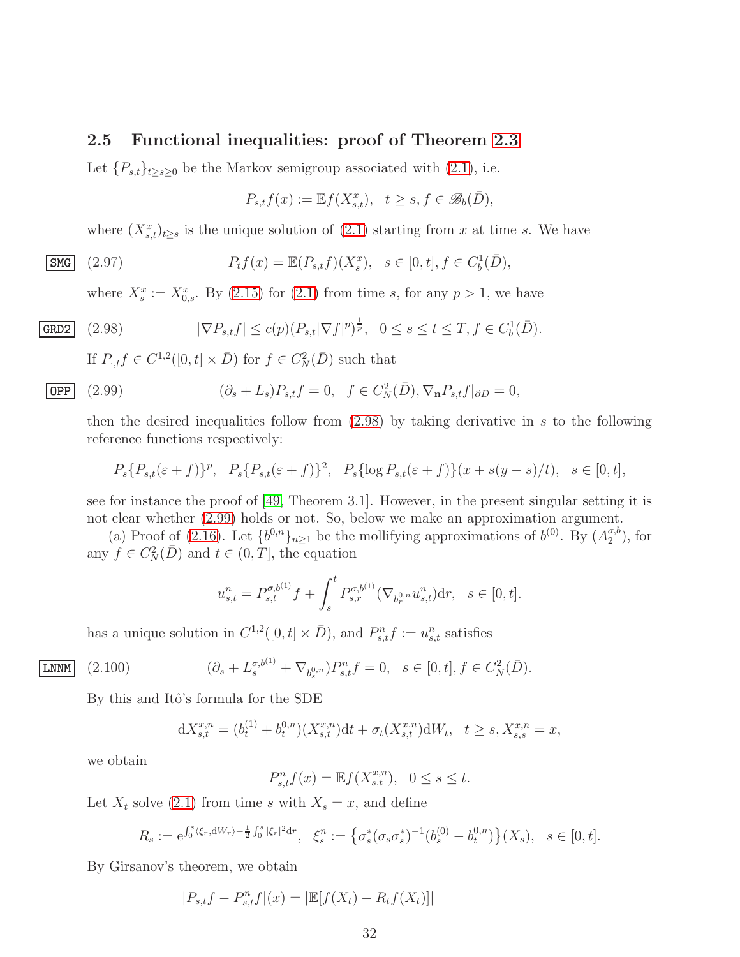#### <span id="page-31-0"></span>2.5 Functional inequalities: proof of Theorem [2.3](#page-11-1)

Let  ${P_{s,t}}_{t\geq s\geq 0}$  be the Markov semigroup associated with  $(2.1)$ , i.e.

$$
P_{s,t}f(x) := \mathbb{E}f(X_{s,t}^x), \quad t \ge s, f \in \mathscr{B}_b(\bar{D}),
$$

where  $(X_{s,t}^x)_{t\geq s}$  is the unique solution of  $(2.1)$  starting from x at time s. We have

$$
\boxed{\text{SMG}} \quad (2.97) \qquad P_t f(x) = \mathbb{E}(P_{s,t}f)(X_s^x), \quad s \in [0, t], f \in C_b^1(\bar{D}),
$$

where  $X_s^x := X_{0,s}^x$ . By [\(2.15\)](#page-10-5) for [\(2.1\)](#page-6-1) from time s, for any  $p > 1$ , we have

$$
\text{GRD2} \quad (2.98) \qquad |\nabla P_{s,t}f| \le c(p)(P_{s,t}|\nabla f|^p)^{\frac{1}{p}}, \quad 0 \le s \le t \le T, f \in C_b^1(\bar{D}).
$$

<span id="page-31-2"></span><span id="page-31-1"></span>If  $P_{\cdot,t}f \in C^{1,2}([0,t] \times \overline{D})$  for  $f \in C_N^2(\overline{D})$  such that

$$
\boxed{\text{OPP}} \quad (2.99) \qquad \qquad (\partial_s + L_s) P_{s,t} f = 0, \quad f \in C_N^2(\bar{D}), \nabla_\mathbf{n} P_{s,t} f|_{\partial D} = 0,
$$

then the desired inequalities follow from  $(2.98)$  by taking derivative in s to the following reference functions respectively:

$$
P_s\{P_{s,t}(\varepsilon+f)\}^p, \quad P_s\{P_{s,t}(\varepsilon+f)\}^2, \quad P_s\{\log P_{s,t}(\varepsilon+f)\}(x+s(y-s)/t), \quad s \in [0,t],
$$

see for instance the proof of [\[49,](#page-69-6) Theorem 3.1]. However, in the present singular setting it is not clear whether [\(2.99\)](#page-31-2) holds or not. So, below we make an approximation argument.

(a) Proof of [\(2.16\)](#page-11-6). Let  ${b^{0,n}}_{n\geq 1}$  be the mollifying approximations of  $b^{(0)}$ . By  $(A_2^{\sigma,b})$  $_{2}^{\sigma, \sigma}$ ), for any  $f \in C_N^2(D)$  and  $t \in (0, T]$ , the equation

$$
u_{s,t}^{n} = P_{s,t}^{\sigma,b^{(1)}} f + \int_{s}^{t} P_{s,r}^{\sigma,b^{(1)}} (\nabla_{b_r^{0,n}} u_{s,t}^n) dr, \quad s \in [0,t].
$$

has a unique solution in  $C^{1,2}([0,t] \times \overline{D})$ , and  $P_{s,t}^n f := u_{s,t}^n$  satisfies

$$
(2.100) \qquad (\partial_s + L_s^{\sigma, b^{(1)}} + \nabla_{b_s^{0,n}}) P_{s,t}^n f = 0, \quad s \in [0, t], f \in C_N^2(\bar{D}).
$$

By this and Itô's formula for the SDE

<span id="page-31-3"></span>
$$
dX_{s,t}^{x,n} = (b_t^{(1)} + b_t^{0,n})(X_{s,t}^{x,n})dt + \sigma_t(X_{s,t}^{x,n})dW_t, \quad t \ge s, X_{s,s}^{x,n} = x,
$$

we obtain

LNNM

$$
P_{s,t}^n f(x) = \mathbb{E}f(X_{s,t}^{x,n}), \quad 0 \le s \le t.
$$

Let  $X_t$  solve [\(2.1\)](#page-6-1) from time s with  $X_s = x$ , and define

$$
R_s := e^{\int_0^s \langle \xi_r, dW_r \rangle - \frac{1}{2} \int_0^s |\xi_r|^2 dr}, \quad \xi_s^n := \left\{ \sigma_s^* (\sigma_s \sigma_s^*)^{-1} (b_s^{(0)} - b_t^{0,n}) \right\} (X_s), \quad s \in [0, t].
$$

By Girsanov's theorem, we obtain

$$
|P_{s,t}f - P_{s,t}^n f|(x) = |\mathbb{E}[f(X_t) - R_t f(X_t)]|
$$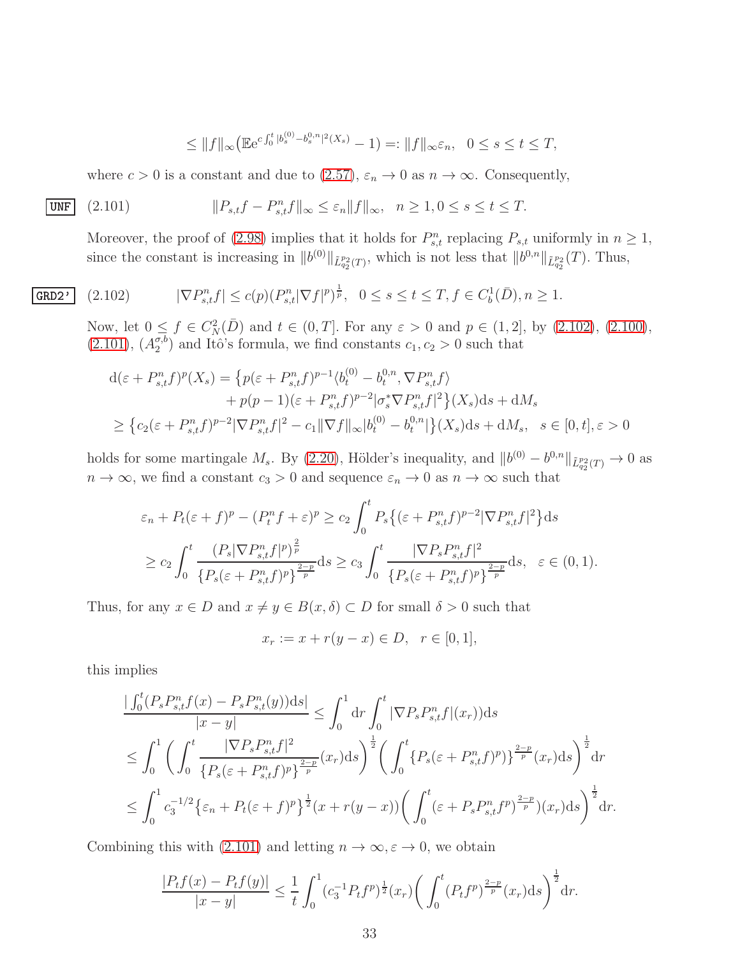<span id="page-32-1"></span>
$$
\leq \|f\|_{\infty} \big( \mathbb{E} e^{c \int_0^t |b_s^{(0)} - b_s^{0,n}|^2(X_s)} - 1 \big) =: \|f\|_{\infty} \varepsilon_n, \quad 0 \leq s \leq t \leq T,
$$

where  $c > 0$  is a constant and due to  $(2.57)$ ,  $\varepsilon_n \to 0$  as  $n \to \infty$ . Consequently,

$$
\underbrace{\text{UNF}} \quad (2.101) \qquad \qquad \|P_{s,t}f - P_{s,t}^n f\|_{\infty} \le \varepsilon_n \|f\|_{\infty}, \quad n \ge 1, 0 \le s \le t \le T.
$$

Moreover, the proof of [\(2.98\)](#page-31-1) implies that it holds for  $P_{s,t}^n$  replacing  $P_{s,t}$  uniformly in  $n \ge 1$ , since the constant is increasing in  $||b^{(0)}||_{\tilde{L}_{q_2}^{p_2}(T)}$ , which is not less that  $||b^{0,n}||_{\tilde{L}_{q_2}^{p_2}}(T)$ . Thus,

<span id="page-32-0"></span>
$$
(2.102) \qquad |\nabla P_{s,t}^n f| \le c(p) (P_{s,t}^n |\nabla f|^p)^{\frac{1}{p}}, \quad 0 \le s \le t \le T, f \in C_b^1(\bar{D}), n \ge 1.
$$

Now, let  $0 \leq f \in C_N^2(D)$  and  $t \in (0,T]$ . For any  $\varepsilon > 0$  and  $p \in (1,2]$ , by  $(2.102)$ ,  $(2.100)$ ,  $(2.101), (A_2^{\sigma,b}$  $(2.101), (A_2^{\sigma,b}$  $\binom{\sigma, \sigma}{2}$  and Itô's formula, we find constants  $c_1, c_2 > 0$  such that

$$
d(\varepsilon + P_{s,t}^n f)^p(X_s) = \left\{ p(\varepsilon + P_{s,t}^n f)^{p-1} \langle b_t^{(0)} - b_t^{0,n}, \nabla P_{s,t}^n f \rangle \right.+ p(p-1)(\varepsilon + P_{s,t}^n f)^{p-2} |\sigma_s^* \nabla P_{s,t}^n f|^2 \left\{ X_s \right\} ds + dM_s\ge \left\{ c_2(\varepsilon + P_{s,t}^n f)^{p-2} |\nabla P_{s,t}^n f|^2 - c_1 ||\nabla f||_{\infty} |b_t^{(0)} - b_t^{0,n}| \right\} (X_s) ds + dM_s, \quad s \in [0, t], \varepsilon > 0
$$

holds for some martingale  $M_s$ . By [\(2.20\)](#page-11-2), Hölder's inequality, and  $||b^{(0)} - b^{0,n}||_{\tilde{L}_{q_2}^{p_2}(T)} \to 0$  as  $n\to\infty,$  we find a constant  $c_3>0$  and sequence  $\varepsilon_n\to 0$  as  $n\to\infty$  such that

$$
\varepsilon_n + P_t(\varepsilon + f)^p - (P_t^n f + \varepsilon)^p \ge c_2 \int_0^t P_s\{(\varepsilon + P_{s,t}^n f)^{p-2} |\nabla P_{s,t}^n f|^2\} ds
$$
  
\n
$$
\ge c_2 \int_0^t \frac{(P_s |\nabla P_{s,t}^n f|^p)^{\frac{2}{p}}}{\{P_s(\varepsilon + P_{s,t}^n f)^p\}^{\frac{2-p}{p}}} ds \ge c_3 \int_0^t \frac{|\nabla P_s P_{s,t}^n f|^2}{\{P_s(\varepsilon + P_{s,t}^n f)^p\}^{\frac{2-p}{p}}} ds, \quad \varepsilon \in (0,1).
$$

Thus, for any  $x \in D$  and  $x \neq y \in B(x, \delta) \subset D$  for small  $\delta > 0$  such that

$$
x_r := x + r(y - x) \in D, \ \ r \in [0, 1],
$$

this implies

 $GRD2'$ 

$$
\frac{|\int_0^t (P_s P_{s,t}^n f(x) - P_s P_{s,t}^n(y))ds|}{|x - y|} \leq \int_0^1 dr \int_0^t |\nabla P_s P_{s,t}^n f|(x_r))ds
$$
  
\n
$$
\leq \int_0^1 \left( \int_0^t \frac{|\nabla P_s P_{s,t}^n f|^2}{\{P_s(\varepsilon + P_{s,t}^n f)^p\}^{\frac{2-p}{p}}} (x_r)ds \right)^{\frac{1}{2}} \left( \int_0^t \{P_s(\varepsilon + P_{s,t}^n f)^p\}^{\frac{2-p}{p}} (x_r)ds \right)^{\frac{1}{2}} dr
$$
  
\n
$$
\leq \int_0^1 c_3^{-1/2} \{\varepsilon_n + P_t(\varepsilon + f)^p\}^{\frac{1}{2}} (x + r(y - x)) \left( \int_0^t (\varepsilon + P_s P_{s,t}^n f^p)^{\frac{2-p}{p}})(x_r)ds \right)^{\frac{1}{2}} dr.
$$

Combining this with [\(2.101\)](#page-32-1) and letting  $n \to \infty, \varepsilon \to 0$ , we obtain

$$
\frac{|P_t f(x) - P_t f(y)|}{|x - y|} \le \frac{1}{t} \int_0^1 (c_3^{-1} P_t f^p)^{\frac{1}{2}} (x_r) \left( \int_0^t (P_t f^p)^{\frac{2-p}{p}} (x_r) \, ds \right)^{\frac{1}{2}} \, dr.
$$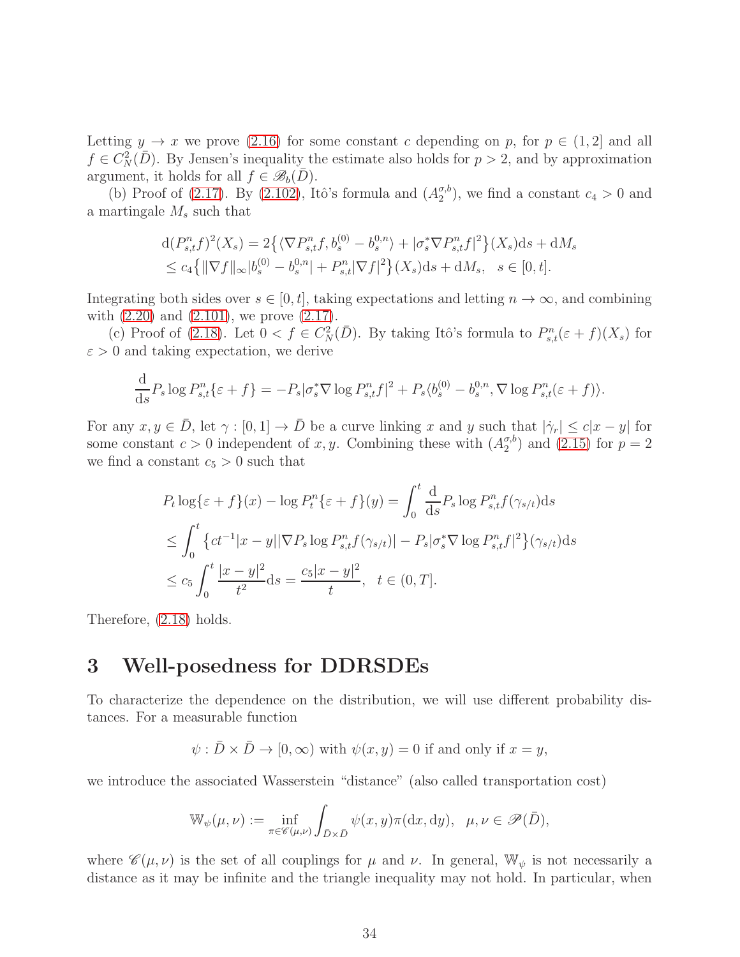Letting  $y \to x$  we prove [\(2.16\)](#page-11-6) for some constant c depending on p, for  $p \in (1,2]$  and all  $f \in C_N^2(D)$ . By Jensen's inequality the estimate also holds for  $p > 2$ , and by approximation argument, it holds for all  $f \in \mathscr{B}_b(\overline{D})$ .

(b) Proof of [\(2.17\)](#page-11-7). By [\(2.102\)](#page-32-0), Itô's formula and  $(A_2^{\sigma,b})$  $\binom{\sigma, b}{2}$ , we find a constant  $c_4 > 0$  and a martingale  $M_s$  such that

$$
d(P_{s,t}^{n}f)^{2}(X_{s}) = 2\left\{ \langle \nabla P_{s,t}^{n}f, b_{s}^{(0)} - b_{s}^{0,n} \rangle + |\sigma_{s}^{*}\nabla P_{s,t}^{n}f|^{2} \right\}(X_{s})ds + dM_{s}
$$
  
\n
$$
\leq c_{4}\left\{ \|\nabla f\|_{\infty} |b_{s}^{(0)} - b_{s}^{0,n}| + P_{s,t}^{n}|\nabla f|^{2} \right\}(X_{s})ds + dM_{s}, \quad s \in [0, t].
$$

Integrating both sides over  $s \in [0, t]$ , taking expectations and letting  $n \to \infty$ , and combining with  $(2.20)$  and  $(2.101)$ , we prove  $(2.17)$ .

(c) Proof of [\(2.18\)](#page-11-8). Let  $0 < f \in C_N^2(D)$ . By taking Itô's formula to  $P_{s,t}^n(\varepsilon + f)(X_s)$  for  $\varepsilon > 0$  and taking expectation, we derive

$$
\frac{\mathrm{d}}{\mathrm{d}s}P_s \log P_{s,t}^n\{\varepsilon + f\} = -P_s |\sigma_s^* \nabla \log P_{s,t}^n f|^2 + P_s \langle b_s^{(0)} - b_s^{0,n}, \nabla \log P_{s,t}^n(\varepsilon + f) \rangle.
$$

For any  $x, y \in \overline{D}$ , let  $\gamma : [0, 1] \to \overline{D}$  be a curve linking x and y such that  $|\dot{\gamma}_r| \leq c|x - y|$  for some constant  $c > 0$  independent of x, y. Combining these with  $(A_2^{\sigma,b})$  $_{2}^{\sigma, b}$  and [\(2.15\)](#page-10-5) for  $p = 2$ we find a constant  $c_5 > 0$  such that

$$
P_t \log \{\varepsilon + f\}(x) - \log P_t^n \{\varepsilon + f\}(y) = \int_0^t \frac{d}{ds} P_s \log P_{s,t}^n f(\gamma_{s/t}) ds
$$
  
\n
$$
\leq \int_0^t \{ct^{-1}|x - y||\nabla P_s \log P_{s,t}^n f(\gamma_{s/t})| - P_s |\sigma_s^* \nabla \log P_{s,t}^n f|^2 \}(\gamma_{s/t}) ds
$$
  
\n
$$
\leq c_5 \int_0^t \frac{|x - y|^2}{t^2} ds = \frac{c_5 |x - y|^2}{t}, \quad t \in (0, T].
$$

Therefore, [\(2.18\)](#page-11-8) holds.

# <span id="page-33-0"></span>3 Well-posedness for DDRSDEs

To characterize the dependence on the distribution, we will use different probability distances. For a measurable function

$$
\psi
$$
:  $\bar{D} \times \bar{D} \to [0, \infty)$  with  $\psi(x, y) = 0$  if and only if  $x = y$ ,

we introduce the associated Wasserstein "distance" (also called transportation cost)

$$
\mathbb{W}_{\psi}(\mu,\nu):=\inf_{\pi\in\mathscr{C}(\mu,\nu)}\int_{\bar{D}\times\bar{D}}\psi(x,y)\pi(\mathrm{d} x,\mathrm{d} y),\ \ \mu,\nu\in\mathscr{P}(\bar{D}),
$$

where  $\mathscr{C}(\mu,\nu)$  is the set of all couplings for  $\mu$  and  $\nu$ . In general,  $\mathbb{W}_{\psi}$  is not necessarily a distance as it may be infinite and the triangle inequality may not hold. In particular, when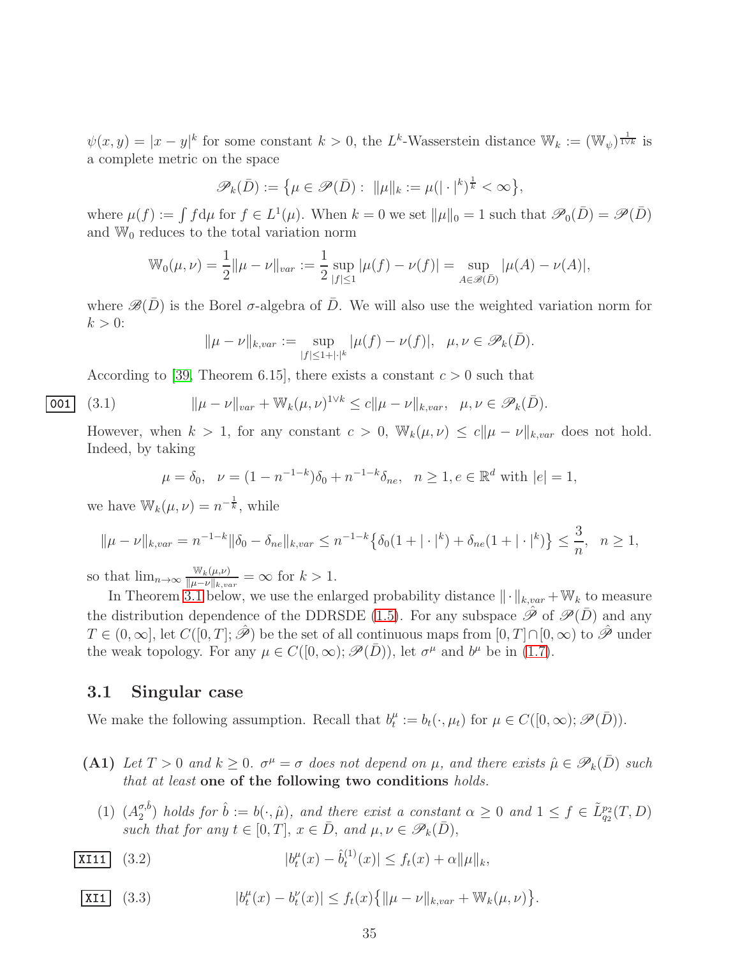$\psi(x,y) = |x-y|^k$  for some constant  $k > 0$ , the L<sup>k</sup>-Wasserstein distance  $\mathbb{W}_k := (\mathbb{W}_{\psi})^{\frac{1}{1 \vee k}}$  is a complete metric on the space

$$
\mathscr{P}_k(\bar{D}) := \big\{\mu \in \mathscr{P}(\bar{D}): \ \|\mu\|_k := \mu(|\cdot|^k)^{\frac{1}{k}} < \infty\big\},\
$$

where  $\mu(f) := \int f d\mu$  for  $f \in L^1(\mu)$ . When  $k = 0$  we set  $\|\mu\|_0 = 1$  such that  $\mathscr{P}_0(\bar{D}) = \mathscr{P}(\bar{D})$ and  $\mathbb{W}_0$  reduces to the total variation norm

$$
\mathbb{W}_0(\mu,\nu) = \frac{1}{2} ||\mu - \nu||_{var} := \frac{1}{2} \sup_{|f| \le 1} |\mu(f) - \nu(f)| = \sup_{A \in \mathscr{B}(\bar{D})} |\mu(A) - \nu(A)|,
$$

where  $\mathscr{B}(\bar{D})$  is the Borel  $\sigma$ -algebra of  $\bar{D}$ . We will also use the weighted variation norm for  $k > 0$ :

<span id="page-34-3"></span>
$$
\|\mu - \nu\|_{k, var} := \sup_{|f| \le 1 + |\cdot|^k} |\mu(f) - \nu(f)|, \ \ \mu, \nu \in \mathscr{P}_k(\bar{D}).
$$

According to [\[39,](#page-68-7) Theorem 6.15], there exists a constant  $c > 0$  such that

$$
\fbox{001}
$$

$$
\boxed{001} \quad (3.1) \quad \|\mu - \nu\|_{var} + \mathbb{W}_k(\mu, \nu)^{1 \vee k} \le c \|\mu - \nu\|_{k, var}, \quad \mu, \nu \in \mathscr{P}_k(\bar{D}).
$$

However, when  $k > 1$ , for any constant  $c > 0$ ,  $\mathbb{W}_k(\mu, \nu) \leq c \|\mu - \nu\|_{k, var}$  does not hold. Indeed, by taking

$$
\mu = \delta_0, \quad \nu = (1 - n^{-1-k})\delta_0 + n^{-1-k}\delta_{ne}, \quad n \ge 1, e \in \mathbb{R}^d \text{ with } |e| = 1,
$$

we have  $\mathbb{W}_k(\mu, \nu) = n^{-\frac{1}{k}},$  while

$$
\|\mu - \nu\|_{k, var} = n^{-1-k} \|\delta_0 - \delta_{ne}\|_{k, var} \le n^{-1-k} \{\delta_0(1 + |\cdot|^k) + \delta_{ne}(1 + |\cdot|^k)\} \le \frac{3}{n}, \quad n \ge 1,
$$

so that  $\lim_{n\to\infty} \frac{\mathbb{W}_k(\mu,\nu)}{\|\mu-\nu\|_{k,\nu}}$  $\frac{\mathbb{W}_k(\mu,\nu)}{\|\mu-\nu\|_{k,var}} = \infty$  for  $k > 1$ .

In Theorem [3.1](#page-35-0) below, we use the enlarged probability distance  $\|\cdot\|_{k,var} + \mathbb{W}_k$  to measure the distribution dependence of the DDRSDE [\(1.5\)](#page-3-1). For any subspace  $\hat{\mathscr{P}}$  of  $\mathscr{P}(\bar{D})$  and any  $T \in (0,\infty]$ , let  $C([0,T];\hat{\mathscr{P}})$  be the set of all continuous maps from  $[0,T] \cap [0,\infty)$  to  $\hat{\mathscr{P}}$  under the weak topology. For any  $\mu \in C([0,\infty); \mathscr{P}(\bar{D}))$ , let  $\sigma^{\mu}$  and  $b^{\mu}$  be in [\(1.7\)](#page-4-4).

#### <span id="page-34-0"></span>3.1 Singular case

We make the following assumption. Recall that  $b_t^{\mu}$  $t_t^{\mu} := b_t(\cdot, \mu_t)$  for  $\mu \in C([0, \infty); \mathscr{P}(\bar{D})).$ 

- (A1) Let  $T > 0$  and  $k \geq 0$ .  $\sigma^{\mu} = \sigma$  does not depend on  $\mu$ , and there exists  $\hat{\mu} \in \mathscr{P}_k(\bar{D})$  such *that at least* one of the following two conditions *holds.*
	- (1)  $(A_2^{\sigma,\hat{b}})$  $\mathcal{L}_{2}^{\sigma,b}$  *holds for*  $\hat{b} := b(\cdot,\hat{\mu})$ *, and there exist a constant*  $\alpha \geq 0$  *and*  $1 \leq f \in \tilde{L}_{q_2}^{p_2}(T,D)$ *such that for any*  $t \in [0, T]$ ,  $x \in \overline{D}$ , and  $\mu, \nu \in \mathscr{P}_k(\overline{D})$ ,
- <span id="page-34-1"></span> $|X111|$   $(3.2)$  $\mu$  $t^{\mu}(x) - \hat{b}_{t}^{(1)}$  $|t^{(1)}(x)| \leq f_t(x) + \alpha ||\mu||_k,$

<span id="page-34-2"></span>
$$
\boxed{\text{XII}} \quad (3.3) \qquad |b_t^{\mu}(x) - b_t^{\nu}(x)| \le f_t(x) \{ \|\mu - \nu\|_{k, var} + \mathbb{W}_k(\mu, \nu) \}.
$$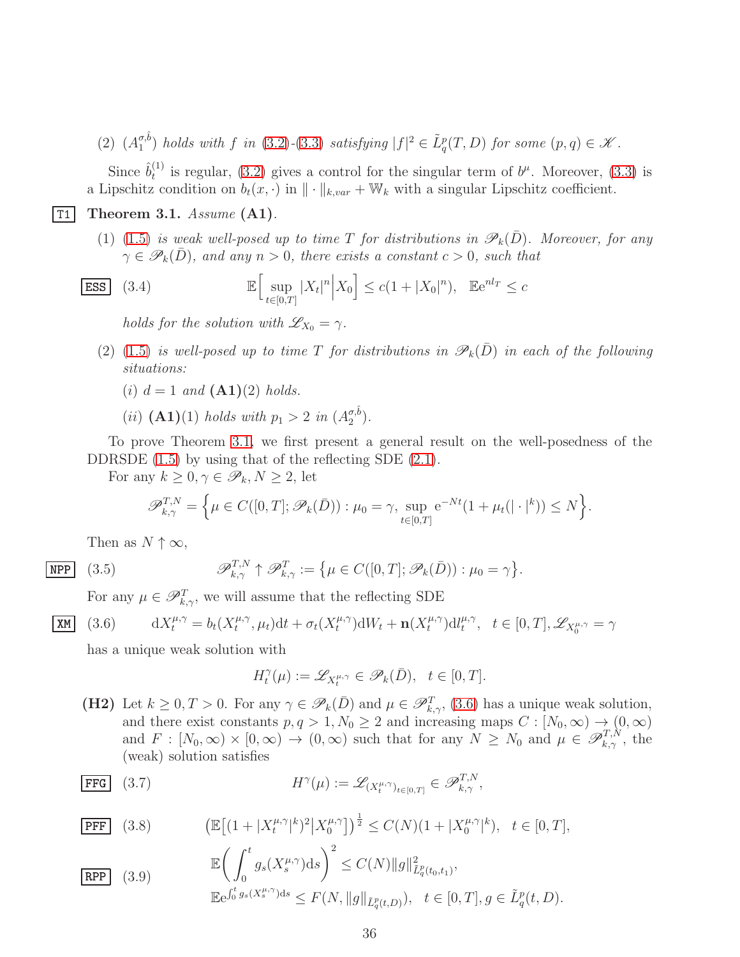(2)  $(A_1^{\sigma,\hat{b}})$  $\int_{1}^{\sigma,b}$  *holds with* f *in* [\(3.2\)](#page-34-1)-[\(3.3\)](#page-34-2) *satisfying*  $|f|^2 \in \tilde{L}^p_q(T,D)$  *for some*  $(p,q) \in \mathcal{K}$ *.* 

Since  $\hat{b}_t^{(1)}$  $t_t^{(1)}$  is regular, [\(3.2\)](#page-34-1) gives a control for the singular term of  $b^{\mu}$ . Moreover, [\(3.3\)](#page-34-2) is a Lipschitz condition on  $b_t(x, \cdot)$  in  $\|\cdot\|_{k,var} + \mathbb{W}_k$  with a singular Lipschitz coefficient.

 $\boxed{\text{T1}}$  Theorem 3.1. *Assume*  $\boxed{\text{A1}}$ .

<span id="page-35-0"></span>(1) [\(1.5\)](#page-3-1) *is weak well-posed up to time* T *for distributions in*  $\mathscr{P}_k(\bar{D})$ *. Moreover, for any*  $\gamma \in \mathscr{P}_k(\bar{D})$ , and any  $n > 0$ , there exists a constant  $c > 0$ , such that

$$
\boxed{\text{ESS}} \quad (3.4) \qquad \qquad \mathbb{E} \Big[ \sup_{t \in [0,T]} |X_t|^n \Big| X_0 \Big] \le c(1 + |X_0|^n), \quad \mathbb{E} e^{nl_T} \le c
$$

<span id="page-35-6"></span>*holds for the solution with*  $\mathscr{L}_{X_0} = \gamma$ .

- (2) [\(1.5\)](#page-3-1) *is well-posed up to time* T *for distributions in*  $\mathscr{P}_k(\bar{D})$  *in each of the following situations:*
	- (*i*)  $d = 1$  *and*  $(A1)(2)$  *holds.*

(*ii*)  $(A1)(1)$  *holds with*  $p_1 > 2$  *in*  $(A_2^{\sigma, \hat{b}})$  $\binom{\sigma, b}{2}$ .

To prove Theorem [3.1,](#page-35-0) we first present a general result on the well-posedness of the DDRSDE  $(1.5)$  by using that of the reflecting SDE  $(2.1)$ .

For any  $k \geq 0, \gamma \in \mathscr{P}_k, N \geq 2$ , let

<span id="page-35-4"></span>
$$
\mathscr{P}_{k,\gamma}^{T,N} = \left\{ \mu \in C([0,T]; \mathscr{P}_k(\bar{D})) : \mu_0 = \gamma, \sup_{t \in [0,T]} e^{-Nt} (1 + \mu_t(|\cdot|^k)) \le N \right\}.
$$

Then as  $N \uparrow \infty$ ,

 $XX$ 

$$
\overline{\text{NPP}} \quad (3.5) \quad \mathscr{P}_{k,\gamma}^{T,N} \uparrow \mathscr{P}_{k,\gamma}^{T} := \left\{ \mu \in C([0,T]; \mathscr{P}_k(\bar{D})) : \mu_0 = \gamma \right\}.
$$

For any  $\mu \in \mathscr{P}_{k,\gamma}^T$ , we will assume that the reflecting SDE

<span id="page-35-1"></span>(3.6) 
$$
dX_t^{\mu,\gamma} = b_t(X_t^{\mu,\gamma},\mu_t)dt + \sigma_t(X_t^{\mu,\gamma})dW_t + \mathbf{n}(X_t^{\mu,\gamma})dW_t^{\mu,\gamma}, \quad t \in [0,T], \mathscr{L}_{X_0^{\mu,\gamma}} = \gamma
$$

has a unique weak solution with

<span id="page-35-2"></span>
$$
H_t^{\gamma}(\mu):=\mathscr{L}_{X_t^{\mu,\gamma}}\in\mathscr{P}_k(\bar{D}),\ \ t\in[0,T].
$$

(H2) Let  $k \geq 0, T > 0$ . For any  $\gamma \in \mathscr{P}_k(\overline{D})$  and  $\mu \in \mathscr{P}_{k,\gamma}^T$ , [\(3.6\)](#page-35-1) has a unique weak solution, and there exist constants  $p, q > 1, N_0 \ge 2$  and increasing maps  $C : [N_0, \infty) \to (0, \infty)$ and  $F : [N_0, \infty) \times [0, \infty) \to (0, \infty)$  such that for any  $N \ge N_0$  and  $\mu \in \mathscr{P}_{k,\gamma}^{T,N}$ , the (weak) solution satisfies

**FFG** (3.7) 
$$
H^{\gamma}(\mu) := \mathscr{L}_{(X_t^{\mu,\gamma})_{t \in [0,T]}} \in \mathscr{P}_{k,\gamma}^{T,N},
$$

<span id="page-35-3"></span>
$$
\boxed{\text{PFF}} \quad (3.8) \qquad \left( \mathbb{E} \left[ (1 + |X_t^{\mu,\gamma}|^k)^2 |X_0^{\mu,\gamma} \right] \right)^{\frac{1}{2}} \le C(N)(1 + |X_0^{\mu,\gamma}|^k), \quad t \in [0,T],
$$

<span id="page-35-5"></span>
$$
\mathbb{E}\left(\int_0^t g_s(X_s^{\mu,\gamma})\mathrm{d} s\right)^2 \le C(N)\|g\|_{\tilde{L}_q^p(t_0,t_1)}^2,
$$
\n
$$
\mathbb{E}e^{\int_0^t g_s(X_s^{\mu,\gamma})\mathrm{d} s} \le F(N, \|g\|_{\tilde{L}_q^p(t,D)}^2), \quad t \in [0,T], g \in \tilde{L}_q^p(t,D).
$$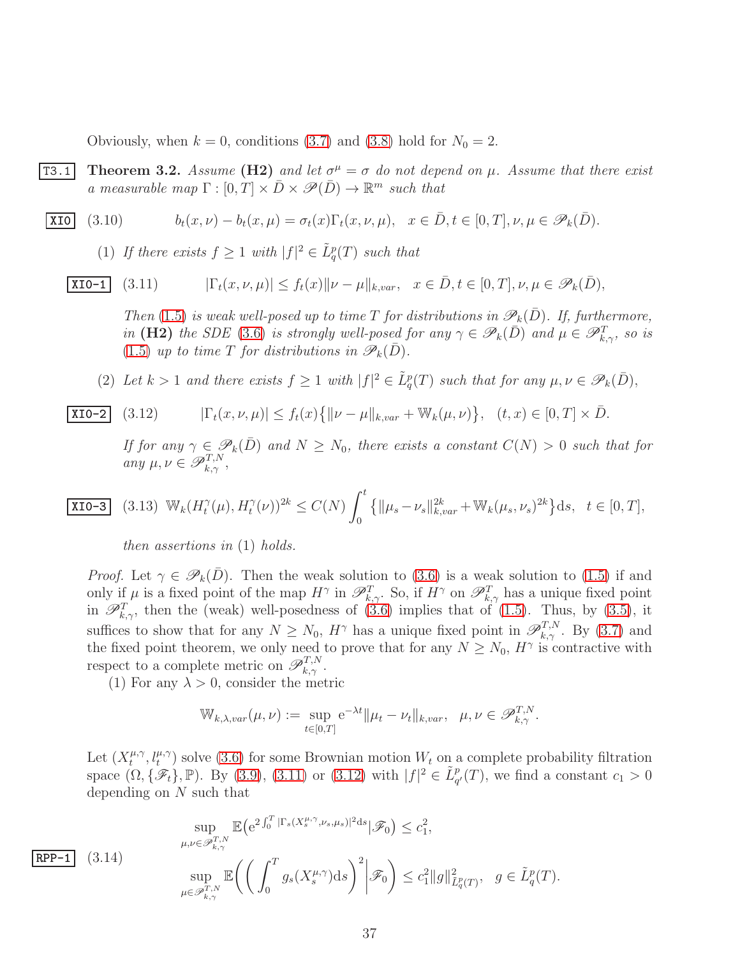<span id="page-36-5"></span>Obviously, when  $k = 0$ , conditions [\(3.7\)](#page-35-2) and [\(3.8\)](#page-35-3) hold for  $N_0 = 2$ .

**T3.1** Theorem 3.2. Assume (H2) and let  $\sigma^{\mu} = \sigma$  do not depend on  $\mu$ . Assume that there exist *a* measurable map  $\Gamma : [0, T] \times \overline{D} \times \mathcal{P}(\overline{D}) \rightarrow \mathbb{R}^m$  such that

$$
\underline{\text{XIO}} \quad (3.10) \qquad b_t(x,\nu) - b_t(x,\mu) = \sigma_t(x)\Gamma_t(x,\nu,\mu), \quad x \in \bar{D}, t \in [0,T], \nu, \mu \in \mathscr{P}_k(\bar{D}).
$$

<span id="page-36-2"></span>(1) If there exists  $f \geq 1$  with  $|f|^2 \in \tilde{L}^p_q(T)$  such that

 $\overline{\text{XIO-1}}$  (3.11)  $|\Gamma_t(x, \nu, \mu)| \le f_t(x) \|\nu - \mu\|_{k, var}, \quad x \in \overline{D}, t \in [0, T], \nu, \mu \in \mathscr{P}_k(\overline{D}),$ 

<span id="page-36-0"></span>*Then* [\(1.5\)](#page-3-1) *is weak well-posed up to time T for distributions in*  $\mathscr{P}_k(D)$ *. If, furthermore, in* (H2) *the SDE* [\(3.6\)](#page-35-1) *is strongly well-posed for any*  $\gamma \in \mathscr{P}_k(\bar{D})$  *and*  $\mu \in \mathscr{P}_{k,\gamma}^T$ *, so is* [\(1.5\)](#page-3-1) *up to time* T *for distributions in*  $\mathscr{P}_k(\bar{D})$ *.* 

(2) Let  $k > 1$  and there exists  $f \geq 1$  with  $|f|^2 \in \tilde{L}^p_q(T)$  such that for any  $\mu, \nu \in \mathscr{P}_k(\bar{D})$ ,

**XIO-2** (3.12) 
$$
|\Gamma_t(x,\nu,\mu)| \le f_t(x) \{ ||\nu - \mu||_{k, var} + \mathbb{W}_k(\mu,\nu) \}, (t,x) \in [0,T] \times \bar{D}.
$$

<span id="page-36-1"></span>*If for any*  $\gamma \in \mathscr{P}_k(\bar{D})$  *and*  $N \geq N_0$ *, there exists a constant*  $C(N) > 0$  *such that for*  $\textit{any } \mu, \nu \in \mathscr{P}_{k,\gamma}^{T,N},$ 

$$
\boxed{\text{XIO-3}} \quad (3.13) \ \ W_k(H_t^{\gamma}(\mu), H_t^{\gamma}(\nu))^{2k} \le C(N) \int_0^t \left\{ \|\mu_s - \nu_s\|_{k, var}^{2k} + \mathbb{W}_k(\mu_s, \nu_s)^{2k} \right\} \mathrm{d}s, \ \ t \in [0, T],
$$

<span id="page-36-4"></span>*then assertions in* (1) *holds.*

*Proof.* Let  $\gamma \in \mathscr{P}_k(D)$ . Then the weak solution to [\(3.6\)](#page-35-1) is a weak solution to [\(1.5\)](#page-3-1) if and only if  $\mu$  is a fixed point of the map  $H^{\gamma}$  in  $\mathscr{P}_{k,\gamma}^T$ . So, if  $H^{\gamma}$  on  $\mathscr{P}_{k,\gamma}^T$  has a unique fixed point in  $\mathscr{P}_{k,\gamma}^T$ , then the (weak) well-posedness of [\(3.6\)](#page-35-1) implies that of [\(1.5\)](#page-3-1). Thus, by [\(3.5\)](#page-35-4), it suffices to show that for any  $N \ge N_0$ ,  $H^{\gamma}$  has a unique fixed point in  $\mathscr{P}_{k,\gamma}^{T,N}$ . By [\(3.7\)](#page-35-2) and the fixed point theorem, we only need to prove that for any  $N \ge N_0$ ,  $H^{\gamma}$  is contractive with respect to a complete metric on  $\mathscr{P}_{k,\gamma}^{T,N}$ .

(1) For any  $\lambda > 0$ , consider the metric

$$
\mathbb{W}_{k,\lambda, var}(\mu, \nu) := \sup_{t \in [0,T]} e^{-\lambda t} ||\mu_t - \nu_t||_{k, var}, \quad \mu, \nu \in \mathscr{P}_{k,\gamma}^{T,N}.
$$

Let  $(X_t^{\mu,\gamma})$  $(t_t^{\mu,\gamma}, t_t^{\mu,\gamma})$  solve [\(3.6\)](#page-35-1) for some Brownian motion  $W_t$  on a complete probability filtration space  $(\Omega, {\{\mathscr{F}_t\}}, \mathbb{P})$ . By [\(3.9\)](#page-35-5), [\(3.11\)](#page-36-0) or [\(3.12\)](#page-36-1) with  $|f|^2 \in \tilde{L}_{q'}^p(T)$ , we find a constant  $c_1 > 0$ depending on  $N$  such that

$$
\sup_{\mu,\nu \in \mathscr{P}_{k,\gamma}^{T,N}} \mathbb{E} \Big( e^{2\int_0^T |\Gamma_s(X_s^{\mu,\gamma}, \nu_s, \mu_s)|^2 ds} | \mathscr{F}_0 \Big) \leq c_1^2,
$$
  

$$
\sup_{\mu \in \mathscr{P}_{k,\gamma}^{T,N}} \mathbb{E} \Big( \bigg( \int_0^T g_s(X_s^{\mu,\gamma}) ds \bigg)^2 \Big| \mathscr{F}_0 \Big) \leq c_1^2 \|g\|_{\tilde{L}_q^p(T)}^2, \quad g \in \tilde{L}_q^p(T).
$$

<span id="page-36-3"></span> $RPP-1$  (3.14)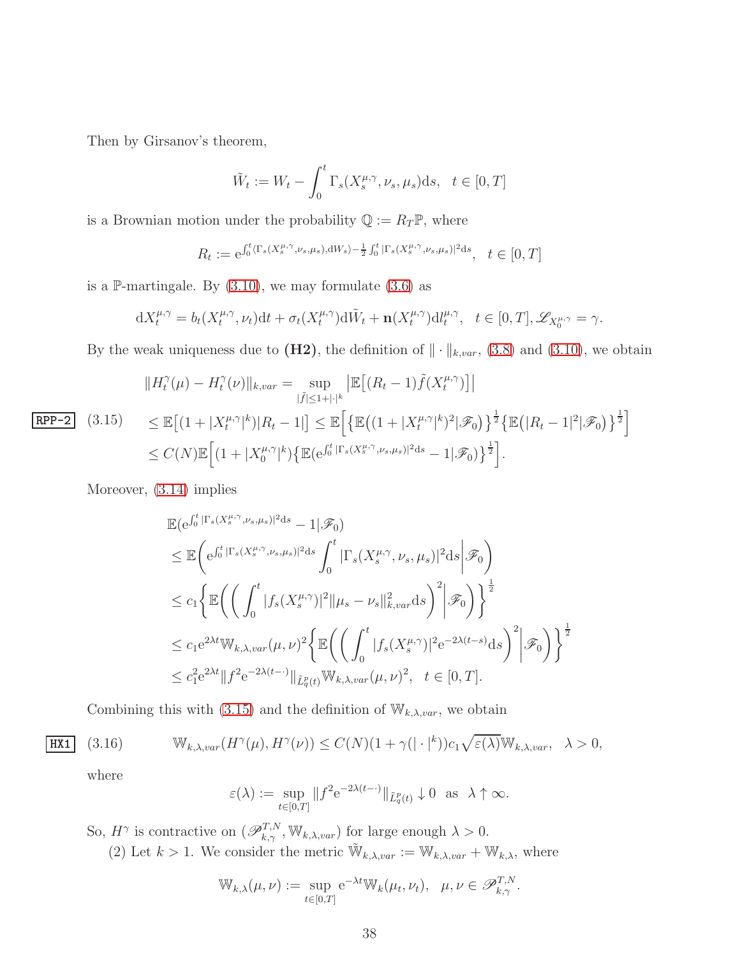Then by Girsanov's theorem,

$$
\tilde{W}_t := W_t - \int_0^t \Gamma_s(X_s^{\mu,\gamma}, \nu_s, \mu_s) \mathrm{d}s, \quad t \in [0, T]
$$

is a Brownian motion under the probability  $\mathbb{Q}:=R_T\mathbb{P},$  where

$$
R_t := e^{\int_0^t \langle \Gamma_s(X_s^{\mu,\gamma}, \nu_s, \mu_s), dW_s \rangle - \frac{1}{2} \int_0^t |\Gamma_s(X_s^{\mu,\gamma}, \nu_s, \mu_s)|^2 ds}, \quad t \in [0, T]
$$

is a P-martingale. By  $(3.10)$ , we may formulate  $(3.6)$  as

$$
dX_t^{\mu,\gamma} = b_t(X_t^{\mu,\gamma}, \nu_t)dt + \sigma_t(X_t^{\mu,\gamma})d\tilde{W}_t + \mathbf{n}(X_t^{\mu,\gamma})d l_t^{\mu,\gamma}, \quad t \in [0,T], \mathscr{L}_{X_0^{\mu,\gamma}} = \gamma.
$$

By the weak uniqueness due to  $(H2)$ , the definition of  $\|\cdot\|_{k, var}$ , [\(3.8\)](#page-35-3) and [\(3.10\)](#page-36-2), we obtain

<span id="page-37-0"></span>
$$
||H_t^{\gamma}(\mu) - H_t^{\gamma}(\nu)||_{k, var} = \sup_{|\tilde{f}| \le 1 + |\cdot|^k} \left| \mathbb{E} \left[ (R_t - 1) \tilde{f}(X_t^{\mu, \gamma}) \right] \right|
$$
  
\n
$$
\underline{\text{RPP-2}} \quad (3.15) \qquad \le \mathbb{E} \left[ (1 + |X_t^{\mu, \gamma}|^k) |R_t - 1| \right] \le \mathbb{E} \left[ \left\{ \mathbb{E} \left( (1 + |X_t^{\mu, \gamma}|^k)^2 | \mathcal{F}_0 \right) \right\}^{\frac{1}{2}} \left\{ \mathbb{E} \left( |R_t - 1|^2 | \mathcal{F}_0 \right) \right\}^{\frac{1}{2}} \right]
$$
  
\n
$$
\le C(N) \mathbb{E} \left[ (1 + |X_0^{\mu, \gamma}|^k) \left\{ \mathbb{E} \left( e^{\int_0^t |\Gamma_s(X_s^{\mu, \gamma}, \nu_s, \mu_s)|^2 ds} - 1 | \mathcal{F}_0 \right) \right\}^{\frac{1}{2}} \right].
$$

Moreover, [\(3.14\)](#page-36-3) implies

$$
\mathbb{E}(\mathbf{e}^{\int_0^t |\Gamma_s(X_s^{\mu,\gamma}, \nu_s, \mu_s)|^2 ds} - 1 | \mathcal{F}_0)
$$
\n
$$
\leq \mathbb{E} \bigg( \mathbf{e}^{\int_0^t |\Gamma_s(X_s^{\mu,\gamma}, \nu_s, \mu_s)|^2 ds} \int_0^t |\Gamma_s(X_s^{\mu,\gamma}, \nu_s, \mu_s)|^2 ds \bigg| \mathcal{F}_0 \bigg)
$$
\n
$$
\leq c_1 \bigg\{ \mathbb{E} \bigg( \bigg( \int_0^t |f_s(X_s^{\mu,\gamma})|^2 ||\mu_s - \nu_s||_{k, var}^2 ds \bigg)^2 \bigg| \mathcal{F}_0 \bigg) \bigg\}^{\frac{1}{2}}
$$
\n
$$
\leq c_1 e^{2\lambda t} \mathbb{W}_{k, \lambda, var}(\mu, \nu)^2 \bigg\{ \mathbb{E} \bigg( \bigg( \int_0^t |f_s(X_s^{\mu,\gamma})|^2 e^{-2\lambda(t-s)} ds \bigg)^2 \bigg| \mathcal{F}_0 \bigg) \bigg\}^{\frac{1}{2}}
$$
\n
$$
\leq c_1^2 e^{2\lambda t} ||f^2 e^{-2\lambda(t-\cdot)}||_{\tilde{L}_q^p(t)} \mathbb{W}_{k, \lambda, var}(\mu, \nu)^2, \quad t \in [0, T].
$$

Combining this with [\(3.15\)](#page-37-0) and the definition of  $\mathbb{W}_{k,\lambda, var}$ , we obtain

$$
HX1
$$

$$
\overline{\mathtt{HXi}} \quad (3.16) \qquad \mathbb{W}_{k,\lambda, var}(H^{\gamma}(\mu), H^{\gamma}(\nu)) \le C(N)(1 + \gamma (|\cdot|^k)) c_1 \sqrt{\varepsilon(\lambda)} \mathbb{W}_{k,\lambda, var}, \quad \lambda > 0,
$$

where

$$
\varepsilon(\lambda) := \sup_{t \in [0,T]} \|f^2 e^{-2\lambda(t-\cdot)}\|_{\tilde{L}_q^p(t)} \downarrow 0 \text{ as } \lambda \uparrow \infty.
$$

So,  $H^{\gamma}$  is contractive on  $(\mathscr{P}_{k,\gamma}^{T,N}, \mathbb{W}_{k,\lambda, var})$  for large enough  $\lambda > 0$ . (2) Let  $k > 1$ . We consider the metric  $\widetilde{W}_{k,\lambda, var} := W_{k,\lambda, var} + W_{k,\lambda}$ , where

$$
\mathbb{W}_{k,\lambda}(\mu,\nu) := \sup_{t \in [0,T]} e^{-\lambda t} \mathbb{W}_k(\mu_t,\nu_t), \quad \mu,\nu \in \mathscr{P}_{k,\gamma}^{T,N}.
$$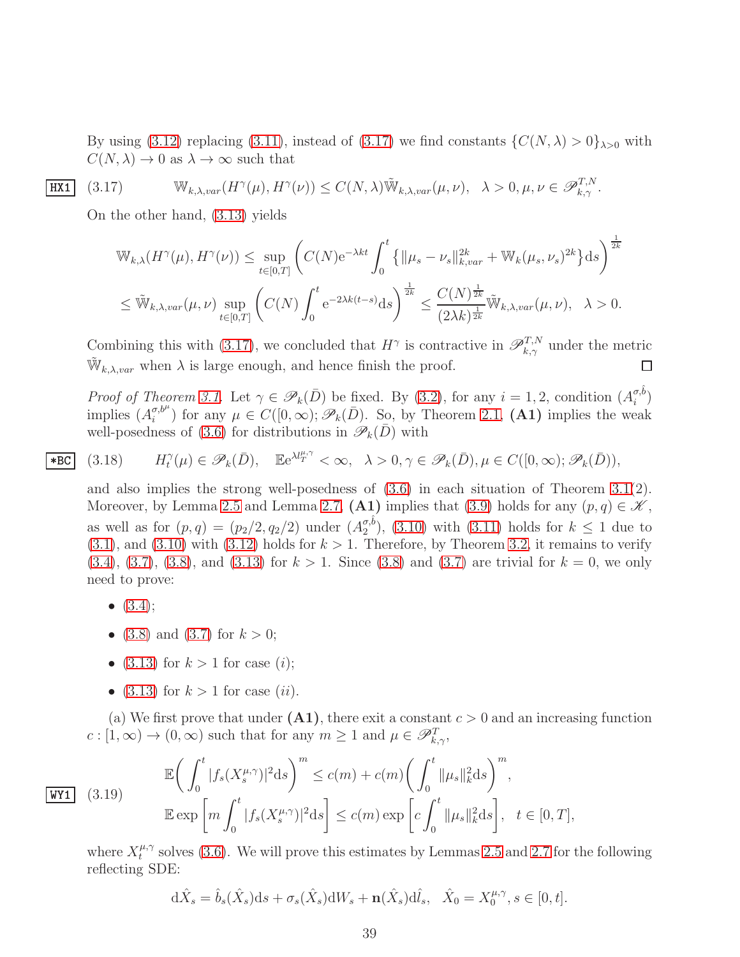By using [\(3.12\)](#page-36-1) replacing [\(3.11\)](#page-36-0), instead of [\(3.17\)](#page-38-0) we find constants  $\{C(N, \lambda) > 0\}_{\lambda > 0}$  with  $C(N, \lambda) \rightarrow 0$  as  $\lambda \rightarrow \infty$  such that

$$
\underline{\text{HX1}} \quad (3.17) \qquad \mathbb{W}_{k,\lambda, var}(H^{\gamma}(\mu), H^{\gamma}(\nu)) \le C(N,\lambda) \tilde{\mathbb{W}}_{k,\lambda, var}(\mu, \nu), \quad \lambda > 0, \mu, \nu \in \mathscr{P}_{k,\gamma}^{T,N}.
$$

On the other hand, [\(3.13\)](#page-36-4) yields

<span id="page-38-0"></span>
$$
\mathbb{W}_{k,\lambda}(H^{\gamma}(\mu), H^{\gamma}(\nu)) \leq \sup_{t \in [0,T]} \left( C(N) e^{-\lambda kt} \int_0^t \left\{ \|\mu_s - \nu_s\|_{k,var}^{2k} + \mathbb{W}_k(\mu_s, \nu_s)^{2k} \right\} ds \right)^{\frac{1}{2k}}
$$
  

$$
\leq \tilde{\mathbb{W}}_{k,\lambda,var}(\mu, \nu) \sup_{t \in [0,T]} \left( C(N) \int_0^t e^{-2\lambda k(t-s)} ds \right)^{\frac{1}{2k}} \leq \frac{C(N)^{\frac{1}{2k}}}{(2\lambda k)^{\frac{1}{2k}}} \tilde{\mathbb{W}}_{k,\lambda,var}(\mu, \nu), \quad \lambda > 0.
$$

Combining this with [\(3.17\)](#page-38-0), we concluded that  $H^{\gamma}$  is contractive in  $\mathscr{P}_{k,\gamma}^{T,N}$  under the metric  $\widetilde{\mathbb{W}}_{k,\lambda, var}$  when  $\lambda$  is large enough, and hence finish the proof. □

*Proof of Theorem [3.1.](#page-35-0)* Let  $\gamma \in \mathscr{P}_k(\bar{D})$  be fixed. By [\(3.2\)](#page-34-1), for any  $i = 1, 2$ , condition  $(A_i^{\sigma, \delta})$  $\binom{\sigma, o}{i}$ implies  $(A_i^{\sigma,b^\mu})$  $\mathcal{F}_i^{\sigma,b^{\mu}}$  for any  $\mu \in C([0,\infty); \mathscr{P}_k(\bar{D})$ . So, by Theorem [2.1,](#page-10-0) (A1) implies the weak well-posedness of [\(3.6\)](#page-35-1) for distributions in  $\mathscr{P}_k(\bar{D})$  with

$$
(3.18) \tH_t^{\gamma}(\mu) \in \mathscr{P}_k(\bar{D}), \quad \mathbb{E}e^{\lambda l_T^{\mu,\gamma}} < \infty, \quad \lambda > 0, \gamma \in \mathscr{P}_k(\bar{D}), \mu \in C([0,\infty); \mathscr{P}_k(\bar{D})),
$$

and also implies the strong well-posedness of  $(3.6)$  in each situation of Theorem  $3.1(2)$ . Moreover, by Lemma [2.5](#page-11-3) and Lemma [2.7,](#page-19-5)  $(A1)$  implies that [\(3.9\)](#page-35-5) holds for any  $(p, q) \in \mathcal{K}$ , as well as for  $(p,q) = (p_2/2, q_2/2)$  under  $(A_2^{\sigma, \delta})$  $\binom{\sigma, \sigma}{2}$ , [\(3.10\)](#page-36-2) with [\(3.11\)](#page-36-0) holds for  $k \leq 1$  due to  $(3.1)$ , and  $(3.10)$  with  $(3.12)$  holds for  $k > 1$ . Therefore, by Theorem [3.2,](#page-36-5) it remains to verify  $(3.4), (3.7), (3.8),$  $(3.4), (3.7), (3.8),$  $(3.4), (3.7), (3.8),$  $(3.4), (3.7), (3.8),$  $(3.4), (3.7), (3.8),$  $(3.4), (3.7), (3.8),$  and  $(3.13)$  for  $k > 1$ . Since  $(3.8)$  and  $(3.7)$  are trivial for  $k = 0$ , we only need to prove:

- $(3.4);$  $(3.4);$
- [\(3.8\)](#page-35-3) and [\(3.7\)](#page-35-2) for  $k > 0$ ;
- $(3.13)$  for  $k > 1$  for case  $(i)$ ;
- $(3.13)$  for  $k > 1$  for case  $(ii)$ .

(a) We first prove that under  $(A1)$ , there exit a constant  $c > 0$  and an increasing function  $c : [1, \infty) \to (0, \infty)$  such that for any  $m \ge 1$  and  $\mu \in \mathscr{P}_{k,\gamma}^T$ ,

$$
\tt WY1
$$

<span id="page-38-1"></span> $(3.19)$ 

 $*$ BC

$$
\mathbb{E}\bigg(\int_0^t |f_s(X_s^{\mu,\gamma})|^2 ds\bigg)^m \le c(m) + c(m) \bigg(\int_0^t \|\mu_s\|_k^2 ds\bigg)^m,
$$
  

$$
\mathbb{E}\exp\bigg[m\int_0^t |f_s(X_s^{\mu,\gamma})|^2 ds\bigg] \le c(m) \exp\bigg[c\int_0^t \|\mu_s\|_k^2 ds\bigg], \quad t \in [0,T],
$$

where  $X_t^{\mu,\gamma}$  $t^{\mu,\gamma}$  solves [\(3.6\)](#page-35-1). We will prove this estimates by Lemmas [2.5](#page-11-3) and [2.7](#page-19-5) for the following reflecting SDE:

$$
\mathrm{d}\hat{X}_s = \hat{b}_s(\hat{X}_s)\mathrm{d}s + \sigma_s(\hat{X}_s)\mathrm{d}W_s + \mathbf{n}(\hat{X}_s)\mathrm{d}\hat{l}_s, \quad \hat{X}_0 = X_0^{\mu,\gamma}, s \in [0, t].
$$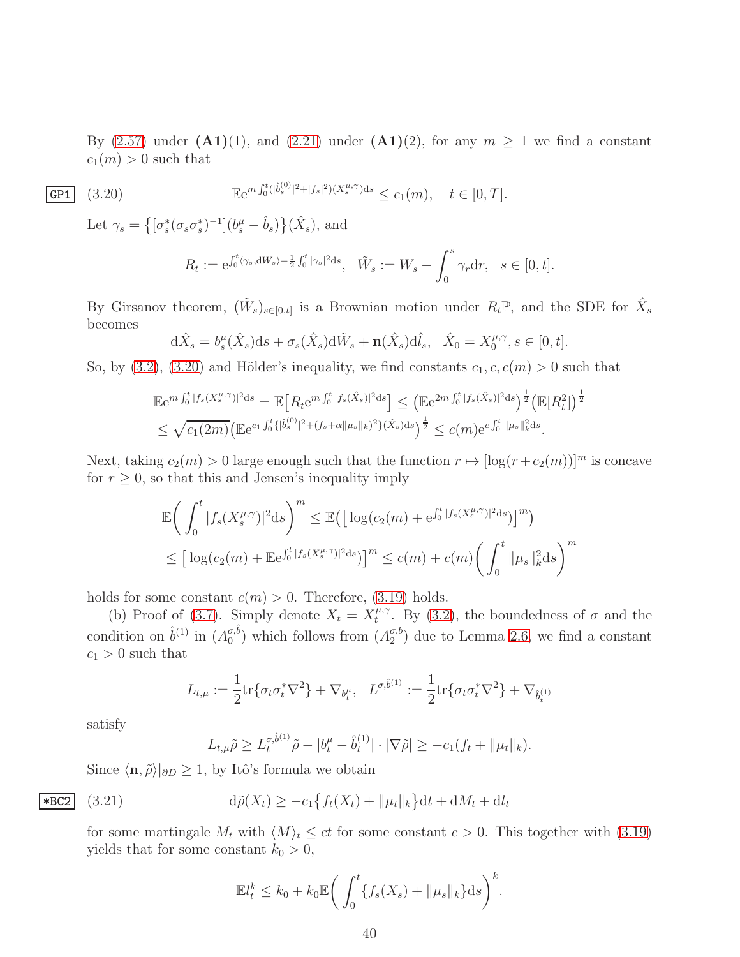By [\(2.57\)](#page-19-6) under  $(A1)(1)$ , and [\(2.21\)](#page-12-0) under  $(A1)(2)$ , for any  $m \ge 1$  we find a constant  $c_1(m) > 0$  such that

$$
\mathbf{F}e^{m\int_0^t (|\hat{b}_s^{(0)}|^2 + |f_s|^2)(X_s^{\mu,\gamma})ds} \le c_1(m), \quad t \in [0,T].
$$

Let  $\gamma_s = \left\{ [\sigma_s^*(\sigma_s \sigma_s^*)^{-1}](b_s^{\mu} - \hat{b}_s) \right\} (\hat{X}_s)$ , and

<span id="page-39-0"></span>
$$
R_t := e^{\int_0^t \langle \gamma_s, dW_s \rangle - \frac{1}{2} \int_0^t |\gamma_s|^2 ds}, \quad \tilde{W}_s := W_s - \int_0^s \gamma_r dr, \quad s \in [0, t].
$$

By Girsanov theorem,  $(\tilde{W}_s)_{s\in[0,t]}$  is a Brownian motion under  $R_t\mathbb{P}$ , and the SDE for  $\hat{X}_s$ becomes

$$
\mathrm{d}\hat{X}_s = b_s^{\mu}(\hat{X}_s)\mathrm{d}s + \sigma_s(\hat{X}_s)\mathrm{d}\tilde{W}_s + \mathbf{n}(\hat{X}_s)\mathrm{d}\hat{l}_s, \quad \hat{X}_0 = X_0^{\mu,\gamma}, s \in [0, t].
$$

So, by [\(3.2\)](#page-34-1), [\(3.20\)](#page-39-0) and Hölder's inequality, we find constants  $c_1, c, c(m) > 0$  such that

$$
\mathbb{E}e^{m\int_0^t |f_s(X_s^{\mu,\gamma})|^2 ds} = \mathbb{E}\Big[R_t e^{m\int_0^t |f_s(\hat{X}_s)|^2 ds}\Big] \leq \left(\mathbb{E}e^{2m\int_0^t |f_s(\hat{X}_s)|^2 ds}\right)^{\frac{1}{2}} \left(\mathbb{E}[R_t^2]\right)^{\frac{1}{2}}
$$
  

$$
\leq \sqrt{c_1(2m)} \left(\mathbb{E}e^{c_1\int_0^t \{\left|\hat{b}_s^{(0)}\right|^2 + (f_s + \alpha \|\mu_s\|_k)^2\}(\hat{X}_s)ds}\right)^{\frac{1}{2}} \leq c(m)e^{c\int_0^t \|\mu_s\|_k^2 ds}.
$$

Next, taking  $c_2(m) > 0$  large enough such that the function  $r \mapsto [\log(r+c_2(m))]^m$  is concave for  $r \geq 0$ , so that this and Jensen's inequality imply

$$
\mathbb{E}\bigg(\int_0^t |f_s(X_s^{\mu,\gamma})|^2 ds\bigg)^m \leq \mathbb{E}\big(\big[\log(c_2(m) + e^{\int_0^t |f_s(X_s^{\mu,\gamma})|^2 ds})\big]^m\big) \leq \big[\log(c_2(m) + \mathbb{E}e^{\int_0^t |f_s(X_s^{\mu,\gamma})|^2 ds})\big]^m \leq c(m) + c(m)\bigg(\int_0^t \|\mu_s\|_k^2 ds\bigg)^m
$$

holds for some constant  $c(m) > 0$ . Therefore, [\(3.19\)](#page-38-1) holds.

(b) Proof of [\(3.7\)](#page-35-2). Simply denote  $X_t = X_t^{\mu, \gamma}$  $t_t^{\mu,\gamma}$ . By [\(3.2\)](#page-34-1), the boundedness of  $\sigma$  and the condition on  $\hat{b}^{(1)}$  in  $(A_0^{\sigma,\hat{b}})$  $\binom{\sigma,b}{0}$  which follows from  $(A_2^{\sigma,b})$  $_2^{\sigma,0}$  due to Lemma [2.6,](#page-14-0) we find a constant  $c_1 > 0$  such that

$$
L_{t,\mu} := \frac{1}{2} \text{tr} \{ \sigma_t \sigma_t^* \nabla^2 \} + \nabla_{b_t^{\mu}}, \quad L^{\sigma, \hat{b}^{(1)}} := \frac{1}{2} \text{tr} \{ \sigma_t \sigma_t^* \nabla^2 \} + \nabla_{\hat{b}_t^{(1)}}
$$

satisfy

$$
L_{t,\mu}\tilde{\rho} \ge L_t^{\sigma,\hat{b}^{(1)}}\tilde{\rho} - |b_t^{\mu} - \hat{b}_t^{(1)}| \cdot |\nabla \tilde{\rho}| \ge -c_1(f_t + \|\mu_t\|_k).
$$

Since  $\langle \mathbf{n}, \tilde{\rho} \rangle|_{\partial D} \geq 1$ , by Itô's formula we obtain

$$
\mathbf{E}[G_2] \quad (3.21) \qquad \qquad \mathbf{d}\tilde{\rho}(X_t) \ge -c_1 \left\{ f_t(X_t) + \|\mu_t\|_k \right\} \mathbf{d}t + \mathbf{d}M_t + \mathbf{d}l_t
$$

for some martingale  $M_t$  with  $\langle M \rangle_t \le ct$  for some constant  $c > 0$ . This together with [\(3.19\)](#page-38-1) yields that for some constant  $k_0 > 0$ ,

$$
\mathbb{E}l_t^k \le k_0 + k_0 \mathbb{E} \bigg( \int_0^t \{ f_s(X_s) + ||\mu_s||_k \} ds \bigg)^k.
$$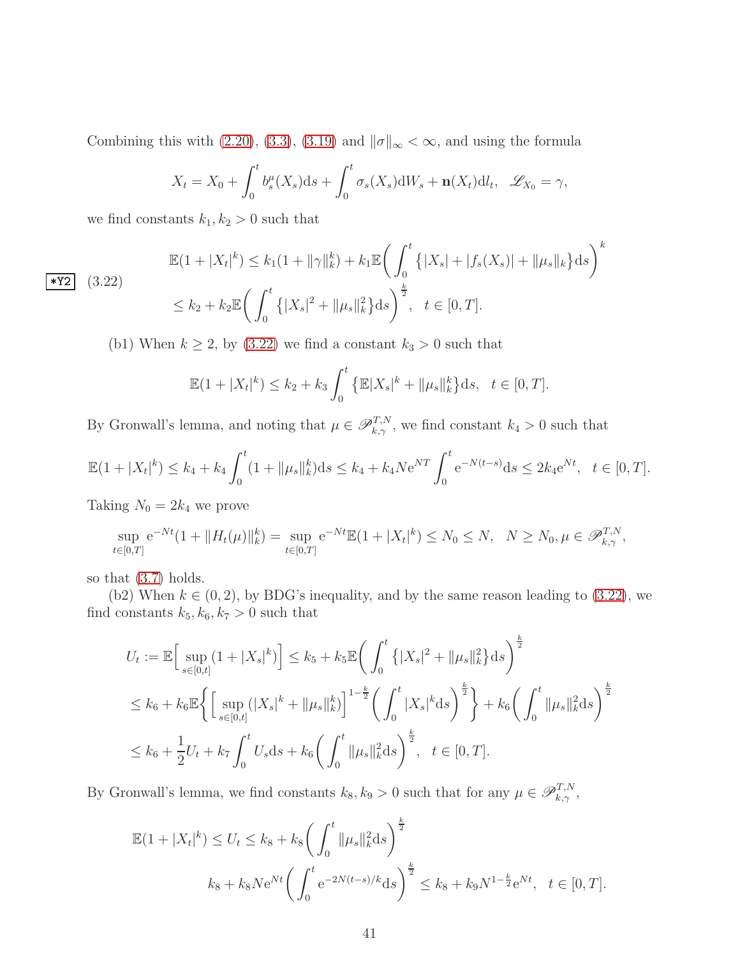Combining this with [\(2.20\)](#page-11-2), [\(3.3\)](#page-34-2), [\(3.19\)](#page-38-1) and  $\|\sigma\|_{\infty} < \infty$ , and using the formula

$$
X_t = X_0 + \int_0^t b_s^{\mu}(X_s)ds + \int_0^t \sigma_s(X_s)dW_s + \mathbf{n}(X_t)dl_t, \quad \mathscr{L}_{X_0} = \gamma,
$$

we find constants  $k_1, k_2 > 0$  such that

$$
\mathbb{E}(1+|X_t|^k) \le k_1(1+\|\gamma\|_k^k) + k_1 \mathbb{E}\bigg(\int_0^t \{|X_s| + |f_s(X_s)| + \|\mu_s\|_k\} ds\bigg)^k
$$
  

$$
\le k_2 + k_2 \mathbb{E}\bigg(\int_0^t \{|X_s|^2 + \|\mu_s\|_k^2\} ds\bigg)^{\frac{k}{2}}, \quad t \in [0, T].
$$

<span id="page-40-0"></span> $|\star$ Y2  $(3.22)$ 

(b1) When  $k \ge 2$ , by [\(3.22\)](#page-40-0) we find a constant  $k_3 > 0$  such that

$$
\mathbb{E}(1+|X_t|^k) \le k_2 + k_3 \int_0^t \left\{ \mathbb{E}|X_s|^k + \|\mu_s\|_k^k \right\} \mathrm{d}s, \quad t \in [0, T].
$$

By Gronwall's lemma, and noting that  $\mu \in \mathscr{P}_{k,\gamma}^{T,N}$ , we find constant  $k_4 > 0$  such that

$$
\mathbb{E}(1+|X_t|^k) \le k_4 + k_4 \int_0^t (1+||\mu_s||_k^k) ds \le k_4 + k_4 N e^{NT} \int_0^t e^{-N(t-s)} ds \le 2k_4 e^{Nt}, \quad t \in [0,T].
$$

Taking  $N_0 = 2k_4$  we prove

$$
\sup_{t \in [0,T]} e^{-Nt} (1 + ||H_t(\mu)||_k^k) = \sup_{t \in [0,T]} e^{-Nt} \mathbb{E} (1 + |X_t|^k) \le N_0 \le N, \quad N \ge N_0, \mu \in \mathcal{P}_{k,\gamma}^{T,N},
$$

so that [\(3.7\)](#page-35-2) holds.

(b2) When  $k \in (0, 2)$ , by BDG's inequality, and by the same reason leading to [\(3.22\)](#page-40-0), we find constants  $k_5, k_6, k_7 > 0$  such that

$$
U_t := \mathbb{E}\Big[\sup_{s \in [0,t]} (1+|X_s|^k)\Big] \le k_5 + k_5 \mathbb{E}\bigg(\int_0^t \big\{|X_s|^2 + \|\mu_s\|_k^2\big\} ds\bigg)^{\frac{k}{2}}
$$
  

$$
\le k_6 + k_6 \mathbb{E}\bigg\{\Big[\sup_{s \in [0,t]} (|X_s|^k + \|\mu_s\|_k^k)\Big]^{1-\frac{k}{2}} \bigg(\int_0^t |X_s|^k ds\bigg)^{\frac{k}{2}}\bigg\} + k_6 \bigg(\int_0^t \|\mu_s\|_k^2 ds\bigg)^{\frac{k}{2}}
$$
  

$$
\le k_6 + \frac{1}{2}U_t + k_7 \int_0^t U_s ds + k_6 \bigg(\int_0^t \|\mu_s\|_k^2 ds\bigg)^{\frac{k}{2}}, \quad t \in [0,T].
$$

By Gronwall's lemma, we find constants  $k_8, k_9 > 0$  such that for any  $\mu \in \mathscr{P}_{k,\gamma}^{T,N}$ ,

$$
\mathbb{E}(1+|X_t|^k) \le U_t \le k_8 + k_8 \bigg(\int_0^t \|\mu_s\|_k^2 ds\bigg)^{\frac{k}{2}}\n\nk_8 + k_8 N e^{Nt} \bigg(\int_0^t e^{-2N(t-s)/k} ds\bigg)^{\frac{k}{2}} \le k_8 + k_9 N^{1-\frac{k}{2}} e^{Nt}, \quad t \in [0, T].
$$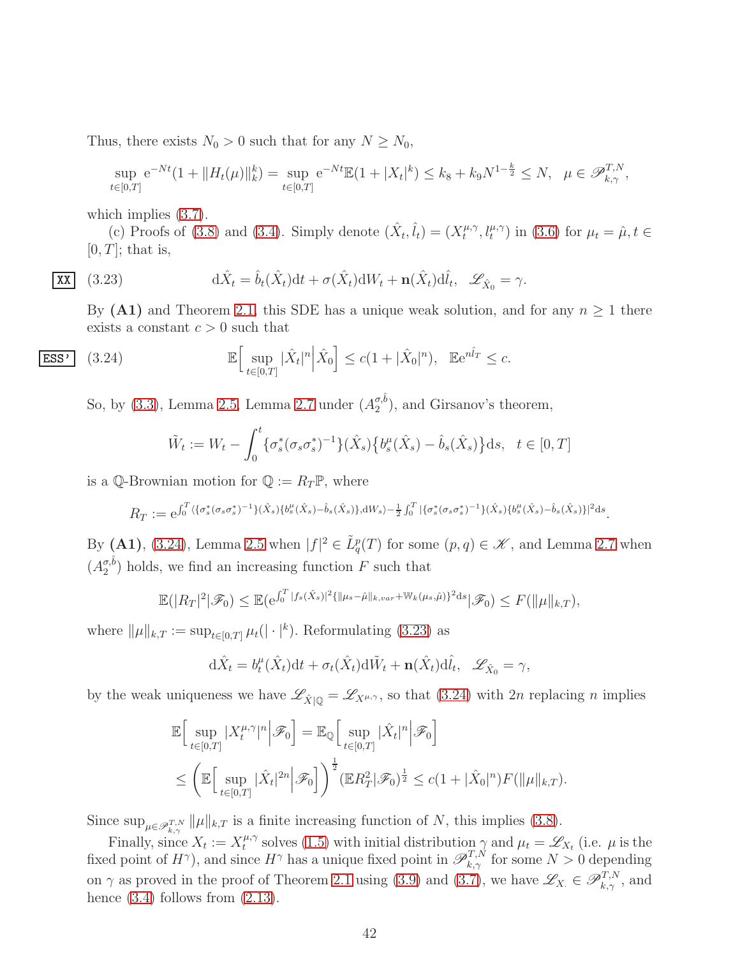Thus, there exists  $N_0 > 0$  such that for any  $N \ge N_0$ ,

$$
\sup_{t\in[0,T]} e^{-Nt} (1 + \|H_t(\mu)\|_{k}^k) = \sup_{t\in[0,T]} e^{-Nt} \mathbb{E} (1 + |X_t|^k) \le k_8 + k_9 N^{1-\frac{k}{2}} \le N, \quad \mu \in \mathscr{P}_{k,\gamma}^{T,N},
$$

which implies  $(3.7)$ .

(c) Proofs of [\(3.8\)](#page-35-3) and [\(3.4\)](#page-35-6). Simply denote  $(\hat{X}_t, \hat{l}_t) = (X_t^{\mu, \gamma})$  $(t_t^{\mu,\gamma}, t_t^{\mu,\gamma})$  in [\(3.6\)](#page-35-1) for  $\mu_t = \hat{\mu}, t \in$  $[0, T]$ ; that is,

$$
\mathbf{X}\mathbf{X} \quad (3.23) \qquad \mathbf{d}\hat{X}_t = \hat{b}_t(\hat{X}_t) \mathbf{d}t + \sigma(\hat{X}_t) \mathbf{d}W_t + \mathbf{n}(\hat{X}_t) \mathbf{d}\hat{l}_t, \quad \mathcal{L}_{\hat{X}_0} = \gamma.
$$

<span id="page-41-1"></span>By (A1) and Theorem [2.1,](#page-10-0) this SDE has a unique weak solution, and for any  $n \geq 1$  there exists a constant  $c > 0$  such that

$$
\overline{\text{ESS'}} \quad (3.24) \qquad \mathbb{E} \Big[ \sup_{t \in [0,T]} |\hat{X}_t|^n \Big| \hat{X}_0 \Big] \le c \big( 1 + |\hat{X}_0|^n \big), \quad \mathbb{E} e^{n\hat{I}_T} \le c.
$$

So, by [\(3.3\)](#page-34-2), Lemma [2.5,](#page-11-3) Lemma [2.7](#page-19-5) under  $(A_2^{\sigma,\hat{b}})$  $\binom{\sigma, o}{2}$ , and Girsanov's theorem,

<span id="page-41-0"></span>
$$
\tilde{W}_t := W_t - \int_0^t \{ \sigma_s^*(\sigma_s \sigma_s^*)^{-1} \} (\hat{X}_s) \{ b_s^\mu(\hat{X}_s) - \hat{b}_s(\hat{X}_s) \} ds, \quad t \in [0, T]
$$

is a Q-Brownian motion for  $\mathbb{Q} := R_T \mathbb{P}$ , where

 $R_T := e^{\int_0^T \langle \{\sigma_s^*(\sigma_s \sigma_s^*)^{-1}\}(\hat{X}_s) \{b_s^{\mu}(\hat{X}_s) - \hat{b}_s(\hat{X}_s)\}, \mathrm{d}W_s \rangle - \frac{1}{2} \int_0^T |\{\sigma_s^*(\sigma_s \sigma_s^*)^{-1}\}(\hat{X}_s) \{b_s^{\mu}(\hat{X}_s) - \hat{b}_s(\hat{X}_s)\}|^2 \mathrm{d}s}.$ 

By (A1), [\(3.24\)](#page-41-0), Lemma [2.5](#page-11-3) when  $|f|^2 \in \tilde{L}_q^p(T)$  for some  $(p, q) \in \mathscr{K}$ , and Lemma [2.7](#page-19-5) when  $(A_2^{\sigma,\hat{b}})$  $\binom{\sigma, o}{2}$  holds, we find an increasing function F such that

$$
\mathbb{E}(|R_T|^2|\mathscr{F}_0) \leq \mathbb{E}(e^{\int_0^T |f_s(\hat{X}_s)|^2 \{\|\mu_s - \hat{\mu}\|_{k, var} + \mathbb{W}_k(\mu_s, \hat{\mu})\}^2 ds}|\mathscr{F}_0) \leq F(\|\mu\|_{k,T}),
$$

where  $\|\mu\|_{k,T} := \sup_{t \in [0,T]} \mu_t(|\cdot|^k)$ . Reformulating [\(3.23\)](#page-41-1) as

$$
d\hat{X}_t = b_t^{\mu}(\hat{X}_t)dt + \sigma_t(\hat{X}_t)d\tilde{W}_t + \mathbf{n}(\hat{X}_t)d\hat{l}_t, \quad \mathscr{L}_{\hat{X}_0} = \gamma,
$$

by the weak uniqueness we have  $\mathscr{L}_{\hat{X}|\mathbb{Q}} = \mathscr{L}_{X^{\mu,\gamma}}$ , so that [\(3.24\)](#page-41-0) with 2n replacing n implies

$$
\mathbb{E}\Big[\sup_{t\in[0,T]}|X_t^{\mu,\gamma}|^n\Big|\mathcal{F}_0\Big]=\mathbb{E}_{\mathbb{Q}}\Big[\sup_{t\in[0,T]}|\hat{X}_t|^n\Big|\mathcal{F}_0\Big]
$$
  

$$
\leq \left(\mathbb{E}\Big[\sup_{t\in[0,T]}|\hat{X}_t|^{2n}\Big|\mathcal{F}_0\Big]\right)^{\frac{1}{2}}(\mathbb{E}R_T^2|\mathcal{F}_0)^{\frac{1}{2}}\leq c(1+|\hat{X}_0|^n)F(\|\mu\|_{k,T}).
$$

Since  $\sup_{\mu \in \mathscr{P}_{k,\gamma}^{T,N}} \|\mu\|_{k,T}$  is a finite increasing function of N, this implies [\(3.8\)](#page-35-3).

Finally, since  $X_t := X_t^{\mu,\gamma}$ <sup>μ,γ</sup> solves [\(1.5\)](#page-3-1) with initial distribution  $\gamma$  and  $\mu_t = \mathscr{L}_{X_t}$  (i.e.  $\mu$  is the fixed point of  $H^{\gamma}$ ), and since  $H^{\gamma}$  has a unique fixed point in  $\mathscr{P}_{k,\gamma}^{T,N}$  for some  $N>0$  depending on  $\gamma$  as proved in the proof of Theorem [2.1](#page-10-0) using [\(3.9\)](#page-35-5) and [\(3.7\)](#page-35-2), we have  $\mathscr{L}_{X} \in \mathscr{P}_{k,\gamma}^{T,N}$ , and hence  $(3.4)$  follows from  $(2.13)$ .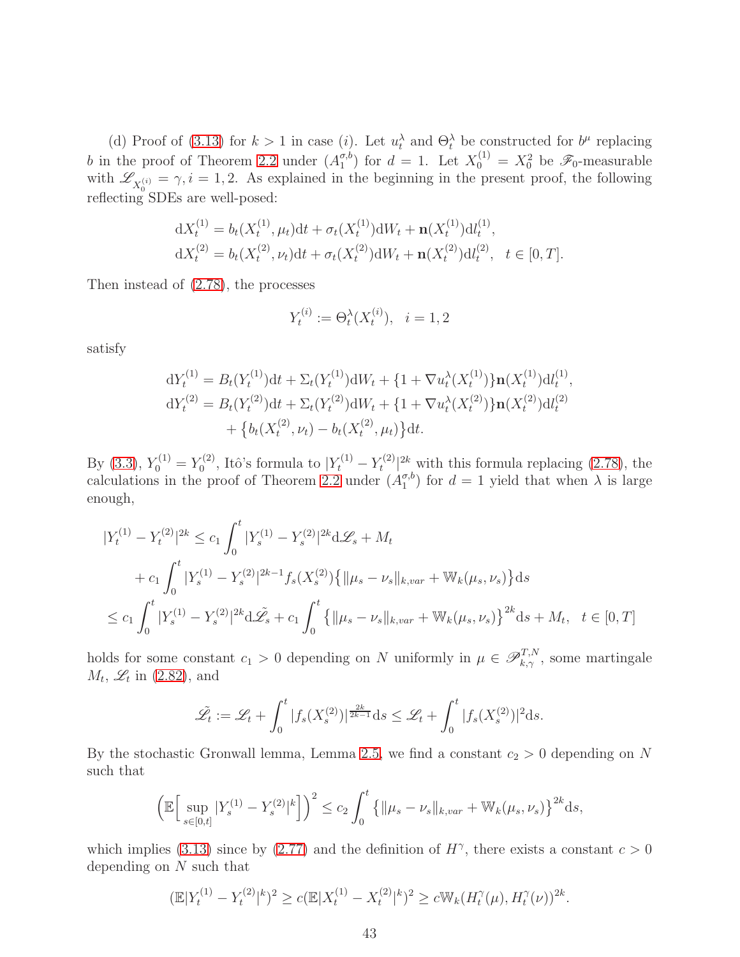(d) Proof of [\(3.13\)](#page-36-4) for  $k > 1$  in case (i). Let  $u_t^{\lambda}$  and  $\Theta_t^{\lambda}$  be constructed for  $b^{\mu}$  replacing b in the proof of Theorem [2.2](#page-10-1) under  $(A_1^{\sigma,b})$  $\binom{\sigma, b}{1}$  for  $d = 1$ . Let  $X_0^{(1)} = X_0^2$  be  $\mathscr{F}_0$ -measurable with  $\mathscr{L}_{X_0^{(i)}} = \gamma, i = 1, 2$ . As explained in the beginning in the present proof, the following reflecting SDEs are well-posed:

$$
dX_t^{(1)} = b_t(X_t^{(1)}, \mu_t)dt + \sigma_t(X_t^{(1)})dW_t + \mathbf{n}(X_t^{(1)})d_t^{(1)},
$$
  
\n
$$
dX_t^{(2)} = b_t(X_t^{(2)}, \nu_t)dt + \sigma_t(X_t^{(2)})dW_t + \mathbf{n}(X_t^{(2)})d_t^{(2)}, \quad t \in [0, T].
$$

Then instead of [\(2.78\)](#page-27-1), the processes

$$
Y_t^{(i)} := \Theta_t^{\lambda}(X_t^{(i)}), \quad i = 1, 2
$$

satisfy

$$
dY_t^{(1)} = B_t(Y_t^{(1)})dt + \Sigma_t(Y_t^{(1)})dW_t + \{1 + \nabla u_t^{\lambda}(X_t^{(1)})\} \mathbf{n}(X_t^{(1)})dt_t^{(1)},
$$
  
\n
$$
dY_t^{(2)} = B_t(Y_t^{(2)})dt + \Sigma_t(Y_t^{(2)})dW_t + \{1 + \nabla u_t^{\lambda}(X_t^{(2)})\} \mathbf{n}(X_t^{(2)})dt_t^{(2)}
$$
  
\n
$$
+ \{b_t(X_t^{(2)}, \nu_t) - b_t(X_t^{(2)}, \mu_t)\}dt.
$$

By [\(3.3\)](#page-34-2),  $Y_0^{(1)} = Y_0^{(2)}$  $Y_0^{(2)}$ , Itô's formula to  $|Y_t^{(1)} - Y_t^{(2)}|$  $\int_{t}^{(2)}$  with this formula replacing [\(2.78\)](#page-27-1), the calculations in the proof of Theorem [2.2](#page-10-1) under  $(A_1^{\sigma,b})$  $\binom{\sigma, o}{1}$  for  $d = 1$  yield that when  $\lambda$  is large enough,

$$
|Y_t^{(1)} - Y_t^{(2)}|^{2k} \le c_1 \int_0^t |Y_s^{(1)} - Y_s^{(2)}|^{2k} d\mathcal{L}_s + M_t
$$
  
+  $c_1 \int_0^t |Y_s^{(1)} - Y_s^{(2)}|^{2k-1} f_s(X_s^{(2)}) \{ ||\mu_s - \nu_s||_{k, var} + \mathbb{W}_k(\mu_s, \nu_s) \} ds$   
 $\le c_1 \int_0^t |Y_s^{(1)} - Y_s^{(2)}|^{2k} d\mathcal{L}_s + c_1 \int_0^t \{ ||\mu_s - \nu_s||_{k, var} + \mathbb{W}_k(\mu_s, \nu_s) \}^{2k} ds + M_t, \quad t \in [0, T]$ 

holds for some constant  $c_1 > 0$  depending on N uniformly in  $\mu \in \mathscr{P}_{k,\gamma}^{T,N}$ , some martingale  $M_t$ ,  $\mathscr{L}_t$  in [\(2.82\)](#page-27-3), and

$$
\tilde{\mathcal{L}}_t := \mathcal{L}_t + \int_0^t |f_s(X_s^{(2)})|^{\frac{2k}{2k-1}} ds \le \mathcal{L}_t + \int_0^t |f_s(X_s^{(2)})|^2 ds.
$$

By the stochastic Gronwall lemma, Lemma [2.5,](#page-11-3) we find a constant  $c_2 > 0$  depending on N such that

$$
\left(\mathbb{E}\Big[\sup_{s\in[0,t]}|Y_s^{(1)} - Y_s^{(2)}|^k\Big]\right)^2 \le c_2 \int_0^t \left\{\|\mu_s - \nu_s\|_{k, var} + \mathbb{W}_k(\mu_s, \nu_s)\right\}^{2k} ds,
$$

which implies [\(3.13\)](#page-36-4) since by [\(2.77\)](#page-26-2) and the definition of  $H^{\gamma}$ , there exists a constant  $c > 0$ depending on N such that

$$
(\mathbb{E}|Y_t^{(1)} - Y_t^{(2)}|^k)^2 \ge c(\mathbb{E}|X_t^{(1)} - X_t^{(2)}|^k)^2 \ge c \mathbb{W}_k(H_t^{\gamma}(\mu), H_t^{\gamma}(\nu))^{2k}.
$$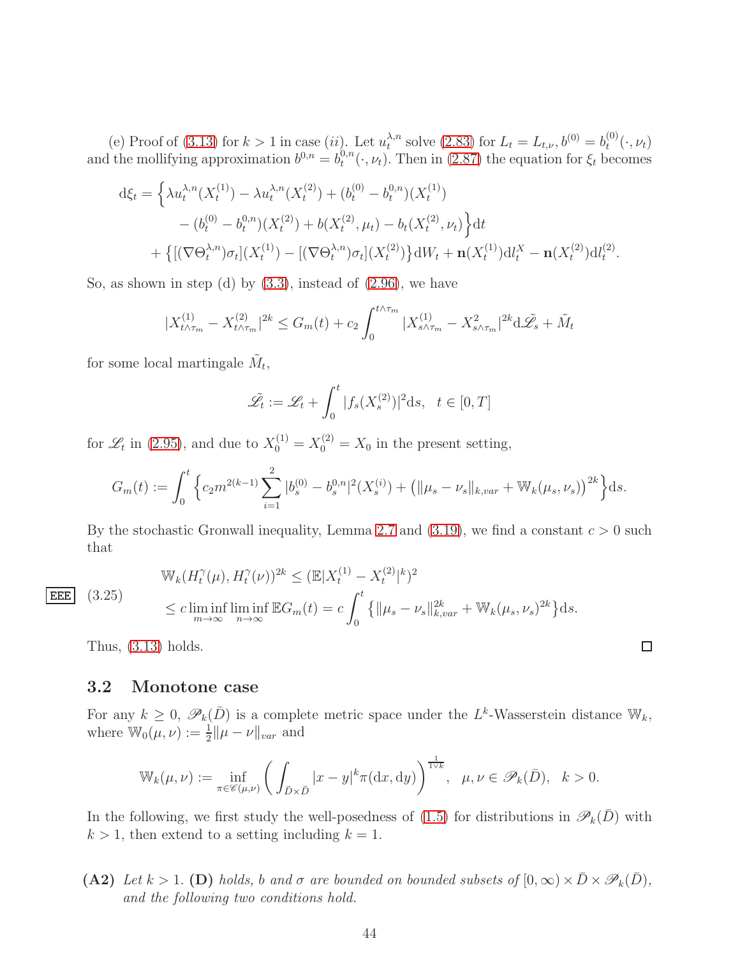(e) Proof of [\(3.13\)](#page-36-4) for  $k > 1$  in case (ii). Let  $u_t^{\lambda,n}$  $t_t^{\lambda,n}$  solve [\(2.83\)](#page-28-2) for  $L_t = L_{t,\nu}, b^{(0)} = b_t^{(0)}$  $t^{(0)}(.,\nu_t)$ and the mollifying approximation  $b^{0,n} = b^{0,n}_t$  $t^{0,n}(\cdot,\nu_t)$ . Then in [\(2.87\)](#page-28-5) the equation for  $\xi_t$  becomes

$$
d\xi_t = \left\{ \lambda u_t^{\lambda,n}(X_t^{(1)}) - \lambda u_t^{\lambda,n}(X_t^{(2)}) + (b_t^{(0)} - b_t^{0,n})(X_t^{(1)}) - (b_t^{(0)} - b_t^{0,n})(X_t^{(2)}) + b(X_t^{(2)}, \mu_t) - b_t(X_t^{(2)}, \nu_t) \right\} dt + \left\{ [(\nabla \Theta_t^{\lambda,n}) \sigma_t](X_t^{(1)}) - [(\nabla \Theta_t^{\lambda,n}) \sigma_t](X_t^{(2)}) \right\} dW_t + \mathbf{n}(X_t^{(1)}) dW_t^X - \mathbf{n}(X_t^{(2)}) dW_t^2.
$$

So, as shown in step (d) by  $(3.3)$ , instead of  $(2.96)$ , we have

$$
|X_{t\wedge\tau_m}^{(1)} - X_{t\wedge\tau_m}^{(2)}|^{2k} \le G_m(t) + c_2 \int_0^{t\wedge\tau_m} |X_{s\wedge\tau_m}^{(1)} - X_{s\wedge\tau_m}^2|^{2k} d\mathcal{L}_s + \tilde{M}_t
$$

for some local martingale  $\tilde{M}_t$ ,

$$
\tilde{\mathcal{L}}_t := \mathcal{L}_t + \int_0^t |f_s(X_s^{(2)})|^2 \mathrm{d}s, \quad t \in [0, T]
$$

for  $\mathscr{L}_t$  in [\(2.95\)](#page-30-2), and due to  $X_0^{(1)} = X_0^{(2)} = X_0$  in the present setting,

$$
G_m(t) := \int_0^t \left\{ c_2 m^{2(k-1)} \sum_{i=1}^2 |b_s^{(0)} - b_s^{0,n}|^2 (X_s^{(i)}) + \left( \|\mu_s - \nu_s\|_{k, var} + \mathbb{W}_k(\mu_s, \nu_s) \right)^{2k} \right\} ds.
$$

By the stochastic Gronwall inequality, Lemma [2.7](#page-19-5) and  $(3.19)$ , we find a constant  $c > 0$  such that

<span id="page-43-1"></span> $|EEE|$   $(3.25)$ 

$$
\begin{split} &\mathbb{W}_k(H_t^\gamma(\mu), H_t^\gamma(\nu))^{2k} \leq (\mathbb{E}|X_t^{(1)} - X_t^{(2)}|^k)^2 \\ &\leq c \liminf_{m \to \infty} \liminf_{n \to \infty} \mathbb{E}G_m(t) = c \int_0^t \left\{ \|\mu_s - \nu_s\|_{k, var}^{2k} + \mathbb{W}_k(\mu_s, \nu_s)^{2k} \right\} \mathrm{d}s. \end{split}
$$

Thus, [\(3.13\)](#page-36-4) holds.

#### <span id="page-43-0"></span>3.2 Monotone case

For any  $k \geq 0$ ,  $\mathscr{P}_k(\bar{D})$  is a complete metric space under the L<sup>k</sup>-Wasserstein distance  $\mathbb{W}_k$ , where  $\mathbb{W}_0(\mu, \nu) := \frac{1}{2} ||\mu - \nu||_{var}$  and

$$
\mathbb{W}_{k}(\mu,\nu) := \inf_{\pi \in \mathscr{C}(\mu,\nu)} \left( \int_{\bar{D} \times \bar{D}} |x - y|^{k} \pi(\mathrm{d}x,\mathrm{d}y) \right)^{\frac{1}{1 \vee k}}, \quad \mu, \nu \in \mathscr{P}_{k}(\bar{D}), \quad k > 0.
$$

In the following, we first study the well-posedness of [\(1.5\)](#page-3-1) for distributions in  $\mathscr{P}_k(\bar{D})$  with  $k > 1$ , then extend to a setting including  $k = 1$ .

(A2) Let  $k > 1$ . (D) holds, b and  $\sigma$  are bounded on bounded subsets of  $[0, \infty) \times \bar{D} \times \mathscr{P}_k(\bar{D})$ , *and the following two conditions hold.*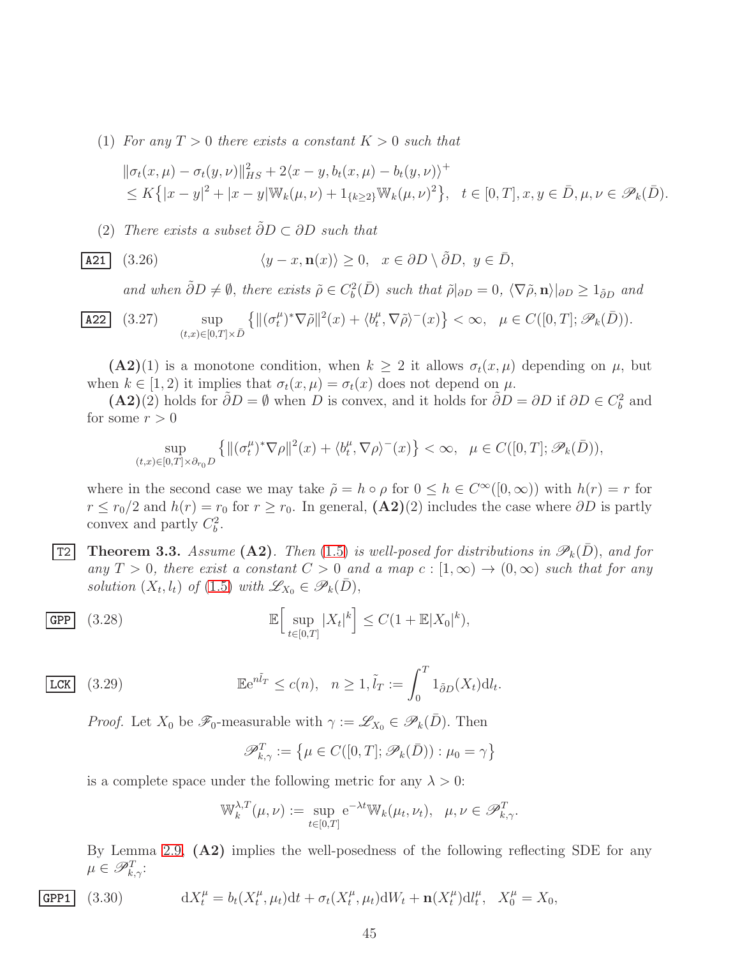(1) For any  $T > 0$  there exists a constant  $K > 0$  such that

$$
\begin{aligned} &\|\sigma_t(x,\mu) - \sigma_t(y,\nu)\|_{HS}^2 + 2\langle x - y, b_t(x,\mu) - b_t(y,\nu)\rangle^+\\ &\le K\big\{|x - y|^2 + |x - y|\mathbb{W}_k(\mu,\nu) + 1_{\{k \ge 2\}}\mathbb{W}_k(\mu,\nu)^2\big\}, \quad t \in [0,T], x, y \in \bar{D}, \mu, \nu \in \mathscr{P}_k(\bar{D}). \end{aligned}
$$

(2) *There exists a subset* ˜∂D <sup>⊂</sup> ∂D *such that*

$$
\boxed{\textbf{A21}} \quad (3.26) \qquad \qquad \langle y - x, \mathbf{n}(x) \rangle \ge 0, \quad x \in \partial D \setminus \tilde{\partial} D, \ y \in \bar{D},
$$

and when  $\tilde{\partial}D \neq \emptyset$ , there exists  $\tilde{\rho} \in C_b^2(\overline{D})$  such that  $\tilde{\rho}|_{\partial D} = 0$ ,  $\langle \nabla \tilde{\rho}, \mathbf{n} \rangle|_{\partial D} \geq 1_{\tilde{\partial}D}$  and

$$
\boxed{\text{A22}} \quad (3.27) \qquad \sup_{(t,x)\in[0,T]\times\bar{D}} \left\{ \|({\sigma_t^{\mu}})^* \nabla \tilde{\rho} \|^2(x) + \langle b_t^{\mu}, \nabla \tilde{\rho} \rangle^-(x) \right\} < \infty, \quad \mu \in C([0,T]; \mathscr{P}_k(\bar{D})).
$$

 $(A2)(1)$  is a monotone condition, when  $k \geq 2$  it allows  $\sigma_t(x,\mu)$  depending on  $\mu$ , but when  $k \in [1, 2)$  it implies that  $\sigma_t(x, \mu) = \sigma_t(x)$  does not depend on  $\mu$ .

(A2)(2) holds for  $\tilde{\partial}D = \emptyset$  when D is convex, and it holds for  $\tilde{\partial}D = \partial D$  if  $\partial D \in C_b^2$  and for some  $r > 0$ 

$$
\sup_{(t,x)\in[0,T]\times\partial_{r_0}D}\left\{\|(\sigma_t^{\mu})^*\nabla\rho\|^2(x)+\langle b_t^{\mu},\nabla\rho\rangle^-(x)\right\}<\infty,\ \ \mu\in C([0,T];\mathscr{P}_k(\bar{D})),
$$

where in the second case we may take  $\tilde{\rho} = h \circ \rho$  for  $0 \le h \in C^{\infty}([0,\infty))$  with  $h(r) = r$  for  $r \le r_0/2$  and  $h(r) = r_0$  for  $r \ge r_0$ . In general,  $(\mathbf{A2})(2)$  includes the case where  $\partial D$  is partly convex and partly  $C_b^2$ .

<span id="page-44-3"></span>**T2** Theorem 3.3. Assume (A2). Then [\(1.5\)](#page-3-1) is well-posed for distributions in  $\mathscr{P}_k(\bar{D})$ , and for *any*  $T > 0$ , there exist a constant  $C > 0$  and a map  $c : [1, \infty) \to (0, \infty)$  such that for any *solution*  $(X_t, l_t)$  *of*  $(1.5)$  *with*  $\mathscr{L}_{X_0} \in \mathscr{P}_k(\bar{D}),$ 

$$
\mathbf{GPP} \quad (3.28) \quad \mathbb{E}\Big[\sup_{t\in[0,T]}|X_t|^k\Big] \leq C(1+\mathbb{E}|X_0|^k),
$$

$$
\boxed{\text{LCK}} \quad (3.29) \qquad \qquad \mathbb{E}e^{n\tilde{l}_T} \le c(n), \quad n \ge 1, \tilde{l}_T := \int_0^T 1_{\tilde{\partial}D}(X_t) \mathrm{d}l_t
$$

*Proof.* Let  $X_0$  be  $\mathscr{F}_0$ -measurable with  $\gamma := \mathscr{L}_{X_0} \in \mathscr{P}_k(\overline{D})$ . Then

<span id="page-44-1"></span><span id="page-44-0"></span>
$$
\mathscr{P}_{k,\gamma}^T := \left\{ \mu \in C([0,T]; \mathscr{P}_k(\bar{D})) : \mu_0 = \gamma \right\}
$$

.

is a complete space under the following metric for any  $\lambda > 0$ :

<span id="page-44-2"></span>
$$
\mathbb{W}_k^{\lambda, T}(\mu, \nu) := \sup_{t \in [0, T]} e^{-\lambda t} \mathbb{W}_k(\mu_t, \nu_t), \quad \mu, \nu \in \mathscr{P}_{k, \gamma}^T.
$$

By Lemma [2.9,](#page-22-0) (A2) implies the well-posedness of the following reflecting SDE for any  $\mu \in \mathscr{P}_{k,\gamma}^T$ :

$$
\textbf{GPP1} \quad (3.30) \qquad \qquad \mathrm{d}X_t^{\mu} = b_t(X_t^{\mu}, \mu_t) \mathrm{d}t + \sigma_t(X_t^{\mu}, \mu_t) \mathrm{d}W_t + \mathbf{n}(X_t^{\mu}) \mathrm{d}l_t^{\mu}, \quad X_0^{\mu} = X_0,
$$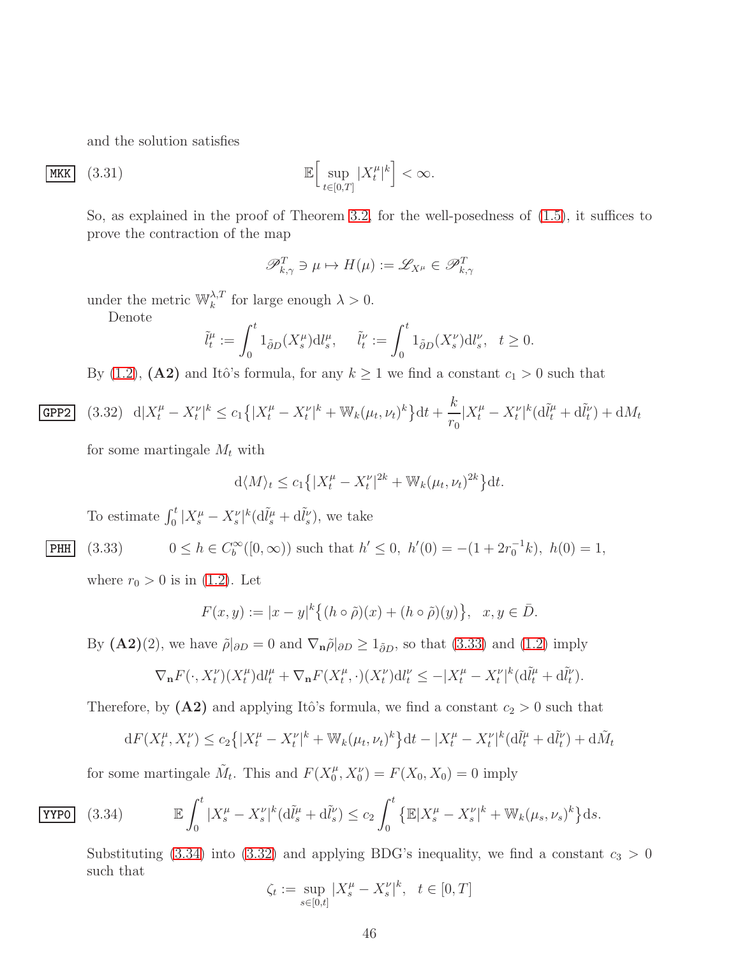and the solution satisfies

$$
\mathbf{MKK} \quad (3.31) \quad \mathbb{E} \Big[ \sup_{t \in [0,T]} |X_t^{\mu}|^k \Big] < \infty.
$$

So, as explained in the proof of Theorem [3.2,](#page-36-5) for the well-posedness of [\(1.5\)](#page-3-1), it suffices to prove the contraction of the map

$$
\mathscr{P}_{k,\gamma}^T \ni \mu \mapsto H(\mu) := \mathscr{L}_{X^\mu} \in \mathscr{P}_{k,\gamma}^T
$$

under the metric  $\mathbb{W}_k^{\lambda,T}$  for large enough  $\lambda > 0$ .

Denote

$$
\tilde{l}_t^{\mu} := \int_0^t 1_{\tilde{\partial}D}(X_s^{\mu}) \mathrm{d}l_s^{\mu}, \quad \tilde{l}_t^{\nu} := \int_0^t 1_{\tilde{\partial}D}(X_s^{\nu}) \mathrm{d}l_s^{\nu}, \quad t \ge 0.
$$

<span id="page-45-2"></span>By [\(1.2\)](#page-2-1), (A2) and Itô's formula, for any  $k \ge 1$  we find a constant  $c_1 > 0$  such that

$$
\text{GPP2} \quad (3.32) \quad \mathrm{d}|X_t^{\mu} - X_t^{\nu}|^k \le c_1 \left\{ |X_t^{\mu} - X_t^{\nu}|^k + \mathbb{W}_k(\mu_t, \nu_t)^k \right\} \mathrm{d}t + \frac{k}{r_0} |X_t^{\mu} - X_t^{\nu}|^k (\mathrm{d}\tilde{l}_t^{\mu} + \mathrm{d}\tilde{l}_t^{\nu}) + \mathrm{d}M_t
$$

for some martingale  $M_t$  with

$$
d\langle M\rangle_t \le c_1\left\{|X_t^{\mu} - X_t^{\nu}|^{2k} + \mathbb{W}_k(\mu_t, \nu_t)^{2k}\right\}dt.
$$

To estimate  $\int_0^t |X_s^{\mu} - X_s^{\nu}|^k (\mathrm{d} \tilde{l}_s^{\mu} + \mathrm{d} \tilde{l}_s^{\nu}),$  we take

$$
\underline{\text{PHH}} \quad (3.33) \qquad 0 \le h \in C_b^{\infty}([0,\infty)) \text{ such that } h' \le 0, \ h'(0) = -(1 + 2r_0^{-1}k), \ h(0) = 1,
$$

where  $r_0 > 0$  is in [\(1.2\)](#page-2-1). Let

<span id="page-45-0"></span>
$$
F(x,y) := |x - y|^k \{ (h \circ \tilde{\rho})(x) + (h \circ \tilde{\rho})(y) \}, \quad x, y \in \bar{D}.
$$

By  $(A2)(2)$ , we have  $\tilde{\rho}|_{\partial D} = 0$  and  $\nabla_n \tilde{\rho}|_{\partial D} \ge 1_{\tilde{\partial}D}$ , so that  $(3.33)$  and  $(1.2)$  imply

$$
\nabla_{\mathbf{n}} F(\cdot, X_t^{\nu})(X_t^{\mu}) \mathrm{d} l_t^{\mu} + \nabla_{\mathbf{n}} F(X_t^{\mu}, \cdot)(X_t^{\nu}) \mathrm{d} l_t^{\nu} \le -|X_t^{\mu} - X_t^{\nu}|^k (\mathrm{d} \tilde{l}_t^{\mu} + \mathrm{d} \tilde{l}_t^{\nu}).
$$

Therefore, by  $(A2)$  and applying Itô's formula, we find a constant  $c_2 > 0$  such that

<span id="page-45-1"></span>
$$
dF(X_t^{\mu}, X_t^{\nu}) \le c_2 \left\{ |X_t^{\mu} - X_t^{\nu}|^k + \mathbb{W}_k(\mu_t, \nu_t)^k \right\} dt - |X_t^{\mu} - X_t^{\nu}|^k (d\tilde{l}_t^{\mu} + d\tilde{l}_t^{\nu}) + d\tilde{M}_t
$$

for some martingale  $\tilde{M}_t$ . This and  $F(X_0^{\mu})$  $F_0^{\mu}, X_0^{\nu}$  =  $F(X_0, X_0) = 0$  imply

$$
\fbox{YYPO}
$$

$$
\text{YYPO} \quad (3.34) \qquad \mathbb{E} \int_0^t |X_s^\mu - X_s^\nu|^k (\mathrm{d}\tilde{l}_s^\mu + \mathrm{d}\tilde{l}_s^\nu) \le c_2 \int_0^t \left\{ \mathbb{E} |X_s^\mu - X_s^\nu|^k + \mathbb{W}_k(\mu_s, \nu_s)^k \right\} \mathrm{d}s.
$$

Substituting [\(3.34\)](#page-45-1) into [\(3.32\)](#page-45-2) and applying BDG's inequality, we find a constant  $c_3 > 0$ such that

$$
\zeta_t := \sup_{s \in [0,t]} |X_s^{\mu} - X_s^{\nu}|^k, \ \ t \in [0,T]
$$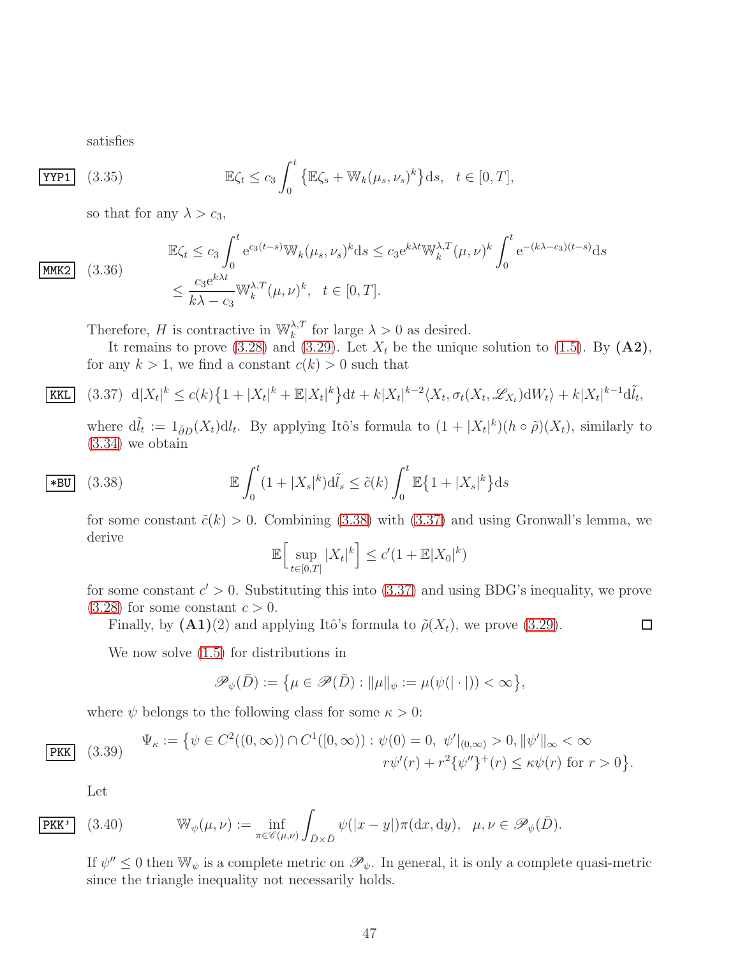satisfies

$$
\overline{\text{YYP1}} \quad (3.35) \quad \mathbb{E}\zeta_t \le c_3 \int_0^t \left\{ \mathbb{E}\zeta_s + \mathbb{W}_k(\mu_s, \nu_s)^k \right\} \mathrm{d}s, \quad t \in [0, T],
$$

so that for any  $\lambda > c_3$ ,

$$
\boxed{\text{MMK2}} \quad (3.36)
$$

 $KKL$ 

$$
\mathbb{E}\zeta_t \le c_3 \int_0^t e^{c_3(t-s)} \mathbb{W}_k(\mu_s, \nu_s)^k ds \le c_3 e^{k\lambda t} \mathbb{W}_k^{\lambda, T}(\mu, \nu)^k \int_0^t e^{-(k\lambda - c_3)(t-s)} ds
$$
  

$$
\le \frac{c_3 e^{k\lambda t}}{k\lambda - c_3} \mathbb{W}_k^{\lambda, T}(\mu, \nu)^k, \quad t \in [0, T].
$$

Therefore, H is contractive in  $\mathbb{W}_k^{\lambda,T}$  for large  $\lambda > 0$  as desired.

It remains to prove [\(3.28\)](#page-44-0) and [\(3.29\)](#page-44-1). Let  $X_t$  be the unique solution to [\(1.5\)](#page-3-1). By (A2), for any  $k > 1$ , we find a constant  $c(k) > 0$  such that

$$
\left| (3.37) d |X_t|^k \le c(k) \left\{ 1 + |X_t|^k + \mathbb{E}|X_t|^k \right\} dt + k |X_t|^{k-2} \langle X_t, \sigma_t(X_t, \mathcal{L}_{X_t}) dW_t \rangle + k |X_t|^{k-1} d\tilde{l}_t,
$$

<span id="page-46-1"></span>where  $d\tilde{l}_t := 1_{\partial D}(X_t)dl_t$ . By applying Itô's formula to  $(1+|X_t|^k)(h \circ \tilde{\rho})(X_t)$ , similarly to [\(3.34\)](#page-45-1) we obtain

$$
\mathbf{E} \int_0^t (1+|X_s|^k) \mathrm{d}\tilde{l}_s \le \tilde{c}(k) \int_0^t \mathbb{E} \{1+|X_s|^k\} \mathrm{d}s
$$

for some constant  $\tilde{c}(k) > 0$ . Combining [\(3.38\)](#page-46-0) with [\(3.37\)](#page-46-1) and using Gronwall's lemma, we derive

<span id="page-46-0"></span>
$$
\mathbb{E}\Big[\sup_{t\in[0,T]}|X_t|^k\Big]\leq c'(1+\mathbb{E}|X_0|^k)
$$

for some constant  $c' > 0$ . Substituting this into  $(3.37)$  and using BDG's inequality, we prove  $(3.28)$  for some constant  $c > 0$ .

 $\Box$ 

Finally, by  $(A1)(2)$  and applying Itô's formula to  $\tilde{\rho}(X_t)$ , we prove [\(3.29\)](#page-44-1).

We now solve [\(1.5\)](#page-3-1) for distributions in

$$
\mathscr{P}_{\psi}(\bar{D}) := \big\{\mu \in \mathscr{P}(\bar{D}) : ||\mu||_{\psi} := \mu(\psi(|\cdot|)) < \infty \big\},\
$$

where  $\psi$  belongs to the following class for some  $\kappa > 0$ :

<span id="page-46-3"></span>
$$
\Psi_{\kappa} := \{ \psi \in C^{2}((0, \infty)) \cap C^{1}([0, \infty)) : \psi(0) = 0, \ \psi'|_{(0, \infty)} > 0, \|\psi'\|_{\infty} < \infty \nr\psi'(r) + r^{2} \{\psi''\}^{+}(r) \leq \kappa \psi(r) \text{ for } r > 0 \}.
$$

<span id="page-46-2"></span>Let

 $PKK$ 

$$
\overline{\text{PKK'}} \quad (3.40) \qquad \mathbb{W}_{\psi}(\mu, \nu) := \inf_{\pi \in \mathscr{C}(\mu, \nu)} \int_{\bar{D} \times \bar{D}} \psi(|x - y|) \pi(\mathrm{d}x, \mathrm{d}y), \quad \mu, \nu \in \mathscr{P}_{\psi}(\bar{D}).
$$

If  $\psi'' \leq 0$  then  $\mathbb{W}_{\psi}$  is a complete metric on  $\mathscr{P}_{\psi}$ . In general, it is only a complete quasi-metric since the triangle inequality not necessarily holds.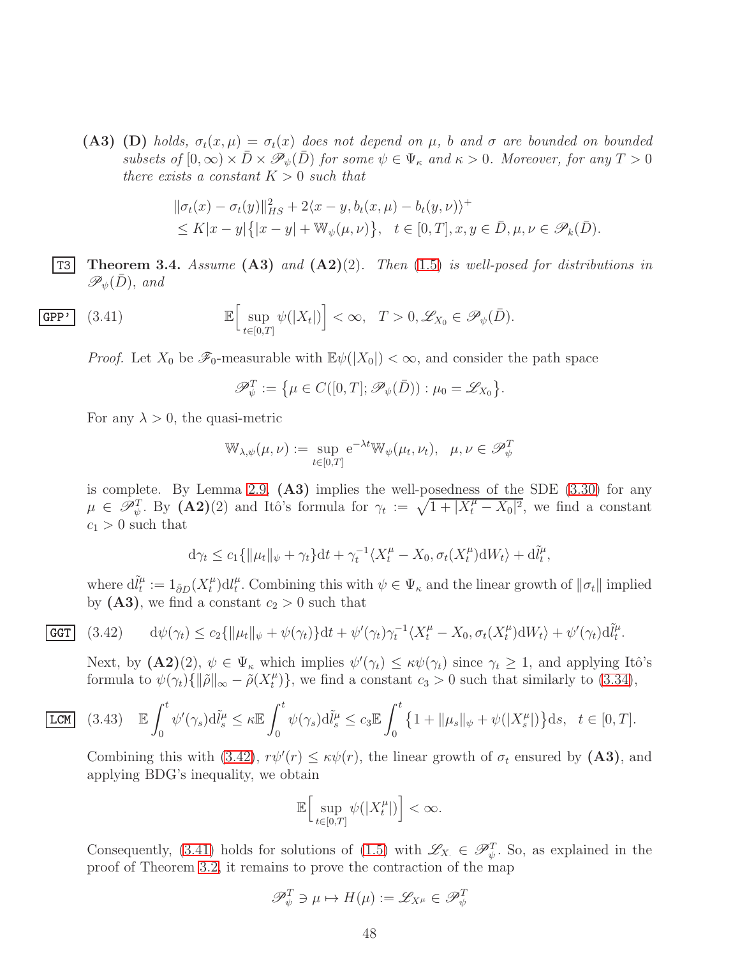(A3) (D) *holds,*  $\sigma_t(x,\mu) = \sigma_t(x)$  *does not depend on*  $\mu$ *, b and*  $\sigma$  *are bounded on bounded subsets of*  $[0, \infty) \times \overline{D} \times \mathscr{P}_{\psi}(\overline{D})$  *for some*  $\psi \in \Psi_{\kappa}$  *and*  $\kappa > 0$ *. Moreover, for any*  $T > 0$ *there exists a constant*  $K > 0$  *such that* 

$$
\begin{aligned} &\|\sigma_t(x) - \sigma_t(y)\|_{HS}^2 + 2\langle x - y, b_t(x, \mu) - b_t(y, \nu)\rangle^+\\ &\le K|x - y| \big\{|x - y| + \mathbb{W}_{\psi}(\mu, \nu)\big\}, \quad t \in [0, T], x, y \in \bar{D}, \mu, \nu \in \mathscr{P}_k(\bar{D}). \end{aligned}
$$

<span id="page-47-0"></span>T3 Theorem 3.4. *Assume* (A3) *and* (A2)(2)*. Then* [\(1.5\)](#page-3-1) *is well-posed for distributions in*  $\mathscr{P}_{\psi}(D)$ , and

$$
\mathbf{GPP'} \quad (3.41) \quad \mathbb{E}\Big[\sup_{t\in[0,T]}\psi(|X_t|)\Big] < \infty, \quad T > 0, \mathscr{L}_{X_0} \in \mathscr{P}_{\psi}(\bar{D}).
$$

*Proof.* Let  $X_0$  be  $\mathscr{F}_0$ -measurable with  $\mathbb{E}\psi(|X_0|) < \infty$ , and consider the path space

<span id="page-47-2"></span>
$$
\mathscr{P}_{\psi}^T := \{ \mu \in C([0,T]; \mathscr{P}_{\psi}(\bar{D})) : \mu_0 = \mathscr{L}_{X_0} \}.
$$

For any  $\lambda > 0$ , the quasi-metric

$$
\mathbb{W}_{\lambda,\psi}(\mu,\nu) := \sup_{t \in [0,T]} e^{-\lambda t} \mathbb{W}_{\psi}(\mu_t,\nu_t), \ \ \mu,\nu \in \mathscr{P}_{\psi}^T
$$

is complete. By Lemma [2.9,](#page-22-0)  $(A3)$  implies the well-posedness of the SDE  $(3.30)$  for any  $\mu \in \mathscr{P}_{\psi}^T$ . By  $(\mathbf{A2})(2)$  and Itô's formula for  $\gamma_t := \sqrt{1 + |X_t^{\mu} - X_0|^2}$ , we find a constant  $c_1 > 0$  such that

$$
d\gamma_t \le c_1 \{ \|\mu_t\|_{\psi} + \gamma_t \} dt + \gamma_t^{-1} \langle X_t^{\mu} - X_0, \sigma_t(X_t^{\mu}) dW_t \rangle + d\tilde{l}_t^{\mu},
$$

where  $\mathrm{d} \tilde{l}_t^{\mu}$  $\tilde{t}_t^{\mu} := 1_{\tilde{\partial}D}(X_t^{\mu})$  $\int_t^\mu\,mathrm{d}l_t^\mu$ <sup> $\mu$ </sup>. Combining this with  $\psi \in \Psi_{\kappa}$  and the linear growth of  $\|\sigma_t\|$  implied by  $(A3)$ , we find a constant  $c_2 > 0$  such that

$$
\overline{\text{GGT}} \quad (3.42) \qquad d\psi(\gamma_t) \le c_2 \{ \|\mu_t\|_{\psi} + \psi(\gamma_t) \} dt + \psi'(\gamma_t) \gamma_t^{-1} \langle X_t^{\mu} - X_0, \sigma_t(X_t^{\mu}) dW_t \rangle + \psi'(\gamma_t) d\tilde{l}_t^{\mu}.
$$

<span id="page-47-1"></span>Next, by  $(\mathbf{A2})(2)$ ,  $\psi \in \Psi_{\kappa}$  which implies  $\psi'(\gamma_t) \leq \kappa \psi(\gamma_t)$  since  $\gamma_t \geq 1$ , and applying Itô's formula to  $\psi(\gamma_t)\{\|\tilde{\rho}\|_{\infty} - \tilde{\rho}(X_t^{\mu})\}$  $t^{\mu}$ }, we find a constant  $c_3 > 0$  such that similarly to [\(3.34\)](#page-45-1),

$$
\boxed{\text{LCM}} \quad (3.43) \quad \mathbb{E} \int_0^t \psi'(\gamma_s) \mathrm{d}\tilde{l}_s^{\mu} \leq \kappa \mathbb{E} \int_0^t \psi(\gamma_s) \mathrm{d}\tilde{l}_s^{\mu} \leq c_3 \mathbb{E} \int_0^t \left\{ 1 + ||\mu_s||_{\psi} + \psi(|X_s^{\mu}|) \right\} \mathrm{d}s, \quad t \in [0, T].
$$

Combining this with [\(3.42\)](#page-47-1),  $r\psi'(r) \leq \kappa\psi(r)$ , the linear growth of  $\sigma_t$  ensured by (A3), and applying BDG's inequality, we obtain

$$
\mathbb{E}\Big[\sup_{t\in[0,T]}\psi(|X_t^\mu|)\Big]<\infty.
$$

Consequently, [\(3.41\)](#page-47-2) holds for solutions of [\(1.5\)](#page-3-1) with  $\mathscr{L}_{X} \in \mathscr{P}_{\psi}^T$ . So, as explained in the proof of Theorem [3.2,](#page-36-5) it remains to prove the contraction of the map

$$
\mathscr{P}_{\psi}^{T} \ni \mu \mapsto H(\mu) := \mathscr{L}_{X^{\mu}} \in \mathscr{P}_{\psi}^{T}
$$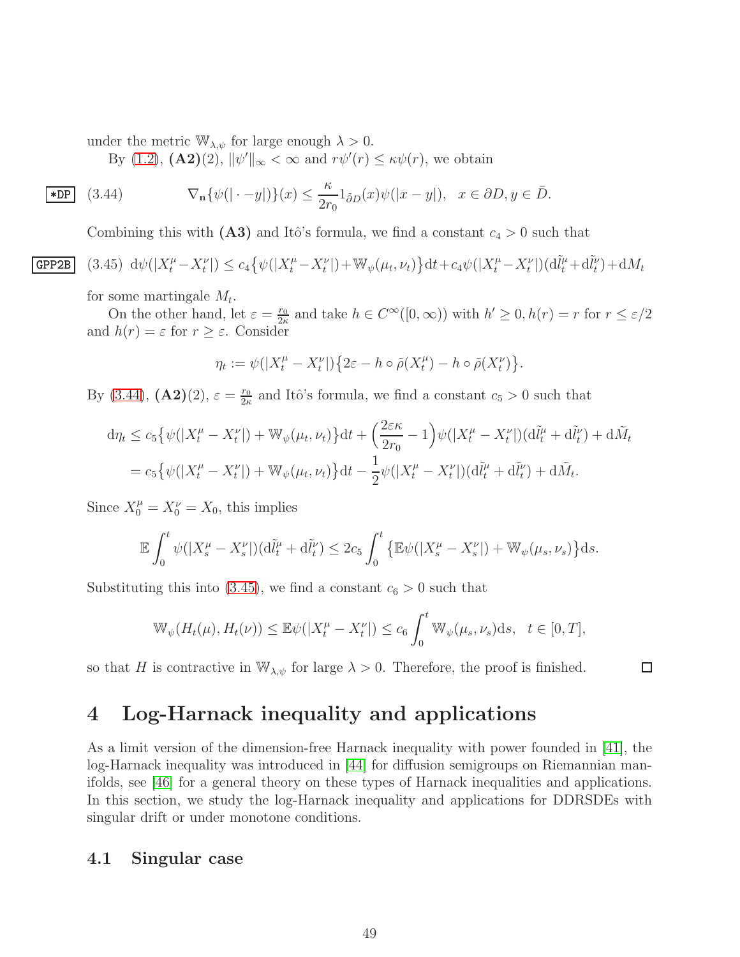under the metric  $\mathbb{W}_{\lambda,\psi}$  for large enough  $\lambda > 0$ .

<span id="page-48-2"></span>By [\(1.2\)](#page-2-1),  $(A2)(2)$ ,  $\|\psi'\|_{\infty} < \infty$  and  $r\psi'(r) \leq \kappa \psi(r)$ , we obtain

$$
\mathbf{E}[\mathbf{D} \mathbf{D}] \quad (3.44) \qquad \nabla_{\mathbf{n}} \{ \psi(|\cdot - y|) \} (x) \le \frac{\kappa}{2r_0} \mathbf{1}_{\delta D}(x) \psi(|x - y|), \quad x \in \partial D, y \in \bar{D}.
$$

<span id="page-48-3"></span>Combining this with  $(A3)$  and Itô's formula, we find a constant  $c_4 > 0$  such that

$$
\text{GPP2B} \quad (3.45) \ \text{d}\psi(|X_t^{\mu} - X_t^{\nu}|) \le c_4 \big\{ \psi(|X_t^{\mu} - X_t^{\nu}|) + \mathbb{W}_{\psi}(\mu_t, \nu_t) \big\} \text{d}t + c_4 \psi(|X_t^{\mu} - X_t^{\nu}|) (\text{d}\tilde{l}_t^{\mu} + \text{d}\tilde{l}_t^{\nu}) + \text{d}M_t
$$

for some martingale  $M_t$ .

On the other hand, let  $\varepsilon = \frac{r_0}{2\kappa}$  $\frac{r_0}{2\kappa}$  and take  $h \in C^{\infty}([0,\infty))$  with  $h' \geq 0$ ,  $h(r) = r$  for  $r \leq \varepsilon/2$ and  $h(r) = \varepsilon$  for  $r \geq \varepsilon$ . Consider

$$
\eta_t := \psi(|X_t^{\mu} - X_t^{\nu}|) \{ 2\varepsilon - h \circ \tilde{\rho}(X_t^{\mu}) - h \circ \tilde{\rho}(X_t^{\nu}) \}.
$$

By [\(3.44\)](#page-48-2),  $(A2)(2)$ ,  $\varepsilon = \frac{r_0}{2\kappa}$  $\frac{r_0}{2\kappa}$  and Itô's formula, we find a constant  $c_5 > 0$  such that

$$
d\eta_t \le c_5 \{ \psi(|X_t^{\mu} - X_t^{\nu}|) + \mathbb{W}_{\psi}(\mu_t, \nu_t) \} dt + \left( \frac{2\varepsilon \kappa}{2r_0} - 1 \right) \psi(|X_t^{\mu} - X_t^{\nu}|) (d\tilde{l}_t^{\mu} + d\tilde{l}_t^{\nu}) + d\tilde{M}_t
$$
  
=  $c_5 \{ \psi(|X_t^{\mu} - X_t^{\nu}|) + \mathbb{W}_{\psi}(\mu_t, \nu_t) \} dt - \frac{1}{2} \psi(|X_t^{\mu} - X_t^{\nu}|) (d\tilde{l}_t^{\mu} + d\tilde{l}_t^{\nu}) + d\tilde{M}_t.$ 

Since  $X_0^{\mu} = X_0^{\nu} = X_0$ , this implies

$$
\mathbb{E}\int_0^t \psi(|X_s^{\mu}-X_s^{\nu}|)(\mathrm{d}\tilde{l}_t^{\mu}+\mathrm{d}\tilde{l}_t^{\nu}) \leq 2c_5 \int_0^t \left\{\mathbb{E}\psi(|X_s^{\mu}-X_s^{\nu}|)+\mathbb{W}_{\psi}(\mu_s,\nu_s)\right\}ds.
$$

Substituting this into [\(3.45\)](#page-48-3), we find a constant  $c_6 > 0$  such that

$$
\mathbb{W}_{\psi}(H_t(\mu), H_t(\nu)) \leq \mathbb{E}\psi(|X_t^{\mu} - X_t^{\nu}|) \leq c_6 \int_0^t \mathbb{W}_{\psi}(\mu_s, \nu_s) ds, \quad t \in [0, T],
$$

so that H is contractive in  $\mathbb{W}_{\lambda,\psi}$  for large  $\lambda > 0$ . Therefore, the proof is finished.

 $\Box$ 

# <span id="page-48-0"></span>4 Log-Harnack inequality and applications

As a limit version of the dimension-free Harnack inequality with power founded in [\[41\]](#page-68-8), the log-Harnack inequality was introduced in [\[44\]](#page-68-9) for diffusion semigroups on Riemannian manifolds, see [\[46\]](#page-68-5) for a general theory on these types of Harnack inequalities and applications. In this section, we study the log-Harnack inequality and applications for DDRSDEs with singular drift or under monotone conditions.

#### <span id="page-48-1"></span>4.1 Singular case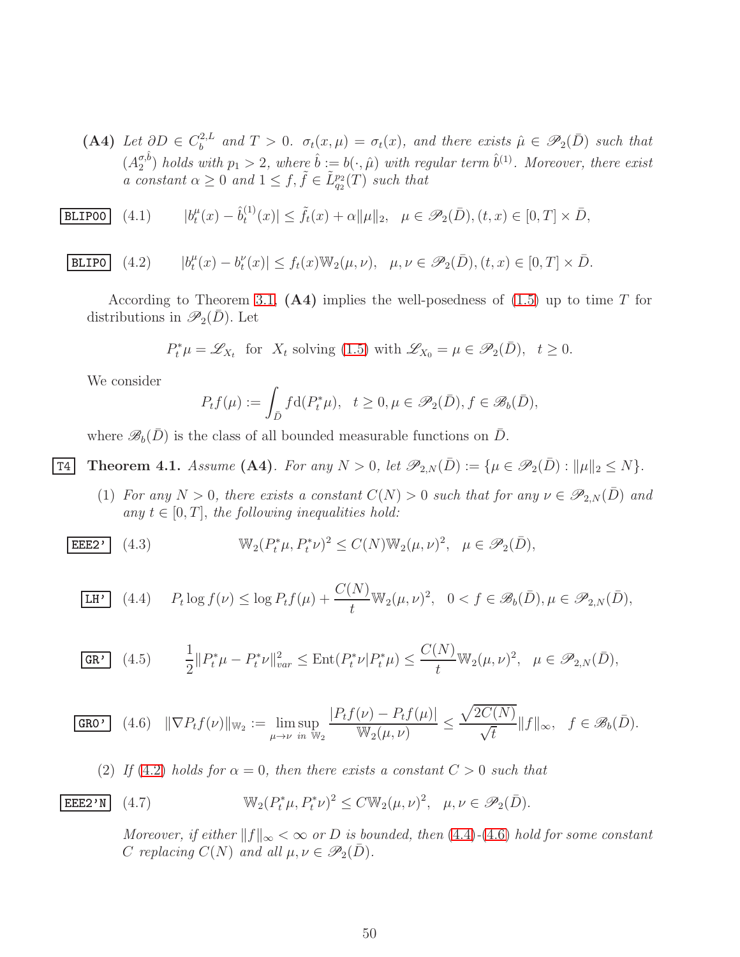(A4) *Let*  $\partial D \in C_b^{2,L}$  $\sigma_b^{2,L}$  and  $T > 0$ .  $\sigma_t(x,\mu) = \sigma_t(x)$ , and there exists  $\hat{\mu} \in \mathscr{P}_2(\bar{D})$  such that  $(A_2^{\sigma,\hat{b}})$  $\binom{\sigma, b}{2}$  *holds with*  $p_1 > 2$ , where  $\hat{b} := b(\cdot, \hat{\mu})$  *with regular term*  $\hat{b}^{(1)}$ *. Moreover, there exist a* constant  $\alpha \geq 0$  and  $1 \leq f, \tilde{f} \in \tilde{L}_{q_2}^{p_2}(T)$  such that

**BLIPOO** (4.1) 
$$
|b_t^{\mu}(x) - \hat{b}_t^{(1)}(x)| \leq \tilde{f}_t(x) + \alpha \|\mu\|_2, \quad \mu \in \mathscr{P}_2(\bar{D}), (t, x) \in [0, T] \times \bar{D},
$$

$$
\boxed{\mathtt{BLIPO}} \quad (4.2) \qquad |b_t^{\mu}(x) - b_t^{\nu}(x)| \le f_t(x) \mathbb{W}_2(\mu, \nu), \quad \mu, \nu \in \mathscr{P}_2(\bar{D}), (t, x) \in [0, T] \times \bar{D}.
$$

According to Theorem [3.1,](#page-35-0)  $(A4)$  implies the well-posedness of  $(1.5)$  up to time T for distributions in  $\mathscr{P}_2(\bar{D})$ . Let

<span id="page-49-1"></span>
$$
P_t^*\mu = \mathscr{L}_{X_t} \text{ for } X_t \text{ solving (1.5) with } \mathscr{L}_{X_0} = \mu \in \mathscr{P}_2(\bar{D}), \quad t \ge 0.
$$

We consider

$$
P_t f(\mu) := \int_{\bar{D}} f \mathrm{d}(P_t^* \mu), \quad t \ge 0, \mu \in \mathscr{P}_2(\bar{D}), f \in \mathscr{B}_b(\bar{D}),
$$

<span id="page-49-0"></span>where  $\mathscr{B}_b(\bar{D})$  is the class of all bounded measurable functions on  $\bar{D}$ .

T4 Theorem 4.1. *Assume* (A4). For any  $N > 0$ , let  $\mathscr{P}_{2,N}(\bar{D}) := \{ \mu \in \mathscr{P}_2(\bar{D}) : ||\mu||_2 \leq N \}.$ 

<span id="page-49-5"></span>(1) *For any*  $N > 0$ *, there exists a constant*  $C(N) > 0$  *such that for any*  $\nu \in \mathscr{P}_{2,N}(\bar{D})$  *and* any  $t \in [0, T]$ , the following inequalities hold:

$$
\boxed{\mathtt{EEE2'}}
$$
 (4.3) 
$$
\mathbb{W}_2(P_t^*\mu, P_t^*\nu)^2 \le C(N)\mathbb{W}_2(\mu, \nu)^2, \quad \mu \in \mathcal{P}_2(\bar{D}),
$$

<span id="page-49-2"></span>
$$
\overline{\text{LH'} \quad (4.4) \quad P_t \log f(\nu) \le \log P_t f(\mu) + \frac{C(N)}{t} \mathbb{W}_2(\mu, \nu)^2, \quad 0 < f \in \mathscr{B}_b(\bar{D}), \mu \in \mathscr{P}_{2,N}(\bar{D}),
$$

<span id="page-49-4"></span>
$$
\overline{\text{GR}'} \quad (4.5) \qquad \frac{1}{2} \| P_t^* \mu - P_t^* \nu \|_{var}^2 \le \text{Ent}(P_t^* \nu | P_t^* \mu) \le \frac{C(N)}{t} W_2(\mu, \nu)^2, \quad \mu \in \mathcal{P}_{2,N}(\bar{D}),
$$

$$
\text{GRO'} \quad (4.6) \quad \|\nabla P_t f(\nu)\|_{\mathbb{W}_2} := \limsup_{\mu \to \nu} \frac{|P_t f(\nu) - P_t f(\mu)|}{\mathbb{W}_2(\mu, \nu)} \le \frac{\sqrt{2C(N)}}{\sqrt{t}} \|f\|_{\infty}, \quad f \in \mathscr{B}_b(\bar{D}).
$$

<span id="page-49-3"></span>(2) If (4.2) holds for 
$$
\alpha = 0
$$
, then there exists a constant  $C > 0$  such that

**EEE2'N** (4.7) 
$$
\mathbb{W}_2(P_t^*\mu, P_t^*\nu)^2 \leq C \mathbb{W}_2(\mu, \nu)^2, \quad \mu, \nu \in \mathscr{P}_2(\bar{D}).
$$

<span id="page-49-6"></span>*Moreover, if either*  $||f||_{\infty} < \infty$  *or D is bounded, then* [\(4.4\)](#page-49-2)*-*[\(4.6\)](#page-49-3) *hold for some constant C* replacing  $C(N)$  and all  $\mu, \nu \in \mathcal{P}_2(\overline{D})$ *.*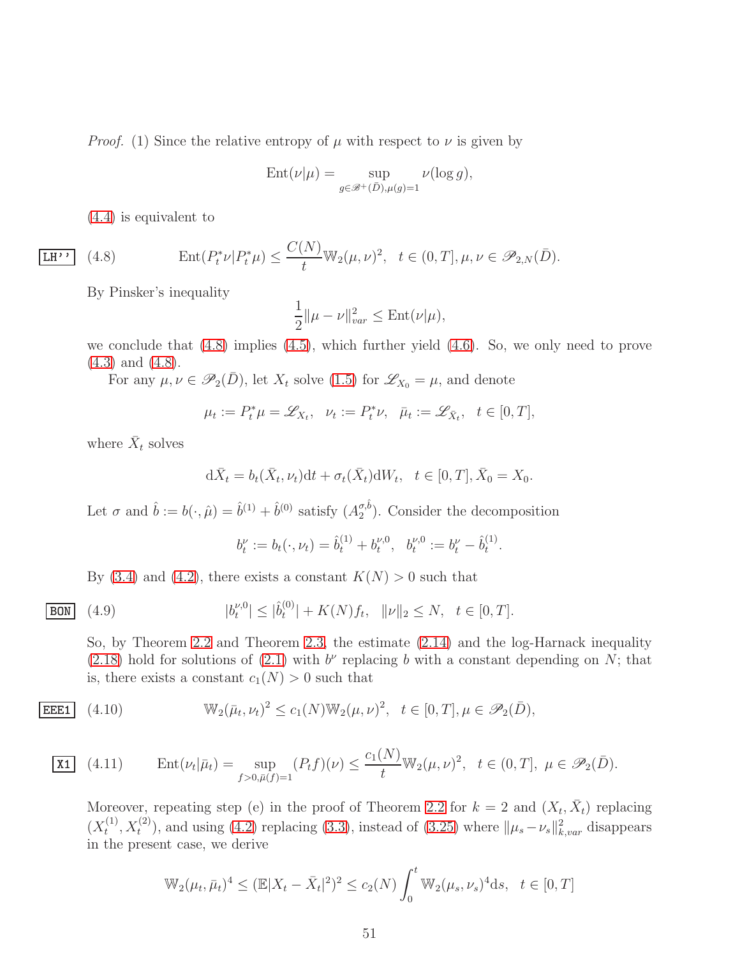*Proof.* (1) Since the relative entropy of  $\mu$  with respect to  $\nu$  is given by

$$
Ent(\nu|\mu) = \sup_{g \in \mathcal{B}^+(\bar{D}), \mu(g)=1} \nu(\log g),
$$

<span id="page-50-0"></span>[\(4.4\)](#page-49-2) is equivalent to

 $\overline{\text{LH'} }$ 

(4.8) 
$$
\text{Ent}(P_t^*\nu|P_t^*\mu) \le \frac{C(N)}{t} \mathbb{W}_2(\mu,\nu)^2, \quad t \in (0,T], \mu,\nu \in \mathscr{P}_{2,N}(\bar{D}).
$$

By Pinsker's inequality

$$
\frac{1}{2}||\mu - \nu||_{var}^2 \leq \text{Ent}(\nu|\mu),
$$

we conclude that [\(4.8\)](#page-50-0) implies [\(4.5\)](#page-49-4), which further yield [\(4.6\)](#page-49-3). So, we only need to prove [\(4.3\)](#page-49-5) and [\(4.8\)](#page-50-0).

For any  $\mu, \nu \in \mathscr{P}_2(\bar{D})$ , let  $X_t$  solve [\(1.5\)](#page-3-1) for  $\mathscr{L}_{X_0} = \mu$ , and denote

$$
\mu_t:=P_t^*\mu=\mathscr{L}_{X_t},\quad \nu_t:=P_t^*\nu,\quad \bar{\mu}_t:=\mathscr{L}_{\bar{X}_t},\quad t\in[0,T],
$$

where  $\bar{X}_t$  solves

$$
d\bar{X}_t = b_t(\bar{X}_t, \nu_t)dt + \sigma_t(\bar{X}_t)dW_t, \quad t \in [0, T], \bar{X}_0 = X_0.
$$

Let  $\sigma$  and  $\hat{b} := b(\cdot, \hat{\mu}) = \hat{b}^{(1)} + \hat{b}^{(0)}$  satisfy  $(A_2^{\sigma, \hat{b}})$  $_{2}^{\sigma,0}$ ). Consider the decomposition

<span id="page-50-3"></span>
$$
b_t^{\nu} := b_t(\cdot, \nu_t) = \hat{b}_t^{(1)} + b_t^{\nu, 0}, \ \ b_t^{\nu, 0} := b_t^{\nu} - \hat{b}_t^{(1)}.
$$

By [\(3.4\)](#page-35-6) and [\(4.2\)](#page-49-1), there exists a constant  $K(N) > 0$  such that

**BON** (4.9) 
$$
|b_t^{\nu,0}| \leq |\hat{b}_t^{(0)}| + K(N)f_t, \quad \|\nu\|_2 \leq N, \quad t \in [0,T].
$$

<span id="page-50-1"></span>So, by Theorem [2.2](#page-10-1) and Theorem [2.3,](#page-11-1) the estimate [\(2.14\)](#page-10-4) and the log-Harnack inequality [\(2.18\)](#page-11-8) hold for solutions of [\(2.1\)](#page-6-1) with  $b^{\nu}$  replacing b with a constant depending on N; that is, there exists a constant  $c_1(N) > 0$  such that

**EEE1** (4.10) 
$$
\mathbb{W}_2(\bar{\mu}_t, \nu_t)^2 \le c_1(N) \mathbb{W}_2(\mu, \nu)^2, \quad t \in [0, T], \mu \in \mathcal{P}_2(\bar{D}),
$$

**X1** (4.11) Ent
$$
(\nu_t|\bar{\mu}_t) = \sup_{f>0, \bar{\mu}(f)=1} (P_t f)(\nu) \le \frac{c_1(N)}{t} \mathbb{W}_2(\mu, \nu)^2, \quad t \in (0, T], \ \mu \in \mathcal{P}_2(\bar{D}).
$$

<span id="page-50-2"></span>Moreover, repeating step (e) in the proof of Theorem [2.2](#page-10-1) for  $k = 2$  and  $(X_t, \bar{X}_t)$  replacing  $(X_t^{(1)}$  $(t^{(1)}, X_t^{(2)})$ , and using [\(4.2\)](#page-49-1) replacing [\(3.3\)](#page-34-2), instead of [\(3.25\)](#page-43-1) where  $\|\mu_s - \nu_s\|_{k, var}^2$  disappears in the present case, we derive

$$
\mathbb{W}_2(\mu_t, \bar{\mu}_t)^4 \le (\mathbb{E}|X_t - \bar{X}_t|^2)^2 \le c_2(N) \int_0^t \mathbb{W}_2(\mu_s, \nu_s)^4 ds, \quad t \in [0, T]
$$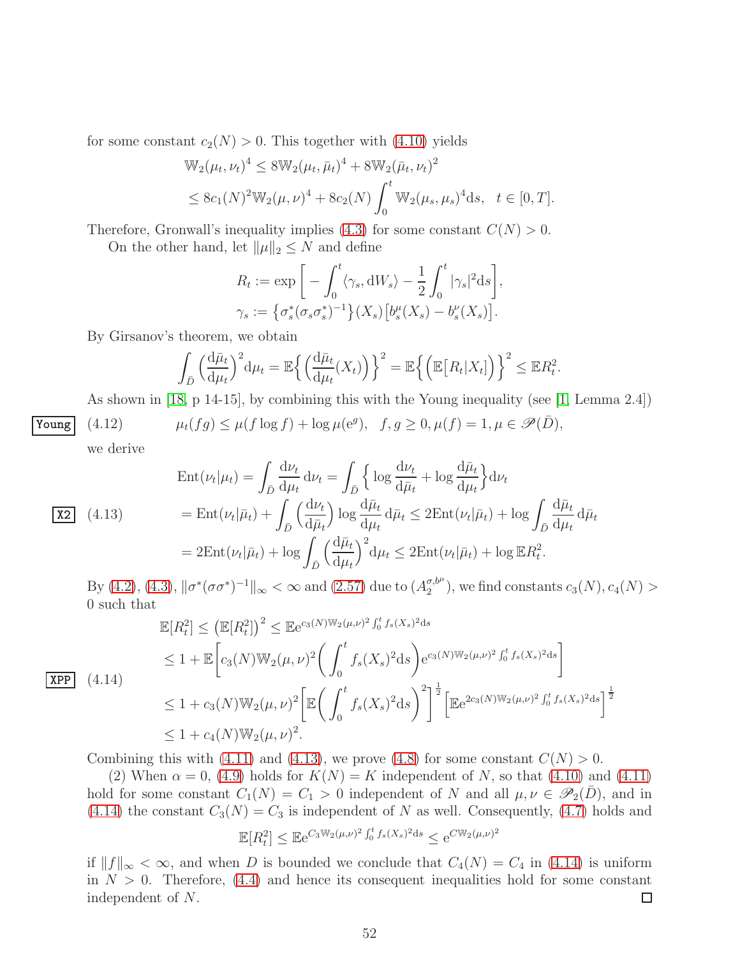for some constant  $c_2(N) > 0$ . This together with [\(4.10\)](#page-50-1) yields

$$
\mathbb{W}_2(\mu_t, \nu_t)^4 \le 8 \mathbb{W}_2(\mu_t, \bar{\mu}_t)^4 + 8 \mathbb{W}_2(\bar{\mu}_t, \nu_t)^2
$$
  
 
$$
\le 8c_1(N)^2 \mathbb{W}_2(\mu, \nu)^4 + 8c_2(N) \int_0^t \mathbb{W}_2(\mu_s, \mu_s)^4 ds, \quad t \in [0, T].
$$

Therefore, Gronwall's inequality implies [\(4.3\)](#page-49-5) for some constant  $C(N) > 0$ .

On the other hand, let  $\|\mu\|_2 \leq N$  and define

$$
R_t := \exp\bigg[-\int_0^t \langle \gamma_s, \mathrm{d}W_s \rangle - \frac{1}{2} \int_0^t |\gamma_s|^2 \mathrm{d}s\bigg],
$$
  

$$
\gamma_s := \big\{\sigma_s^*(\sigma_s \sigma_s^*)^{-1}\big\}(X_s) \big[b_s^\mu(X_s) - b_s^\nu(X_s)\big].
$$

By Girsanov's theorem, we obtain

$$
\int_{\bar{D}} \left(\frac{d\bar{\mu}_t}{d\mu_t}\right)^2 d\mu_t = \mathbb{E}\left\{ \left(\frac{d\bar{\mu}_t}{d\mu_t}(X_t)\right)\right\}^2 = \mathbb{E}\left\{ \left(\mathbb{E}\left[R_t|X_t\right]\right)\right\}^2 \leq \mathbb{E}R_t^2.
$$

As shown in [\[18,](#page-67-8) p 14-15], by combining this with the Young inequality (see [\[1,](#page-66-8) Lemma 2.4])

$$
\underline{\text{Young}} \quad (4.12) \qquad \mu_t(fg) \le \mu(f \log f) + \log \mu(e^g), \quad f, g \ge 0, \mu(f) = 1, \mu \in \mathcal{P}(\bar{D}),
$$

we derive

<span id="page-51-0"></span>
$$
\text{Ent}(\nu_t|\mu_t) = \int_{\bar{D}} \frac{\mathrm{d}\nu_t}{\mathrm{d}\mu_t} \, \mathrm{d}\nu_t = \int_{\bar{D}} \left\{ \log \frac{\mathrm{d}\nu_t}{\mathrm{d}\bar{\mu}_t} + \log \frac{\mathrm{d}\bar{\mu}_t}{\mathrm{d}\mu_t} \right\} \mathrm{d}\nu_t
$$
\n
$$
\text{X2} \quad (4.13) \qquad \qquad = \text{Ent}(\nu_t|\bar{\mu}_t) + \int_{\bar{D}} \left(\frac{\mathrm{d}\nu_t}{\mathrm{d}\bar{\mu}_t}\right) \log \frac{\mathrm{d}\bar{\mu}_t}{\mathrm{d}\mu_t} \, \mathrm{d}\bar{\mu}_t \leq 2 \text{Ent}(\nu_t|\bar{\mu}_t) + \log \int_{\bar{D}} \frac{\mathrm{d}\bar{\mu}_t}{\mathrm{d}\mu_t} \, \mathrm{d}\bar{\mu}_t
$$
\n
$$
= 2 \text{Ent}(\nu_t|\bar{\mu}_t) + \log \int_{\bar{D}} \left(\frac{\mathrm{d}\bar{\mu}_t}{\mathrm{d}\mu_t}\right)^2 \mathrm{d}\mu_t \leq 2 \text{Ent}(\nu_t|\bar{\mu}_t) + \log \mathbb{E} R_t^2.
$$

By [\(4.2\)](#page-49-1), [\(4.3\)](#page-49-5),  $\|\sigma^*(\sigma\sigma^*)^{-1}\|_{\infty} < \infty$  and [\(2.57\)](#page-19-6) due to  $(A_2^{\sigma,b^{\mu}})$  $\binom{\sigma, \sigma^2}{2}$ , we find constants  $c_3(N), c_4(N) > 0$ 0 such that

<span id="page-51-1"></span>
$$
\mathbb{E}[R_t^2] \le (\mathbb{E}[R_t^2])^2 \le \mathbb{E}e^{c_3(N)\mathbb{W}_2(\mu,\nu)^2} \int_0^t f_s(X_s)^2 ds
$$
  
\n
$$
\le 1 + \mathbb{E}\left[c_3(N)\mathbb{W}_2(\mu,\nu)^2 \left(\int_0^t f_s(X_s)^2 ds\right) e^{c_3(N)\mathbb{W}_2(\mu,\nu)^2} \int_0^t f_s(X_s)^2 ds\right]
$$
  
\n
$$
\le 1 + c_3(N)\mathbb{W}_2(\mu,\nu)^2 \left[\mathbb{E}\left(\int_0^t f_s(X_s)^2 ds\right)^2\right]^{\frac{1}{2}} \left[\mathbb{E}e^{2c_3(N)\mathbb{W}_2(\mu,\nu)^2} \int_0^t f_s(X_s)^2 ds\right]^{\frac{1}{2}}
$$
  
\n
$$
\le 1 + c_4(N)\mathbb{W}_2(\mu,\nu)^2.
$$

Combining this with [\(4.11\)](#page-50-2) and [\(4.13\)](#page-51-0), we prove [\(4.8\)](#page-50-0) for some constant  $C(N) > 0$ .

(2) When  $\alpha = 0$ , [\(4.9\)](#page-50-3) holds for  $K(N) = K$  independent of N, so that [\(4.10\)](#page-50-1) and [\(4.11\)](#page-50-2) hold for some constant  $C_1(N) = C_1 > 0$  independent of N and all  $\mu, \nu \in \mathscr{P}_2(\overline{D})$ , and in [\(4.14\)](#page-51-1) the constant  $C_3(N) = C_3$  is independent of N as well. Consequently, [\(4.7\)](#page-49-6) holds and

$$
\mathbb{E}[R_t^2] \leq \mathbb{E}e^{C_3 \mathbb{W}_2(\mu,\nu)^2 \int_0^t f_s(X_s)^2 ds} \leq e^{C \mathbb{W}_2(\mu,\nu)^2}
$$

if  $||f||_{\infty} < \infty$ , and when D is bounded we conclude that  $C_4(N) = C_4$  in [\(4.14\)](#page-51-1) is uniform in  $N > 0$ . Therefore, [\(4.4\)](#page-49-2) and hence its consequent inequalities hold for some constant independent of N.  $\Box$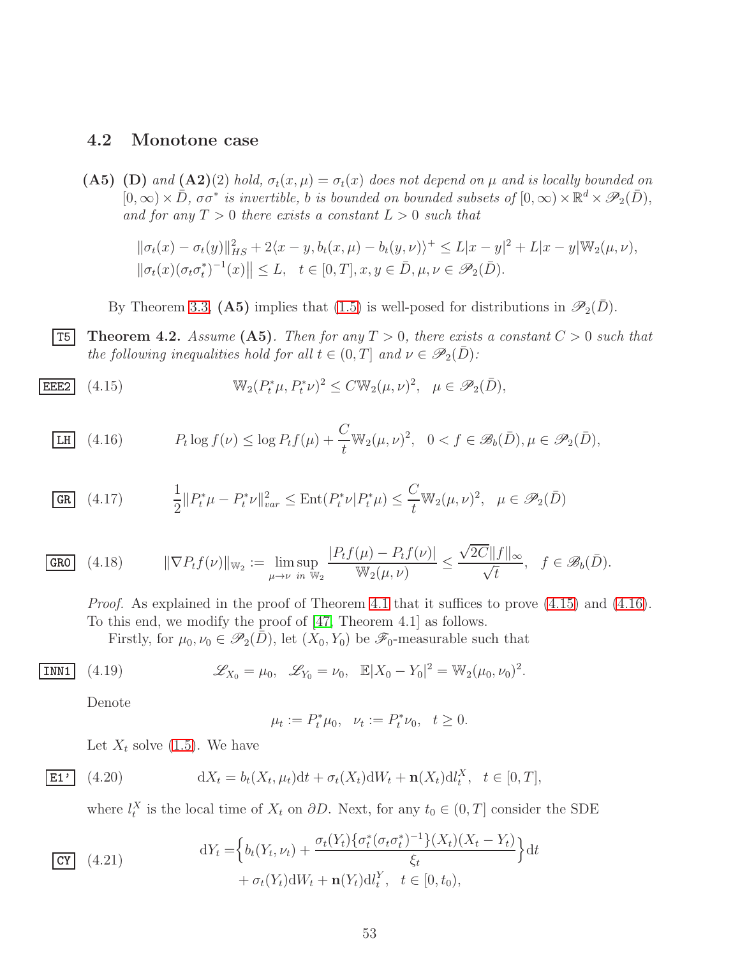#### <span id="page-52-0"></span>4.2 Monotone case

(A5) (D) and (A2)(2) hold,  $\sigma_t(x,\mu) = \sigma_t(x)$  does not depend on  $\mu$  and is locally bounded on  $[0, \infty) \times \overline{D}$ ,  $\sigma \sigma^*$  *is invertible, b is bounded on bounded subsets of*  $[0, \infty) \times \mathbb{R}^d \times \mathscr{P}_2(\overline{D})$ , and for any  $T > 0$  there exists a constant  $L > 0$  such that

 $\|\sigma_t(x) - \sigma_t(y)\|_{HS}^2 + 2\langle x - y, b_t(x, \mu) - b_t(y, \nu) \rangle^+ \le L|x - y|^2 + L|x - y| \mathbb{W}_2(\mu, \nu),$  $\|\sigma_t(x)(\sigma_t\sigma_t^*)^{-1}(x)\| \leq L, \quad t \in [0,T], x, y \in \bar{D}, \mu, \nu \in \mathscr{P}_2(\bar{D}).$ 

<span id="page-52-2"></span><span id="page-52-1"></span>By Theorem [3.3,](#page-44-3) (A5) implies that [\(1.5\)](#page-3-1) is well-posed for distributions in  $\mathscr{P}_2(\bar{D})$ .

**T5** Theorem 4.2. Assume (A5). Then for any  $T > 0$ , there exists a constant  $C > 0$  such that *the following inequalities hold for all*  $t \in (0, T]$  *and*  $\nu \in \mathscr{P}_2(\overline{D})$ *:* 

$$
\text{EEE2} \quad (4.15) \qquad \mathbb{W}_2(P_t^*\mu, P_t^*\nu)^2 \le C \mathbb{W}_2(\mu, \nu)^2, \quad \mu \in \mathscr{P}_2(\bar{D}),
$$

<span id="page-52-3"></span>
$$
\underline{\text{LH}} \quad (4.16) \qquad P_t \log f(\nu) \le \log P_t f(\mu) + \frac{C}{t} \mathbb{W}_2(\mu, \nu)^2, \quad 0 < f \in \mathscr{B}_b(\bar{D}), \mu \in \mathscr{P}_2(\bar{D}),
$$

$$
\overline{\text{GR}} \quad (4.17) \qquad \frac{1}{2} \| P_t^* \mu - P_t^* \nu \|_{var}^2 \le \text{Ent}(P_t^* \nu | P_t^* \mu) \le \frac{C}{t} \mathbb{W}_2(\mu, \nu)^2, \quad \mu \in \mathcal{P}_2(\bar{D})
$$

$$
\text{GRO} \quad (4.18) \qquad \|\nabla P_t f(\nu)\|_{\mathbb{W}_2} := \limsup_{\mu \to \nu} \frac{|P_t f(\mu) - P_t f(\nu)|}{\mathbb{W}_2(\mu, \nu)} \le \frac{\sqrt{2C} \|f\|_{\infty}}{\sqrt{t}}, \quad f \in \mathscr{B}_b(\bar{D}).
$$

*Proof.* As explained in the proof of Theorem [4.1](#page-49-0) that it suffices to prove  $(4.15)$  and  $(4.16)$ . To this end, we modify the proof of [\[47,](#page-69-7) Theorem 4.1] as follows.

Firstly, for  $\mu_0, \nu_0 \in \mathscr{P}_2(\bar{D})$ , let  $(X_0, Y_0)$  be  $\mathscr{F}_0$ -measurable such that

**INN1** (4.19) 
$$
\mathscr{L}_{X_0} = \mu_0, \quad \mathscr{L}_{Y_0} = \nu_0, \quad \mathbb{E}|X_0 - Y_0|^2 = \mathbb{W}_2(\mu_0, \nu_0)^2.
$$

Denote

<span id="page-52-6"></span><span id="page-52-5"></span>
$$
\mu_t := P_t^* \mu_0, \quad \nu_t := P_t^* \nu_0, \quad t \ge 0.
$$

Let  $X_t$  solve [\(1.5\)](#page-3-1). We have

$$
\boxed{\mathbf{E1'} \quad (4.20)} \qquad \qquad \mathrm{d}X_t = b_t(X_t, \mu_t) \mathrm{d}t + \sigma_t(X_t) \mathrm{d}W_t + \mathbf{n}(X_t) \mathrm{d}U_t^X, \quad t \in [0, T],
$$

where  $l_t^X$  is the local time of  $X_t$  on  $\partial D$ . Next, for any  $t_0 \in (0, T]$  consider the SDE

<span id="page-52-4"></span>
$$
\begin{aligned}\n\text{CY} \quad (4.21) \qquad \qquad \mathrm{d}Y_t &= \left\{ b_t(Y_t, \nu_t) + \frac{\sigma_t(Y_t) \left\{ \sigma_t^*(\sigma_t \sigma_t^*)^{-1} \right\} (X_t) (X_t - Y_t)}{\xi_t} \right\} \mathrm{d}t \\
&\quad + \sigma_t(Y_t) \mathrm{d}W_t + \mathbf{n}(Y_t) \mathrm{d}l_t^Y, \quad t \in [0, t_0),\n\end{aligned}
$$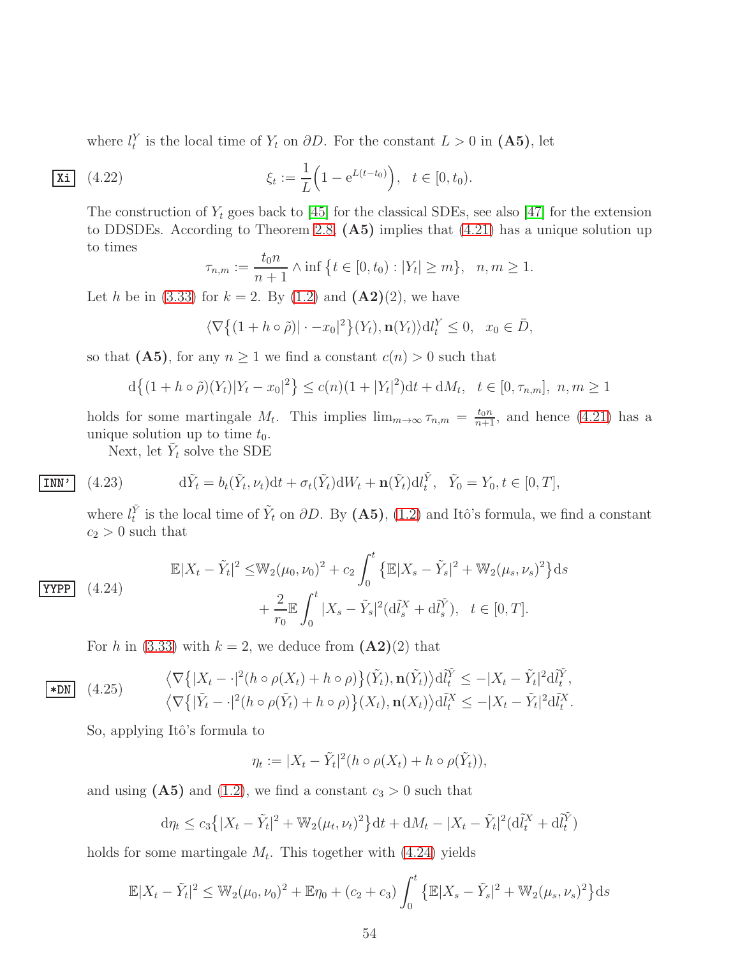where  $l_t^Y$  is the local time of  $Y_t$  on  $\partial D$ . For the constant  $L > 0$  in  $($ **A5** $)$ , let

$$
\overline{\mathbf{Xi}} \quad (4.22) \qquad \qquad \xi_t := \frac{1}{L} \Big( 1 - e^{L(t - t_0)} \Big), \quad t \in [0, t_0).
$$

The construction of  $Y_t$  goes back to [\[45\]](#page-68-10) for the classical SDEs, see also [\[47\]](#page-69-7) for the extension to DDSDEs. According to Theorem [2.8,](#page-20-2) (A5) implies that [\(4.21\)](#page-52-4) has a unique solution up to times

$$
\tau_{n,m} := \frac{t_0 n}{n+1} \wedge \inf \{ t \in [0, t_0) : |Y_t| \ge m \}, \quad n, m \ge 1.
$$

Let h be in [\(3.33\)](#page-45-0) for  $k = 2$ . By [\(1.2\)](#page-2-1) and (A2)(2), we have

$$
\langle \nabla \{ (1 + h \circ \tilde{\rho}) | \cdot -x_0 |^2 \} (Y_t), \mathbf{n}(Y_t) \rangle \mathrm{d} l_t^Y \le 0, \quad x_0 \in \bar{D},
$$

so that  $(A5)$ , for any  $n \ge 1$  we find a constant  $c(n) > 0$  such that

$$
d\{(1+h\circ\tilde{\rho})(Y_t)|Y_t-x_0|^2\}\leq c(n)(1+|Y_t|^2)dt+dM_t, \ \ t\in[0,\tau_{n,m}], \ n,m\geq 1
$$

holds for some martingale  $M_t$ . This implies  $\lim_{m\to\infty} \tau_{n,m} = \frac{t_0 n}{n+1}$ , and hence [\(4.21\)](#page-52-4) has a unique solution up to time  $t_0$ .

Next, let  $\tilde{Y}_t$  solve the SDE

INN'

(4.23) 
$$
d\tilde{Y}_t = b_t(\tilde{Y}_t, \nu_t)dt + \sigma_t(\tilde{Y}_t)dW_t + \mathbf{n}(\tilde{Y}_t)dl_t^{\tilde{Y}}, \quad \tilde{Y}_0 = Y_0, t \in [0, T],
$$

where  $l_t^{\tilde{Y}}$  is the local time of  $\tilde{Y}_t$  on  $\partial D$ . By (A5), [\(1.2\)](#page-2-1) and Itô's formula, we find a constant  $c_2 > 0$  such that

<span id="page-53-0"></span>
$$
\begin{aligned} \n\mathbb{E}|X_t - \tilde{Y}_t|^2 &\leq \mathbb{W}_2(\mu_0, \nu_0)^2 + c_2 \int_0^t \left\{ \mathbb{E}|X_s - \tilde{Y}_s|^2 + \mathbb{W}_2(\mu_s, \nu_s)^2 \right\} \mathrm{d}s \\ \n&\quad + \frac{2}{r_0} \mathbb{E} \int_0^t |X_s - \tilde{Y}_s|^2 (\mathrm{d}\tilde{l}_s^X + \mathrm{d}\tilde{l}_s^{\tilde{Y}}), \quad t \in [0, T]. \n\end{aligned}
$$

For h in [\(3.33\)](#page-45-0) with  $k = 2$ , we deduce from  $(\mathbf{A2})(2)$  that

<span id="page-53-1"></span>
$$
\frac{\langle \nabla \{ |X_t - \cdot|^2 (h \circ \rho(X_t) + h \circ \rho) \} (\tilde{Y}_t), \mathbf{n}(\tilde{Y}_t) \rangle \mathrm{d} \tilde{l}_t^{\tilde{Y}} \le -|X_t - \tilde{Y}_t|^2 \mathrm{d} \tilde{l}_t^{\tilde{Y}},}{\langle \nabla \{ | \tilde{Y}_t - \cdot|^2 (h \circ \rho(\tilde{Y}_t) + h \circ \rho) \} (X_t), \mathbf{n}(X_t) \rangle \mathrm{d} \tilde{l}_t^{\tilde{X}} \le -|X_t - \tilde{Y}_t|^2 \mathrm{d} \tilde{l}_t^{\tilde{X}}}.
$$

So, applying Itô's formula to

$$
\eta_t := |X_t - \tilde{Y}_t|^2 (h \circ \rho(X_t) + h \circ \rho(\tilde{Y}_t)),
$$

and using  $(A5)$  and  $(1.2)$ , we find a constant  $c_3 > 0$  such that

$$
d\eta_t \le c_3 \left\{ |X_t - \tilde{Y}_t|^2 + \mathbb{W}_2(\mu_t, \nu_t)^2 \right\} dt + dM_t - |X_t - \tilde{Y}_t|^2 (d\tilde{U}_t^X + d\tilde{U}_t^Y)
$$

holds for some martingale  $M_t$ . This together with  $(4.24)$  yields

$$
\mathbb{E}|X_t - \tilde{Y}_t|^2 \le \mathbb{W}_2(\mu_0, \nu_0)^2 + \mathbb{E}\eta_0 + (c_2 + c_3) \int_0^t \left\{ \mathbb{E}|X_s - \tilde{Y}_s|^2 + \mathbb{W}_2(\mu_s, \nu_s)^2 \right\} ds
$$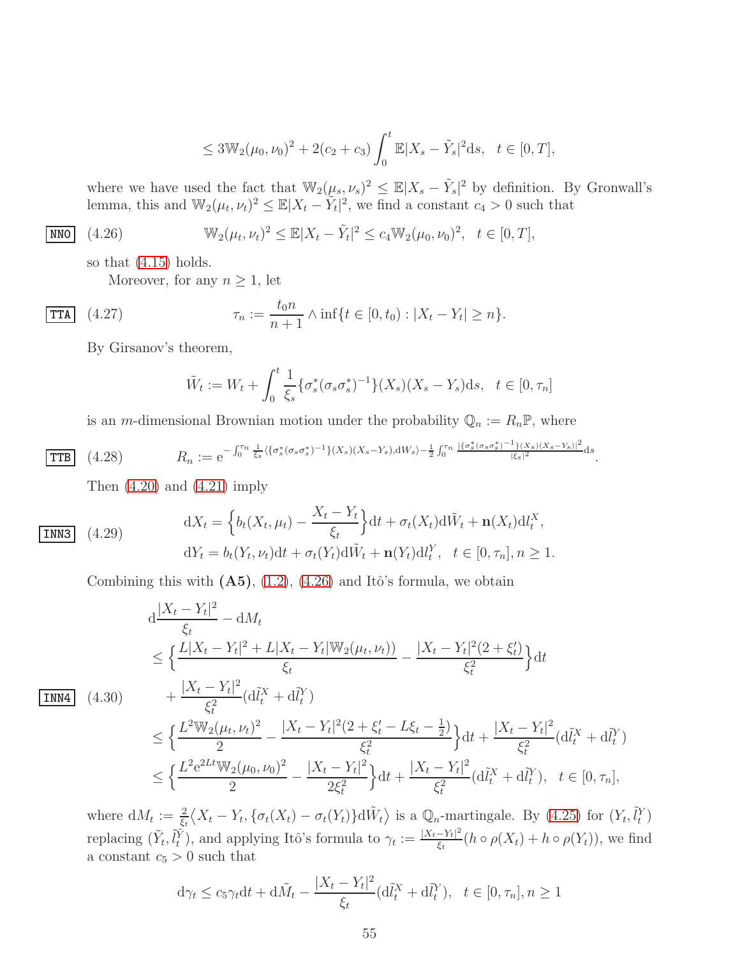<span id="page-54-0"></span>
$$
\leq 3\mathbb{W}_2(\mu_0,\nu_0)^2 + 2(c_2+c_3)\int_0^t \mathbb{E}|X_s-\tilde{Y}_s|^2 ds, \quad t \in [0,T],
$$

where we have used the fact that  $\mathbb{W}_2(\mu_s, \nu_s)^2 \leq \mathbb{E}|X_s - \tilde{Y}_s|^2$  by definition. By Gronwall's lemma, this and  $\mathbb{W}_2(\mu_t, \nu_t)^2 \leq \mathbb{E}|X_t - \tilde{Y}_t|^2$ , we find a constant  $c_4 > 0$  such that

$$
\overline{\text{NNO}} \quad (4.26) \qquad \mathbb{W}_2(\mu_t, \nu_t)^2 \leq \mathbb{E}|X_t - \tilde{Y}_t|^2 \leq c_4 \mathbb{W}_2(\mu_0, \nu_0)^2, \quad t \in [0, T],
$$

so that [\(4.15\)](#page-52-2) holds.

Moreover, for any  $n \geq 1$ , let

**TTA** (4.27) 
$$
\tau_n := \frac{t_0 n}{n+1} \wedge \inf\{t \in [0, t_0) : |X_t - Y_t| \ge n\}.
$$

By Girsanov's theorem,

$$
\tilde{W}_t := W_t + \int_0^t \frac{1}{\xi_s} \{ \sigma_s^* (\sigma_s \sigma_s^*)^{-1} \} (X_s)(X_s - Y_s) \mathrm{d}s, \ \ t \in [0, \tau_n]
$$

is an *m*-dimensional Brownian motion under the probability  $\mathbb{Q}_n := R_n \mathbb{P}$ , where

$$
\text{TTB} \quad (4.28) \qquad R_n := e^{-\int_0^{\tau_n} \frac{1}{\xi_s} \langle \{\sigma_s^*(\sigma_s \sigma_s^*)^{-1}\}(X_s)(X_s - Y_s), \mathrm{d}W_s \rangle - \frac{1}{2} \int_0^{\tau_n} \frac{|\{\sigma_s^*(\sigma_s \sigma_s^*)^{-1}\}(X_s)(X_s - Y_s)|^2}{|\xi_s|^2} \mathrm{d}s}.
$$

 $X_t - Y_t$ 

<span id="page-54-2"></span>Then  $(4.20)$  and  $(4.21)$  imply

INN3 (4.29)

$$
dX_t = \left\{ b_t(X_t, \mu_t) - \frac{X_t - Y_t}{\xi_t} \right\} dt + \sigma_t(X_t) d\tilde{W}_t + \mathbf{n}(X_t) d\tilde{W}_t,
$$
  

$$
dY_t = b_t(Y_t, \nu_t) dt + \sigma_t(Y_t) d\tilde{W}_t + \mathbf{n}(Y_t) d\tilde{W}_t, \quad t \in [0, \tau_n], n \ge 1.
$$

Combining this with  $(A5)$ ,  $(1.2)$ ,  $(4.26)$  and Itô's formula, we obtain

<span id="page-54-1"></span>
$$
d \frac{|X_t - Y_t|^2}{\xi_t} - dM_t
$$
  
\n
$$
\leq \left\{ \frac{L|X_t - Y_t|^2 + L|X_t - Y_t|\mathbb{W}_2(\mu_t, \nu_t))}{\xi_t} - \frac{|X_t - Y_t|^2(2 + \xi_t')}{\xi_t^2} \right\} dt
$$
  
\n
$$
\boxed{\mathbf{INM4}} \quad (4.30)
$$
  
\n
$$
+ \frac{|X_t - Y_t|^2}{\xi_t^2} (d\tilde{l}_t^X + d\tilde{l}_t^Y)
$$
  
\n
$$
\leq \left\{ \frac{L^2 \mathbb{W}_2(\mu_t, \nu_t)^2}{2} - \frac{|X_t - Y_t|^2(2 + \xi_t' - L\xi_t - \frac{1}{2})}{\xi_t^2} \right\} dt + \frac{|X_t - Y_t|^2}{\xi_t^2} (d\tilde{l}_t^X + d\tilde{l}_t^Y)
$$
  
\n
$$
\leq \left\{ \frac{L^2 e^{2Lt} \mathbb{W}_2(\mu_0, \nu_0)^2}{2} - \frac{|X_t - Y_t|^2}{2\xi_t^2} \right\} dt + \frac{|X_t - Y_t|^2}{\xi_t^2} (d\tilde{l}_t^X + d\tilde{l}_t^Y), \quad t \in [0, \tau_n],
$$

where  $dM_t := \frac{2}{\xi_t} \langle X_t - Y_t, \{\sigma_t(X_t) - \sigma_t(Y_t)\} d\tilde{W}_t \rangle$  is a  $\mathbb{Q}_n$ -martingale. By [\(4.25\)](#page-53-1) for  $(Y_t, \tilde{l}_t^Y)$ replacing  $(\tilde{Y}_t, \tilde{l}_t^{\tilde{Y}})$ , and applying Itô's formula to  $\gamma_t := \frac{|X_t - Y_t|^2}{\xi_t}$  $\frac{-r_t-1}{\xi_t}(h\circ\rho(X_t)+h\circ\rho(Y_t)),$  we find a constant  $c_5 > 0$  such that

$$
d\gamma_t \leq c_5 \gamma_t dt + d\tilde{M}_t - \frac{|X_t - Y_t|^2}{\xi_t} (d\tilde{l}_t^X + d\tilde{l}_t^Y), \quad t \in [0, \tau_n], n \geq 1
$$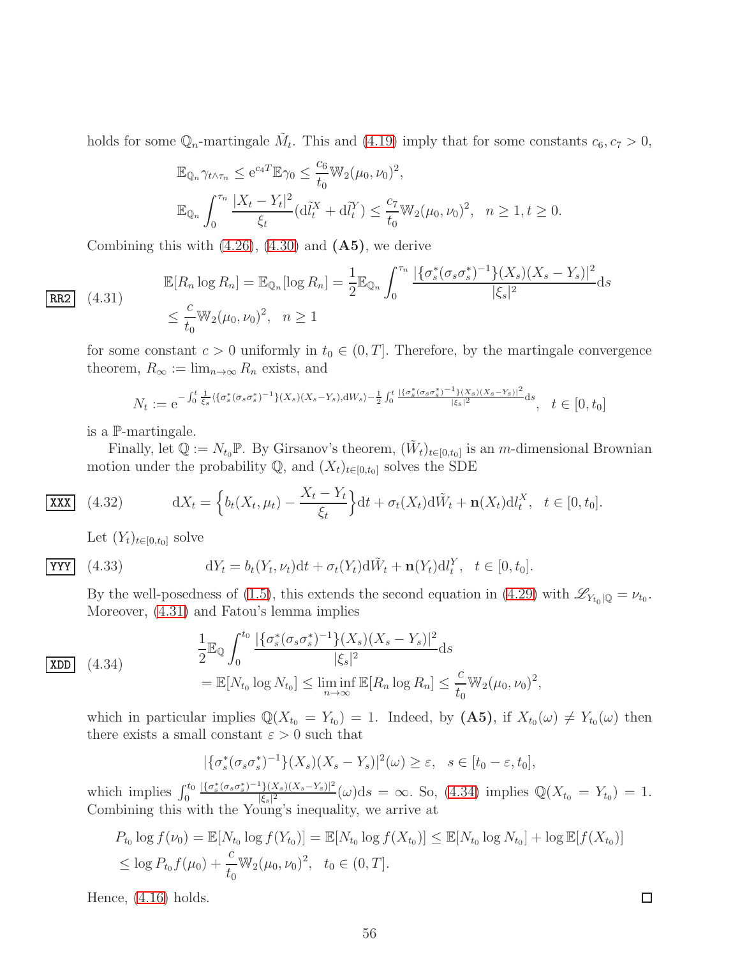holds for some  $\mathbb{Q}_n$ -martingale  $\tilde{M}_t$ . This and [\(4.19\)](#page-52-6) imply that for some constants  $c_6, c_7 > 0$ ,

$$
\mathbb{E}_{\mathbb{Q}_n} \gamma_{t \wedge \tau_n} \le e^{c_4 T} \mathbb{E} \gamma_0 \le \frac{c_6}{t_0} \mathbb{W}_2(\mu_0, \nu_0)^2,
$$
  

$$
\mathbb{E}_{\mathbb{Q}_n} \int_0^{\tau_n} \frac{|X_t - Y_t|^2}{\xi_t} (\mathrm{d} \tilde{l}_t^X + \mathrm{d} \tilde{l}_t^Y) \le \frac{c_7}{t_0} \mathbb{W}_2(\mu_0, \nu_0)^2, \quad n \ge 1, t \ge 0.
$$

Combining this with  $(4.26)$ ,  $(4.30)$  and  $(A5)$ , we derive

$$
\mathbb{E}[R_n \log R_n] = \mathbb{E}_{\mathbb{Q}_n}[\log R_n] = \frac{1}{2} \mathbb{E}_{\mathbb{Q}_n} \int_0^{\tau_n} \frac{|\{\sigma_s^*(\sigma_s \sigma_s^*)^{-1}\}(X_s)(X_s - Y_s)|^2}{|\xi_s|^2} ds
$$
  

$$
\leq \frac{c}{t_0} \mathbb{W}_2(\mu_0, \nu_0)^2, \quad n \geq 1
$$

<span id="page-55-0"></span> $\boxed{\text{RR2}} \quad (4.31)$ 

for some constant  $c > 0$  uniformly in  $t_0 \in (0, T]$ . Therefore, by the martingale convergence theorem,  $R_{\infty} := \lim_{n \to \infty} R_n$  exists, and

$$
N_t := e^{-\int_0^t \frac{1}{\xi_s} \langle \{\sigma_s^*(\sigma_s \sigma_s^*)^{-1}\}(X_s)(X_s - Y_s), dW_s \rangle - \frac{1}{2} \int_0^t \frac{|\{\sigma_s^*(\sigma_s \sigma_s^*)^{-1}\}(X_s)(X_s - Y_s)|^2}{|\xi_s|^2} ds}, \quad t \in [0, t_0]
$$

is a P-martingale.

Finally, let  $\mathbb{Q} := N_{t_0} \mathbb{P}$ . By Girsanov's theorem,  $(\tilde{W}_t)_{t \in [0,t_0]}$  is an *m*-dimensional Brownian motion under the probability  $\mathbb{Q}$ , and  $(X_t)_{t\in[0,t_0]}$  solves the SDE

$$
\boxed{\text{XXX}} \quad (4.32) \qquad \qquad \mathrm{d}X_t = \left\{ b_t(X_t, \mu_t) - \frac{X_t - Y_t}{\xi_t} \right\} \mathrm{d}t + \sigma_t(X_t) \mathrm{d}\tilde{W}_t + \mathbf{n}(X_t) \mathrm{d}l_t^X, \quad t \in [0, t_0].
$$

Let  $(Y_t)_{t\in[0,t_0]}$  solve

$$
\gamma\gamma\gamma
$$

 $(4.33)$ 

$$
dY_t = b_t(Y_t, \nu_t)dt + \sigma_t(Y_t)d\tilde{W}_t + \mathbf{n}(Y_t)dl_t^Y, \quad t \in [0, t_0].
$$

By the well-posedness of [\(1.5\)](#page-3-1), this extends the second equation in [\(4.29\)](#page-54-2) with  $\mathscr{L}_{Y_{t_0}|\mathbb{Q}} = \nu_{t_0}$ . Moreover, [\(4.31\)](#page-55-0) and Fatou's lemma implies

<span id="page-55-1"></span>
$$
\frac{1}{2} \mathbb{E}_{\mathbb{Q}} \int_{0}^{t_{0}} \frac{|\{\sigma_{s}^{*}(\sigma_{s}\sigma_{s}^{*})^{-1}\}(X_{s})(X_{s}-Y_{s})|^{2}}{|\xi_{s}|^{2}} ds
$$
\n
$$
= \mathbb{E}[N_{t_{0}} \log N_{t_{0}}] \leq \liminf_{n \to \infty} \mathbb{E}[R_{n} \log R_{n}] \leq \frac{c}{t_{0}} \mathbb{W}_{2}(\mu_{0}, \nu_{0})^{2},
$$

which in particular implies  $\mathbb{Q}(X_{t_0} = Y_{t_0}) = 1$ . Indeed, by  $(A5)$ , if  $X_{t_0}(\omega) \neq Y_{t_0}(\omega)$  then there exists a small constant  $\varepsilon > 0$  such that

$$
|\{\sigma_s^*(\sigma_s\sigma_s^*)^{-1}\}(X_s)(X_s-Y_s)|^2(\omega)\geq \varepsilon, \quad s\in[t_0-\varepsilon,t_0],
$$

which implies  $\int_0^{t_0}$  $|\{\sigma_s^*(\sigma_s\sigma_s^*)^{-1}\}(X_s)(X_s-Y_s)|^2$  $\frac{f_1(X_s)(X_s - Y_s)|^2}{|\xi_s|^2}(\omega)ds = \infty$ . So, [\(4.34\)](#page-55-1) implies  $\mathbb{Q}(X_{t_0} = Y_{t_0}) = 1$ . Combining this with the Young's inequality, we arrive at

$$
P_{t_0} \log f(\nu_0) = \mathbb{E}[N_{t_0} \log f(Y_{t_0})] = \mathbb{E}[N_{t_0} \log f(X_{t_0})] \leq \mathbb{E}[N_{t_0} \log N_{t_0}] + \log \mathbb{E}[f(X_{t_0})]
$$
  
\n
$$
\leq \log P_{t_0} f(\mu_0) + \frac{c}{t_0} \mathbb{W}_2(\mu_0, \nu_0)^2, \quad t_0 \in (0, T].
$$

Hence, [\(4.16\)](#page-52-3) holds.

 $\Box$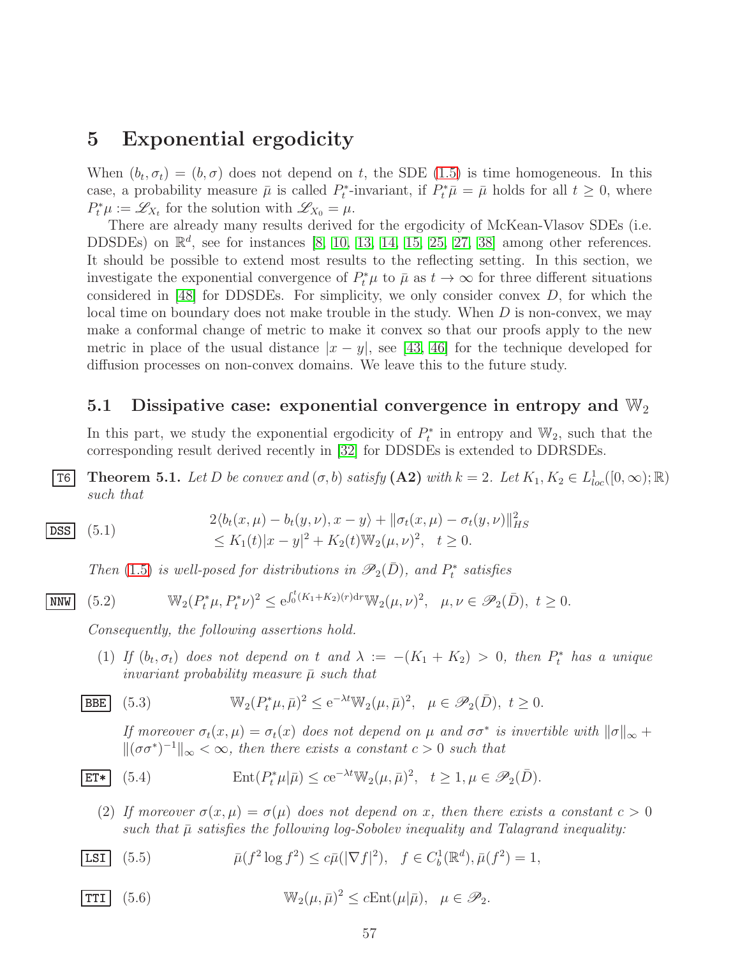# <span id="page-56-0"></span>5 Exponential ergodicity

When  $(b_t, \sigma_t) = (b, \sigma)$  does not depend on t, the SDE [\(1.5\)](#page-3-1) is time homogeneous. In this case, a probability measure  $\bar{\mu}$  is called  $P_t^*$ -invariant, if  $P_t^*\bar{\mu} = \bar{\mu}$  holds for all  $t \geq 0$ , where  $P_t^* \mu := \mathscr{L}_{X_t}$  for the solution with  $\mathscr{L}_{X_0} = \mu$ .

There are already many results derived for the ergodicity of McKean-Vlasov SDEs (i.e. DDSDEs) on  $\mathbb{R}^d$ , see for instances [\[8,](#page-66-4) [10,](#page-66-5) [13,](#page-67-9) [14,](#page-67-2) [15,](#page-67-10) [25,](#page-67-11) [27,](#page-67-12) [38\]](#page-68-11) among other references. It should be possible to extend most results to the reflecting setting. In this section, we investigate the exponential convergence of  $P_t^*\mu$  to  $\bar{\mu}$  as  $t \to \infty$  for three different situations considered in  $[48]$  for DDSDEs. For simplicity, we only consider convex D, for which the local time on boundary does not make trouble in the study. When  $D$  is non-convex, we may make a conformal change of metric to make it convex so that our proofs apply to the new metric in place of the usual distance  $|x - y|$ , see [\[43,](#page-68-4) [46\]](#page-68-5) for the technique developed for diffusion processes on non-convex domains. We leave this to the future study.

#### <span id="page-56-1"></span>5.1 Dissipative case: exponential convergence in entropy and  $\mathbb{W}_2$

In this part, we study the exponential ergodicity of  $P_t^*$  in entropy and  $\mathbb{W}_2$ , such that the corresponding result derived recently in [\[32\]](#page-68-12) for DDSDEs is extended to DDRSDEs.

<span id="page-56-2"></span>**T6** Theorem 5.1. Let D be convex and  $(\sigma, b)$  satisfy  $(A2)$  with  $k = 2$ . Let  $K_1, K_2 \in L^1_{loc}([0, \infty); \mathbb{R})$ *such that*

$$
\begin{aligned}\n\text{DSS} \quad (5.1) \quad & 2\langle b_t(x,\mu) - b_t(y,\nu), x - y \rangle + \|\sigma_t(x,\mu) - \sigma_t(y,\nu)\|_{HS}^2 \\
&\le K_1(t)|x - y|^2 + K_2(t)\mathbb{W}_2(\mu,\nu)^2, \quad t \ge 0.\n\end{aligned}
$$

<span id="page-56-4"></span><span id="page-56-3"></span>*Then* [\(1.5\)](#page-3-1) *is well-posed for distributions in*  $\mathscr{P}_2(\bar{D})$ *, and*  $P_t^*$  *satisfies* 

 $\overline{\text{MW}}$  (5.2)  $\mathbb{W}_2(P_t^*\mu, P_t^*\nu)^2 \le e^{\int_0^t (K_1 + K_2)(r) dr} \mathbb{W}_2(\mu, \nu)^2, \quad \mu, \nu \in \mathscr{P}_2(\bar{D}), \ t \ge 0.$ 

*Consequently, the following assertions hold.*

(1) If  $(b_t, \sigma_t)$  does not depend on t and  $\lambda := -(K_1 + K_2) > 0$ , then  $P_t^*$  has a unique *invariant probability measure* µ¯ *such that*

$$
\boxed{\text{BBE}} \quad (5.3) \qquad \mathbb{W}_2(P_t^*\mu, \bar{\mu})^2 \le e^{-\lambda t} \mathbb{W}_2(\mu, \bar{\mu})^2, \quad \mu \in \mathscr{P}_2(\bar{D}), \ t \ge 0.
$$

<span id="page-56-6"></span><span id="page-56-5"></span>*If moreover*  $\sigma_t(x,\mu) = \sigma_t(x)$  *does not depend on*  $\mu$  *and*  $\sigma \sigma^*$  *is invertible with*  $\|\sigma\|_{\infty}$  +  $\|(\sigma \sigma^*)^{-1}\|_{\infty} < \infty$ , then there exists a constant  $c > 0$  such that

$$
\text{ET*} \quad (5.4) \qquad \qquad \text{Ent}(P_t^* \mu | \bar{\mu}) \le c e^{-\lambda t} \mathbb{W}_2(\mu, \bar{\mu})^2, \quad t \ge 1, \mu \in \mathcal{P}_2(\bar{D}).
$$

<span id="page-56-7"></span>(2) If moreover  $\sigma(x,\mu) = \sigma(\mu)$  does not depend on x, then there exists a constant  $c > 0$ such that  $\bar{\mu}$  satisfies the following log-Sobolev inequality and Talagrand inequality:

**LSI** (5.5) 
$$
\bar{\mu}(f^2 \log f^2) \leq c\bar{\mu}(|\nabla f|^2), \quad f \in C_b^1(\mathbb{R}^d), \bar{\mu}(f^2) = 1,
$$

<span id="page-56-8"></span>TTI (5.6) 
$$
\mathbb{W}_2(\mu,\bar{\mu})^2 \leq c \text{Ent}(\mu|\bar{\mu}), \quad \mu \in \mathscr{P}_2.
$$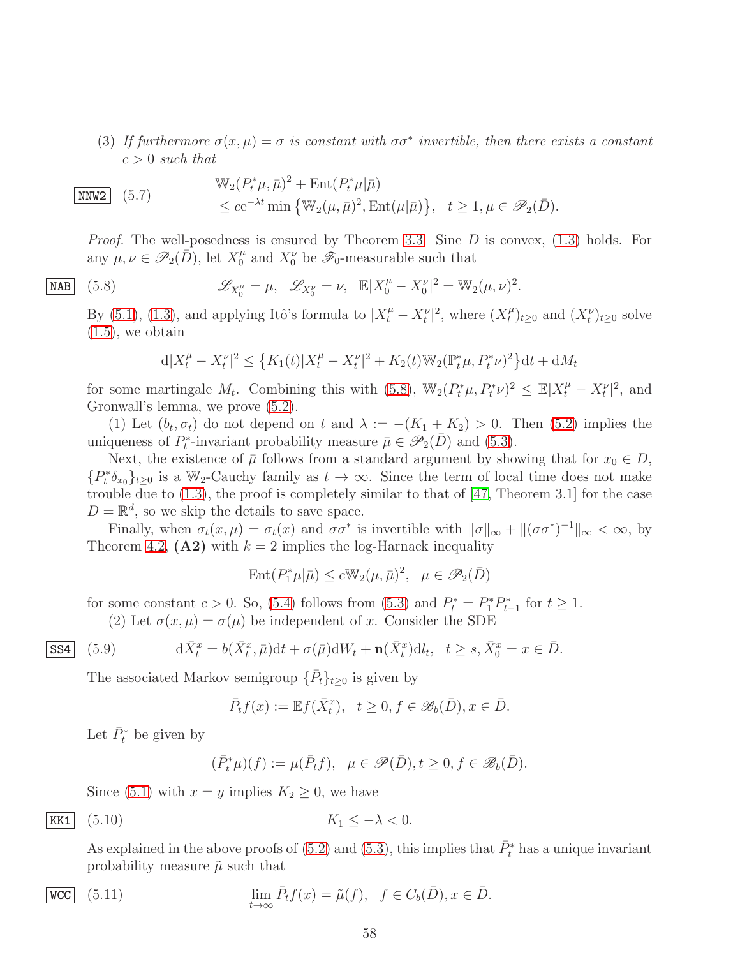(3) If furthermore  $\sigma(x,\mu) = \sigma$  is constant with  $\sigma\sigma^*$  invertible, then there exists a constant  $c > 0$  *such that* 

<span id="page-57-4"></span>
$$
\boxed{\text{NNW2}} \quad (5.7) \quad \mathbb{W}_2(P_t^*\mu, \bar{\mu})^2 + \text{Ent}(P_t^*\mu|\bar{\mu})
$$
\n
$$
\leq c e^{-\lambda t} \min \left\{ \mathbb{W}_2(\mu, \bar{\mu})^2, \text{Ent}(\mu|\bar{\mu}) \right\}, \quad t \geq 1, \mu \in \mathscr{P}_2(\bar{D}).
$$

*Proof.* The well-posedness is ensured by Theorem [3.3.](#page-44-3) Sine D is convex, [\(1.3\)](#page-2-2) holds. For any  $\mu, \nu \in \mathscr{P}_2(\overline{D})$ , let  $X_0^{\mu}$  and  $X_0^{\nu}$  be  $\mathscr{F}_0$ -measurable such that

<span id="page-57-0"></span>
$$
\mathscr{L}_{X_0^{\mu}} = \mu, \quad \mathscr{L}_{X_0^{\nu}} = \nu, \quad \mathbb{E}|X_0^{\mu} - X_0^{\nu}|^2 = \mathbb{W}_2(\mu, \nu)^2.
$$

By [\(5.1\)](#page-56-3), [\(1.3\)](#page-2-2), and applying Itô's formula to  $|X_t^{\mu} - X_t^{\nu}|^2$ , where  $(X_t^{\mu})$  $(t_t^{\mu})_{t\geq 0}$  and  $(X_t^{\nu})_{t\geq 0}$  solve  $(1.5)$ , we obtain

$$
d|X_t^{\mu} - X_t^{\nu}|^2 \le \left\{ K_1(t) |X_t^{\mu} - X_t^{\nu}|^2 + K_2(t) \mathbb{W}_2(\mathbb{P}_t^* \mu, P_t^* \nu)^2 \right\} dt + dM_t
$$

for some martingale  $M_t$ . Combining this with [\(5.8\)](#page-57-0),  $\mathbb{W}_2(P_t^*\mu, P_t^*\nu)^2 \leq \mathbb{E}|X_t^{\mu} - X_t^{\nu}|^2$ , and Gronwall's lemma, we prove [\(5.2\)](#page-56-4).

(1) Let  $(b_t, \sigma_t)$  do not depend on t and  $\lambda := -(K_1 + K_2) > 0$ . Then [\(5.2\)](#page-56-4) implies the uniqueness of  $P_t^*$ -invariant probability measure  $\bar{\mu} \in \mathscr{P}_2(\bar{D})$  and [\(5.3\)](#page-56-5).

Next, the existence of  $\bar{\mu}$  follows from a standard argument by showing that for  $x_0 \in D$ ,  ${P_t^*\delta_{x_0}}_{t\geq 0}$  is a W<sub>2</sub>-Cauchy family as  $t\to\infty$ . Since the term of local time does not make trouble due to [\(1.3\)](#page-2-2), the proof is completely similar to that of [\[47,](#page-69-7) Theorem 3.1] for the case  $D = \mathbb{R}^d$ , so we skip the details to save space.

Finally, when  $\sigma_t(x,\mu) = \sigma_t(x)$  and  $\sigma\sigma^*$  is invertible with  $\|\sigma\|_{\infty} + \|(\sigma\sigma^*)^{-1}\|_{\infty} < \infty$ , by Theorem [4.2,](#page-52-1)  $(A2)$  with  $k = 2$  implies the log-Harnack inequality

$$
\operatorname{Ent}(P_1^*\mu|\bar{\mu}) \le c \mathbb{W}_2(\mu, \bar{\mu})^2, \ \ \mu \in \mathscr{P}_2(\bar{D})
$$

for some constant  $c > 0$ . So, [\(5.4\)](#page-56-6) follows from [\(5.3\)](#page-56-5) and  $P_t^* = P_1^* P_{t-1}^*$  for  $t \ge 1$ . (2) Let  $\sigma(x,\mu) = \sigma(\mu)$  be independent of x. Consider the SDE

<span id="page-57-1"></span>
$$
d\bar{X}^x_t = b(\bar{X}^x_t, \bar{\mu})dt + \sigma(\bar{\mu})dW_t + \mathbf{n}(\bar{X}^x_t)dt, \quad t \ge s, \bar{X}^x_0 = x \in \bar{D}.
$$

The associated Markov semigroup  $\{\bar{P}_t\}_{t\geq 0}$  is given by

$$
\bar{P}_t f(x) := \mathbb{E} f(\bar{X}_t^x), \quad t \ge 0, f \in \mathscr{B}_b(\bar{D}), x \in \bar{D}.
$$

Let  $\bar{P}_t^*$  be given by

NAB  $(5.8)$ 

 $|$  SS4  $(5.9)$ 

<span id="page-57-3"></span><span id="page-57-2"></span>
$$
(\bar{P}_t^*\mu)(f) := \mu(\bar{P}_t f), \ \ \mu \in \mathscr{P}(\bar{D}), t \ge 0, f \in \mathscr{B}_b(\bar{D}).
$$

Since [\(5.1\)](#page-56-3) with  $x = y$  implies  $K_2 \geq 0$ , we have

$$
\underline{\text{KK1}} \quad (5.10) \qquad K_1 \le -\lambda < 0.
$$

As explained in the above proofs of [\(5.2\)](#page-56-4) and [\(5.3\)](#page-56-5), this implies that  $\bar{P}_t^*$  has a unique invariant probability measure  $\tilde{\mu}$  such that

$$
\lim_{t \to \infty} \bar{P}_t f(x) = \tilde{\mu}(f), \quad f \in C_b(\bar{D}), x \in \bar{D}.
$$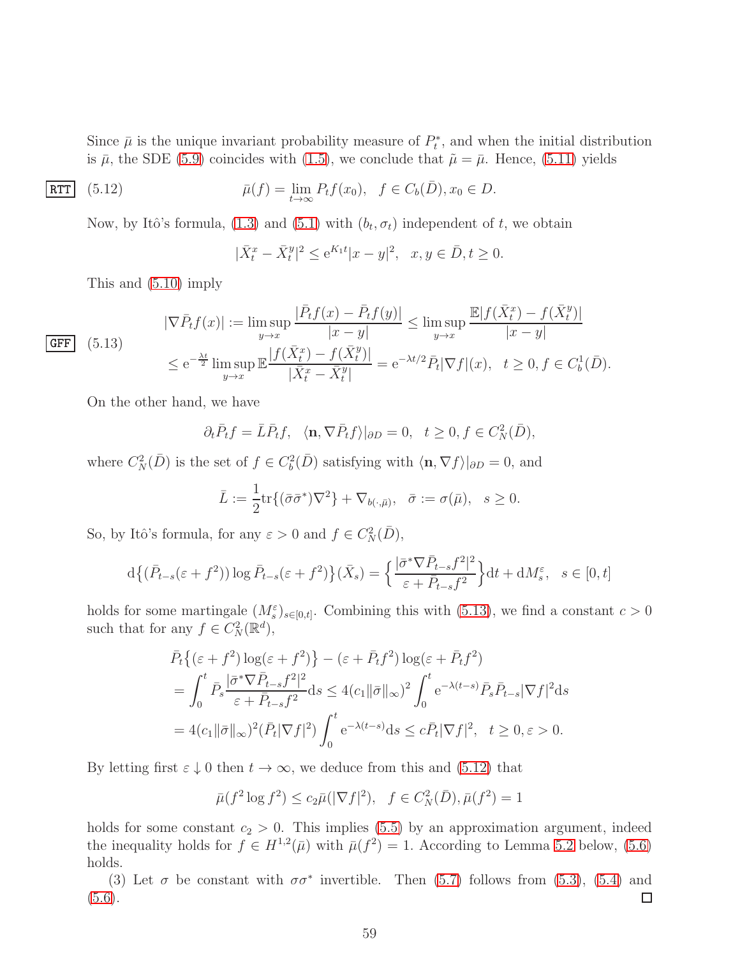Since  $\bar{\mu}$  is the unique invariant probability measure of  $P_t^*$ , and when the initial distribution is  $\bar{\mu}$ , the SDE [\(5.9\)](#page-57-1) coincides with [\(1.5\)](#page-3-1), we conclude that  $\tilde{\mu} = \bar{\mu}$ . Hence, [\(5.11\)](#page-57-2) yields

$$
\overline{\text{RTT}} \quad (5.12) \qquad \qquad \bar{\mu}(f) = \lim_{t \to \infty} P_t f(x_0), \quad f \in C_b(\bar{D}), x_0 \in D.
$$

Now, by Itô's formula, [\(1.3\)](#page-2-2) and [\(5.1\)](#page-56-3) with  $(b_t, \sigma_t)$  independent of t, we obtain

<span id="page-58-1"></span>
$$
|\bar{X}_t^x - \bar{X}_t^y|^2 \le e^{K_1 t} |x - y|^2, \ \ x, y \in \bar{D}, t \ge 0.
$$

This and [\(5.10\)](#page-57-3) imply

<span id="page-58-0"></span>
$$
|\nabla \bar{P}_t f(x)| := \limsup_{y \to x} \frac{|\bar{P}_t f(x) - \bar{P}_t f(y)|}{|x - y|} \le \limsup_{y \to x} \frac{\mathbb{E}|f(\bar{X}_t^x) - f(\bar{X}_t^y)|}{|x - y|}
$$
  

$$
\le e^{-\frac{\lambda t}{2}} \limsup_{y \to x} \mathbb{E} \frac{|f(\bar{X}_t^x) - f(\bar{X}_t^y)|}{|\bar{X}_t^x - \bar{X}_t^y|} = e^{-\lambda t/2} \bar{P}_t |\nabla f|(x), \quad t \ge 0, f \in C_b^1(\bar{D}).
$$

On the other hand, we have

$$
\partial_t \bar{P}_t f = \bar{L} \bar{P}_t f, \langle \mathbf{n}, \nabla \bar{P}_t f \rangle |_{\partial D} = 0, t \ge 0, f \in C_N^2(\bar{D}),
$$

where  $C_N^2(\bar{D})$  is the set of  $f \in C_b^2(\bar{D})$  satisfying with  $\langle \mathbf{n}, \nabla f \rangle|_{\partial D} = 0$ , and

$$
\bar{L} := \frac{1}{2} \text{tr} \{ (\bar{\sigma} \bar{\sigma}^*) \nabla^2 \} + \nabla_{b(\cdot, \bar{\mu})}, \quad \bar{\sigma} := \sigma(\bar{\mu}), \quad s \ge 0.
$$

So, by Itô's formula, for any  $\varepsilon > 0$  and  $f \in C_N^2(D)$ ,

$$
d\left\{(\bar{P}_{t-s}(\varepsilon+f^2))\log\bar{P}_{t-s}(\varepsilon+f^2)\right\}(\bar{X}_s) = \left\{\frac{|\bar{\sigma}^*\nabla\bar{P}_{t-s}f^2|^2}{\varepsilon+\bar{P}_{t-s}f^2}\right\}dt + dM_s^{\varepsilon}, \quad s \in [0, t]
$$

holds for some martingale  $(M_s^{\varepsilon})_{s \in [0,t]}$ . Combining this with [\(5.13\)](#page-58-0), we find a constant  $c > 0$ such that for any  $f \in C_N^2(\mathbb{R}^d)$ ,

$$
\bar{P}_t\{(\varepsilon + f^2) \log(\varepsilon + f^2)\} - (\varepsilon + \bar{P}_t f^2) \log(\varepsilon + \bar{P}_t f^2)
$$
\n
$$
= \int_0^t \bar{P}_s \frac{|\bar{\sigma}^* \nabla \bar{P}_{t-s} f^2|^2}{\varepsilon + \bar{P}_{t-s} f^2} ds \le 4(c_1 \|\bar{\sigma}\|_{\infty})^2 \int_0^t e^{-\lambda(t-s)} \bar{P}_s \bar{P}_{t-s} |\nabla f|^2 ds
$$
\n
$$
= 4(c_1 \|\bar{\sigma}\|_{\infty})^2 (\bar{P}_t |\nabla f|^2) \int_0^t e^{-\lambda(t-s)} ds \le c \bar{P}_t |\nabla f|^2, \quad t \ge 0, \varepsilon > 0.
$$

By letting first  $\varepsilon \downarrow 0$  then  $t \to \infty$ , we deduce from this and [\(5.12\)](#page-58-1) that

$$
\bar{\mu}(f^2 \log f^2) \le c_2 \bar{\mu}(|\nabla f|^2), \quad f \in C^2_N(\bar{D}), \bar{\mu}(f^2) = 1
$$

holds for some constant  $c_2 > 0$ . This implies [\(5.5\)](#page-56-7) by an approximation argument, indeed the inequality holds for  $f \in H^{1,2}(\bar{\mu})$  with  $\bar{\mu}(f^2) = 1$ . According to Lemma [5.2](#page-59-1) below, [\(5.6\)](#page-56-8) holds.

(3) Let  $\sigma$  be constant with  $\sigma \sigma^*$  invertible. Then [\(5.7\)](#page-57-4) follows from [\(5.3\)](#page-56-5), [\(5.4\)](#page-56-6) and  $(5.6).$  $(5.6).$  $\Box$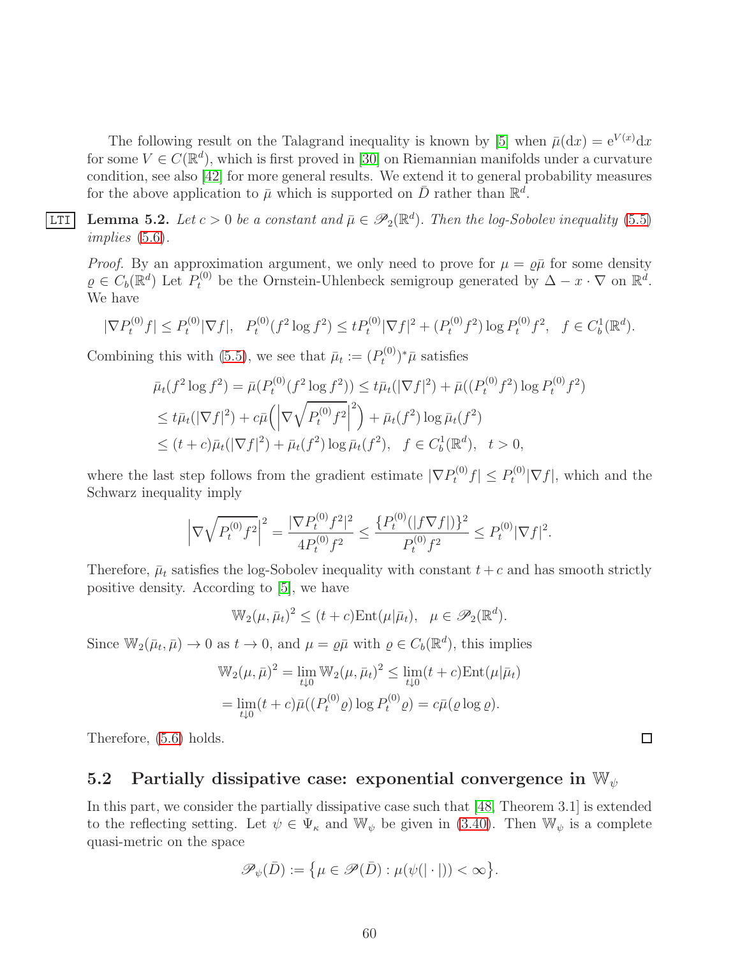The following result on the Talagrand inequality is known by [\[5\]](#page-66-9) when  $\bar{\mu}(\mathrm{d}x) = e^{V(x)} \mathrm{d}x$ for some  $V \in C(\mathbb{R}^d)$ , which is first proved in [\[30\]](#page-68-13) on Riemannian manifolds under a curvature condition, see also [\[42\]](#page-68-14) for more general results. We extend it to general probability measures for the above application to  $\bar{\mu}$  which is supported on  $\bar{D}$  rather than  $\mathbb{R}^d$ .

<span id="page-59-1"></span>**LTI** Lemma 5.2. Let  $c > 0$  be a constant and  $\bar{\mu} \in \mathscr{P}_2(\mathbb{R}^d)$ . Then the log-Sobolev inequality [\(5.5\)](#page-56-7) *implies* [\(5.6\)](#page-56-8)*.*

*Proof.* By an approximation argument, we only need to prove for  $\mu = \rho \bar{\mu}$  for some density  $\rho \in C_b(\mathbb{R}^d)$  Let  $P_t^{(0)}$  be the Ornstein-Uhlenbeck semigroup generated by  $\Delta - x \cdot \nabla$  on  $\mathbb{R}^d$ . We have

$$
|\nabla P_t^{(0)} f| \le P_t^{(0)} |\nabla f|, \quad P_t^{(0)}(f^2 \log f^2) \le t P_t^{(0)} |\nabla f|^2 + (P_t^{(0)} f^2) \log P_t^{(0)} f^2, \quad f \in C_b^1(\mathbb{R}^d).
$$

Combining this with [\(5.5\)](#page-56-7), we see that  $\bar{\mu}_t := (P_t^{(0)})$  $(\mathbf{t}^{(0)})^* \bar{\mu}$  satisfies

$$
\bar{\mu}_t(f^2 \log f^2) = \bar{\mu}(P_t^{(0)}(f^2 \log f^2)) \le t\bar{\mu}_t(|\nabla f|^2) + \bar{\mu}((P_t^{(0)}f^2) \log P_t^{(0)}f^2)
$$
\n
$$
\le t\bar{\mu}_t(|\nabla f|^2) + c\bar{\mu}(|\nabla \sqrt{P_t^{(0)}f^2}|^2) + \bar{\mu}_t(f^2) \log \bar{\mu}_t(f^2)
$$
\n
$$
\le (t+c)\bar{\mu}_t(|\nabla f|^2) + \bar{\mu}_t(f^2) \log \bar{\mu}_t(f^2), \quad f \in C_b^1(\mathbb{R}^d), \quad t > 0,
$$

where the last step follows from the gradient estimate  $|\nabla P_t^{(0)} f| \leq P_t^{(0)}$  $t^{(0)}\nabla f$ , which and the Schwarz inequality imply

$$
\left|\nabla\sqrt{P_t^{(0)}f^2}\right|^2 = \frac{|\nabla P_t^{(0)}f^2|^2}{4P_t^{(0)}f^2} \le \frac{\{P_t^{(0)}(|f\nabla f|)\}^2}{P_t^{(0)}f^2} \le P_t^{(0)}|\nabla f|^2.
$$

Therefore,  $\bar{\mu}_t$  satisfies the log-Sobolev inequality with constant  $t + c$  and has smooth strictly positive density. According to [\[5\]](#page-66-9), we have

$$
\mathbb{W}_2(\mu, \bar{\mu}_t)^2 \le (t+c)\mathrm{Ent}(\mu|\bar{\mu}_t), \ \ \mu \in \mathscr{P}_2(\mathbb{R}^d).
$$

Since  $\mathbb{W}_2(\bar{\mu}_t, \bar{\mu}) \to 0$  as  $t \to 0$ , and  $\mu = \varrho \bar{\mu}$  with  $\varrho \in C_b(\mathbb{R}^d)$ , this implies

$$
\mathbb{W}_2(\mu, \bar{\mu})^2 = \lim_{t \downarrow 0} \mathbb{W}_2(\mu, \bar{\mu}_t)^2 \le \lim_{t \downarrow 0} (t + c) \text{Ent}(\mu | \bar{\mu}_t)
$$
  
= 
$$
\lim_{t \downarrow 0} (t + c) \bar{\mu}((P_t^{(0)} \varrho) \log P_t^{(0)} \varrho) = c \bar{\mu}(\varrho \log \varrho).
$$

Therefore, [\(5.6\)](#page-56-8) holds.

### <span id="page-59-0"></span>5.2 Partially dissipative case: exponential convergence in  $\mathbb{W}_{\psi}$

In this part, we consider the partially dissipative case such that [\[48,](#page-69-8) Theorem 3.1] is extended to the reflecting setting. Let  $\psi \in \Psi_{\kappa}$  and  $\mathbb{W}_{\psi}$  be given in [\(3.40\)](#page-46-2). Then  $\mathbb{W}_{\psi}$  is a complete quasi-metric on the space

$$
\mathscr{P}_{\psi}(\bar{D}) := \big\{\mu \in \mathscr{P}(\bar{D}) : \mu(\psi(|\cdot|)) < \infty\big\}.
$$

 $\Box$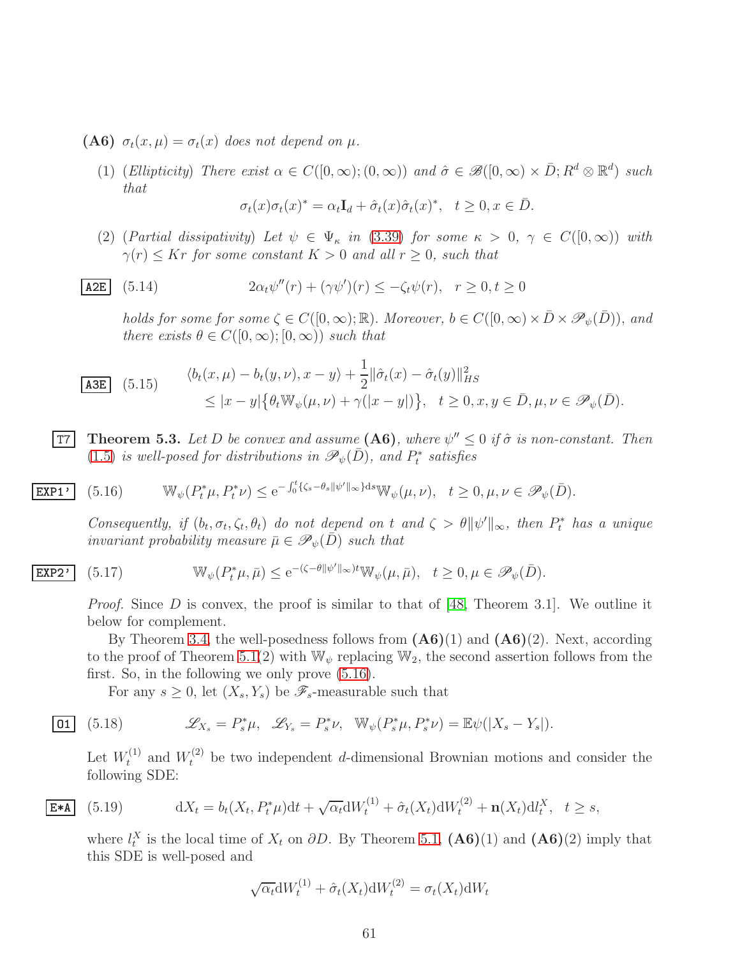(A6)  $\sigma_t(x,\mu) = \sigma_t(x)$  does not depend on  $\mu$ .

EXP1'

(1) (*Ellipticity*) *There exist*  $\alpha \in C([0,\infty);(0,\infty))$  *and*  $\hat{\sigma} \in \mathscr{B}([0,\infty) \times \bar{D}; R^d \otimes \mathbb{R}^d)$  *such that*

$$
\sigma_t(x)\sigma_t(x)^* = \alpha_t \mathbf{I}_d + \hat{\sigma}_t(x)\hat{\sigma}_t(x)^*, \quad t \ge 0, x \in \bar{D}.
$$

(2) (*Partial dissipativity*) *Let*  $\psi \in \Psi_{\kappa}$  *in* [\(3.39\)](#page-46-3) *for some*  $\kappa > 0$ ,  $\gamma \in C([0,\infty))$  *with*  $\gamma(r) \leq Kr$  *for some constant*  $K > 0$  *and all*  $r \geq 0$ *, such that* 

$$
\underline{\text{A2E}} \quad (5.14) \qquad 2\alpha_t \psi''(r) + (\gamma \psi')(r) \le -\zeta_t \psi(r), \quad r \ge 0, t \ge 0
$$

*holds for some for some*  $\zeta \in C([0,\infty);\mathbb{R})$ *. Moreover,*  $b \in C([0,\infty) \times \overline{D} \times \mathscr{P}_{\psi}(\overline{D}))$ *, and there exists*  $\theta \in C([0,\infty);[0,\infty))$  *such that* 

$$
\begin{aligned}\n\frac{\text{A3E}}{\text{A3E}} \quad (5.15) \qquad & \langle b_t(x,\mu) - b_t(y,\nu), x - y \rangle + \frac{1}{2} \|\hat{\sigma}_t(x) - \hat{\sigma}_t(y)\|_{HS}^2 \\
& \leq |x - y| \{ \theta_t \mathbb{W}_{\psi}(\mu, \nu) + \gamma(|x - y|) \}, \quad t \geq 0, x, y \in \bar{D}, \mu, \nu \in \mathcal{P}_{\psi}(\bar{D}).\n\end{aligned}
$$

<span id="page-60-0"></span>**T7** Theorem 5.3. Let D be convex and assume  $(A6)$ , where  $\psi'' \leq 0$  if  $\hat{\sigma}$  is non-constant. Then  $(1.5)$  *is well-posed for distributions in*  $\mathscr{P}_{\psi}(\bar{D})$ *, and*  $P_t^*$  *satisfies* 

$$
\left[ (5.16) \qquad \mathbb{W}_{\psi}(P_t^*\mu, P_t^*\nu) \leq e^{-\int_0^t \{\zeta_s - \theta_s \|\psi'\|_{\infty}\}ds} \mathbb{W}_{\psi}(\mu, \nu), \quad t \geq 0, \mu, \nu \in \mathscr{P}_{\psi}(\bar{D}).
$$

<span id="page-60-1"></span>*Consequently, if*  $(b_t, \sigma_t, \zeta_t, \theta_t)$  *do not depend on t and*  $\zeta > \theta ||\psi'||_{\infty}$ *, then*  $P_t^*$  *has a unique invariant probability measure*  $\bar{\mu} \in \mathscr{P}_{\psi}(\bar{D})$  *such that* 

**EXP2' (5.17)** 
$$
\mathbb{W}_{\psi}(P_t^*\mu, \bar{\mu}) \leq e^{-(\zeta - \theta ||\psi'||_{\infty})t} \mathbb{W}_{\psi}(\mu, \bar{\mu}), \quad t \geq 0, \mu \in \mathscr{P}_{\psi}(\bar{D}).
$$

*Proof.* Since D is convex, the proof is similar to that of [\[48,](#page-69-8) Theorem 3.1]. We outline it below for complement.

By Theorem [3.4,](#page-47-0) the well-posedness follows from  $(A6)(1)$  and  $(A6)(2)$ . Next, according to the proof of Theorem [5.1\(](#page-56-2)2) with  $\mathbb{W}_{\psi}$  replacing  $\mathbb{W}_{2}$ , the second assertion follows from the first. So, in the following we only prove [\(5.16\)](#page-60-1).

<span id="page-60-3"></span>For any  $s \geq 0$ , let  $(X_s, Y_s)$  be  $\mathscr{F}_s$ -measurable such that

$$
\textbf{01} \quad (5.18) \quad \mathscr{L}_{X_s} = P_s^* \mu, \quad \mathscr{L}_{Y_s} = P_s^* \nu, \quad \mathbb{W}_{\psi}(P_s^* \mu, P_s^* \nu) = \mathbb{E} \psi(|X_s - Y_s|).
$$

Let  $W_t^{(1)}$  and  $W_t^{(2)}$  be two independent d-dimensional Brownian motions and consider the following SDE:

$$
\overline{\mathbf{E} \cdot \mathbf{A}} \quad (5.19) \qquad \mathrm{d}X_t = b_t(X_t, P_t^* \mu) \mathrm{d}t + \sqrt{\alpha_t} \mathrm{d}W_t^{(1)} + \hat{\sigma}_t(X_t) \mathrm{d}W_t^{(2)} + \mathbf{n}(X_t) \mathrm{d}l_t^X, \quad t \ge s,
$$

<span id="page-60-2"></span>where  $l_t^X$  is the local time of  $X_t$  on  $\partial D$ . By Theorem [5.1,](#page-56-2)  $($ **A6** $)($ 1 $)$  and  $($ **A6** $)($ 2 $)$  imply that this SDE is well-posed and

$$
\sqrt{\alpha_t} \mathrm{d}W_t^{(1)} + \hat{\sigma}_t(X_t) \mathrm{d}W_t^{(2)} = \sigma_t(X_t) \mathrm{d}W_t
$$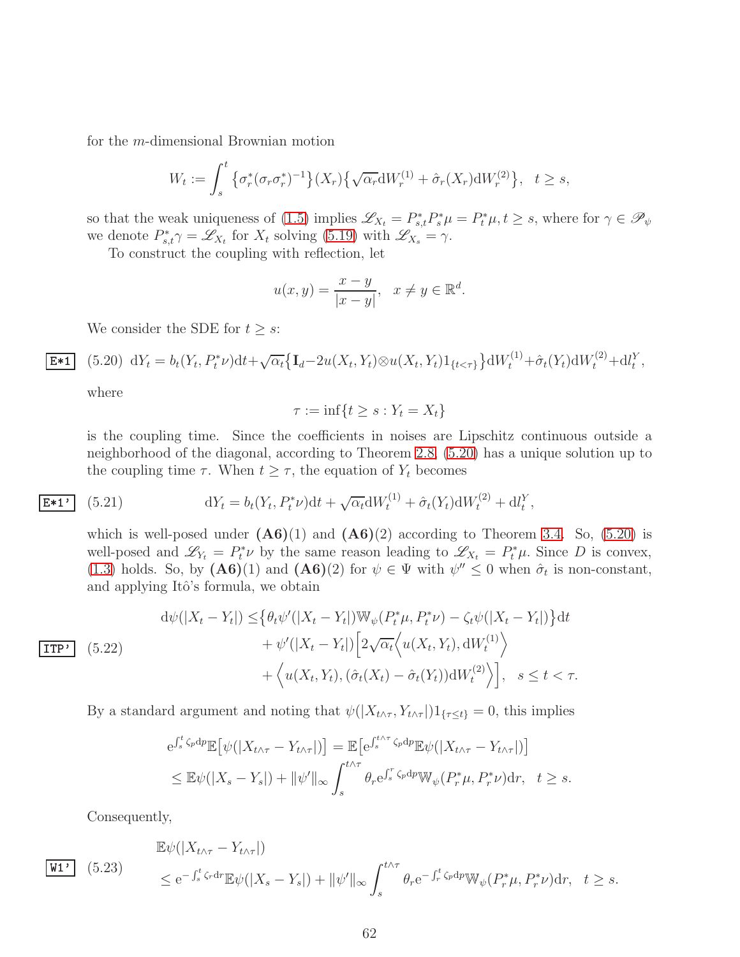for the m-dimensional Brownian motion

$$
W_t := \int_s^t \left\{ \sigma_r^*(\sigma_r \sigma_r^*)^{-1} \right\} (X_r) \left\{ \sqrt{\alpha_r} \mathrm{d} W_r^{(1)} + \hat{\sigma}_r(X_r) \mathrm{d} W_r^{(2)} \right\}, \quad t \ge s,
$$

so that the weak uniqueness of [\(1.5\)](#page-3-1) implies  $\mathscr{L}_{X_t} = P_{s,t}^* P_s^* \mu = P_t^* \mu, t \geq s$ , where for  $\gamma \in \mathscr{P}_{\psi}$ we denote  $P_{s,t}^* \gamma = \mathscr{L}_{X_t}$  for  $X_t$  solving [\(5.19\)](#page-60-2) with  $\mathscr{L}_{X_s} = \gamma$ .

To construct the coupling with reflection, let

$$
u(x,y) = \frac{x-y}{|x-y|}, \quad x \neq y \in \mathbb{R}^d.
$$

<span id="page-61-0"></span>We consider the SDE for  $t \geq s$ :

$$
\int (5.20) dY_t = b_t(Y_t, P_t^* \nu) dt + \sqrt{\alpha_t} \{ \mathbf{I}_d - 2u(X_t, Y_t) \otimes u(X_t, Y_t) \mathbf{1}_{\{t < \tau\}} \} dW_t^{(1)} + \hat{\sigma}_t(Y_t) dW_t^{(2)} + dI_t^Y,
$$

where

 $E*1$ 

$$
\tau := \inf\{t \ge s : Y_t = X_t\}
$$

is the coupling time. Since the coefficients in noises are Lipschitz continuous outside a neighborhood of the diagonal, according to Theorem [2.8,](#page-20-2) [\(5.20\)](#page-61-0) has a unique solution up to the coupling time  $\tau$ . When  $t \geq \tau$ , the equation of  $Y_t$  becomes

$$
\overline{\mathbf{E}^{\ast 1}} \quad (5.21) \qquad \qquad \mathrm{d}Y_t = b_t(Y_t, P_t^* \nu) \mathrm{d}t + \sqrt{\alpha_t} \mathrm{d}W_t^{(1)} + \hat{\sigma}_t(Y_t) \mathrm{d}W_t^{(2)} + \mathrm{d}l_t^Y,
$$

<span id="page-61-1"></span>which is well-posed under  $(A6)(1)$  and  $(A6)(2)$  according to Theorem [3.4.](#page-47-0) So, [\(5.20\)](#page-61-0) is well-posed and  $\mathscr{L}_{Y_t} = P_t^* \nu$  by the same reason leading to  $\mathscr{L}_{X_t} = P_t^* \mu$ . Since D is convex, [\(1.3\)](#page-2-2) holds. So, by  $(A6)(1)$  and  $(A6)(2)$  for  $\psi \in \Psi$  with  $\psi'' \leq 0$  when  $\hat{\sigma}_t$  is non-constant, and applying Itô's formula, we obtain

$$
\begin{aligned}\n\text{d}\psi(|X_t - Y_t|) &\leq \left\{\theta_t \psi'(|X_t - Y_t|) \mathbb{W}_{\psi}(P_t^* \mu, P_t^* \nu) - \zeta_t \psi(|X_t - Y_t|) \right\} \text{d}t \\
&\quad + \psi'(|X_t - Y_t|) \left[2\sqrt{\alpha_t} \left\langle u(X_t, Y_t), \mathbb{d}W_t^{(1)} \right\rangle \right. \\
&\quad + \left\langle u(X_t, Y_t), (\hat{\sigma}_t(X_t) - \hat{\sigma}_t(Y_t)) \mathbb{d}W_t^{(2)} \right\rangle \right], \quad s \leq t < \tau.\n\end{aligned}
$$

By a standard argument and noting that  $\psi(|X_{t\wedge\tau}, Y_{t\wedge\tau}|)1_{\{\tau\leq t\}}=0$ , this implies

$$
e^{\int_s^t \zeta_p dp} \mathbb{E} \big[ \psi(|X_{t \wedge \tau} - Y_{t \wedge \tau}|) \big] = \mathbb{E} \big[ e^{\int_s^{t \wedge \tau} \zeta_p dp} \mathbb{E} \psi(|X_{t \wedge \tau} - Y_{t \wedge \tau}|) \big]
$$
  
\$\leq\$  $\mathbb{E} \psi(|X_s - Y_s|) + ||\psi'||_{\infty} \int_s^{t \wedge \tau} \theta_r e^{\int_s^r \zeta_p dp} \mathbb{W}_{\psi}(P_r^* \mu, P_r^* \nu) dr, \quad t \geq s.$ 

Consequently,

 $W1'$ 

<span id="page-61-2"></span>
$$
\mathbb{E}\psi(|X_{t\wedge\tau} - Y_{t\wedge\tau}|)
$$
  
\n
$$
\leq e^{-\int_s^t \zeta_r dr} \mathbb{E}\psi(|X_s - Y_s|) + ||\psi'||_{\infty} \int_s^{t\wedge\tau} \theta_r e^{-\int_r^t \zeta_p dp} \mathbb{W}_{\psi}(P_r^*\mu, P_r^*\nu) dr, \quad t \geq s.
$$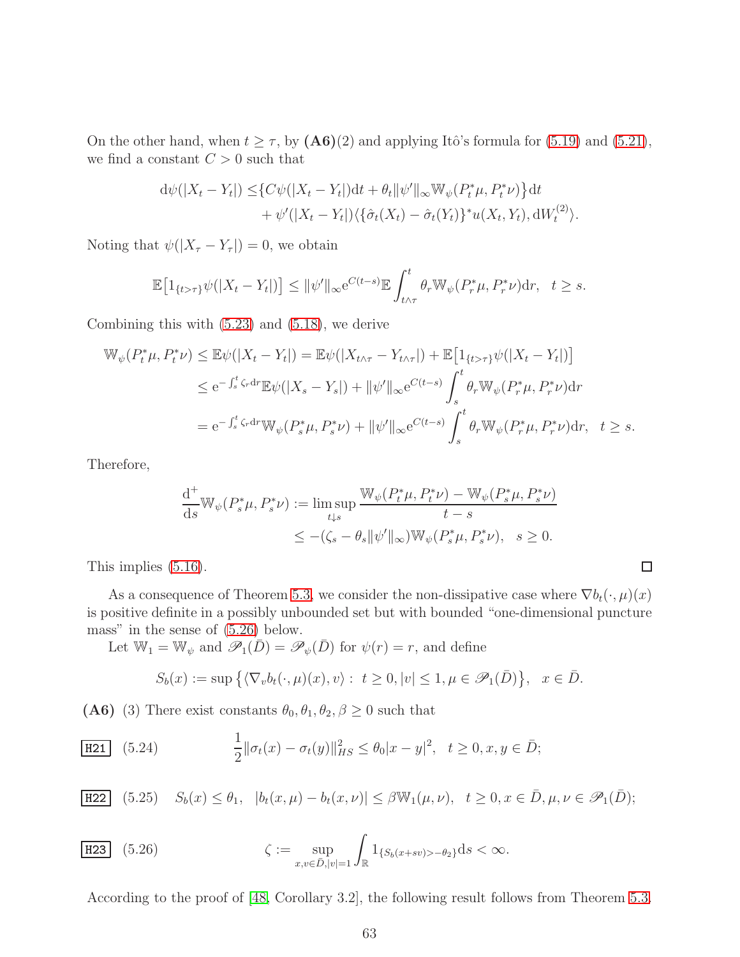On the other hand, when  $t \geq \tau$ , by  $(A6)(2)$  and applying Itô's formula for [\(5.19\)](#page-60-2) and [\(5.21\)](#page-61-1), we find a constant  $C > 0$  such that

$$
d\psi(|X_t - Y_t|) \leq \{C\psi(|X_t - Y_t|)dt + \theta_t \|\psi'\|_{\infty} \mathbb{W}_{\psi}(P_t^*\mu, P_t^*\nu)\}dt + \psi'(|X_t - Y_t|)\langle{\{\hat{\sigma}_t(X_t) - \hat{\sigma}_t(Y_t)\}}^*u(X_t, Y_t), dW_t^{(2)}\rangle.
$$

Noting that  $\psi(|X_{\tau}-Y_{\tau}|)=0$ , we obtain

$$
\mathbb{E}\big[\mathbb{1}_{\{t>\tau\}}\psi(|X_t-Y_t|)\big]\leq \|\psi'\|_{\infty}e^{C(t-s)}\mathbb{E}\int_{t\wedge\tau}^t \theta_r\mathbb{W}_{\psi}(P_r^*\mu,P_r^*\nu)\mathrm{d}r,\ \ t\geq s.
$$

Combining this with [\(5.23\)](#page-61-2) and [\(5.18\)](#page-60-3), we derive

$$
\mathbb{W}_{\psi}(P_{t}^{*}\mu, P_{t}^{*}\nu) \leq \mathbb{E}\psi(|X_{t} - Y_{t}|) = \mathbb{E}\psi(|X_{t\wedge\tau} - Y_{t\wedge\tau}|) + \mathbb{E}\left[1_{\{t>\tau\}}\psi(|X_{t} - Y_{t}|)\right]
$$
  
\n
$$
\leq e^{-\int_{s}^{t}\zeta_{r}\mathrm{d}r}\mathbb{E}\psi(|X_{s} - Y_{s}|) + \|\psi'\|_{\infty}e^{C(t-s)}\int_{s}^{t}\theta_{r}\mathbb{W}_{\psi}(P_{r}^{*}\mu, P_{r}^{*}\nu)\mathrm{d}r
$$
  
\n
$$
= e^{-\int_{s}^{t}\zeta_{r}\mathrm{d}r}\mathbb{W}_{\psi}(P_{s}^{*}\mu, P_{s}^{*}\nu) + \|\psi'\|_{\infty}e^{C(t-s)}\int_{s}^{t}\theta_{r}\mathbb{W}_{\psi}(P_{r}^{*}\mu, P_{r}^{*}\nu)\mathrm{d}r, \quad t \geq s.
$$

Therefore,

$$
\frac{\mathrm{d}^+}{\mathrm{d}s} \mathbb{W}_{\psi}(P_s^*\mu, P_s^*\nu) := \limsup_{t \downarrow s} \frac{\mathbb{W}_{\psi}(P_t^*\mu, P_t^*\nu) - \mathbb{W}_{\psi}(P_s^*\mu, P_s^*\nu)}{t - s}
$$
  

$$
\leq -(\zeta_s - \theta_s \|\psi'\|_{\infty}) \mathbb{W}_{\psi}(P_s^*\mu, P_s^*\nu), \quad s \geq 0.
$$

 $\Box$ 

This implies [\(5.16\)](#page-60-1).

As a consequence of Theorem [5.3,](#page-60-0) we consider the non-dissipative case where  $\nabla b_t(\cdot, \mu)(x)$ is positive definite in a possibly unbounded set but with bounded "one-dimensional puncture mass" in the sense of [\(5.26\)](#page-62-0) below.

Let  $\mathbb{W}_1 = \mathbb{W}_{\psi}$  and  $\mathscr{P}_1(\overline{D}) = \mathscr{P}_{\psi}(\overline{D})$  for  $\psi(r) = r$ , and define

<span id="page-62-1"></span>
$$
S_b(x) := \sup \big\{ \langle \nabla_v b_t(\cdot, \mu)(x), v \rangle : t \ge 0, |v| \le 1, \mu \in \mathscr{P}_1(\bar{D}) \big\}, \quad x \in \bar{D}.
$$

(A6) (3) There exist constants  $\theta_0$ ,  $\theta_1$ ,  $\theta_2$ ,  $\beta \geq 0$  such that

$$
\boxed{\text{H21}} \quad (5.24) \qquad \qquad \frac{1}{2} \|\sigma_t(x) - \sigma_t(y)\|_{HS}^2 \le \theta_0 |x - y|^2, \quad t \ge 0, x, y \in \bar{D};
$$

H22 (5.25) 
$$
S_b(x) \leq \theta_1, \quad |b_t(x,\mu) - b_t(x,\nu)| \leq \beta \mathbb{W}_1(\mu,\nu), \quad t \geq 0, x \in \bar{D}, \mu, \nu \in \mathcal{P}_1(\bar{D});
$$

<span id="page-62-0"></span>H23 (5.26) 
$$
\zeta := \sup_{x,v \in \bar{D}, |v|=1} \int_{\mathbb{R}} 1_{\{S_b(x+sv) > -\theta_2\}} ds < \infty.
$$

According to the proof of [\[48,](#page-69-8) Corollary 3.2], the following result follows from Theorem [5.3.](#page-60-0)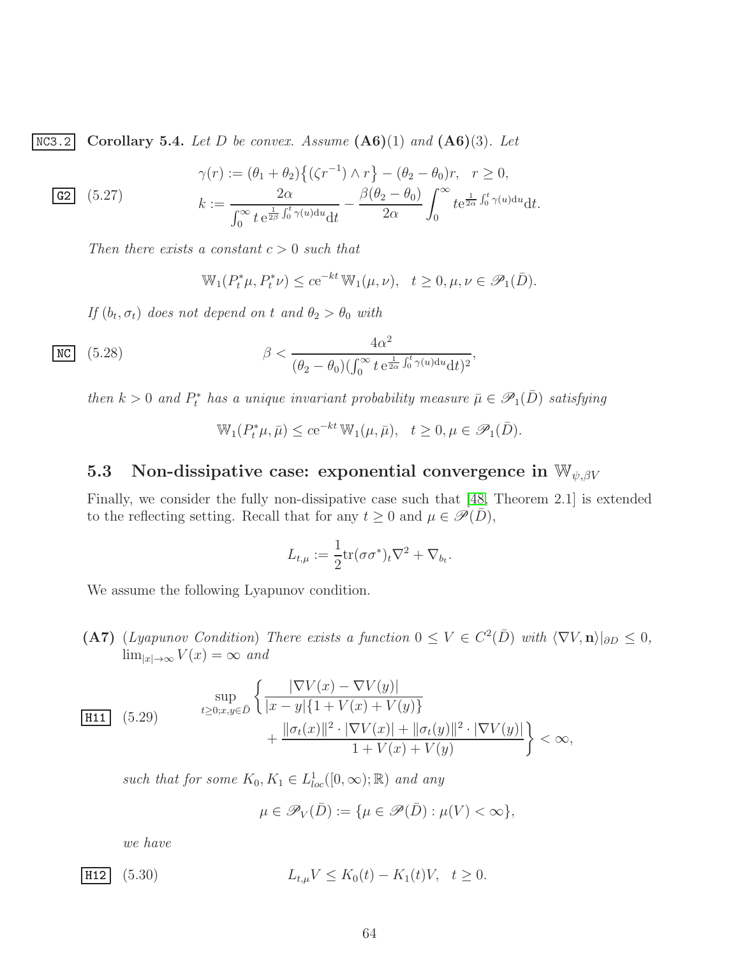NC3.2 Corollary 5.4. *Let* D *be convex. Assume* (A6)(1) *and* (A6)(3)*. Let*

$$
\gamma(r) := (\theta_1 + \theta_2) \{ (\zeta r^{-1}) \wedge r \} - (\theta_2 - \theta_0) r, \quad r \ge 0,
$$
  
\n**62** (5.27)  
\n
$$
k := \frac{2\alpha}{\int_0^\infty t \, e^{\frac{1}{2\beta} \int_0^t \gamma(u) du} dt} - \frac{\beta(\theta_2 - \theta_0)}{2\alpha} \int_0^\infty t e^{\frac{1}{2\alpha} \int_0^t \gamma(u) du} dt.
$$

*Then there exists a constant* c > 0 *such that*

$$
\mathbb{W}_1(P_t^*\mu, P_t^*\nu) \le c e^{-kt} \mathbb{W}_1(\mu, \nu), \quad t \ge 0, \mu, \nu \in \mathscr{P}_1(\bar{D}).
$$

*If*  $(b_t, \sigma_t)$  *does not depend on t and*  $\theta_2 > \theta_0$  *with* 

$$
\frac{\text{NC}}{\text{(5.28)}} \quad (\text{5.28}) \quad \beta < \frac{4\alpha^2}{(\theta_2 - \theta_0)(\int_0^\infty t \, \mathrm{e}^{\frac{1}{2\alpha} \int_0^t \gamma(u) \mathrm{d}u} \mathrm{d}t)^2},
$$

*then*  $k > 0$  *and*  $P_t^*$  *has a unique invariant probability measure*  $\bar{\mu} \in \mathscr{P}_1(\bar{D})$  *satisfying* 

$$
\mathbb{W}_1(P_t^*\mu, \bar{\mu}) \le c e^{-kt} \mathbb{W}_1(\mu, \bar{\mu}), \quad t \ge 0, \mu \in \mathscr{P}_1(\bar{D}).
$$

# <span id="page-63-0"></span>5.3 Non-dissipative case: exponential convergence in  $\mathbb{W}_{\psi,\beta V}$

Finally, we consider the fully non-dissipative case such that [\[48,](#page-69-8) Theorem 2.1] is extended to the reflecting setting. Recall that for any  $t \geq 0$  and  $\mu \in \mathscr{P}(\bar{D}),$ 

$$
L_{t,\mu} := \frac{1}{2} \text{tr}(\sigma \sigma^*)_t \nabla^2 + \nabla_{b_t}.
$$

We assume the following Lyapunov condition.

 $(A7)$  (*Lyapunov Condition*) *There exists a function*  $0 \leq V \in C^2(\overline{D})$  *with*  $\langle \nabla V, \mathbf{n} \rangle|_{\partial D} \leq 0$ ,  $\lim_{|x| \to \infty} V(x) = \infty$  *and* 

$$
\frac{\sup}{\text{H11}} \left(5.29\right) \qquad \frac{\sup}{t \ge 0; x, y \in \bar{D}} \left\{ \frac{|\nabla V(x) - \nabla V(y)|}{|x - y| \{1 + V(x) + V(y)\}} + \frac{\|\sigma_t(x)\|^2 \cdot |\nabla V(x)| + \|\sigma_t(y)\|^2 \cdot |\nabla V(y)|}{1 + V(x) + V(y)} \right\} < \infty,
$$

such that for some  $K_0, K_1 \in L^1_{loc}([0, \infty); \mathbb{R})$  and any

$$
\mu\in\mathscr P_V(\bar D):=\{\mu\in\mathscr P(\bar D):\mu(V)<\infty\},
$$

*we have*

**H12** (5.30)  $L_{t,u}V \leq K_0(t) - K_1(t)V, \quad t \geq 0.$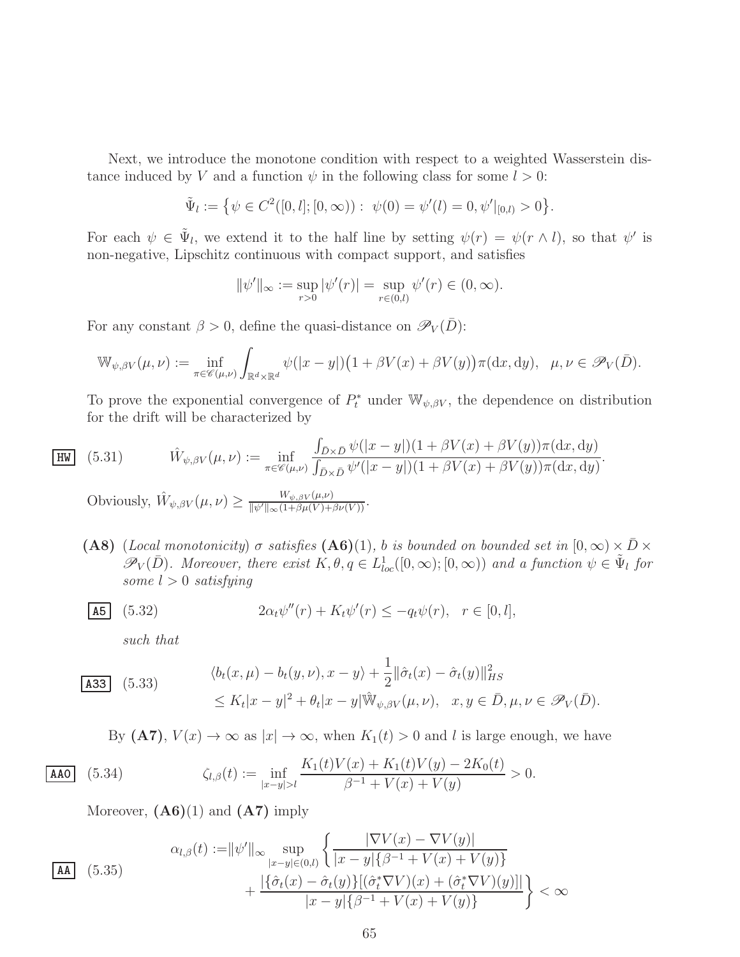Next, we introduce the monotone condition with respect to a weighted Wasserstein distance induced by V and a function  $\psi$  in the following class for some  $l > 0$ :

$$
\tilde{\Psi}_l := \left\{ \psi \in C^2([0, l]; [0, \infty)) : \psi(0) = \psi'(l) = 0, \psi'|_{[0, l)} > 0 \right\}.
$$

For each  $\psi \in \tilde{\Psi}_l$ , we extend it to the half line by setting  $\psi(r) = \psi(r \wedge l)$ , so that  $\psi'$  is non-negative, Lipschitz continuous with compact support, and satisfies

$$
\|\psi'\|_{\infty} := \sup_{r>0} |\psi'(r)| = \sup_{r \in (0,l)} \psi'(r) \in (0,\infty).
$$

For any constant  $\beta > 0$ , define the quasi-distance on  $\mathscr{P}_V(\bar{D})$ :

$$
\mathbb{W}_{\psi,\beta V}(\mu,\nu) := \inf_{\pi \in \mathscr{C}(\mu,\nu)} \int_{\mathbb{R}^d \times \mathbb{R}^d} \psi(|x-y|) \big(1 + \beta V(x) + \beta V(y)\big) \pi(\mathrm{d}x,\mathrm{d}y), \quad \mu,\nu \in \mathscr{P}_V(\bar{D}).
$$

To prove the exponential convergence of  $P_t^*$  under  $\mathbb{W}_{\psi,\beta V}$ , the dependence on distribution for the drift will be characterized by

(5.31) 
$$
\hat{W}_{\psi,\beta V}(\mu,\nu) := \inf_{\pi \in \mathscr{C}(\mu,\nu)} \frac{\int_{\bar{D}\times\bar{D}} \psi(|x-y|)(1+\beta V(x)+\beta V(y))\pi(\mathrm{d}x,\mathrm{d}y)}{\int_{\bar{D}\times\bar{D}} \psi'(|x-y|)(1+\beta V(x)+\beta V(y))\pi(\mathrm{d}x,\mathrm{d}y)}.
$$

Obviously,  $\hat{W}_{\psi,\beta V}(\mu,\nu) \geq \frac{W_{\psi,\beta V}(\mu,\nu)}{\|\psi'\|_{\infty} (1+\beta\mu(V)+\beta\nu(V))}$ .

(A8) (*Local monotonicity*)  $\sigma$  *satisfies* (A6)(1), b *is bounded on bounded set in*  $[0, \infty) \times \bar{D} \times$  $\mathscr{P}_V(\bar{D})$ *. Moreover, there exist*  $K, \theta, q \in L^1_{loc}([0,\infty);[0,\infty))$  and a function  $\psi \in \tilde{\Psi}_l$  for *some* l > 0 *satisfying*

**A5** (5.32) 
$$
2\alpha_t \psi''(r) + K_t \psi'(r) \leq -q_t \psi(r), \quad r \in [0, l],
$$

*such that*

 $|HW|$ 

$$
\begin{aligned}\n\textbf{(A33)} \quad (5.33) \quad \langle b_t(x,\mu) - b_t(y,\nu), x - y \rangle &+ \frac{1}{2} \|\hat{\sigma}_t(x) - \hat{\sigma}_t(y)\|_{HS}^2 \\
&\le K_t |x - y|^2 + \theta_t |x - y| \hat{\mathbb{W}}_{\psi, \beta V}(\mu, \nu), \quad x, y \in \bar{D}, \mu, \nu \in \mathcal{P}_V(\bar{D}).\n\end{aligned}
$$

<span id="page-64-0"></span>By  $(A7)$ ,  $V(x) \rightarrow \infty$  as  $|x| \rightarrow \infty$ , when  $K_1(t) > 0$  and l is large enough, we have

$$
\text{AAO} \quad (5.34) \qquad \zeta_{l,\beta}(t) := \inf_{|x-y|>l} \frac{K_1(t)V(x) + K_1(t)V(y) - 2K_0(t)}{\beta^{-1} + V(x) + V(y)} > 0.
$$

Moreover,  $(A6)(1)$  and  $(A7)$  imply

<span id="page-64-1"></span>
$$
\mathbf{A} \quad (5.35)
$$
\n
$$
\mathbf{A} \quad (5.35)
$$
\n
$$
\mathbf{A} \quad (5.36)
$$
\n
$$
\mathbf{A} \quad (5.37)
$$
\n
$$
\mathbf{A} \quad (5.38)
$$
\n
$$
\mathbf{A} \quad (5.39)
$$
\n
$$
\mathbf{A} \quad (5.30)
$$
\n
$$
\mathbf{A} \quad \mathbf{A} \quad (5.31)
$$
\n
$$
\mathbf{A} \quad \mathbf{A} \quad (5.34)
$$
\n
$$
\mathbf{A} \quad \mathbf{A} \quad (5.35)
$$
\n
$$
\mathbf{A} \quad \mathbf{A} \quad (5.35)
$$
\n
$$
\mathbf{A} \quad \mathbf{A} \quad (5.36)
$$
\n
$$
\mathbf{A} \quad \mathbf{A} \quad (5.37)
$$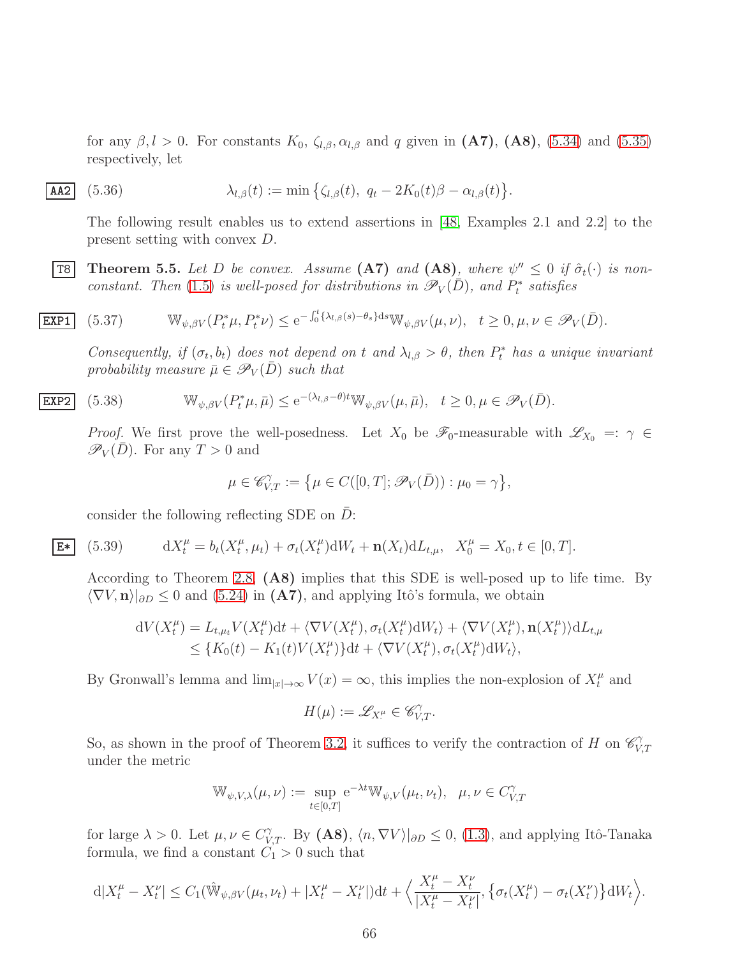for any  $\beta$ , l > 0. For constants  $K_0$ ,  $\zeta_{l,\beta}$ ,  $\alpha_{l,\beta}$  and q given in  $(A7)$ ,  $(A8)$ ,  $(5.34)$  and  $(5.35)$ respectively, let

$$
\mathbf{A42} \quad (5.36) \qquad \lambda_{l,\beta}(t) := \min \left\{ \zeta_{l,\beta}(t), \ q_t - 2K_0(t)\beta - \alpha_{l,\beta}(t) \right\}.
$$

The following result enables us to extend assertions in [\[48,](#page-69-8) Examples 2.1 and 2.2] to the present setting with convex D.

<span id="page-65-0"></span>**T8** Theorem 5.5. Let D be convex. Assume (A7) and (A8)<sub>*, where*  $\psi'' \leq 0$  if  $\hat{\sigma}_t(\cdot)$  is non-</sub> *constant. Then* [\(1.5\)](#page-3-1) *is well-posed for distributions in*  $\mathscr{P}_V(D)$ *, and*  $P_t^*$  *satisfies* 

$$
\underline{\text{EXP1}} \quad (5.37) \qquad \mathbb{W}_{\psi,\beta V}(P_t^*\mu, P_t^*\nu) \le e^{-\int_0^t \{\lambda_{l,\beta}(s) - \theta_s\} \mathrm{d}s} \mathbb{W}_{\psi,\beta V}(\mu, \nu), \quad t \ge 0, \mu, \nu \in \mathcal{P}_V(\bar{D}).
$$

<span id="page-65-2"></span>*Consequently, if*  $(\sigma_t, b_t)$  *does not depend on* t and  $\lambda_{l,\beta} > \theta$ , then  $P_t^*$  has a unique invariant *probability measure*  $\bar{\mu} \in \mathscr{P}_V(\bar{D})$  *such that* 

$$
\text{EXP2} \quad (5.38) \qquad \mathbb{W}_{\psi,\beta V}(P_t^*\mu,\bar{\mu}) \le e^{-(\lambda_{l,\beta}-\theta)t} \mathbb{W}_{\psi,\beta V}(\mu,\bar{\mu}), \quad t \ge 0, \mu \in \mathscr{P}_V(\bar{D}).
$$

*Proof.* We first prove the well-posedness. Let  $X_0$  be  $\mathscr{F}_0$ -measurable with  $\mathscr{L}_{X_0} =: \gamma \in$  $\mathscr{P}_V(D)$ . For any  $T > 0$  and

<span id="page-65-3"></span>
$$
\mu \in \mathscr{C}_{V,T}^{\gamma} := \left\{ \mu \in C([0,T]; \mathscr{P}_V(\bar{D})) : \mu_0 = \gamma \right\},\
$$

consider the following reflecting SDE on  $D$ :

$$
E*|
$$

<span id="page-65-1"></span> $(5.39)$  $t_t^{\mu} = b_t(X_t^{\mu})$  $t^{\mu}, \mu_t$ ) +  $\sigma_t(X_t^{\mu})$  $t^{\mu}_{t}$ )d $W_{t}$  +  $\mathbf{n}(X_{t})$ d $L_{t,\mu}$ ,  $X_{0}^{\mu} = X_{0}, t \in [0, T].$ 

According to Theorem [2.8,](#page-20-2) (A8) implies that this SDE is well-posed up to life time. By  $\langle \nabla V, \mathbf{n} \rangle_{\partial D} \leq 0$  and  $(5.24)$  in  $(\mathbf{A7})$ , and applying Itô's formula, we obtain

$$
dV(X_t^{\mu}) = L_{t,\mu_t} V(X_t^{\mu}) dt + \langle \nabla V(X_t^{\mu}), \sigma_t(X_t^{\mu}) dW_t \rangle + \langle \nabla V(X_t^{\mu}), \mathbf{n}(X_t^{\mu}) \rangle dL_{t,\mu}
$$
  
\n
$$
\leq \{ K_0(t) - K_1(t) V(X_t^{\mu}) \} dt + \langle \nabla V(X_t^{\mu}), \sigma_t(X_t^{\mu}) dW_t \rangle,
$$

By Gronwall's lemma and  $\lim_{|x|\to\infty} V(x) = \infty$ , this implies the non-explosion of  $X_t^{\mu}$  and

$$
H(\mu):=\mathscr{L}_{X^\mu_\cdot}\in\mathscr{C}^\gamma_{V,T}.
$$

So, as shown in the proof of Theorem [3.2,](#page-36-5) it suffices to verify the contraction of H on  $\mathscr{C}_V^{\gamma}$  $V, T$ under the metric

$$
\mathbb{W}_{\psi,V,\lambda}(\mu,\nu) := \sup_{t \in [0,T]} e^{-\lambda t} \mathbb{W}_{\psi,V}(\mu_t,\nu_t), \quad \mu,\nu \in C_{V,T}^{\gamma}
$$

for large  $\lambda > 0$ . Let  $\mu, \nu \in C_{V,T}^{\gamma}$ . By  $(A8)$ ,  $\langle n, \nabla V \rangle |_{\partial D} \leq 0$ ,  $(1.3)$ , and applying Itô-Tanaka formula, we find a constant  $C_1 > 0$  such that

$$
d|X_t^{\mu} - X_t^{\nu}| \leq C_1(\hat{W}_{\psi,\beta V}(\mu_t,\nu_t) + |X_t^{\mu} - X_t^{\nu}|)dt + \Big\langle \frac{X_t^{\mu} - X_t^{\nu}}{|X_t^{\mu} - X_t^{\nu}|}, \big\{\sigma_t(X_t^{\mu}) - \sigma_t(X_t^{\nu})\big\}dW_t\Big\rangle.
$$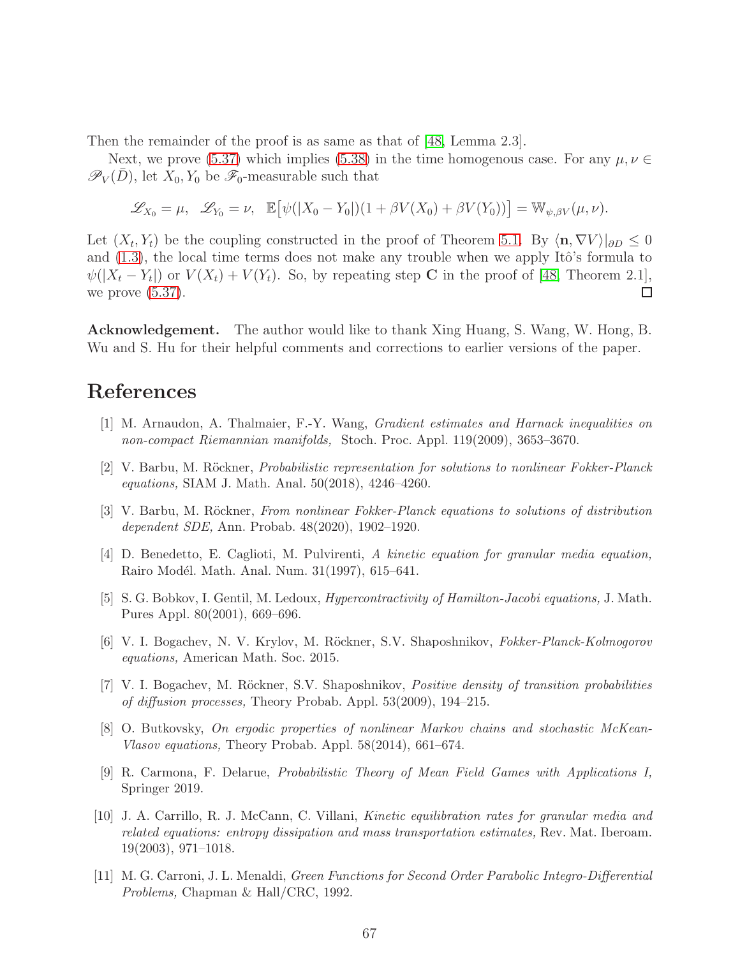Then the remainder of the proof is as same as that of [\[48,](#page-69-8) Lemma 2.3].

Next, we prove [\(5.37\)](#page-65-2) which implies [\(5.38\)](#page-65-3) in the time homogenous case. For any  $\mu, \nu \in$  $\mathscr{P}_V(D)$ , let  $X_0, Y_0$  be  $\mathscr{F}_0$ -measurable such that

$$
\mathscr{L}_{X_0} = \mu, \quad \mathscr{L}_{Y_0} = \nu, \quad \mathbb{E}\big[\psi(|X_0 - Y_0|)(1 + \beta V(X_0) + \beta V(Y_0))\big] = \mathbb{W}_{\psi, \beta V}(\mu, \nu).
$$

Let  $(X_t, Y_t)$  be the coupling constructed in the proof of Theorem [5.1.](#page-56-2) By  $\langle \mathbf{n}, \nabla V \rangle|_{\partial D} \leq 0$ and  $(1.3)$ , the local time terms does not make any trouble when we apply Itô's formula to  $\psi(|X_t - Y_t|)$  or  $V(X_t) + V(Y_t)$ . So, by repeating step C in the proof of [\[48,](#page-69-8) Theorem 2.1], we prove  $(5.37)$ .

Acknowledgement. The author would like to thank Xing Huang, S. Wang, W. Hong, B. Wu and S. Hu for their helpful comments and corrections to earlier versions of the paper.

# <span id="page-66-8"></span>References

- <span id="page-66-1"></span>[1] M. Arnaudon, A. Thalmaier, F.-Y. Wang, Gradient estimates and Harnack inequalities on non-compact Riemannian manifolds, Stoch. Proc. Appl. 119(2009), 3653–3670.
- [2] V. Barbu, M. Röckner, *Probabilistic representation for solutions to nonlinear Fokker-Planck* equations, SIAM J. Math. Anal. 50(2018), 4246–4260.
- <span id="page-66-2"></span>[3] V. Barbu, M. Röckner, From nonlinear Fokker-Planck equations to solutions of distribution dependent SDE, Ann. Probab. 48(2020), 1902–1920.
- <span id="page-66-6"></span>[4] D. Benedetto, E. Caglioti, M. Pulvirenti, A kinetic equation for granular media equation, Rairo Modél. Math. Anal. Num. 31(1997), 615–641.
- <span id="page-66-9"></span><span id="page-66-3"></span>[5] S. G. Bobkov, I. Gentil, M. Ledoux, Hypercontractivity of Hamilton-Jacobi equations, J. Math. Pures Appl. 80(2001), 669–696.
- [6] V. I. Bogachev, N. V. Krylov, M. Röckner, S.V. Shaposhnikov, *Fokker-Planck-Kolmogorov* equations, American Math. Soc. 2015.
- [7] V. I. Bogachev, M. Röckner, S.V. Shaposhnikov, *Positive density of transition probabilities* of diffusion processes, Theory Probab. Appl. 53(2009), 194–215.
- <span id="page-66-4"></span>[8] O. Butkovsky, On ergodic properties of nonlinear Markov chains and stochastic McKean-Vlasov equations, Theory Probab. Appl. 58(2014), 661–674.
- <span id="page-66-0"></span>[9] R. Carmona, F. Delarue, Probabilistic Theory of Mean Field Games with Applications I, Springer 2019.
- <span id="page-66-5"></span>[10] J. A. Carrillo, R. J. McCann, C. Villani, Kinetic equilibration rates for granular media and related equations: entropy dissipation and mass transportation estimates, Rev. Mat. Iberoam. 19(2003), 971–1018.
- <span id="page-66-7"></span>[11] M. G. Carroni, J. L. Menaldi, Green Functions for Second Order Parabolic Integro-Differential Problems, Chapman & Hall/CRC, 1992.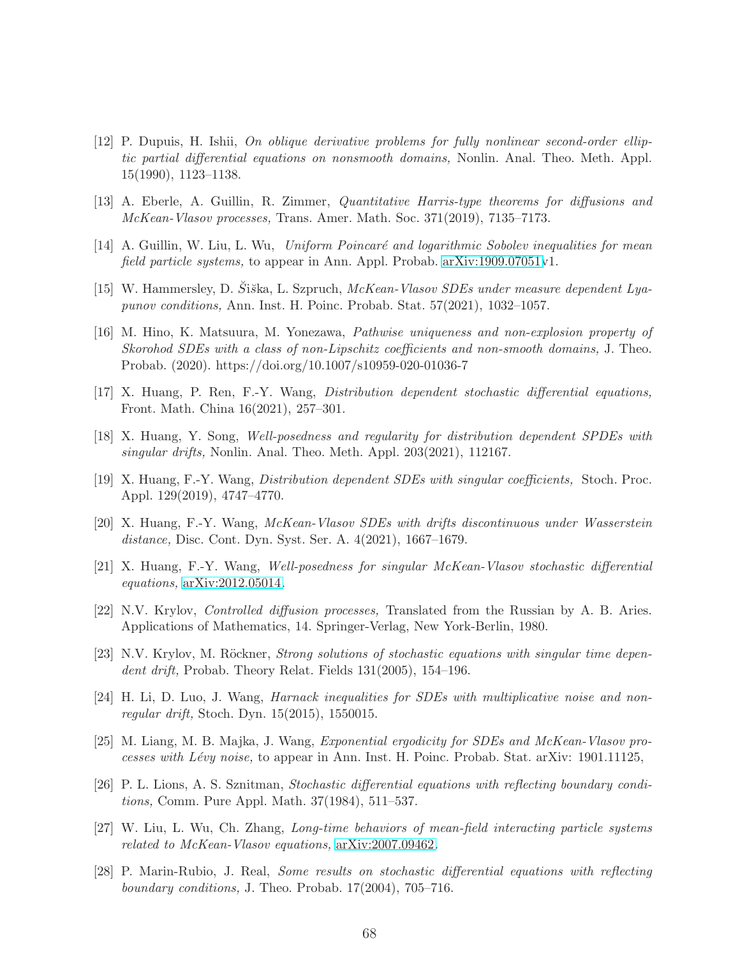- <span id="page-67-5"></span>[12] P. Dupuis, H. Ishii, On oblique derivative problems for fully nonlinear second-order elliptic partial differential equations on nonsmooth domains, Nonlin. Anal. Theo. Meth. Appl. 15(1990), 1123–1138.
- <span id="page-67-9"></span><span id="page-67-2"></span>[13] A. Eberle, A. Guillin, R. Zimmer, Quantitative Harris-type theorems for diffusions and McKean-Vlasov processes, Trans. Amer. Math. Soc. 371(2019), 7135–7173.
- <span id="page-67-10"></span>[14] A. Guillin, W. Liu, L. Wu, Uniform Poincaré and logarithmic Sobolev inequalities for mean field particle systems, to appear in Ann. Appl. Probab.  $arXiv:1909.07051v1$ .
- <span id="page-67-7"></span>[15] W. Hammersley, D. Šiška, L. Szpruch, McKean-Vlasov SDEs under measure dependent Lyapunov conditions, Ann. Inst. H. Poinc. Probab. Stat. 57(2021), 1032–1057.
- [16] M. Hino, K. Matsuura, M. Yonezawa, Pathwise uniqueness and non-explosion property of Skorohod SDEs with a class of non-Lipschitz coefficients and non-smooth domains, J. Theo. Probab. (2020). https://doi.org/10.1007/s10959-020-01036-7
- <span id="page-67-8"></span><span id="page-67-0"></span>[17] X. Huang, P. Ren, F.-Y. Wang, Distribution dependent stochastic differential equations, Front. Math. China 16(2021), 257–301.
- [18] X. Huang, Y. Song, Well-posedness and regularity for distribution dependent SPDEs with singular drifts, Nonlin. Anal. Theo. Meth. Appl. 203(2021), 112167.
- [19] X. Huang, F.-Y. Wang, Distribution dependent SDEs with singular coefficients, Stoch. Proc. Appl. 129(2019), 4747–4770.
- [20] X. Huang, F.-Y. Wang, McKean-Vlasov SDEs with drifts discontinuous under Wasserstein distance, Disc. Cont. Dyn. Syst. Ser. A. 4(2021), 1667–1679.
- [21] X. Huang, F.-Y. Wang, Well-posedness for singular McKean-Vlasov stochastic differential equations, [arXiv:2012.05014.](http://arxiv.org/abs/2012.05014)
- <span id="page-67-3"></span>[22] N.V. Krylov, Controlled diffusion processes, Translated from the Russian by A. B. Aries. Applications of Mathematics, 14. Springer-Verlag, New York-Berlin, 1980.
- <span id="page-67-4"></span>[23] N.V. Krylov, M. Röckner, *Strong solutions of stochastic equations with singular time depen*dent drift, Probab. Theory Relat. Fields 131(2005), 154–196.
- <span id="page-67-6"></span>[24] H. Li, D. Luo, J. Wang, Harnack inequalities for SDEs with multiplicative noise and nonregular drift, Stoch. Dyn. 15(2015), 1550015.
- <span id="page-67-11"></span><span id="page-67-1"></span>[25] M. Liang, M. B. Majka, J. Wang, Exponential ergodicity for SDEs and McKean-Vlasov processes with Lévy noise, to appear in Ann. Inst. H. Poinc. Probab. Stat. arXiv: 1901.11125,
- [26] P. L. Lions, A. S. Sznitman, Stochastic differential equations with reflecting boundary conditions, Comm. Pure Appl. Math. 37(1984), 511–537.
- <span id="page-67-12"></span>[27] W. Liu, L. Wu, Ch. Zhang, Long-time behaviors of mean-field interacting particle systems related to McKean-Vlasov equations, [arXiv:2007.09462.](http://arxiv.org/abs/2007.09462)
- [28] P. Marin-Rubio, J. Real, Some results on stochastic differential equations with reflecting boundary conditions, J. Theo. Probab.  $17(2004)$ ,  $705-716$ .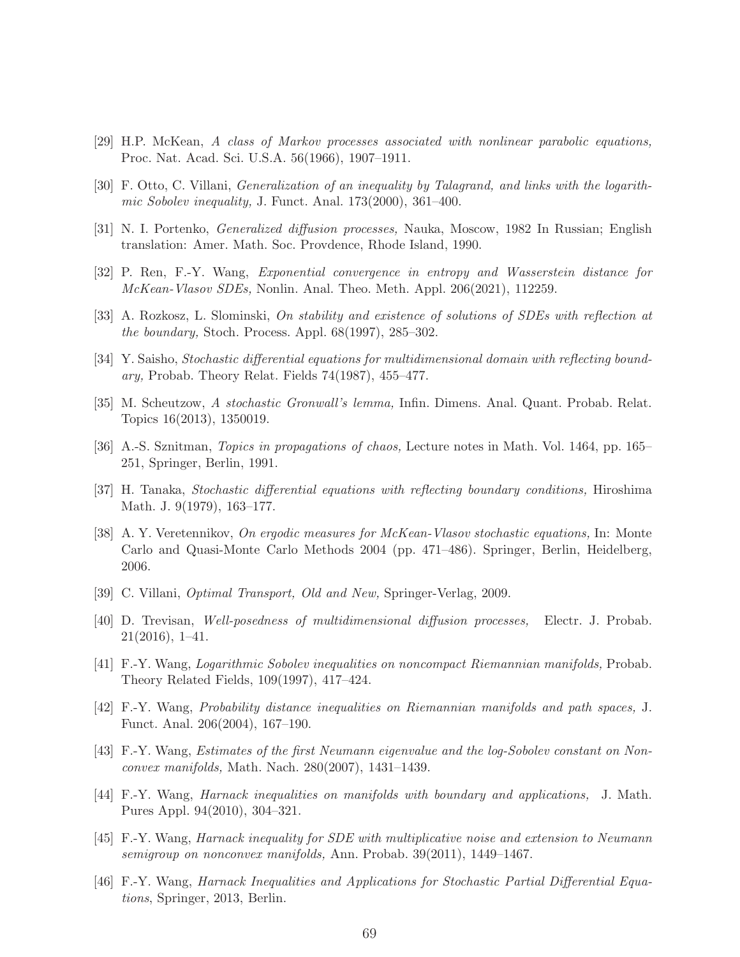- <span id="page-68-13"></span>[29] H.P. McKean, A class of Markov processes associated with nonlinear parabolic equations, Proc. Nat. Acad. Sci. U.S.A. 56(1966), 1907–1911.
- [30] F. Otto, C. Villani, Generalization of an inequality by Talagrand, and links with the logarithmic Sobolev inequality, J. Funct. Anal. 173(2000), 361–400.
- <span id="page-68-12"></span>[31] N. I. Portenko, Generalized diffusion processes, Nauka, Moscow, 1982 In Russian; English translation: Amer. Math. Soc. Provdence, Rhode Island, 1990.
- <span id="page-68-6"></span>[32] P. Ren, F.-Y. Wang, Exponential convergence in entropy and Wasserstein distance for McKean-Vlasov SDEs, Nonlin. Anal. Theo. Meth. Appl. 206(2021), 112259.
- <span id="page-68-1"></span>[33] A. Rozkosz, L. Slominski, On stability and existence of solutions of SDEs with reflection at the boundary, Stoch. Process. Appl. 68(1997), 285–302.
- [34] Y. Saisho, Stochastic differential equations for multidimensional domain with reflecting boundary, Probab. Theory Relat. Fields 74(1987), 455–477.
- <span id="page-68-0"></span>[35] M. Scheutzow, A stochastic Gronwall's lemma, Infin. Dimens. Anal. Quant. Probab. Relat. Topics 16(2013), 1350019.
- <span id="page-68-2"></span>[36] A.-S. Sznitman, Topics in propagations of chaos, Lecture notes in Math. Vol. 1464, pp. 165– 251, Springer, Berlin, 1991.
- <span id="page-68-11"></span>[37] H. Tanaka, Stochastic differential equations with reflecting boundary conditions, Hiroshima Math. J. 9(1979), 163–177.
- [38] A. Y. Veretennikov, On ergodic measures for McKean-Vlasov stochastic equations, In: Monte Carlo and Quasi-Monte Carlo Methods 2004 (pp. 471–486). Springer, Berlin, Heidelberg, 2006.
- <span id="page-68-7"></span><span id="page-68-3"></span>[39] C. Villani, Optimal Transport, Old and New, Springer-Verlag, 2009.
- [40] D. Trevisan, Well-posedness of multidimensional diffusion processes, Electr. J. Probab. 21(2016), 1–41.
- <span id="page-68-8"></span>[41] F.-Y. Wang, Logarithmic Sobolev inequalities on noncompact Riemannian manifolds, Probab. Theory Related Fields, 109(1997), 417–424.
- <span id="page-68-14"></span>[42] F.-Y. Wang, Probability distance inequalities on Riemannian manifolds and path spaces, J. Funct. Anal. 206(2004), 167–190.
- <span id="page-68-4"></span>[43] F.-Y. Wang, Estimates of the first Neumann eigenvalue and the log-Sobolev constant on Nonconvex manifolds, Math. Nach. 280(2007), 1431–1439.
- <span id="page-68-9"></span>[44] F.-Y. Wang, Harnack inequalities on manifolds with boundary and applications, J. Math. Pures Appl. 94(2010), 304–321.
- <span id="page-68-10"></span>[45] F.-Y. Wang, Harnack inequality for SDE with multiplicative noise and extension to Neumann semigroup on nonconvex manifolds, Ann. Probab. 39(2011), 1449–1467.
- <span id="page-68-5"></span>[46] F.-Y. Wang, Harnack Inequalities and Applications for Stochastic Partial Differential Equations, Springer, 2013, Berlin.